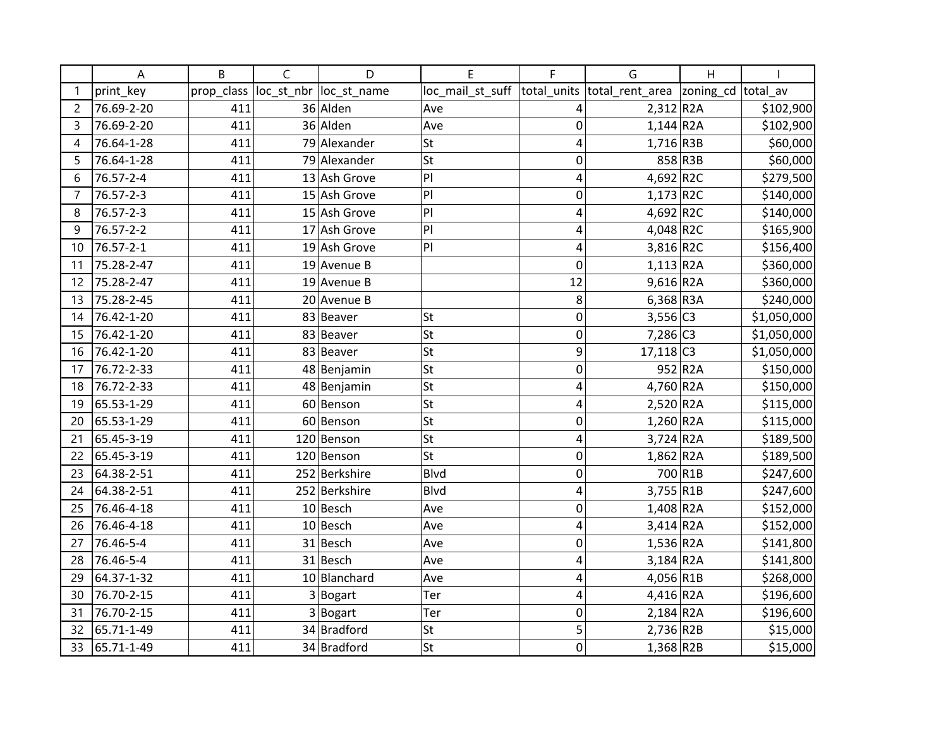|                | Α          | B          | C          | D             | E                | F           | G                          | H       |             |
|----------------|------------|------------|------------|---------------|------------------|-------------|----------------------------|---------|-------------|
|                | print key  | prop_class | loc_st_nbr | loc st name   | loc_mail_st_suff | total units | total_rent_area  zoning_cd |         | total av    |
| $\overline{c}$ | 76.69-2-20 | 411        |            | 36 Alden      | Ave              | 4           | $2,312$ R <sub>2</sub> A   |         | \$102,900   |
| 3              | 76.69-2-20 | 411        |            | 36 Alden      | Ave              | $\mathbf 0$ | $1,144$ R2A                |         | \$102,900   |
| 4              | 76.64-1-28 | 411        |            | 79 Alexander  | <b>St</b>        | 4           | $1,716$ R3B                |         | \$60,000    |
| 5              | 76.64-1-28 | 411        |            | 79 Alexander  | St               | 0           |                            | 858 R3B | \$60,000    |
| 6              | 76.57-2-4  | 411        |            | 13 Ash Grove  | PI               | 4           | 4,692 R2C                  |         | \$279,500   |
| 7              | 76.57-2-3  | 411        |            | 15 Ash Grove  | PI               | 0           | $1,173$ R2C                |         | \$140,000   |
| 8              | 76.57-2-3  | 411        |            | 15 Ash Grove  | PI               | 4           | 4,692 R2C                  |         | \$140,000   |
| 9              | 76.57-2-2  | 411        |            | 17 Ash Grove  | PI               | 4           | $4,048$ R2C                |         | \$165,900   |
| 10             | 76.57-2-1  | 411        |            | 19 Ash Grove  | P                | 4           | 3,816 R2C                  |         | \$156,400   |
| 11             | 75.28-2-47 | 411        |            | 19 Avenue B   |                  | $\mathbf 0$ | $1,113$ R2A                |         | \$360,000   |
| 12             | 75.28-2-47 | 411        |            | 19 Avenue B   |                  | 12          | $9,616$ R <sub>2</sub> A   |         | \$360,000   |
| 13             | 75.28-2-45 | 411        |            | 20 Avenue B   |                  | 8           | $6,368$ R3A                |         | \$240,000   |
| 14             | 76.42-1-20 | 411        |            | 83 Beaver     | <b>St</b>        | $\mathbf 0$ | $3,556$ C <sub>3</sub>     |         | \$1,050,000 |
| 15             | 76.42-1-20 | 411        |            | 83 Beaver     | St               | $\mathbf 0$ | 7,286 C3                   |         | \$1,050,000 |
| 16             | 76.42-1-20 | 411        |            | 83 Beaver     | <b>St</b>        | 9           | $17,118$ C3                |         | \$1,050,000 |
| 17             | 76.72-2-33 | 411        |            | 48 Benjamin   | St               | $\mathbf 0$ |                            | 952 R2A | \$150,000   |
| 18             | 76.72-2-33 | 411        |            | 48 Benjamin   | <b>St</b>        | 4           | 4,760 R2A                  |         | \$150,000   |
| 19             | 65.53-1-29 | 411        |            | 60 Benson     | <b>St</b>        | 4           | 2,520 R2A                  |         | \$115,000   |
| 20             | 65.53-1-29 | 411        |            | 60 Benson     | St               | $\mathbf 0$ | $1,260$ R <sub>2</sub> A   |         | \$115,000   |
| 21             | 65.45-3-19 | 411        |            | 120 Benson    | <b>St</b>        | 4           | $3,724$ R <sub>2</sub> A   |         | \$189,500   |
| 22             | 65.45-3-19 | 411        |            | 120 Benson    | <b>St</b>        | 0           | $1,862$ R <sub>2</sub> A   |         | \$189,500   |
| 23             | 64.38-2-51 | 411        |            | 252 Berkshire | Blvd             | $\mathbf 0$ |                            | 700 R1B | \$247,600   |
| 24             | 64.38-2-51 | 411        |            | 252 Berkshire | <b>Blvd</b>      | 4           | 3,755 R1B                  |         | \$247,600   |
| 25             | 76.46-4-18 | 411        |            | $10$ Besch    | Ave              | $\mathbf 0$ | $1,408$ R2A                |         | \$152,000   |
| 26             | 76.46-4-18 | 411        |            | 10 Besch      | Ave              | 4           | $3,414$ R2A                |         | \$152,000   |
| 27             | 76.46-5-4  | 411        |            | 31 Besch      | Ave              | $\mathbf 0$ | $1,536$ R <sub>2</sub> A   |         | \$141,800   |
| 28             | 76.46-5-4  | 411        |            | 31 Besch      | Ave              | 4           | $3,184$ R <sub>2</sub> A   |         | \$141,800   |
| 29             | 64.37-1-32 | 411        |            | 10 Blanchard  | Ave              | 4           | 4,056 R1B                  |         | \$268,000   |
| 30             | 76.70-2-15 | 411        |            | 3 Bogart      | Ter              | 4           | 4,416 R2A                  |         | \$196,600   |
| 31             | 76.70-2-15 | 411        |            | 3 Bogart      | Ter              | $\mathbf 0$ | $2,184$ R <sub>2</sub> A   |         | \$196,600   |
| 32             | 65.71-1-49 | 411        |            | 34 Bradford   | <b>St</b>        | 5           | 2,736 R2B                  |         | \$15,000    |
| 33             | 65.71-1-49 | 411        |            | 34 Bradford   | <b>St</b>        | $\mathbf 0$ | $1,368$ R2B                |         | \$15,000    |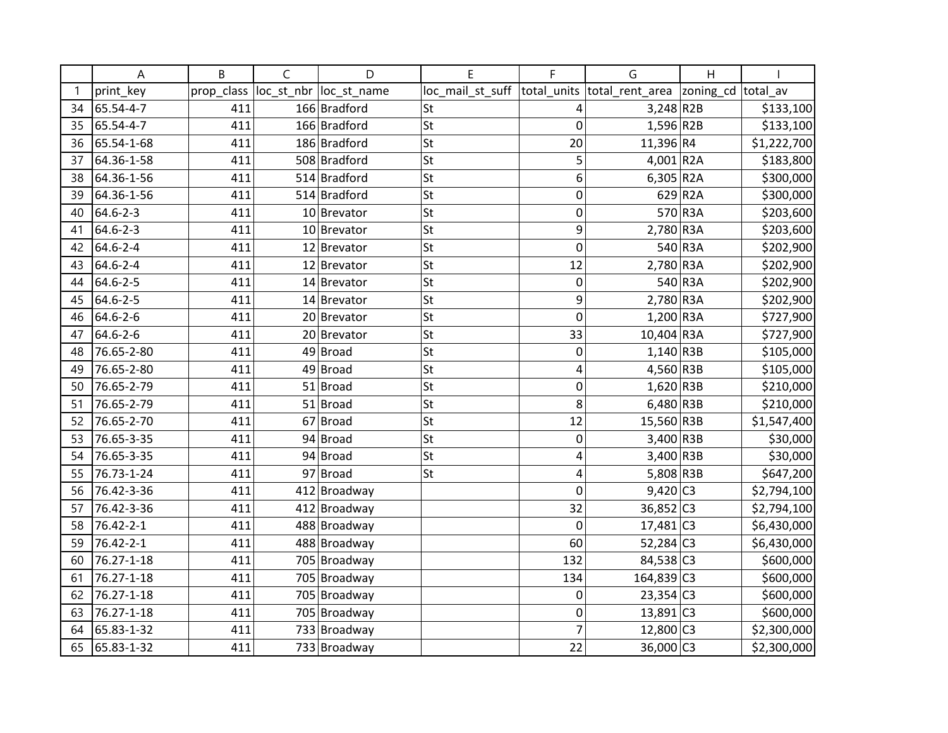|    | A          | B          | C          | D              | E                | F              | G                           | H                  |             |
|----|------------|------------|------------|----------------|------------------|----------------|-----------------------------|--------------------|-------------|
|    | print_key  | prop_class | loc_st_nbr | loc_st_name    | loc_mail_st_suff |                | total_units total_rent_area | zoning_cd total_av |             |
| 34 | 65.54-4-7  | 411        |            | 166 Bradford   | St               | 4              | $3,248$ R2B                 |                    | \$133,100   |
| 35 | 65.54-4-7  | 411        |            | 166 Bradford   | St               | 0              | $1,596$ R2B                 |                    | \$133,100   |
| 36 | 65.54-1-68 | 411        |            | 186 Bradford   | <b>St</b>        | 20             | 11,396 R4                   |                    | \$1,222,700 |
| 37 | 64.36-1-58 | 411        |            | 508 Bradford   | <b>St</b>        | 5              | 4,001 R2A                   |                    | \$183,800   |
| 38 | 64.36-1-56 | 411        |            | 514 Bradford   | <b>St</b>        | 6              | $6,305$ R2A                 |                    | \$300,000   |
| 39 | 64.36-1-56 | 411        |            | 514 Bradford   | <b>St</b>        | 0              |                             | 629 R2A            | \$300,000   |
| 40 | 64.6-2-3   | 411        |            | 10 Brevator    | St               | 0              |                             | 570 R3A            | \$203,600   |
| 41 | 64.6-2-3   | 411        |            | 10 Brevator    | <b>St</b>        | 9              | $2,780$ R3A                 |                    | \$203,600   |
| 42 | 64.6-2-4   | 411        |            | $12$  Brevator | <b>St</b>        | $\mathbf 0$    |                             | 540 R3A            | \$202,900   |
| 43 | 64.6-2-4   | 411        |            | $12$ Brevator  | <b>St</b>        | 12             | 2,780 R3A                   |                    | \$202,900   |
| 44 | 64.6-2-5   | 411        |            | $14$ Brevator  | <b>St</b>        | $\mathbf 0$    |                             | 540 R3A            | \$202,900   |
| 45 | 64.6-2-5   | 411        |            | $14$ Brevator  | St               | 9              | $2,780$ R3A                 |                    | \$202,900   |
| 46 | 64.6-2-6   | 411        |            | 20 Brevator    | <b>St</b>        | 0              | 1,200 R3A                   |                    | \$727,900   |
| 47 | 64.6-2-6   | 411        |            | 20 Brevator    | <b>St</b>        | 33             | 10,404 R3A                  |                    | \$727,900   |
| 48 | 76.65-2-80 | 411        | 49         | Broad          | <b>St</b>        | 0              | $1,140$ R3B                 |                    | \$105,000   |
| 49 | 76.65-2-80 | 411        | 49         | Broad          | St               | 4              | 4,560 R3B                   |                    | \$105,000   |
| 50 | 76.65-2-79 | 411        |            | $51$ Broad     | St               | 0              | $1,620$ R3B                 |                    | \$210,000   |
| 51 | 76.65-2-79 | 411        |            | $51$ Broad     | <b>St</b>        | 8              | $6,480$ R3B                 |                    | \$210,000   |
| 52 | 76.65-2-70 | 411        |            | 67 Broad       | <b>St</b>        | 12             | 15,560 R3B                  |                    | \$1,547,400 |
| 53 | 76.65-3-35 | 411        |            | 94 Broad       | <b>St</b>        | 0              | 3,400 R3B                   |                    | \$30,000    |
| 54 | 76.65-3-35 | 411        |            | 94 Broad       | St               | 4              | $3,400$ R3B                 |                    | \$30,000    |
| 55 | 76.73-1-24 | 411        |            | 97 Broad       | St               | 4              | $5,808$ R3B                 |                    | \$647,200   |
| 56 | 76.42-3-36 | 411        |            | 412 Broadway   |                  | $\overline{0}$ | $9,420$ C3                  |                    | \$2,794,100 |
| 57 | 76.42-3-36 | 411        |            | 412 Broadway   |                  | 32             | $36,852$ C <sub>3</sub>     |                    | \$2,794,100 |
| 58 | 76.42-2-1  | 411        |            | 488 Broadway   |                  | 0              | $17,481$ C3                 |                    | \$6,430,000 |
| 59 | 76.42-2-1  | 411        |            | 488 Broadway   |                  | 60             | 52,284 C3                   |                    | \$6,430,000 |
| 60 | 76.27-1-18 | 411        |            | 705 Broadway   |                  | 132            | 84,538 C3                   |                    | \$600,000   |
| 61 | 76.27-1-18 | 411        |            | 705 Broadway   |                  | 134            | 164,839 C3                  |                    | \$600,000   |
| 62 | 76.27-1-18 | 411        |            | 705 Broadway   |                  | 0              | $23,354$ C <sub>3</sub>     |                    | \$600,000   |
| 63 | 76.27-1-18 | 411        |            | 705 Broadway   |                  | 0              | $13,891$ C <sub>3</sub>     |                    | \$600,000   |
| 64 | 65.83-1-32 | 411        |            | 733 Broadway   |                  | 7              | 12,800 C3                   |                    | \$2,300,000 |
| 65 | 65.83-1-32 | 411        |            | 733 Broadway   |                  | 22             | 36,000 C3                   |                    | \$2,300,000 |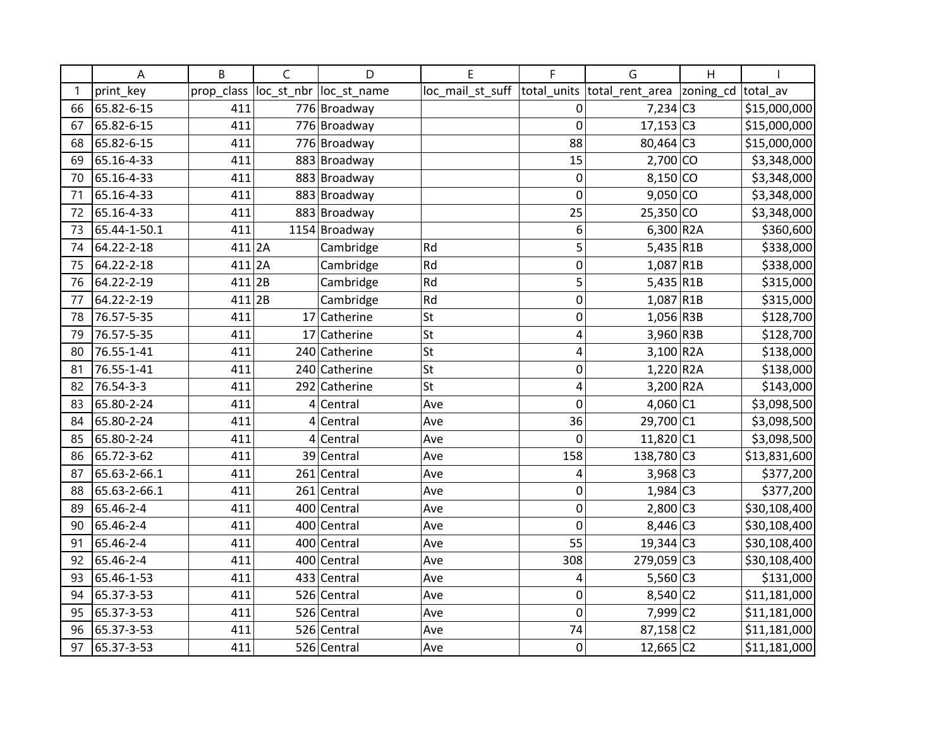|    | Α            | B          | C          | D             | E                | F              | G                        | H         |              |
|----|--------------|------------|------------|---------------|------------------|----------------|--------------------------|-----------|--------------|
|    | print key    | prop_class | loc_st_nbr | loc_st_name   | loc_mail_st_suff | total units    | total_rent_area          | zoning_cd | total av     |
| 66 | 65.82-6-15   | 411        |            | 776 Broadway  |                  | $\mathbf 0$    | $7,234$ C <sub>3</sub>   |           | \$15,000,000 |
| 67 | 65.82-6-15   | 411        |            | 776 Broadway  |                  | $\mathbf 0$    | $17,153$ C <sub>3</sub>  |           | \$15,000,000 |
| 68 | 65.82-6-15   | 411        |            | 776 Broadway  |                  | 88             | 80,464 C3                |           | \$15,000,000 |
| 69 | 65.16-4-33   | 411        |            | 883 Broadway  |                  | 15             | $2,700$ CO               |           | \$3,348,000  |
| 70 | 65.16-4-33   | 411        |            | 883 Broadway  |                  | 0              | 8,150 CO                 |           | \$3,348,000  |
| 71 | 65.16-4-33   | 411        |            | 883 Broadway  |                  | $\mathbf 0$    | $9,050$ CO               |           | \$3,348,000  |
| 72 | 65.16-4-33   | 411        |            | 883 Broadway  |                  | 25             | $25,350$ CO              |           | \$3,348,000  |
| 73 | 65.44-1-50.1 | 411        |            | 1154 Broadway |                  | 6              | $6,300$ R <sub>2</sub> A |           | \$360,600    |
| 74 | 64.22-2-18   | $411$ 2A   |            | Cambridge     | Rd               | 5              | $5,435$ R1B              |           | \$338,000    |
| 75 | 64.22-2-18   | $411$  2A  |            | Cambridge     | Rd               | $\mathbf 0$    | 1,087 R1B                |           | \$338,000    |
| 76 | 64.22-2-19   | $411$  2B  |            | Cambridge     | Rd               | 5              | $5,435$ R1B              |           | \$315,000    |
| 77 | 64.22-2-19   | $411$ 2B   |            | Cambridge     | Rd               | $\mathbf 0$    | $1,087$ R1B              |           | \$315,000    |
| 78 | 76.57-5-35   | 411        |            | 17 Catherine  | <b>St</b>        | $\mathbf 0$    | $1,056$ R3B              |           | \$128,700    |
| 79 | 76.57-5-35   | 411        |            | 17 Catherine  | St               | 4              | 3,960 R3B                |           | \$128,700    |
| 80 | 76.55-1-41   | 411        |            | 240 Catherine | <b>St</b>        | $\overline{4}$ | $3,100$ R <sub>2</sub> A |           | \$138,000    |
| 81 | 76.55-1-41   | 411        |            | 240 Catherine | St               | $\mathbf 0$    | $1,220$ R2A              |           | \$138,000    |
| 82 | 76.54-3-3    | 411        |            | 292 Catherine | St               | 4              | 3,200 R2A                |           | \$143,000    |
| 83 | 65.80-2-24   | 411        |            | $4$ Central   | Ave              | $\mathbf 0$    | $4,060$ C1               |           | \$3,098,500  |
| 84 | 65.80-2-24   | 411        |            | $4$ Central   | Ave              | 36             | 29,700 C1                |           | \$3,098,500  |
| 85 | 65.80-2-24   | 411        |            | $4$ Central   | Ave              | $\mathbf 0$    | $11,820$ C1              |           | \$3,098,500  |
| 86 | 65.72-3-62   | 411        |            | 39 Central    | Ave              | 158            | 138,780 C3               |           | \$13,831,600 |
| 87 | 65.63-2-66.1 | 411        |            | 261 Central   | Ave              | 4              | 3,968 C3                 |           | \$377,200    |
| 88 | 65.63-2-66.1 | 411        |            | 261 Central   | Ave              | $\mathbf 0$    | $1,984$ C <sub>3</sub>   |           | \$377,200    |
| 89 | 65.46-2-4    | 411        |            | 400 Central   | Ave              | $\mathbf 0$    | $2,800$ C3               |           | \$30,108,400 |
| 90 | 65.46-2-4    | 411        |            | 400 Central   | Ave              | $\overline{0}$ | 8,446 C3                 |           | \$30,108,400 |
| 91 | 65.46-2-4    | 411        |            | 400 Central   | Ave              | 55             | $19,344$ C <sub>3</sub>  |           | \$30,108,400 |
| 92 | 65.46-2-4    | 411        |            | 400 Central   | Ave              | 308            | $279,059$ C3             |           | \$30,108,400 |
| 93 | 65.46-1-53   | 411        |            | 433 Central   | Ave              | 4              | $5,560$ C3               |           | \$131,000    |
| 94 | 65.37-3-53   | 411        |            | 526 Central   | Ave              | $\mathbf 0$    | 8,540 C2                 |           | \$11,181,000 |
| 95 | 65.37-3-53   | 411        |            | 526 Central   | Ave              | $\mathbf 0$    | $7,999$ C <sub>2</sub>   |           | \$11,181,000 |
| 96 | 65.37-3-53   | 411        |            | 526 Central   | Ave              | 74             | 87,158 C2                |           | \$11,181,000 |
| 97 | 65.37-3-53   | 411        |            | 526 Central   | Ave              | $\mathbf 0$    | $12,665$ C <sub>2</sub>  |           | \$11,181,000 |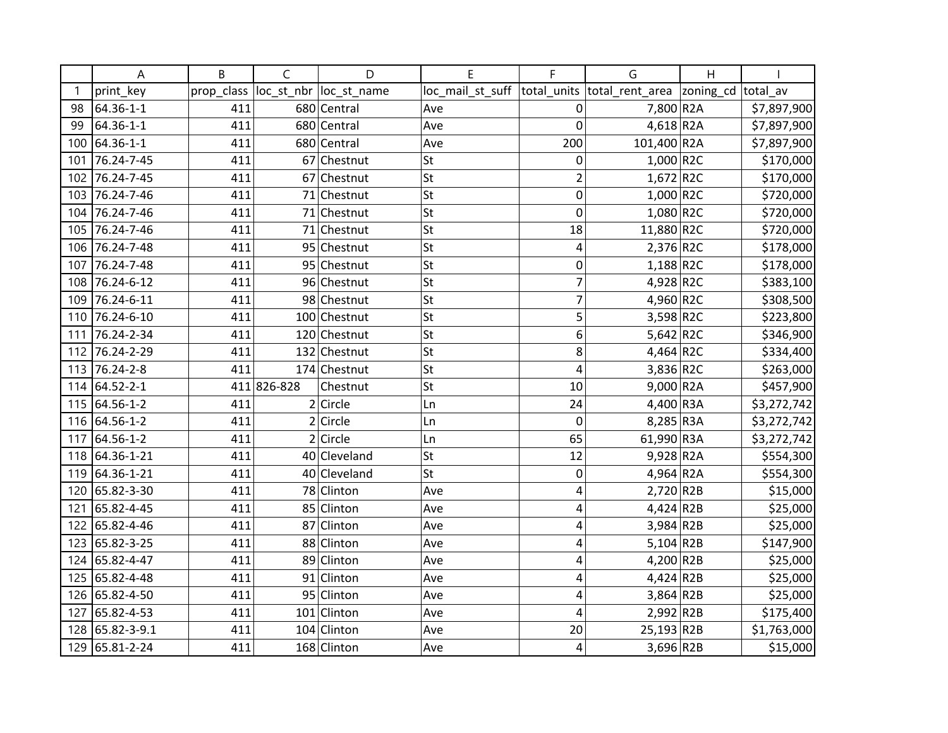|     | A               | B          | C           | D                      | E                | F   | G                           | H                  |             |
|-----|-----------------|------------|-------------|------------------------|------------------|-----|-----------------------------|--------------------|-------------|
| -1  | print_key       | prop class |             | loc st nbr loc st name | loc mail st suff |     | total units total rent area | zoning_cd total_av |             |
| 98  | 64.36-1-1       | 411        |             | 680 Central            | Ave              | 0   | 7,800 R2A                   |                    | \$7,897,900 |
| 99  | 64.36-1-1       | 411        |             | 680 Central            | Ave              | 0   | $4,618$ R <sub>2</sub> A    |                    | \$7,897,900 |
| 100 | 64.36-1-1       | 411        |             | 680 Central            | Ave              | 200 | 101,400 R2A                 |                    | \$7,897,900 |
| 101 | 76.24-7-45      | 411        |             | 67 Chestnut            | St               | 0   | $1,000$ R2C                 |                    | \$170,000   |
| 102 | 76.24-7-45      | 411        |             | 67 Chestnut            | St               | 2   | $1,672$ R2C                 |                    | \$170,000   |
| 103 | 76.24-7-46      | 411        |             | 71 Chestnut            | lst              | 0   | 1,000 R2C                   |                    | \$720,000   |
| 104 | 76.24-7-46      | 411        |             | 71 Chestnut            | lst              | 0   | $1,080$ R2C                 |                    | \$720,000   |
| 105 | 76.24-7-46      | 411        |             | 71 Chestnut            | St               | 18  | 11,880 R2C                  |                    | \$720,000   |
| 106 | 76.24-7-48      | 411        |             | 95 Chestnut            | St               | 4   | $2,376$ R2C                 |                    | \$178,000   |
| 107 | 76.24-7-48      | 411        |             | 95 Chestnut            | St               | 0   | $1,188$ R2C                 |                    | \$178,000   |
| 108 | 76.24-6-12      | 411        |             | 96 Chestnut            | lst              | 7   | 4,928 R2C                   |                    | \$383,100   |
| 109 | 76.24-6-11      | 411        |             | 98 Chestnut            | St               | 7   | 4,960 R2C                   |                    | \$308,500   |
| 110 | 76.24-6-10      | 411        |             | 100 Chestnut           | St               | 5   | 3,598 R2C                   |                    | \$223,800   |
| 111 | 76.24-2-34      | 411        |             | 120 Chestnut           | St               | 6   | 5,642 R2C                   |                    | \$346,900   |
| 112 | 76.24-2-29      | 411        |             | 132 Chestnut           | St               | 8   | 4,464 R2C                   |                    | \$334,400   |
| 113 | 76.24-2-8       | 411        |             | 174 Chestnut           | St               | 4   | 3,836 R2C                   |                    | \$263,000   |
|     | 114 64.52-2-1   |            | 411 826-828 | Chestnut               | St               | 10  | $9,000$ R <sub>2</sub> A    |                    | \$457,900   |
| 115 | 64.56-1-2       | 411        |             | $2$ Circle             | Ln               | 24  | $4,400$ R3A                 |                    | \$3,272,742 |
| 116 | 64.56-1-2       | 411        |             | $2$ Circle             | Ln               | 0   | 8,285 R3A                   |                    | \$3,272,742 |
| 117 | 64.56-1-2       | 411        |             | $2$ Circle             | Ln               | 65  | 61,990 R3A                  |                    | \$3,272,742 |
|     | 118 64.36-1-21  | 411        |             | 40 Cleveland           | St               | 12  | $9,928$ R <sub>2</sub> A    |                    | \$554,300   |
| 119 | 64.36-1-21      | 411        |             | 40 Cleveland           | St               | 0   | 4,964 R2A                   |                    | \$554,300   |
| 120 | 65.82-3-30      | 411        |             | 78 Clinton             | Ave              | 4   | 2,720 R2B                   |                    | \$15,000    |
| 121 | 65.82-4-45      | 411        |             | 85 Clinton             | Ave              | 4   | 4,424 R2B                   |                    | \$25,000    |
| 122 | 65.82-4-46      | 411        |             | 87 Clinton             | Ave              | 4   | $3,984$ R <sub>2</sub> B    |                    | \$25,000    |
| 123 | 65.82-3-25      | 411        |             | 88 Clinton             | Ave              | 4   | $5,104$ R2B                 |                    | \$147,900   |
| 124 | 65.82-4-47      | 411        |             | 89 Clinton             | Ave              | 4   | 4,200 R2B                   |                    | \$25,000    |
| 125 | 65.82-4-48      | 411        |             | 91 Clinton             | Ave              | 4   | $4,424$ R2B                 |                    | \$25,000    |
| 126 | 65.82-4-50      | 411        |             | 95 Clinton             | Ave              | 4   | 3,864 R2B                   |                    | \$25,000    |
| 127 | 65.82-4-53      | 411        |             | 101 Clinton            | Ave              | 4   | $2,992$ R2B                 |                    | \$175,400   |
|     | 128 65.82-3-9.1 | 411        |             | 104 Clinton            | Ave              | 20  | 25,193 R2B                  |                    | \$1,763,000 |
| 129 | 65.81-2-24      | 411        |             | 168 Clinton            | Ave              | 4   | 3,696 R2B                   |                    | \$15,000    |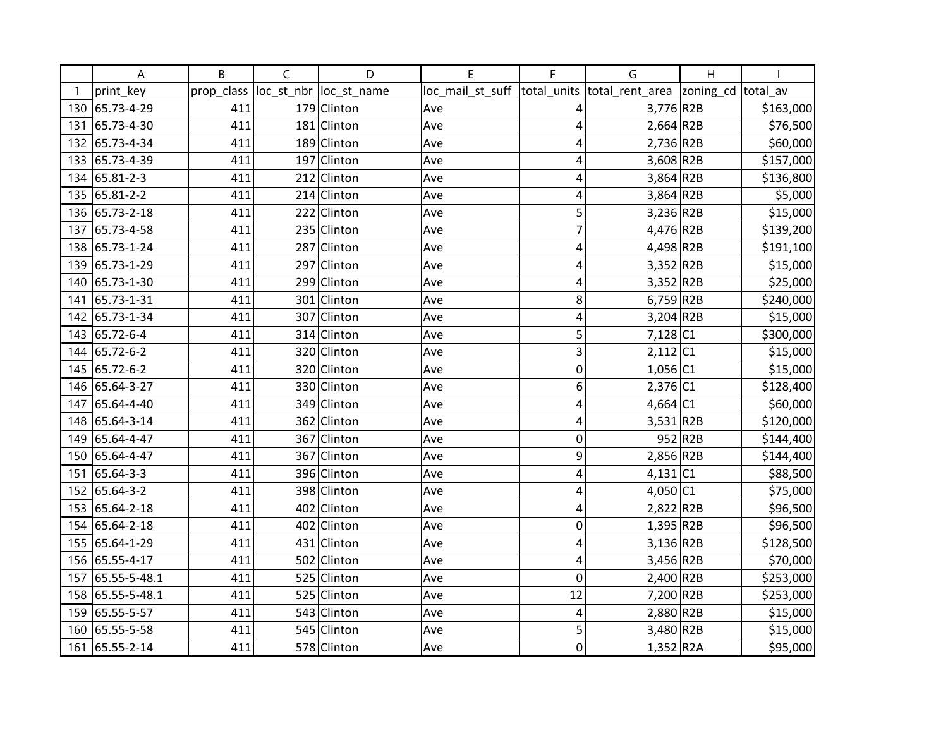|     | А              | B          | $\mathsf{C}$ | D             | E                | F              | G                          | H       |                       |
|-----|----------------|------------|--------------|---------------|------------------|----------------|----------------------------|---------|-----------------------|
|     | print_key      | prop_class | loc_st_nbr   | loc_st_name   | loc_mail_st_suff | total_units    | total_rent_area  zoning_cd |         | total av              |
| 130 | 65.73-4-29     | 411        |              | 179 Clinton   | Ave              | 4              | $3,776$ R2B                |         | \$163,000             |
| 131 | 65.73-4-30     | 411        |              | 181 Clinton   | Ave              | 4              | $2,664$ R <sub>2</sub> B   |         | \$76,500              |
|     | 132 65.73-4-34 | 411        |              | 189 Clinton   | Ave              | 4              | 2,736 R2B                  |         | \$60,000              |
|     | 133 65.73-4-39 | 411        |              | 197 Clinton   | Ave              | 4              | $3,608$ R <sub>2B</sub>    |         | \$157,000             |
|     | 134 65.81-2-3  | 411        |              | 212 Clinton   | Ave              | 4              | $3,864$ R <sub>2</sub> B   |         | \$136,800             |
|     | 135 65.81-2-2  | 411        |              | $214$ Clinton | Ave              | 4              | $3,864$ R <sub>2</sub> B   |         | \$5,000               |
| 136 | 65.73-2-18     | 411        |              | 222 Clinton   | Ave              | 5              | 3,236 R2B                  |         | \$15,000              |
| 137 | 65.73-4-58     | 411        |              | 235 Clinton   | Ave              | $\overline{7}$ | 4,476 R2B                  |         | $\overline{$}139,200$ |
|     | 138 65.73-1-24 | 411        |              | 287 Clinton   | Ave              | 4              | 4,498 R2B                  |         | \$191,100             |
|     | 139 65.73-1-29 | 411        |              | 297 Clinton   | Ave              | 4              | 3,352 R2B                  |         | \$15,000              |
| 140 | 65.73-1-30     | 411        | 299          | Clinton       | Ave              | 4              | $3,352$ R2B                |         | \$25,000              |
| 141 | 65.73-1-31     | 411        |              | 301 Clinton   | Ave              | 8              | $6,759$ R2B                |         | \$240,000             |
|     | 142 65.73-1-34 | 411        |              | 307 Clinton   | Ave              | 4              | $3,204$ R <sub>2B</sub>    |         | \$15,000              |
|     | 143 65.72-6-4  | 411        |              | 314 Clinton   | Ave              | 5              | $7,128$ C1                 |         | \$300,000             |
|     | 144 65.72-6-2  | 411        |              | 320 Clinton   | Ave              | 3              | $2,112$ C1                 |         | \$15,000              |
|     | 145 65.72-6-2  | 411        |              | 320 Clinton   | Ave              | 0              | $1,056$ C1                 |         | \$15,000              |
|     | 146 65.64-3-27 | 411        |              | 330 Clinton   | Ave              | 6              | $2,376$ C1                 |         | \$128,400             |
| 147 | 65.64-4-40     | 411        |              | 349 Clinton   | Ave              | 4              | 4,664 $ C1$                |         | \$60,000              |
|     | 148 65.64-3-14 | 411        |              | 362 Clinton   | Ave              | 4              | $3,531$ R2B                |         | \$120,000             |
|     | 149 65.64-4-47 | 411        |              | 367 Clinton   | Ave              | 0              |                            | 952 R2B | \$144,400             |
|     | 150 65.64-4-47 | 411        |              | 367 Clinton   | Ave              | 9              | 2,856 R2B                  |         | \$144,400             |
| 151 | 65.64-3-3      | 411        |              | 396 Clinton   | Ave              | 4              | 4,131 C1                   |         | \$88,500              |
|     | 152 65.64-3-2  | 411        |              | 398 Clinton   | Ave              | 4              | 4,050 C1                   |         | \$75,000              |
|     | 153 65.64-2-18 | 411        |              | 402 Clinton   | Ave              | 4              | 2,822 R2B                  |         | \$96,500              |
|     | 154 65.64-2-18 | 411        |              | 402 Clinton   | Ave              | 0              | $1,395$ R2B                |         | \$96,500              |
|     | 155 65.64-1-29 | 411        |              | 431 Clinton   | Ave              | 4              | $3,136$ R2B                |         | \$128,500             |
|     | 156 65.55-4-17 | 411        |              | 502 Clinton   | Ave              | 4              | 3,456 R2B                  |         | \$70,000              |
| 157 | 65.55-5-48.1   | 411        | 525          | Clinton       | Ave              | 0              | 2,400 R2B                  |         | \$253,000             |
| 158 | 65.55-5-48.1   | 411        |              | 525 Clinton   | Ave              | 12             | 7,200 R2B                  |         | \$253,000             |
| 159 | 65.55-5-57     | 411        |              | 543 Clinton   | Ave              | 4              | 2,880 R2B                  |         | \$15,000              |
| 160 | 65.55-5-58     | 411        |              | 545 Clinton   | Ave              | 5              | 3,480 R2B                  |         | \$15,000              |
|     | 161 65.55-2-14 | 411        |              | 578 Clinton   | Ave              | $\mathbf 0$    | $1,352$ R2A                |         | \$95,000              |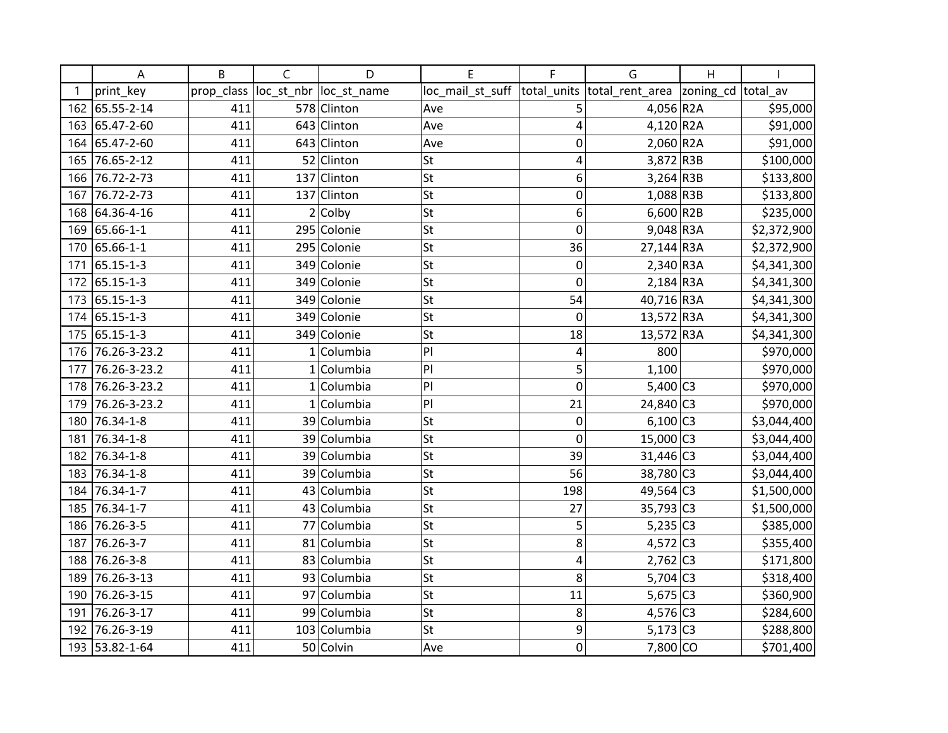|     | A              | B          | C            | D            | E                | F           | G                           | Η                  |             |
|-----|----------------|------------|--------------|--------------|------------------|-------------|-----------------------------|--------------------|-------------|
|     | print_key      | prop_class | loc_st_nbr   | loc_st_name  | loc_mail_st_suff |             | total_units total_rent_area | zoning_cd total_av |             |
| 162 | 65.55-2-14     | 411        |              | 578 Clinton  | Ave              | 5           | $4,056$ R2A                 |                    | \$95,000    |
| 163 | 65.47-2-60     | 411        |              | 643 Clinton  | Ave              | 4           | 4,120 R2A                   |                    | \$91,000    |
| 164 | 65.47-2-60     | 411        |              | 643 Clinton  | Ave              | $\mathbf 0$ | $2,060$ R <sub>2</sub> A    |                    | \$91,000    |
| 165 | 76.65-2-12     | 411        |              | 52 Clinton   | <b>St</b>        | 4           | 3,872 R3B                   |                    | \$100,000   |
| 166 | 76.72-2-73     | 411        | 137          | Clinton      | <b>St</b>        | 6           | $3,264$ R3B                 |                    | \$133,800   |
| 167 | 76.72-2-73     | 411        |              | 137 Clinton  | St               | 0           | $1,088$ R3B                 |                    | \$133,800   |
| 168 | 64.36-4-16     | 411        |              | $2$ Colby    | St               | 6           | $6,600$ R <sub>2B</sub>     |                    | \$235,000   |
| 169 | 65.66-1-1      | 411        |              | 295 Colonie  | <b>St</b>        | 0           | $9,048$ R3A                 |                    | \$2,372,900 |
| 170 | 65.66-1-1      | 411        |              | 295 Colonie  | <b>St</b>        | 36          | 27,144 R3A                  |                    | \$2,372,900 |
| 171 | 65.15-1-3      | 411        |              | 349 Colonie  | <b>St</b>        | 0           | $2,340$ R3A                 |                    | \$4,341,300 |
| 172 | 65.15-1-3      | 411        |              | 349 Colonie  | <b>St</b>        | 0           | $2,184$ R3A                 |                    | \$4,341,300 |
| 173 | 65.15-1-3      | 411        |              | 349 Colonie  | St               | 54          | 40,716 R3A                  |                    | \$4,341,300 |
| 174 | 65.15-1-3      | 411        |              | 349 Colonie  | <b>St</b>        | 0           | 13,572 R3A                  |                    | \$4,341,300 |
| 175 | 65.15-1-3      | 411        |              | 349 Colonie  | <b>St</b>        | 18          | 13,572 R3A                  |                    | \$4,341,300 |
| 176 | 76.26-3-23.2   | 411        | $\mathbf{1}$ | Columbia     | P                | 4           | 800                         |                    | \$970,000   |
| 177 | 76.26-3-23.2   | 411        |              | $1$ Columbia | P                | 5           | 1,100                       |                    | \$970,000   |
| 178 | 76.26-3-23.2   | 411        |              | $1$ Columbia | P                | $\mathbf 0$ | $5,400$ C3                  |                    | \$970,000   |
| 179 | 76.26-3-23.2   | 411        |              | $1$ Columbia | P                | 21          | 24,840 C3                   |                    | \$970,000   |
| 180 | 76.34-1-8      | 411        |              | 39 Columbia  | <b>St</b>        | $\mathbf 0$ | $6,100$ C3                  |                    | \$3,044,400 |
| 181 | 76.34-1-8      | 411        |              | 39 Columbia  | <b>St</b>        | 0           | 15,000 C3                   |                    | \$3,044,400 |
| 182 | 76.34-1-8      | 411        |              | 39 Columbia  | St               | 39          | $31,446$ C <sub>3</sub>     |                    | \$3,044,400 |
| 183 | 76.34-1-8      | 411        |              | 39 Columbia  | St               | 56          | 38,780 C3                   |                    | \$3,044,400 |
| 184 | 76.34-1-7      | 411        |              | 43 Columbia  | <b>St</b>        | 198         | 49,564 C3                   |                    | \$1,500,000 |
| 185 | 76.34-1-7      | 411        |              | 43 Columbia  | <b>St</b>        | 27          | $35,793$ C <sub>3</sub>     |                    | \$1,500,000 |
| 186 | 76.26-3-5      | 411        | 77           | Columbia     | <b>St</b>        | 5           | $5,235$ C <sub>3</sub>      |                    | \$385,000   |
| 187 | 76.26-3-7      | 411        |              | 81 Columbia  | St               | 8           | $4,572$ C <sub>3</sub>      |                    | \$355,400   |
| 188 | 76.26-3-8      | 411        |              | 83 Columbia  | St               | 4           | $2,762$ C <sub>3</sub>      |                    | \$171,800   |
| 189 | 76.26-3-13     | 411        |              | 93 Columbia  | <b>St</b>        | 8           | $5,704$ C3                  |                    | \$318,400   |
| 190 | 76.26-3-15     | 411        |              | 97 Columbia  | <b>St</b>        | 11          | $5,675$ C3                  |                    | \$360,900   |
| 191 | 76.26-3-17     | 411        | 99           | Columbia     | <b>St</b>        | 8           | $4,576$ C <sub>3</sub>      |                    | \$284,600   |
| 192 | 76.26-3-19     | 411        |              | 103 Columbia | St               | 9           | $5,173$ C <sub>3</sub>      |                    | \$288,800   |
|     | 193 53.82-1-64 | 411        |              | 50 Colvin    | Ave              | 0           | $7,800$ CO                  |                    | \$701,400   |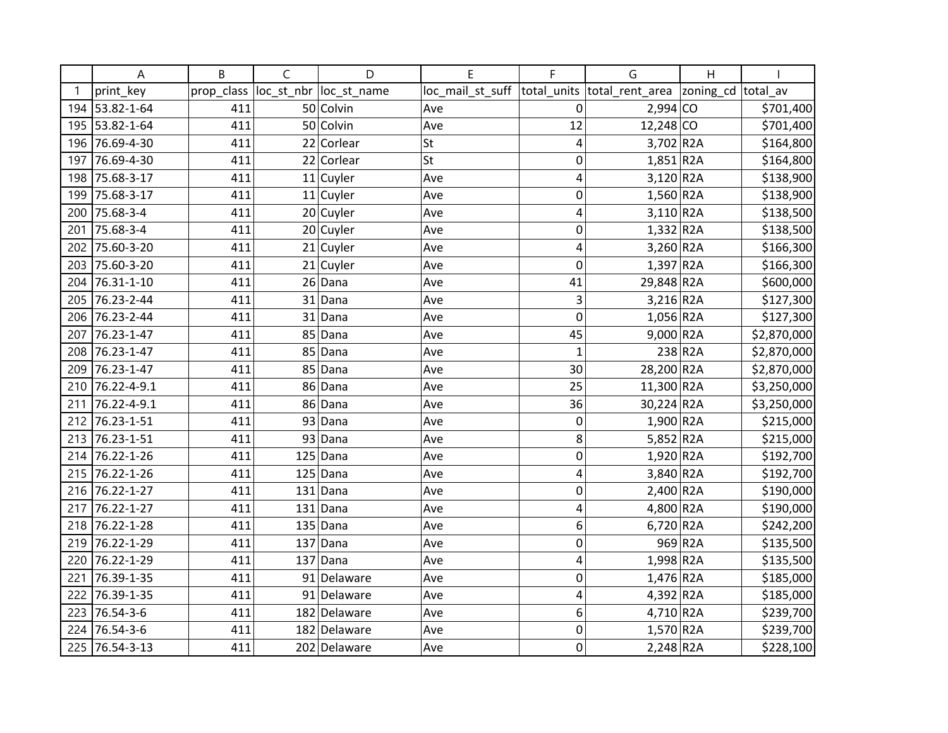|     | Α              | B          | C          | D            | E                | F           | G                        | H         |             |
|-----|----------------|------------|------------|--------------|------------------|-------------|--------------------------|-----------|-------------|
|     | print key      | prop_class | loc_st_nbr | loc st name  | loc_mail_st_suff | total units | total_rent_area          | zoning_cd | total av    |
|     | 194 53.82-1-64 | 411        |            | 50 Colvin    | Ave              | $\mathbf 0$ | $2,994$ CO               |           | \$701,400   |
|     | 195 53.82-1-64 | 411        |            | 50 Colvin    | Ave              | 12          | 12,248 CO                |           | \$701,400   |
| 196 | 76.69-4-30     | 411        |            | 22 Corlear   | <b>St</b>        | 4           | $3,702$ R <sub>2</sub> A |           | \$164,800   |
| 197 | 76.69-4-30     | 411        |            | 22 Corlear   | St               | 0           | $1,851$ R <sub>2</sub> A |           | \$164,800   |
| 198 | 75.68-3-17     | 411        |            | $11$ Cuyler  | Ave              | 4           | $3,120$ R <sub>2</sub> A |           | \$138,900   |
| 199 | 75.68-3-17     | 411        |            | $11$ Cuyler  | Ave              | $\mathbf 0$ | $1,560$ R2A              |           | \$138,900   |
| 200 | 75.68-3-4      | 411        |            | 20 Cuyler    | Ave              | 4           | $3,110$ R <sub>2</sub> A |           | \$138,500   |
| 201 | 75.68-3-4      | 411        |            | 20 Cuyler    | Ave              | 0           | $1,332$ R2A              |           | \$138,500   |
| 202 | 75.60-3-20     | 411        |            | 21 Cuyler    | Ave              | 4           | $3,260$ R2A              |           | \$166,300   |
| 203 | 75.60-3-20     | 411        |            | $21$ Cuyler  | Ave              | $\mathbf 0$ | $1,397$ R2A              |           | \$166,300   |
| 204 | 76.31-1-10     | 411        |            | $26$ Dana    | Ave              | 41          | 29,848 R2A               |           | \$600,000   |
| 205 | 76.23-2-44     | 411        |            | $31$ Dana    | Ave              | 3           | $3,216$ R <sub>2</sub> A |           | \$127,300   |
| 206 | 76.23-2-44     | 411        | 31         | Dana         | Ave              | $\mathbf 0$ | $1,056$ R2A              |           | \$127,300   |
| 207 | 76.23-1-47     | 411        | 85         | Dana         | Ave              | 45          | $9,000$ R <sub>2</sub> A |           | \$2,870,000 |
| 208 | 76.23-1-47     | 411        | 85         | Dana         | Ave              | $\mathbf 1$ |                          | 238 R2A   | \$2,870,000 |
| 209 | 76.23-1-47     | 411        | 85         | Dana         | Ave              | 30          | 28,200 R2A               |           | \$2,870,000 |
| 210 | 76.22-4-9.1    | 411        | 86         | Dana         | Ave              | 25          | 11,300 R2A               |           | \$3,250,000 |
| 211 | 76.22-4-9.1    | 411        | 86         | Dana         | Ave              | 36          | 30,224 R2A               |           | \$3,250,000 |
| 212 | 76.23-1-51     | 411        |            | 93 Dana      | Ave              | $\mathbf 0$ | 1,900 R2A                |           | \$215,000   |
|     | 213 76.23-1-51 | 411        |            | 93 Dana      | Ave              | 8           | $5,852$ R <sub>2</sub> A |           | \$215,000   |
| 214 | 76.22-1-26     | 411        | 125        | Dana         | Ave              | 0           | $1,920$ R2A              |           | \$192,700   |
| 215 | 76.22-1-26     | 411        | 125        | Dana         | Ave              | 4           | $3,840$ R <sub>2</sub> A |           | \$192,700   |
| 216 | 76.22-1-27     | 411        |            | $131$ Dana   | Ave              | $\mathbf 0$ | $2,400$ R <sub>2</sub> A |           | \$190,000   |
| 217 | 76.22-1-27     | 411        |            | $131$ Dana   | Ave              | 4           | 4,800 R2A                |           | \$190,000   |
| 218 | 76.22-1-28     | 411        |            | $135$ Dana   | Ave              | 6           | $6,720$ R2A              |           | \$242,200   |
| 219 | 76.22-1-29     | 411        |            | $137$ Dana   | Ave              | $\mathbf 0$ |                          | 969 R2A   | \$135,500   |
| 220 | 76.22-1-29     | 411        |            | $137$ Dana   | Ave              | 4           | 1,998 R2A                |           | \$135,500   |
| 221 | 76.39-1-35     | 411        |            | 91 Delaware  | Ave              | 0           | $1,476$ R2A              |           | \$185,000   |
| 222 | 76.39-1-35     | 411        |            | 91 Delaware  | Ave              | 4           | 4,392 R2A                |           | \$185,000   |
| 223 | 76.54-3-6      | 411        |            | 182 Delaware | Ave              | 6           | $4,710$ R2A              |           | \$239,700   |
|     | 224 76.54-3-6  | 411        |            | 182 Delaware | Ave              | $\mathbf 0$ | $1,570$ R2A              |           | \$239,700   |
| 225 | 76.54-3-13     | 411        |            | 202 Delaware | Ave              | $\mathbf 0$ | $2,248$ R2A              |           | \$228,100   |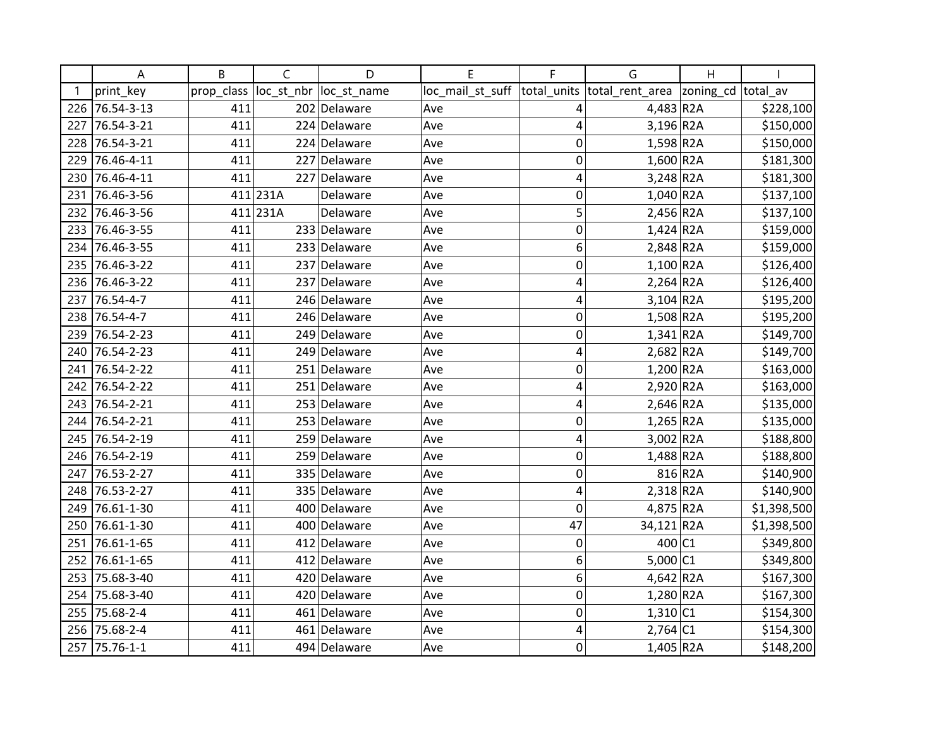|     | Α          | B          | C          | D            | E                | F              | G                        | H         |             |
|-----|------------|------------|------------|--------------|------------------|----------------|--------------------------|-----------|-------------|
|     | print key  | prop_class | loc_st_nbr | loc_st_name  | loc_mail_st_suff | total units    | total rent area          | zoning_cd | total av    |
| 226 | 76.54-3-13 | 411        |            | 202 Delaware | Ave              | 4              | 4,483 R2A                |           | \$228,100   |
| 227 | 76.54-3-21 | 411        |            | 224 Delaware | Ave              | $\overline{4}$ | $3,196$ R <sub>2</sub> A |           | \$150,000   |
| 228 | 76.54-3-21 | 411        |            | 224 Delaware | Ave              | $\mathbf 0$    | $1,598$ R2A              |           | \$150,000   |
| 229 | 76.46-4-11 | 411        |            | 227 Delaware | Ave              | 0              | $1,600$ R2A              |           | \$181,300   |
| 230 | 76.46-4-11 | 411        | 227        | Delaware     | Ave              | 4              | $3,248$ <sub>R2A</sub>   |           | \$181,300   |
| 231 | 76.46-3-56 |            | 411 231A   | Delaware     | Ave              | 0              | $1,040$ R2A              |           | \$137,100   |
| 232 | 76.46-3-56 |            | 411 231A   | Delaware     | Ave              | 5              | 2,456 R2A                |           | \$137,100   |
| 233 | 76.46-3-55 | 411        |            | 233 Delaware | Ave              | $\mathbf 0$    | $1,424$ R <sub>2</sub> A |           | \$159,000   |
| 234 | 76.46-3-55 | 411        |            | 233 Delaware | Ave              | 6              | $2,848$ R <sub>2</sub> A |           | \$159,000   |
| 235 | 76.46-3-22 | 411        |            | 237 Delaware | Ave              | $\mathbf 0$    | $1,100$ R <sub>2</sub> A |           | \$126,400   |
| 236 | 76.46-3-22 | 411        | 237        | Delaware     | Ave              | 4              | $2,264$ R <sub>2</sub> A |           | \$126,400   |
| 237 | 76.54-4-7  | 411        |            | 246 Delaware | Ave              | 4              | $3,104$ R <sub>2</sub> A |           | \$195,200   |
| 238 | 76.54-4-7  | 411        |            | 246 Delaware | Ave              | $\mathbf 0$    | $1,508$ R <sub>2</sub> A |           | \$195,200   |
| 239 | 76.54-2-23 | 411        |            | 249 Delaware | Ave              | $\mathbf 0$    | $1,341$ R2A              |           | \$149,700   |
| 240 | 76.54-2-23 | 411        |            | 249 Delaware | Ave              | $\overline{4}$ | $2,682$ R <sub>2</sub> A |           | \$149,700   |
| 241 | 76.54-2-22 | 411        |            | 251 Delaware | Ave              | $\mathbf 0$    | $1,200$ R2A              |           | \$163,000   |
| 242 | 76.54-2-22 | 411        |            | 251 Delaware | Ave              | 4              | $2,920$ R <sub>2</sub> A |           | \$163,000   |
| 243 | 76.54-2-21 | 411        |            | 253 Delaware | Ave              | 4              | $2,646$ R <sub>2</sub> A |           | \$135,000   |
| 244 | 76.54-2-21 | 411        |            | 253 Delaware | Ave              | $\mathbf 0$    | $1,265$ R2A              |           | \$135,000   |
| 245 | 76.54-2-19 | 411        |            | 259 Delaware | Ave              | 4              | $3,002$ R2A              |           | \$188,800   |
| 246 | 76.54-2-19 | 411        |            | 259 Delaware | Ave              | 0              | $1,488$ R <sub>2</sub> A |           | \$188,800   |
| 247 | 76.53-2-27 | 411        |            | 335 Delaware | Ave              | $\mathbf 0$    |                          | 816 R2A   | \$140,900   |
| 248 | 76.53-2-27 | 411        |            | 335 Delaware | Ave              | 4              | $2,318$ R <sub>2</sub> A |           | \$140,900   |
| 249 | 76.61-1-30 | 411        |            | 400 Delaware | Ave              | $\mathbf 0$    | 4,875 R2A                |           | \$1,398,500 |
| 250 | 76.61-1-30 | 411        |            | 400 Delaware | Ave              | 47             | 34,121 R2A               |           | \$1,398,500 |
| 251 | 76.61-1-65 | 411        |            | 412 Delaware | Ave              | 0              | 400 C1                   |           | \$349,800   |
| 252 | 76.61-1-65 | 411        |            | 412 Delaware | Ave              | 6              | $5,000$ C1               |           | \$349,800   |
| 253 | 75.68-3-40 | 411        | 420        | Delaware     | Ave              | 6              | $4,642$ R <sub>2</sub> A |           | \$167,300   |
| 254 | 75.68-3-40 | 411        |            | 420 Delaware | Ave              | $\mathbf 0$    | $1,280$ R2A              |           | \$167,300   |
| 255 | 75.68-2-4  | 411        |            | 461 Delaware | Ave              | $\mathbf 0$    | $1,310$ C1               |           | \$154,300   |
| 256 | 75.68-2-4  | 411        |            | 461 Delaware | Ave              | 4              | $2,764$ C1               |           | \$154,300   |
| 257 | 75.76-1-1  | 411        |            | 494 Delaware | Ave              | $\mathbf 0$    | 1,405 R2A                |           | \$148,200   |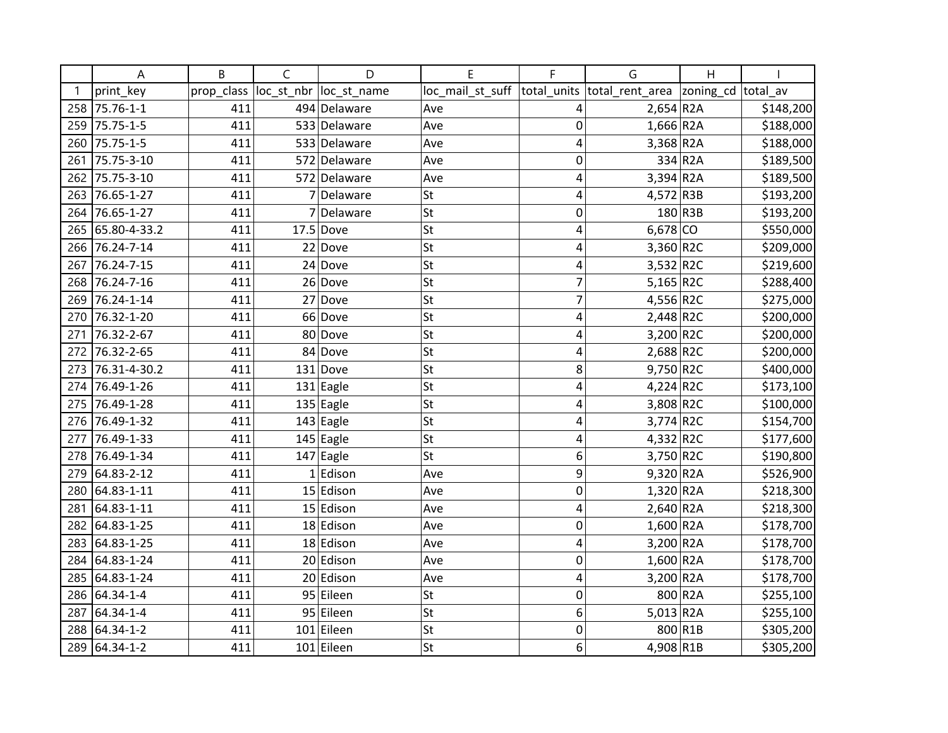|     | A               | B          | C          | D                      | E                | F           | G                           | Η                  |           |
|-----|-----------------|------------|------------|------------------------|------------------|-------------|-----------------------------|--------------------|-----------|
|     | print_key       | prop_class | loc_st_nbr | loc_st_name            | loc_mail_st_suff |             | total_units total_rent_area | zoning_cd total_av |           |
| 258 | 75.76-1-1       | 411        |            | 494 Delaware           | Ave              | 4           | $2,654$ R <sub>2</sub> A    |                    | \$148,200 |
| 259 | 75.75-1-5       | 411        |            | 533 Delaware           | Ave              | 0           | $1,666$ R <sub>2</sub> A    |                    | \$188,000 |
| 260 | 75.75-1-5       | 411        |            | 533 Delaware           | Ave              | 4           | 3,368 R2A                   |                    | \$188,000 |
| 261 | 75.75-3-10      | 411        |            | 572 Delaware           | Ave              | 0           |                             | 334 R2A            | \$189,500 |
| 262 | 75.75-3-10      | 411        |            | 572 Delaware           | Ave              | 4           | $3,394$ R <sub>2</sub> A    |                    | \$189,500 |
| 263 | 76.65-1-27      | 411        | 7          | Delaware               | <b>St</b>        | 4           | 4,572 R3B                   |                    | \$193,200 |
| 264 | 76.65-1-27      | 411        | 7          | Delaware               | St               | 0           |                             | 180 R3B            | \$193,200 |
| 265 | 65.80-4-33.2    | 411        |            | $17.5$ Dove            | <b>St</b>        | 4           | $6,678$ CO                  |                    | \$550,000 |
| 266 | 76.24-7-14      | 411        |            | $22$ Dove              | <b>St</b>        | 4           | 3,360 R2C                   |                    | \$209,000 |
| 267 | 76.24-7-15      | 411        |            | $24$ Dove              | <b>St</b>        | 4           | $3,532$ R2C                 |                    | \$219,600 |
| 268 | 76.24-7-16      | 411        |            | $26$ Dove              | <b>St</b>        | 7           | 5,165 $R2C$                 |                    | \$288,400 |
| 269 | 76.24-1-14      | 411        |            | $27$ Dove              | St               | 7           | 4,556 R2C                   |                    | \$275,000 |
| 270 | 76.32-1-20      | 411        |            | 66 Dove                | <b>St</b>        | 4           | 2,448 R2C                   |                    | \$200,000 |
| 271 | 76.32-2-67      | 411        |            | 80 Dove                | <b>St</b>        | 4           | 3,200 R2C                   |                    | \$200,000 |
| 272 | 76.32-2-65      | 411        |            | 84 Dove                | <b>St</b>        | 4           | 2,688 R2C                   |                    | \$200,000 |
| 273 | 76.31-4-30.2    | 411        |            | $131$ Dove             | St               | 8           | 9,750 R2C                   |                    | \$400,000 |
| 274 | 76.49-1-26      | 411        |            | $131$ Eagle            | St               | 4           | $4,224$ R2C                 |                    | \$173,100 |
| 275 | 76.49-1-28      | 411        |            | $135$ Eagle            | <b>St</b>        | 4           | 3,808 R2C                   |                    | \$100,000 |
| 276 | 76.49-1-32      | 411        |            | $\overline{143}$ Eagle | <b>St</b>        | 4           | $3,774$ R2C                 |                    | \$154,700 |
| 277 | 76.49-1-33      | 411        |            | $145$ Eagle            | <b>St</b>        | 4           | 4,332 R2C                   |                    | \$177,600 |
|     | 278 76.49-1-34  | 411        |            | $147$ Eagle            | St               | 6           | 3,750 R2C                   |                    | \$190,800 |
| 279 | 64.83-2-12      | 411        |            | $1$ Edison             | Ave              | 9           | $9,320$ R <sub>2</sub> A    |                    | \$526,900 |
| 280 | 64.83-1-11      | 411        |            | 15 Edison              | Ave              | $\mathbf 0$ | $1,320$ R2A                 |                    | \$218,300 |
| 281 | 64.83-1-11      | 411        |            | 15 Edison              | Ave              | 4           | $2,640$ R <sub>2</sub> A    |                    | \$218,300 |
| 282 | 64.83-1-25      | 411        |            | 18 Edison              | Ave              | 0           | 1,600 R2A                   |                    | \$178,700 |
| 283 | 64.83-1-25      | 411        |            | 18 Edison              | Ave              | 4           | 3,200 R2A                   |                    | \$178,700 |
| 284 | 64.83-1-24      | 411        |            | 20 Edison              | Ave              | 0           | 1,600 R2A                   |                    | \$178,700 |
| 285 | 64.83-1-24      | 411        |            | 20 Edison              | Ave              | 4           | 3,200 R2A                   |                    | \$178,700 |
| 286 | 64.34-1-4       | 411        |            | 95 Eileen              | <b>St</b>        | 0           |                             | 800 R2A            | \$255,100 |
| 287 | 64.34-1-4       | 411        |            | 95 Eileen              | <b>St</b>        | 6           | $5,013$ R2A                 |                    | \$255,100 |
| 288 | $64.34 - 1 - 2$ | 411        |            | 101 Eileen             | <b>St</b>        | $\mathbf 0$ |                             | 800 R1B            | \$305,200 |
| 289 | 64.34-1-2       | 411        |            | 101 Eileen             | <b>St</b>        | 6           | 4,908 R1B                   |                    | \$305,200 |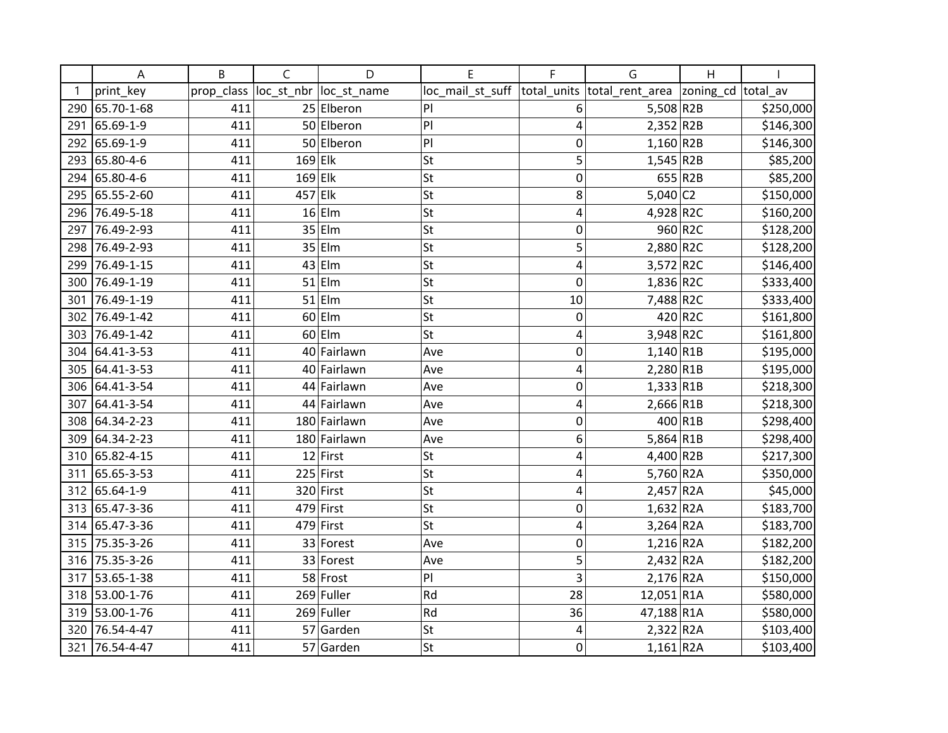|     | A              | B          | C          | D            | E                | F           | G                           | Η                  |           |
|-----|----------------|------------|------------|--------------|------------------|-------------|-----------------------------|--------------------|-----------|
| -1  | print_key      | prop_class | loc_st_nbr | loc_st_name  | loc_mail_st_suff |             | total_units total_rent_area | zoning_cd total_av |           |
| 290 | 65.70-1-68     | 411        |            | 25 Elberon   | P                | 6           | $5,508$ R2B                 |                    | \$250,000 |
| 291 | 65.69-1-9      | 411        |            | 50 Elberon   | P                | 4           | $2,352$ R2B                 |                    | \$146,300 |
| 292 | 65.69-1-9      | 411        |            | 50 Elberon   | P                | $\mathbf 0$ | $1,160$ R2B                 |                    | \$146,300 |
| 293 | 65.80-4-6      | 411        | $169$ Elk  |              | <b>St</b>        | 5           | $1,545$ R2B                 |                    | \$85,200  |
| 294 | 65.80-4-6      | 411        | $169$ Elk  |              | <b>St</b>        | 0           |                             | 655 R2B            | \$85,200  |
| 295 | 65.55-2-60     | 411        | $457$ Elk  |              | <b>St</b>        | 8           | $5,040$ C <sub>2</sub>      |                    | \$150,000 |
| 296 | 76.49-5-18     | 411        |            | $16$ Elm     | St               | 4           | 4,928 R2C                   |                    | \$160,200 |
| 297 | 76.49-2-93     | 411        |            | $35$  Elm    | <b>St</b>        | 0           |                             | 960 R2C            | \$128,200 |
| 298 | 76.49-2-93     | 411        |            | $35$  Elm    | <b>St</b>        | 5           | 2,880 R2C                   |                    | \$128,200 |
| 299 | 76.49-1-15     | 411        |            | $43$ Elm     | <b>St</b>        | 4           | 3,572 R2C                   |                    | \$146,400 |
| 300 | 76.49-1-19     | 411        |            | $51$  Elm    | <b>St</b>        | 0           | 1,836 R2C                   |                    | \$333,400 |
| 301 | 76.49-1-19     | 411        |            | $51$  Elm    | St               | 10          | 7,488 R2C                   |                    | \$333,400 |
| 302 | 76.49-1-42     | 411        |            | $60$  Elm    | <b>St</b>        | 0           |                             | 420 R2C            | \$161,800 |
| 303 | 76.49-1-42     | 411        |            | $60$  Elm    | <b>St</b>        | 4           | 3,948 R2C                   |                    | \$161,800 |
| 304 | 64.41-3-53     | 411        | 40         | Fairlawn     | Ave              | 0           | $1,140$ R1B                 |                    | \$195,000 |
| 305 | 64.41-3-53     | 411        |            | 40 Fairlawn  | Ave              | 4           | 2,280 R1B                   |                    | \$195,000 |
| 306 | 64.41-3-54     | 411        |            | 44 Fairlawn  | Ave              | 0           | $1,333$ R1B                 |                    | \$218,300 |
| 307 | 64.41-3-54     | 411        |            | 44 Fairlawn  | Ave              | 4           | 2,666 R1B                   |                    | \$218,300 |
| 308 | 64.34-2-23     | 411        |            | 180 Fairlawn | Ave              | 0           |                             | 400 R1B            | \$298,400 |
| 309 | 64.34-2-23     | 411        |            | 180 Fairlawn | Ave              | 6           | $5,864$ R1B                 |                    | \$298,400 |
|     | 310 65.82-4-15 | 411        |            | $12$ First   | <b>St</b>        | 4           | 4,400 R2B                   |                    | \$217,300 |
| 311 | 65.65-3-53     | 411        |            | $225$ First  | St               | 4           | 5,760 R2A                   |                    | \$350,000 |
| 312 | 65.64-1-9      | 411        |            | 320 First    | <b>St</b>        | 4           | $2,457$ R2A                 |                    | \$45,000  |
| 313 | 65.47-3-36     | 411        | 479        | First        | <b>St</b>        | 0           | $1,632$ R2A                 |                    | \$183,700 |
| 314 | 65.47-3-36     | 411        | 479        | First        | <b>St</b>        | 4           | $3,264$ R2A                 |                    | \$183,700 |
|     | 315 75.35-3-26 | 411        |            | 33 Forest    | Ave              | 0           | $1,216$ R2A                 |                    | \$182,200 |
| 316 | 75.35-3-26     | 411        |            | 33 Forest    | Ave              | 5           | 2,432 R2A                   |                    | \$182,200 |
| 317 | 53.65-1-38     | 411        |            | 58 Frost     | PI               | 3           | 2,176 R2A                   |                    | \$150,000 |
| 318 | 53.00-1-76     | 411        |            | 269 Fuller   | Rd               | 28          | 12,051 R1A                  |                    | \$580,000 |
| 319 | 53.00-1-76     | 411        |            | 269 Fuller   | Rd               | 36          | 47,188 R1A                  |                    | \$580,000 |
| 320 | 76.54-4-47     | 411        |            | 57 Garden    | St               | 4           | 2,322 R2A                   |                    | \$103,400 |
| 321 | 76.54-4-47     | 411        |            | 57 Garden    | <b>St</b>        | 0           | $1,161$ R2A                 |                    | \$103,400 |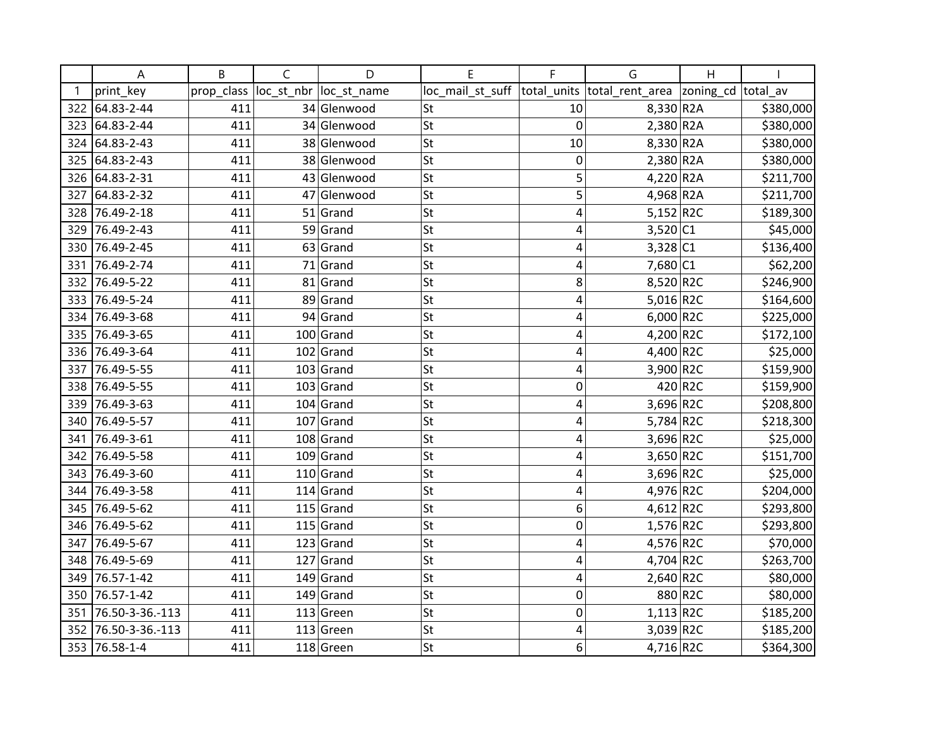|     | A               | B          | C          | D           | E                | F           | G                           | Η                  |           |
|-----|-----------------|------------|------------|-------------|------------------|-------------|-----------------------------|--------------------|-----------|
| -1  | print_key       | prop_class | loc_st_nbr | loc_st_name | loc_mail_st_suff |             | total_units total_rent_area | zoning_cd total_av |           |
| 322 | 64.83-2-44      | 411        |            | 34 Glenwood | St               | 10          | $8,330$ R <sub>2</sub> A    |                    | \$380,000 |
| 323 | 64.83-2-44      | 411        |            | 34 Glenwood | St               | $\mathbf 0$ | $2,380$ R <sub>2</sub> A    |                    | \$380,000 |
| 324 | 64.83-2-43      | 411        |            | 38 Glenwood | <b>St</b>        | 10          | 8,330 R2A                   |                    | \$380,000 |
| 325 | 64.83-2-43      | 411        |            | 38 Glenwood | <b>St</b>        | 0           | $2,380$ R <sub>2</sub> A    |                    | \$380,000 |
| 326 | 64.83-2-31      | 411        |            | 43 Glenwood | <b>St</b>        | 5           | 4,220 R2A                   |                    | \$211,700 |
| 327 | 64.83-2-32      | 411        |            | 47 Glenwood | <b>St</b>        | 5           | 4,968 R2A                   |                    | \$211,700 |
| 328 | 76.49-2-18      | 411        |            | $51$ Grand  | St               | 4           | $5,152$ R2C                 |                    | \$189,300 |
| 329 | 76.49-2-43      | 411        |            | 59 Grand    | <b>St</b>        | 4           | 3,520 C1                    |                    | \$45,000  |
| 330 | 76.49-2-45      | 411        | 63         | Grand       | <b>St</b>        | 4           | 3,328 C1                    |                    | \$136,400 |
| 331 | 76.49-2-74      | 411        | 71         | Grand       | <b>St</b>        | 4           | 7,680 C1                    |                    | \$62,200  |
| 332 | 76.49-5-22      | 411        |            | $81$ Grand  | <b>St</b>        | 8           | 8,520 R2C                   |                    | \$246,900 |
| 333 | 76.49-5-24      | 411        | 89         | Grand       | St               | 4           | 5,016 R2C                   |                    | \$164,600 |
| 334 | 76.49-3-68      | 411        |            | 94 Grand    | <b>St</b>        | 4           | $6,000$ R2C                 |                    | \$225,000 |
| 335 | 76.49-3-65      | 411        |            | $100$ Grand | <b>St</b>        | 4           | 4,200 R2C                   |                    | \$172,100 |
| 336 | 76.49-3-64      | 411        | 102        | Grand       | <b>St</b>        | 4           | 4,400 R2C                   |                    | \$25,000  |
| 337 | 76.49-5-55      | 411        |            | $103$ Grand | St               | 4           | 3,900 R2C                   |                    | \$159,900 |
| 338 | 76.49-5-55      | 411        | 103        | Grand       | St               | 0           |                             | 420 R2C            | \$159,900 |
| 339 | 76.49-3-63      | 411        |            | $104$ Grand | <b>St</b>        | 4           | 3,696 R2C                   |                    | \$208,800 |
| 340 | 76.49-5-57      | 411        |            | $107$ Grand | <b>St</b>        | 4           | 5,784 R2C                   |                    | \$218,300 |
| 341 | 76.49-3-61      | 411        |            | $108$ Grand | <b>St</b>        | 4           | 3,696 R2C                   |                    | \$25,000  |
|     | 342 76.49-5-58  | 411        |            | $109$ Grand | St               | 4           | $3,650$ R2C                 |                    | \$151,700 |
| 343 | 76.49-3-60      | 411        |            | $110$ Grand | St               | 4           | 3,696 R2C                   |                    | \$25,000  |
| 344 | 76.49-3-58      | 411        |            | $114$ Grand | <b>St</b>        | 4           | 4,976 R2C                   |                    | \$204,000 |
| 345 | 76.49-5-62      | 411        |            | $115$ Grand | St               | 6           | 4,612 R2C                   |                    | \$293,800 |
| 346 | 76.49-5-62      | 411        | 115        | Grand       | <b>St</b>        | 0           | 1,576 R2C                   |                    | \$293,800 |
| 347 | 76.49-5-67      | 411        |            | $123$ Grand | St               | 4           | 4,576 R2C                   |                    | \$70,000  |
| 348 | 76.49-5-69      | 411        | 127        | Grand       | St               | 4           | 4,704 R2C                   |                    | \$263,700 |
| 349 | 76.57-1-42      | 411        | 149        | Grand       | <b>St</b>        | 4           | $2,640$ R2C                 |                    | \$80,000  |
| 350 | 76.57-1-42      | 411        |            | $149$ Grand | <b>St</b>        | $\mathbf 0$ |                             | 880 R2C            | \$80,000  |
| 351 | 76.50-3-36.-113 | 411        | 113        | Green       | <b>St</b>        | 0           | $1,113$ R2C                 |                    | \$185,200 |
| 352 | 76.50-3-36.-113 | 411        |            | $113$ Green | <b>St</b>        | 4           | $3,039$ R2C                 |                    | \$185,200 |
|     | 353 76.58-1-4   | 411        |            | 118 Green   | <b>St</b>        | 6           | 4,716 R2C                   |                    | \$364,300 |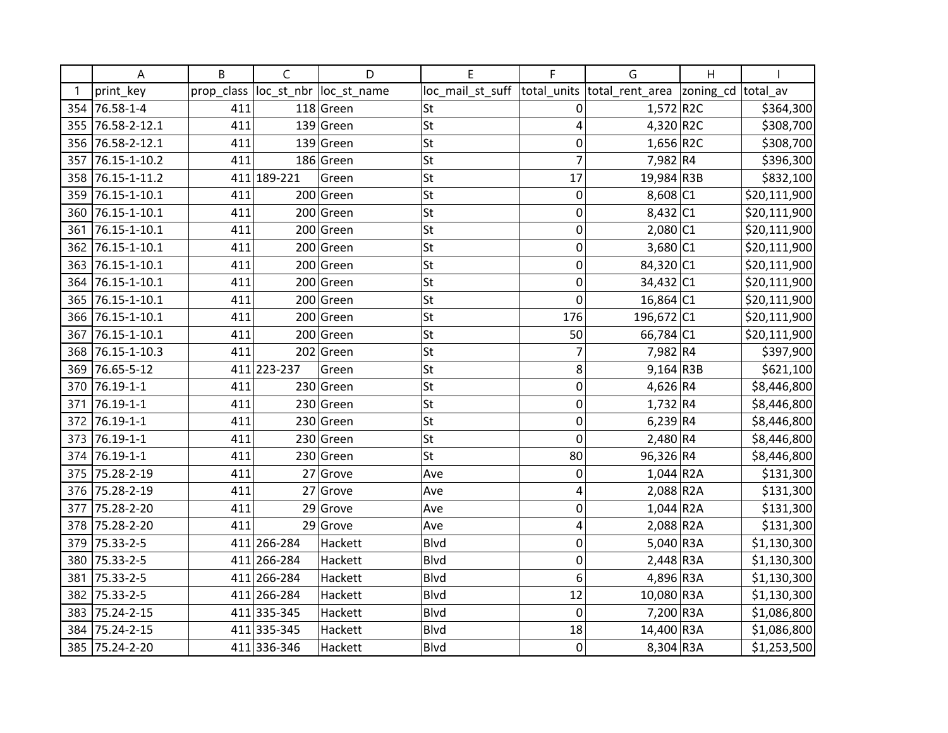|     | A              | B          | C           | D           | E                | F              | G                            | Η                  |              |
|-----|----------------|------------|-------------|-------------|------------------|----------------|------------------------------|--------------------|--------------|
|     | print_key      | prop_class | loc_st_nbr  | loc_st_name | loc_mail_st_suff |                | total_units  total_rent_area | zoning_cd total_av |              |
| 354 | 76.58-1-4      | 411        |             | 118 Green   | St               | 0              | 1,572 R2C                    |                    | \$364,300    |
| 355 | 76.58-2-12.1   | 411        | 139         | Green       | St               | 4              | $4,320$ R2C                  |                    | \$308,700    |
| 356 | 76.58-2-12.1   | 411        | 139         | Green       | <b>St</b>        | 0              | $1,656$ R2C                  |                    | \$308,700    |
| 357 | 76.15-1-10.2   | 411        |             | 186 Green   | <b>St</b>        | 7              | 7,982 R4                     |                    | \$396,300    |
| 358 | 76.15-1-11.2   |            | 411 189-221 | Green       | <b>St</b>        | 17             | 19,984 R3B                   |                    | \$832,100    |
| 359 | 76.15-1-10.1   | 411        |             | 200 Green   | <b>St</b>        | 0              | $8,608$ C1                   |                    | \$20,111,900 |
| 360 | 76.15-1-10.1   | 411        | 200         | Green       | St               | $\mathbf 0$    | 8,432 C1                     |                    | \$20,111,900 |
| 361 | 76.15-1-10.1   | 411        | 200         | Green       | <b>St</b>        | 0              | 2,080 C1                     |                    | \$20,111,900 |
| 362 | 76.15-1-10.1   | 411        | 200         | Green       | <b>St</b>        | 0              | 3,680 C1                     |                    | \$20,111,900 |
| 363 | 76.15-1-10.1   | 411        | 200         | Green       | <b>St</b>        | 0              | 84,320 C1                    |                    | \$20,111,900 |
| 364 | 76.15-1-10.1   | 411        |             | 200 Green   | <b>St</b>        | 0              | $34,432$ C1                  |                    | \$20,111,900 |
| 365 | 76.15-1-10.1   | 411        | 200         | Green       | St               | $\overline{0}$ | $16,864$ C1                  |                    | \$20,111,900 |
| 366 | 76.15-1-10.1   | 411        |             | 200 Green   | St               | 176            | 196,672 C1                   |                    | \$20,111,900 |
| 367 | 76.15-1-10.1   | 411        | 200         | Green       | St               | 50             | 66,784 C1                    |                    | \$20,111,900 |
| 368 | 76.15-1-10.3   | 411        |             | 202 Green   | St               | 7              | 7,982 R4                     |                    | \$397,900    |
| 369 | 76.65-5-12     |            | 411 223-237 | Green       | <b>St</b>        | 8              | $9,164$ R3B                  |                    | \$621,100    |
| 370 | 76.19-1-1      | 411        | 230         | Green       | St               | 0              | 4,626 R4                     |                    | \$8,446,800  |
| 371 | 76.19-1-1      | 411        |             | 230 Green   | St               | 0              | 1,732 R4                     |                    | \$8,446,800  |
| 372 | 76.19-1-1      | 411        | 230         | Green       | <b>St</b>        | 0              | $6,239$ R4                   |                    | \$8,446,800  |
| 373 | 76.19-1-1      | 411        | 230         | Green       | <b>St</b>        | $\mathbf 0$    | $2,480$ R4                   |                    | \$8,446,800  |
| 374 | 76.19-1-1      | 411        |             | 230 Green   | <b>St</b>        | 80             | 96,326 R4                    |                    | \$8,446,800  |
| 375 | 75.28-2-19     | 411        | 27          | Grove       | Ave              | 0              | $1,044$ R2A                  |                    | \$131,300    |
| 376 | 75.28-2-19     | 411        | 27          | Grove       | Ave              | 4              | 2,088 R2A                    |                    | \$131,300    |
| 377 | 75.28-2-20     | 411        | 29          | Grove       | Ave              | 0              | $1,044$ R2A                  |                    | \$131,300    |
| 378 | 75.28-2-20     | 411        | 29          | Grove       | Ave              | 4              | 2,088 R2A                    |                    | \$131,300    |
| 379 | 75.33-2-5      |            | 411 266-284 | Hackett     | Blvd             | 0              | 5,040 R3A                    |                    | \$1,130,300  |
| 380 | 75.33-2-5      |            | 411 266-284 | Hackett     | <b>Blvd</b>      | 0              | 2,448 R3A                    |                    | \$1,130,300  |
| 381 | 75.33-2-5      |            | 411 266-284 | Hackett     | <b>Blvd</b>      | 6              | 4,896 R3A                    |                    | \$1,130,300  |
| 382 | 75.33-2-5      |            | 411 266-284 | Hackett     | Blvd             | 12             | 10,080 R3A                   |                    | \$1,130,300  |
| 383 | 75.24-2-15     |            | 411 335-345 | Hackett     | Blvd             | $\mathbf 0$    | 7,200 R3A                    |                    | \$1,086,800  |
| 384 | 75.24-2-15     |            | 411 335-345 | Hackett     | Blvd             | 18             | 14,400 R3A                   |                    | \$1,086,800  |
|     | 385 75.24-2-20 |            | 411 336-346 | Hackett     | <b>Blvd</b>      | 0              | $8,304$ R3A                  |                    | \$1,253,500  |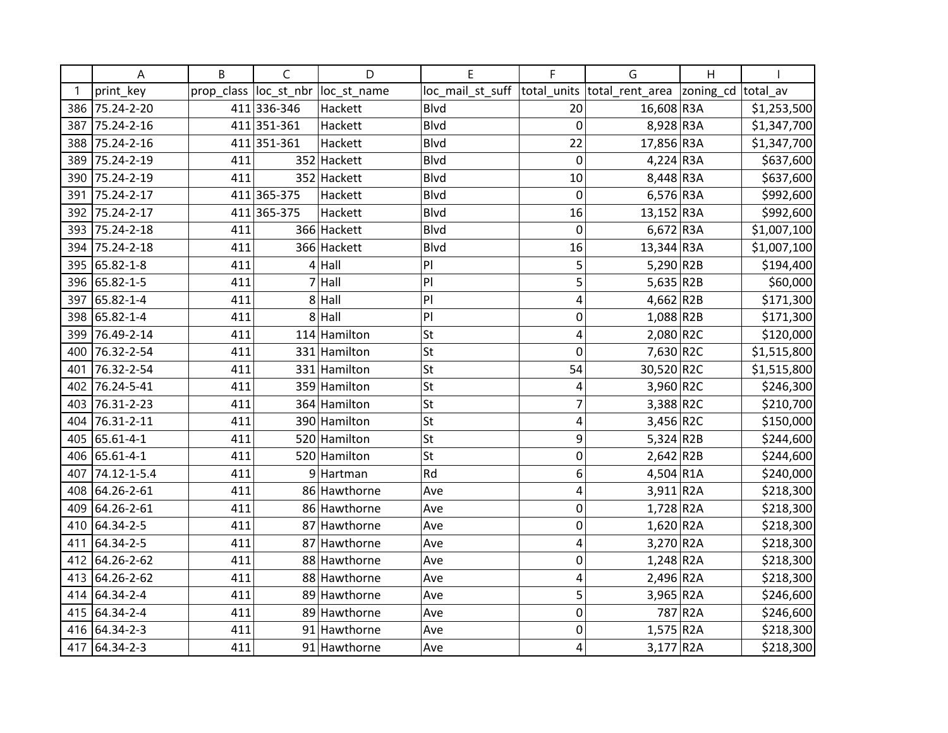|     | Α              | B          | $\mathsf{C}$ | D            | E                | F              | G                          | H       |             |
|-----|----------------|------------|--------------|--------------|------------------|----------------|----------------------------|---------|-------------|
|     | print key      | prop_class | loc_st_nbr   | loc_st_name  | loc_mail_st_suff | total units    | total_rent_area  zoning_cd |         | total av    |
| 386 | 75.24-2-20     |            | 411 336-346  | Hackett      | Blvd             | 20             | 16,608 R3A                 |         | \$1,253,500 |
| 387 | 75.24-2-16     |            | 411 351-361  | Hackett      | <b>Blvd</b>      | $\mathbf 0$    | 8,928 R3A                  |         | \$1,347,700 |
| 388 | 75.24-2-16     |            | 411 351-361  | Hackett      | <b>Blvd</b>      | 22             | 17,856 R3A                 |         | \$1,347,700 |
| 389 | 75.24-2-19     | 411        |              | 352 Hackett  | <b>Blvd</b>      | 0              | $4,224$ R3A                |         | \$637,600   |
| 390 | 75.24-2-19     | 411        |              | 352 Hackett  | <b>Blvd</b>      | 10             | 8,448 R3A                  |         | \$637,600   |
| 391 | 75.24-2-17     |            | 411 365-375  | Hackett      | Blvd             | 0              | 6,576 R3A                  |         | \$992,600   |
| 392 | 75.24-2-17     |            | 411 365-375  | Hackett      | <b>Blvd</b>      | 16             | 13,152 R3A                 |         | \$992,600   |
| 393 | 75.24-2-18     | 411        |              | 366 Hackett  | <b>Blvd</b>      | 0              | $6,672$ R3A                |         | \$1,007,100 |
| 394 | 75.24-2-18     | 411        |              | 366 Hackett  | Blvd             | 16             | 13,344 R3A                 |         | \$1,007,100 |
| 395 | 65.82-1-8      | 411        |              | $4$ Hall     | PI               | 5              | 5,290 R2B                  |         | \$194,400   |
|     | 396 65.82-1-5  | 411        | 7            | Hall         | PI               | 5              | $5,635$ R2B                |         | \$60,000    |
| 397 | 65.82-1-4      | 411        |              | $8$ Hall     | P                | 4              | $4,662$ R2B                |         | \$171,300   |
| 398 | 65.82-1-4      | 411        |              | $8$ Hall     | PI               | $\mathbf 0$    | 1,088 R2B                  |         | \$171,300   |
| 399 | 76.49-2-14     | 411        |              | 114 Hamilton | St               | 4              | $2,080$ R2C                |         | \$120,000   |
| 400 | 76.32-2-54     | 411        |              | 331 Hamilton | <b>St</b>        | $\mathbf 0$    | 7,630 R2C                  |         | \$1,515,800 |
| 401 | 76.32-2-54     | 411        |              | 331 Hamilton | St               | 54             | 30,520 R2C                 |         | \$1,515,800 |
| 402 | 76.24-5-41     | 411        |              | 359 Hamilton | St               | 4              | 3,960 R2C                  |         | \$246,300   |
| 403 | 76.31-2-23     | 411        |              | 364 Hamilton | <b>St</b>        | 7              | 3,388 R2C                  |         | \$210,700   |
| 404 | 76.31-2-11     | 411        |              | 390 Hamilton | <b>St</b>        | 4              | 3,456 R2C                  |         | \$150,000   |
| 405 | 65.61-4-1      | 411        |              | 520 Hamilton | <b>St</b>        | 9              | $5,324$ R2B                |         | \$244,600   |
| 406 | 65.61-4-1      | 411        |              | 520 Hamilton | <b>St</b>        | 0              | $2,642$ R2B                |         | \$244,600   |
| 407 | 74.12-1-5.4    | 411        |              | 9 Hartman    | Rd               | 6              | 4,504 R1A                  |         | \$240,000   |
| 408 | 64.26-2-61     | 411        |              | 86 Hawthorne | Ave              | 4              | $3,911$ R <sub>2</sub> A   |         | \$218,300   |
| 409 | 64.26-2-61     | 411        |              | 86 Hawthorne | Ave              | $\mathbf 0$    | $1,728$ R <sub>2</sub> A   |         | \$218,300   |
| 410 | 64.34-2-5      | 411        |              | 87 Hawthorne | Ave              | $\mathbf 0$    | $1,620$ R2A                |         | \$218,300   |
|     | 411 64.34-2-5  | 411        |              | 87 Hawthorne | Ave              | $\overline{4}$ | 3,270 R2A                  |         | \$218,300   |
|     | 412 64.26-2-62 | 411        |              | 88 Hawthorne | Ave              | $\mathbf 0$    | $1,248$ R2A                |         | \$218,300   |
| 413 | 64.26-2-62     | 411        |              | 88 Hawthorne | Ave              | 4              | 2,496 R2A                  |         | \$218,300   |
| 414 | 64.34-2-4      | 411        |              | 89 Hawthorne | Ave              | 5              | 3,965 R2A                  |         | \$246,600   |
|     | 415 64.34-2-4  | 411        |              | 89 Hawthorne | Ave              | $\mathbf 0$    |                            | 787 R2A | \$246,600   |
|     | 416 64.34-2-3  | 411        |              | 91 Hawthorne | Ave              | $\mathbf 0$    | $1,575$ R2A                |         | \$218,300   |
|     | 417 64.34-2-3  | 411        |              | 91 Hawthorne | Ave              | 4              | 3,177 R2A                  |         | \$218,300   |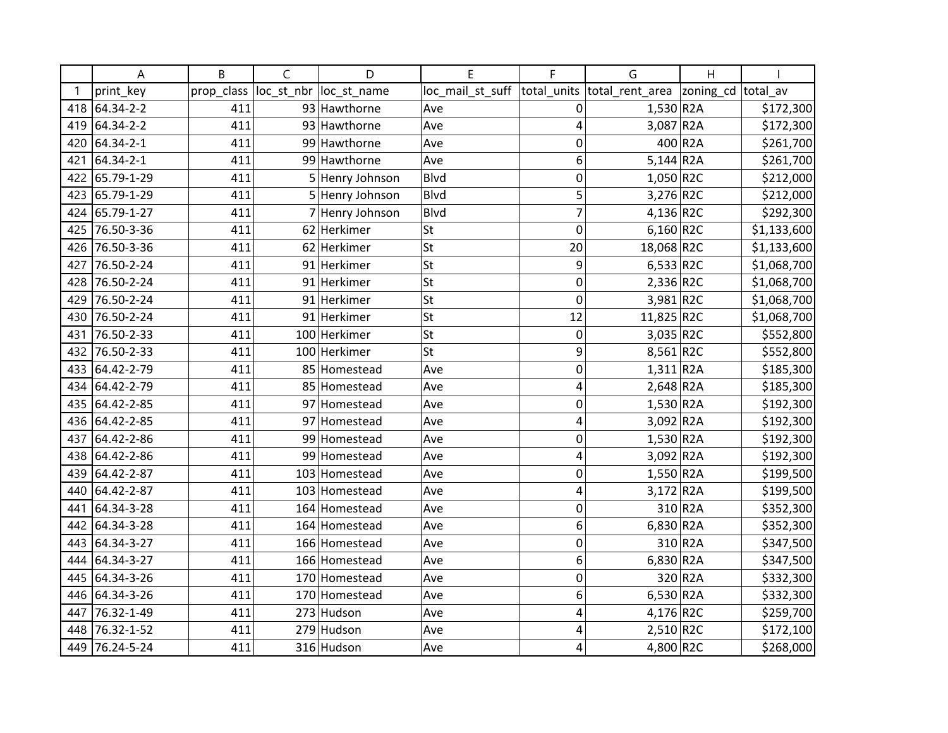|     | A             | B          | $\mathsf{C}$ | D               | E                | F              | G                        | $\overline{H}$ |             |
|-----|---------------|------------|--------------|-----------------|------------------|----------------|--------------------------|----------------|-------------|
|     | print_key     | prop_class | loc_st_nbr   | loc_st_name     | loc_mail_st_suff | total_units    | total_rent_area          | zoning_cd      | total av    |
|     | 418 64.34-2-2 | 411        |              | 93 Hawthorne    | Ave              | $\mathbf 0$    | $1,530$ R2A              |                | \$172,300   |
| 419 | 64.34-2-2     | 411        |              | 93 Hawthorne    | Ave              | 4              | $3,087$ R <sub>2</sub> A |                | \$172,300   |
| 420 | 64.34-2-1     | 411        |              | 99 Hawthorne    | Ave              | 0              |                          | 400 R2A        | \$261,700   |
| 421 | 64.34-2-1     | 411        |              | 99 Hawthorne    | Ave              | 6              | $5,144$ R <sub>2</sub> A |                | \$261,700   |
| 422 | 65.79-1-29    | 411        |              | 5 Henry Johnson | Blvd             | 0              | $1,050$ R2C              |                | \$212,000   |
| 423 | 65.79-1-29    | 411        |              | 5 Henry Johnson | <b>Blvd</b>      | 5              | 3,276 R2C                |                | \$212,000   |
| 424 | 65.79-1-27    | 411        |              | 7 Henry Johnson | <b>Blvd</b>      | $\overline{7}$ | 4,136 R2C                |                | \$292,300   |
| 425 | 76.50-3-36    | 411        |              | 62 Herkimer     | <b>St</b>        | $\mathbf 0$    | $6,160$ R2C              |                | \$1,133,600 |
| 426 | 76.50-3-36    | 411        |              | 62 Herkimer     | <b>St</b>        | 20             | 18,068 R2C               |                | \$1,133,600 |
| 427 | 76.50-2-24    | 411        |              | 91 Herkimer     | St               | 9              | $6,533$ R2C              |                | \$1,068,700 |
| 428 | 76.50-2-24    | 411        |              | 91 Herkimer     | St               | $\mathbf 0$    | 2,336 R2C                |                | \$1,068,700 |
| 429 | 76.50-2-24    | 411        |              | 91 Herkimer     | <b>St</b>        | $\mathbf 0$    | 3,981 R2C                |                | \$1,068,700 |
| 430 | 76.50-2-24    | 411        |              | 91 Herkimer     | <b>St</b>        | 12             | 11,825 R2C               |                | \$1,068,700 |
| 431 | 76.50-2-33    | 411        |              | 100 Herkimer    | St               | 0              | $3,035$ R2C              |                | \$552,800   |
| 432 | 76.50-2-33    | 411        |              | 100 Herkimer    | <b>St</b>        | 9              | $8,561$ R2C              |                | \$552,800   |
| 433 | 64.42-2-79    | 411        |              | 85 Homestead    | Ave              | $\mathbf 0$    | $1,311$ R2A              |                | \$185,300   |
| 434 | 64.42-2-79    | 411        |              | 85 Homestead    | Ave              | 4              | $2,648$ R <sub>2</sub> A |                | \$185,300   |
| 435 | 64.42-2-85    | 411        |              | 97 Homestead    | Ave              | $\mathbf 0$    | $1,530$ R2A              |                | \$192,300   |
| 436 | 64.42-2-85    | 411        |              | 97 Homestead    | Ave              | 4              | 3,092 R2A                |                | \$192,300   |
| 437 | 64.42-2-86    | 411        |              | 99 Homestead    | Ave              | 0              | $1,530$ R2A              |                | \$192,300   |
| 438 | 64.42-2-86    | 411        |              | 99 Homestead    | Ave              | 4              | 3,092 R2A                |                | \$192,300   |
| 439 | 64.42-2-87    | 411        |              | 103 Homestead   | Ave              | $\mathbf 0$    | $1,550$ R2A              |                | \$199,500   |
| 440 | 64.42-2-87    | 411        |              | 103 Homestead   | Ave              | 4              | $3,172$ R2A              |                | \$199,500   |
| 441 | 64.34-3-28    | 411        |              | 164 Homestead   | Ave              | 0              |                          | 310 R2A        | \$352,300   |
| 442 | 64.34-3-28    | 411        |              | 164 Homestead   | Ave              | 6              | $6,830$ R <sub>2</sub> A |                | \$352,300   |
| 443 | 64.34-3-27    | 411        |              | 166 Homestead   | Ave              | $\mathbf 0$    |                          | 310 R2A        | \$347,500   |
| 444 | 64.34-3-27    | 411        |              | 166 Homestead   | Ave              | 6              | $6,830$ R <sub>2</sub> A |                | \$347,500   |
| 445 | 64.34-3-26    | 411        |              | 170 Homestead   | Ave              | $\mathbf 0$    |                          | 320 R2A        | \$332,300   |
| 446 | 64.34-3-26    | 411        |              | 170 Homestead   | Ave              | 6              | $6,530$ R2A              |                | \$332,300   |
| 447 | 76.32-1-49    | 411        |              | 273 Hudson      | Ave              | 4              | 4,176 R2C                |                | \$259,700   |
| 448 | 76.32-1-52    | 411        |              | 279 Hudson      | Ave              | 4              | $2,510$ R2C              |                | \$172,100   |
| 449 | 76.24-5-24    | 411        |              | 316 Hudson      | Ave              | 4              | 4,800 R2C                |                | \$268,000   |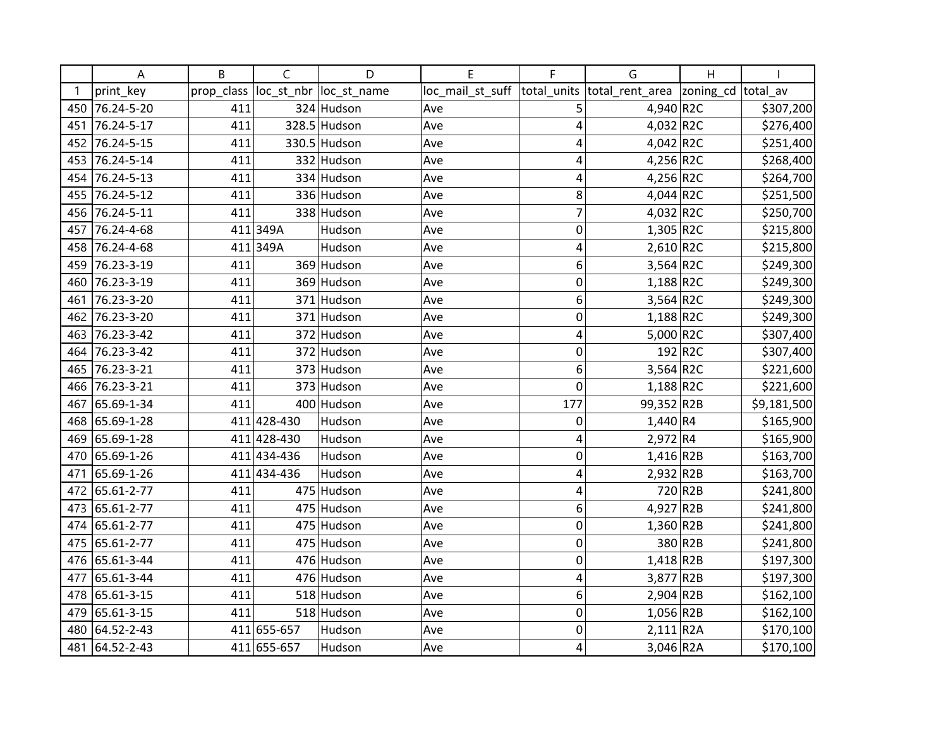|     | А              | B          | $\mathsf{C}$ | D            | E                | F              | G                          | $\overline{H}$ |             |
|-----|----------------|------------|--------------|--------------|------------------|----------------|----------------------------|----------------|-------------|
|     | print_key      | prop_class | loc_st_nbr   | loc_st_name  | loc_mail_st_suff | total_units    | total_rent_area  zoning_cd |                | total av    |
| 450 | 76.24-5-20     | 411        |              | 324 Hudson   | Ave              | 5              | 4,940 R2C                  |                | \$307,200   |
| 451 | 76.24-5-17     | 411        |              | 328.5 Hudson | Ave              | 4              | 4,032 R2C                  |                | \$276,400   |
| 452 | 76.24-5-15     | 411        |              | 330.5 Hudson | Ave              | 4              | 4,042 R2C                  |                | \$251,400   |
| 453 | 76.24-5-14     | 411        |              | 332 Hudson   | Ave              | 4              | 4,256 R2C                  |                | \$268,400   |
| 454 | 76.24-5-13     | 411        |              | 334 Hudson   | Ave              | 4              | 4,256 R2C                  |                | \$264,700   |
| 455 | 76.24-5-12     | 411        |              | 336 Hudson   | Ave              | 8              | $4,044$ R2C                |                | \$251,500   |
| 456 | 76.24-5-11     | 411        |              | 338 Hudson   | Ave              | $\overline{7}$ | 4,032 R2C                  |                | \$250,700   |
| 457 | 76.24-4-68     |            | 411349A      | Hudson       | Ave              | $\mathbf 0$    | $1,305$ R2C                |                | \$215,800   |
| 458 | 76.24-4-68     |            | 411 349A     | Hudson       | Ave              | 4              | $2,610$ R2C                |                | \$215,800   |
| 459 | 76.23-3-19     | 411        |              | 369 Hudson   | Ave              | 6              | $3,564$ R2C                |                | \$249,300   |
| 460 | 76.23-3-19     | 411        |              | 369 Hudson   | Ave              | $\mathbf 0$    | 1,188 R2C                  |                | \$249,300   |
| 461 | 76.23-3-20     | 411        |              | 371 Hudson   | Ave              | 6              | $3,564$ R2C                |                | \$249,300   |
| 462 | 76.23-3-20     | 411        |              | 371 Hudson   | Ave              | $\mathbf 0$    | $1,188$ R2C                |                | \$249,300   |
| 463 | 76.23-3-42     | 411        |              | 372 Hudson   | Ave              | 4              | 5,000 R2C                  |                | \$307,400   |
| 464 | 76.23-3-42     | 411        |              | 372 Hudson   | Ave              | $\overline{0}$ |                            | 192 R2C        | \$307,400   |
| 465 | 76.23-3-21     | 411        |              | 373 Hudson   | Ave              | 6              | $3,564$ R2C                |                | \$221,600   |
| 466 | 76.23-3-21     | 411        |              | 373 Hudson   | Ave              | $\mathbf 0$    | $1,188$ R2C                |                | \$221,600   |
| 467 | 65.69-1-34     | 411        |              | 400 Hudson   | Ave              | 177            | 99,352 R2B                 |                | \$9,181,500 |
| 468 | 65.69-1-28     |            | 411 428-430  | Hudson       | Ave              | $\mathbf 0$    | 1,440 R4                   |                | \$165,900   |
| 469 | 65.69-1-28     |            | 411 428-430  | Hudson       | Ave              | 4              | 2,972 R4                   |                | \$165,900   |
| 470 | 65.69-1-26     |            | 411 434-436  | Hudson       | Ave              | $\mathbf 0$    | $1,416$ R2B                |                | \$163,700   |
| 471 | 65.69-1-26     |            | 411 434-436  | Hudson       | Ave              | 4              | $2,932$ R2B                |                | \$163,700   |
| 472 | 65.61-2-77     | 411        |              | 475 Hudson   | Ave              | 4              |                            | 720 R2B        | \$241,800   |
| 473 | 65.61-2-77     | 411        |              | 475 Hudson   | Ave              | 6              | 4,927 R2B                  |                | \$241,800   |
|     | 474 65.61-2-77 | 411        |              | 475 Hudson   | Ave              | 0              | $1,360$ R2B                |                | \$241,800   |
|     | 475 65.61-2-77 | 411        |              | 475 Hudson   | Ave              | $\mathbf 0$    |                            | 380 R2B        | \$241,800   |
|     | 476 65.61-3-44 | 411        |              | 476 Hudson   | Ave              | $\mathbf 0$    | $1,418$ R2B                |                | \$197,300   |
| 477 | 65.61-3-44     | 411        |              | 476 Hudson   | Ave              | 4              | 3,877 R2B                  |                | \$197,300   |
| 478 | 65.61-3-15     | 411        |              | 518 Hudson   | Ave              | 6              | $2,904$ R <sub>2</sub> B   |                | \$162,100   |
| 479 | 65.61-3-15     | 411        |              | 518 Hudson   | Ave              | $\mathbf 0$    | $1,056$ R2B                |                | \$162,100   |
| 480 | 64.52-2-43     |            | 411 655-657  | Hudson       | Ave              | $\mathbf 0$    | $2,111$ R2A                |                | \$170,100   |
|     | 481 64.52-2-43 |            | 411 655-657  | Hudson       | Ave              | $\overline{4}$ | $3,046$ R <sub>2</sub> A   |                | \$170,100   |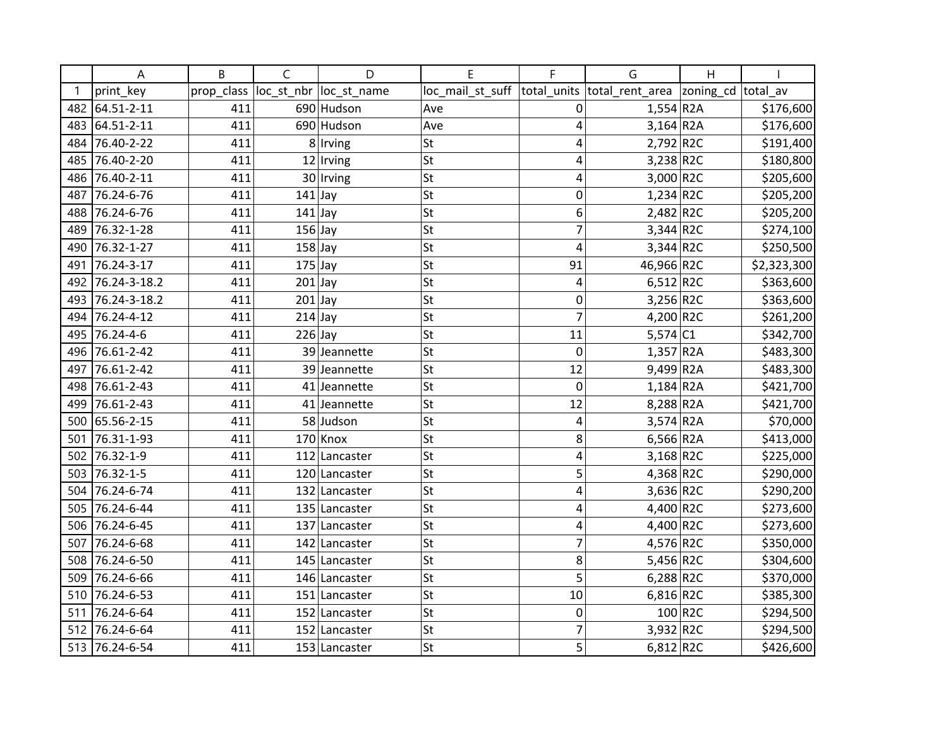|     | Α                | B          | C         | D                       | E                | F              | G                           | Η                  |             |
|-----|------------------|------------|-----------|-------------------------|------------------|----------------|-----------------------------|--------------------|-------------|
|     | print_key        | prop_class |           | loc_st_nbr  loc_st_name | loc_mail_st_suff |                | total_units total_rent_area | zoning_cd total_av |             |
| 482 | 64.51-2-11       | 411        |           | 690 Hudson              | Ave              | 0              | $1,554$ R2A                 |                    | \$176,600   |
| 483 | 64.51-2-11       | 411        |           | 690 Hudson              | Ave              | 4              | $3,164$ R <sub>2</sub> A    |                    | \$176,600   |
| 484 | 76.40-2-22       | 411        |           | 8 Irving                | <b>St</b>        | 4              | $2,792$ R2C                 |                    | \$191,400   |
| 485 | 76.40-2-20       | 411        |           | $12$  Irving            | <b>St</b>        | 4              | 3,238 R2C                   |                    | \$180,800   |
| 486 | 76.40-2-11       | 411        |           | 30 Irving               | <b>St</b>        | 4              | 3,000 R2C                   |                    | \$205,600   |
| 487 | 76.24-6-76       | 411        | $141$ Jay |                         | <b>St</b>        | 0              | 1,234 R2C                   |                    | \$205,200   |
| 488 | 76.24-6-76       | 411        | $141$ Jay |                         | St               | 6              | $2,482$ R2C                 |                    | \$205,200   |
| 489 | 76.32-1-28       | 411        | $156$ Jay |                         | <b>St</b>        | 7              | $3,344$ R2C                 |                    | \$274,100   |
| 490 | 76.32-1-27       | 411        | $158$ Jay |                         | <b>St</b>        | 4              | $3,344$ R2C                 |                    | \$250,500   |
| 491 | 76.24-3-17       | 411        | $175$ Jay |                         | <b>St</b>        | 91             | 46,966 R2C                  |                    | \$2,323,300 |
|     | 492 76.24-3-18.2 | 411        | $201$ Jay |                         | <b>St</b>        | 4              | 6,512 R2C                   |                    | \$363,600   |
| 493 | 76.24-3-18.2     | 411        | $201$ Jay |                         | St               | 0              | $3,256$ R2C                 |                    | \$363,600   |
| 494 | 76.24-4-12       | 411        | $214$ Jay |                         | <b>St</b>        |                | 4,200 R2C                   |                    | \$261,200   |
| 495 | 76.24-4-6        | 411        | $226$ Jay |                         | <b>St</b>        | 11             | $5,574$ C1                  |                    | \$342,700   |
| 496 | 76.61-2-42       | 411        |           | 39 Jeannette            | <b>St</b>        | 0              | 1,357 R2A                   |                    | \$483,300   |
| 497 | 76.61-2-42       | 411        |           | 39 Jeannette            | St               | 12             | 9,499 R2A                   |                    | \$483,300   |
| 498 | 76.61-2-43       | 411        |           | 41 Jeannette            | St               | $\overline{0}$ | $1,184$ R2A                 |                    | \$421,700   |
| 499 | 76.61-2-43       | 411        |           | 41 Jeannette            | St               | 12             | 8,288 R2A                   |                    | \$421,700   |
| 500 | 65.56-2-15       | 411        |           | 58 Judson               | <b>St</b>        | 4              | $3,574$ R2A                 |                    | \$70,000    |
| 501 | 76.31-1-93       | 411        |           | $170$ Knox              | <b>St</b>        | 8              | 6,566 R2A                   |                    | \$413,000   |
|     | 502 76.32-1-9    | 411        |           | 112 Lancaster           | St               | 4              | $3,168$ R2C                 |                    | \$225,000   |
| 503 | 76.32-1-5        | 411        |           | 120 Lancaster           | St               | 5              | 4,368 R2C                   |                    | \$290,000   |
| 504 | 76.24-6-74       | 411        |           | 132 Lancaster           | <b>St</b>        | 4              | 3,636 R2C                   |                    | \$290,200   |
| 505 | 76.24-6-44       | 411        |           | 135 Lancaster           | St               | 4              | 4,400 R2C                   |                    | \$273,600   |
| 506 | 76.24-6-45       | 411        | 137       | Lancaster               | <b>St</b>        | 4              | 4,400 R2C                   |                    | \$273,600   |
| 507 | 76.24-6-68       | 411        |           | 142 Lancaster           | St               | 7              | 4,576 R2C                   |                    | \$350,000   |
| 508 | 76.24-6-50       | 411        |           | 145 Lancaster           | St               | 8              | 5,456 R2C                   |                    | \$304,600   |
| 509 | 76.24-6-66       | 411        |           | 146 Lancaster           | <b>St</b>        | 5              | $6,288$ R2C                 |                    | \$370,000   |
| 510 | 76.24-6-53       | 411        |           | 151 Lancaster           | <b>St</b>        | 10             | $6,816$ R2C                 |                    | \$385,300   |
| 511 | 76.24-6-64       | 411        | 152       | Lancaster               | <b>St</b>        | 0              |                             | 100 R2C            | \$294,500   |
|     | 512 76.24-6-64   | 411        |           | 152 Lancaster           | <b>St</b>        | 7              | 3,932 R2C                   |                    | \$294,500   |
|     | 513 76.24-6-54   | 411        |           | 153 Lancaster           | St               | 5              | $6,812$ R2C                 |                    | \$426,600   |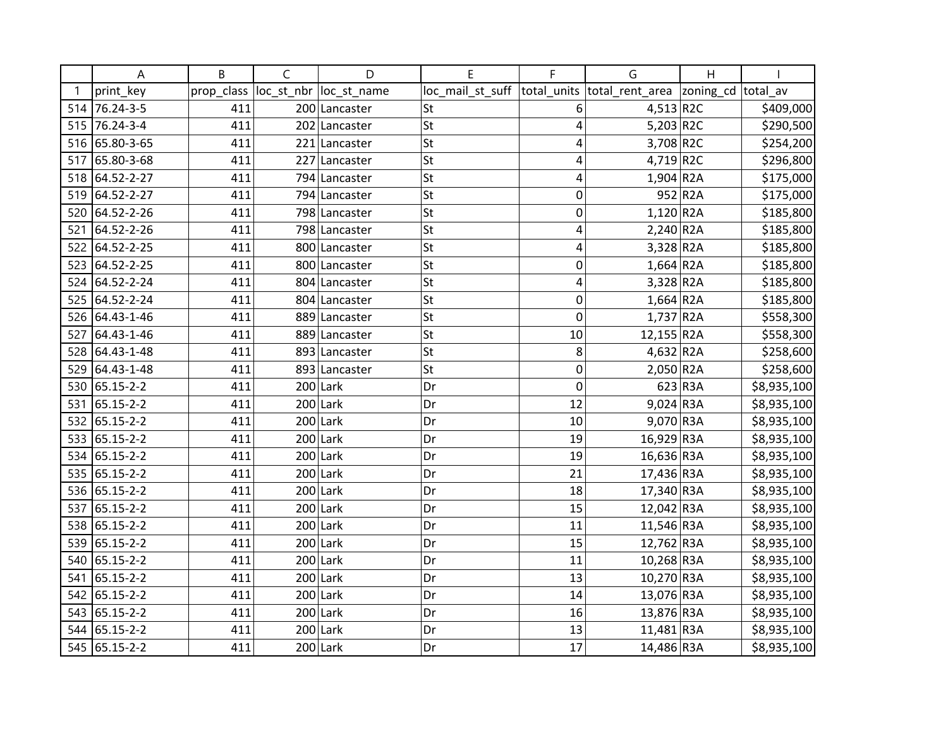|     | А              | B          | $\mathsf{C}$ | D             | E                | F           | G                        | $\overline{H}$ |             |
|-----|----------------|------------|--------------|---------------|------------------|-------------|--------------------------|----------------|-------------|
|     | print_key      | prop_class | loc_st_nbr   | loc_st_name   | loc_mail_st_suff | total_units | total_rent_area          | zoning_cd      | total av    |
|     | 514 76.24-3-5  | 411        |              | 200 Lancaster | St               | 6           | 4,513 R2C                |                | \$409,000   |
|     | 515 76.24-3-4  | 411        |              | 202 Lancaster | <b>St</b>        | 4           | 5,203 R2C                |                | \$290,500   |
|     | 516 65.80-3-65 | 411        |              | 221 Lancaster | St               | 4           | 3,708 R2C                |                | \$254,200   |
| 517 | 65.80-3-68     | 411        |              | 227 Lancaster | <b>St</b>        | 4           | 4,719 R2C                |                | \$296,800   |
| 518 | 64.52-2-27     | 411        |              | 794 Lancaster | St               | 4           | $1,904$ R <sub>2</sub> A |                | \$175,000   |
| 519 | 64.52-2-27     | 411        |              | 794 Lancaster | St               | 0           |                          | 952 R2A        | \$175,000   |
| 520 | 64.52-2-26     | 411        |              | 798 Lancaster | <b>St</b>        | 0           | $1,120$ R2A              |                | \$185,800   |
| 521 | 64.52-2-26     | 411        |              | 798 Lancaster | <b>St</b>        | 4           | $2,240$ R <sub>2</sub> A |                | \$185,800   |
| 522 | 64.52-2-25     | 411        |              | 800 Lancaster | <b>St</b>        | 4           | 3,328 R2A                |                | \$185,800   |
| 523 | 64.52-2-25     | 411        |              | 800 Lancaster | St               | $\mathbf 0$ | $1,664$ R2A              |                | \$185,800   |
| 524 | 64.52-2-24     | 411        |              | 804 Lancaster | St               | 4           | $3,328$ R2A              |                | \$185,800   |
| 525 | 64.52-2-24     | 411        |              | 804 Lancaster | <b>St</b>        | $\mathbf 0$ | $1,664$ R <sub>2</sub> A |                | \$185,800   |
|     | 526 64.43-1-46 | 411        |              | 889 Lancaster | <b>St</b>        | $\mathbf 0$ | $1,737$ R2A              |                | \$558,300   |
| 527 | 64.43-1-46     | 411        |              | 889 Lancaster | St               | 10          | 12,155 R2A               |                | \$558,300   |
|     | 528 64.43-1-48 | 411        |              | 893 Lancaster | <b>St</b>        | 8           | $4,632$ R2A              |                | \$258,600   |
| 529 | 64.43-1-48     | 411        |              | 893 Lancaster | St               | 0           | $2,050$ R2A              |                | \$258,600   |
| 530 | 65.15-2-2      | 411        |              | $200$ Lark    | Dr               | $\mathbf 0$ |                          | 623 R3A        | \$8,935,100 |
| 531 | 65.15-2-2      | 411        |              | $200$ Lark    | Dr               | 12          | $9,024$ R3A              |                | \$8,935,100 |
|     | 532 65.15-2-2  | 411        |              | $200$ Lark    | Dr               | 10          | 9,070 R3A                |                | \$8,935,100 |
|     | 533 65.15-2-2  | 411        |              | $200$ Lark    | Dr               | 19          | 16,929 R3A               |                | \$8,935,100 |
|     | 534 65.15-2-2  | 411        |              | $200$ Lark    | Dr               | 19          | 16,636 R3A               |                | \$8,935,100 |
|     | 535 65.15-2-2  | 411        |              | $200$ Lark    | Dr               | 21          | 17,436 R3A               |                | \$8,935,100 |
|     | 536 65.15-2-2  | 411        |              | $200$ Lark    | Dr               | 18          | 17,340 R3A               |                | \$8,935,100 |
| 537 | 65.15-2-2      | 411        |              | $200$ Lark    | Dr               | 15          | 12,042 R3A               |                | \$8,935,100 |
|     | 538 65.15-2-2  | 411        |              | $200$ Lark    | Dr               | 11          | 11,546 R3A               |                | \$8,935,100 |
|     | 539 65.15-2-2  | 411        |              | $200$ Lark    | Dr               | 15          | 12,762 R3A               |                | \$8,935,100 |
| 540 | 65.15-2-2      | 411        |              | $200$ Lark    | Dr               | 11          | 10,268 R3A               |                | \$8,935,100 |
| 541 | 65.15-2-2      | 411        |              | $200$ Lark    | Dr               | 13          | 10,270 R3A               |                | \$8,935,100 |
| 542 | 65.15-2-2      | 411        |              | $200$ Lark    | Dr               | 14          | 13,076 R3A               |                | \$8,935,100 |
|     | 543 65.15-2-2  | 411        |              | $200$ Lark    | Dr               | 16          | 13,876 R3A               |                | \$8,935,100 |
|     | 544 65.15-2-2  | 411        |              | $200$ Lark    | Dr               | 13          | 11,481 R3A               |                | \$8,935,100 |
|     | 545 65.15-2-2  | 411        |              | $200$ Lark    | Dr               | 17          | 14,486 R3A               |                | \$8,935,100 |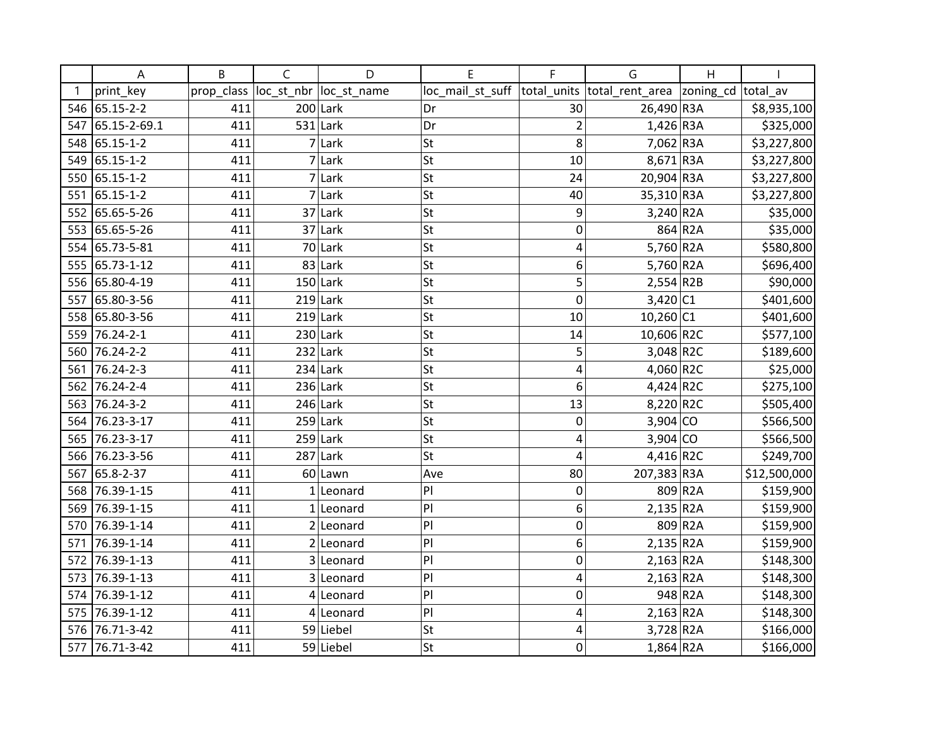|     | А               | B          | $\mathsf{C}$ | D                      | E                | F              | G                           | Η         |              |
|-----|-----------------|------------|--------------|------------------------|------------------|----------------|-----------------------------|-----------|--------------|
|     | print_key       | prop_class |              | loc_st_nbr loc_st_name | loc_mail_st_suff |                | total_units total_rent_area | zoning_cd | total av     |
| 546 | 65.15-2-2       | 411        |              | $200$ Lark             | Dr               | 30             | 26,490 R3A                  |           | \$8,935,100  |
| 547 | 65.15-2-69.1    | 411        |              | $531$ Lark             | Dr               | $\overline{2}$ | $1,426$ R3A                 |           | \$325,000    |
| 548 | 65.15-1-2       | 411        |              | 7 Lark                 | St               | 8              | 7,062 R3A                   |           | \$3,227,800  |
| 549 | 65.15-1-2       | 411        |              | 7 Lark                 | St               | 10             | 8,671 R3A                   |           | \$3,227,800  |
| 550 | 65.15-1-2       | 411        |              | 7 Lark                 | St               | 24             | 20,904 R3A                  |           | \$3,227,800  |
| 551 | 65.15-1-2       | 411        |              | 7 Lark                 | St               | 40             | 35,310 R3A                  |           | \$3,227,800  |
| 552 | 65.65-5-26      | 411        |              | $37$ Lark              | St               | 9              | $3,240$ R2A                 |           | \$35,000     |
| 553 | 65.65-5-26      | 411        |              | $37$ Lark              | St               | 0              |                             | 864 R2A   | \$35,000     |
| 554 | 65.73-5-81      | 411        |              | 70 Lark                | St               | 4              | 5,760 R2A                   |           | \$580,800    |
| 555 | 65.73-1-12      | 411        |              | $83$ Lark              | St               | 6              | 5,760 R2A                   |           | \$696,400    |
| 556 | 65.80-4-19      | 411        |              | $150$ Lark             | St               | 5              | $2,554$ R2B                 |           | \$90,000     |
| 557 | 65.80-3-56      | 411        |              | $219$ Lark             | St               | $\overline{0}$ | 3,420 C1                    |           | \$401,600    |
|     | 558 65.80-3-56  | 411        |              | $219$ Lark             | St               | 10             | $10,260$ C1                 |           | \$401,600    |
| 559 | $76.24 - 2 - 1$ | 411        |              | $230$ Lark             | St               | 14             | 10,606 R2C                  |           | \$577,100    |
| 560 | 76.24-2-2       | 411        |              | $232$ Lark             | St               | 5              | $3,048$ R2C                 |           | \$189,600    |
| 561 | 76.24-2-3       | 411        |              | $234$ Lark             | St               | 4              | 4,060 R2C                   |           | \$25,000     |
| 562 | 76.24-2-4       | 411        |              | $236$ Lark             | St               | 6              | $4,424$ R2C                 |           | \$275,100    |
| 563 | 76.24-3-2       | 411        |              | $246$ Lark             | St               | 13             | 8,220 R2C                   |           | \$505,400    |
| 564 | 76.23-3-17      | 411        |              | $259$ Lark             | St               | $\mathbf 0$    | $3,904$ CO                  |           | \$566,500    |
| 565 | 76.23-3-17      | 411        |              | $259$ Lark             | St               | 4              | $3,904$ CO                  |           | \$566,500    |
|     | 566 76.23-3-56  | 411        |              | $287$ Lark             | lst              | 4              | 4,416 R2C                   |           | \$249,700    |
| 567 | 65.8-2-37       | 411        |              | 60 Lawn                | Ave              | 80             | 207,383 R3A                 |           | \$12,500,000 |
| 568 | 76.39-1-15      | 411        |              | $1$  Leonard           | P                | 0              |                             | 809 R2A   | \$159,900    |
| 569 | 76.39-1-15      | 411        |              | $1$  Leonard           | P                | 6              | $2,135$ R2A                 |           | \$159,900    |
| 570 | 76.39-1-14      | 411        |              | $2$  Leonard           | P                | 0              |                             | 809 R2A   | \$159,900    |
| 571 | 76.39-1-14      | 411        |              | $2$  Leonard           | P                | 6              | $2,135$ R2A                 |           | \$159,900    |
| 572 | 76.39-1-13      | 411        |              | 3 Leonard              | P                | 0              | $2,163$ R2A                 |           | \$148,300    |
| 573 | 76.39-1-13      | 411        |              | 3 Leonard              | P                | 4              | $2,163$ R <sub>2</sub> A    |           | \$148,300    |
| 574 | 76.39-1-12      | 411        |              | $4$  Leonard           | P                | 0              |                             | 948 R2A   | \$148,300    |
| 575 | 76.39-1-12      | 411        |              | $4$ Leonard            | P                | 4              | $2,163$ R <sub>2</sub> A    |           | \$148,300    |
| 576 | 76.71-3-42      | 411        |              | 59 Liebel              | St               | 4              | $3,728$ R2A                 |           | \$166,000    |
| 577 | 76.71-3-42      | 411        |              | 59 Liebel              | St               | 0              | $1,864$ R <sub>2</sub> A    |           | \$166,000    |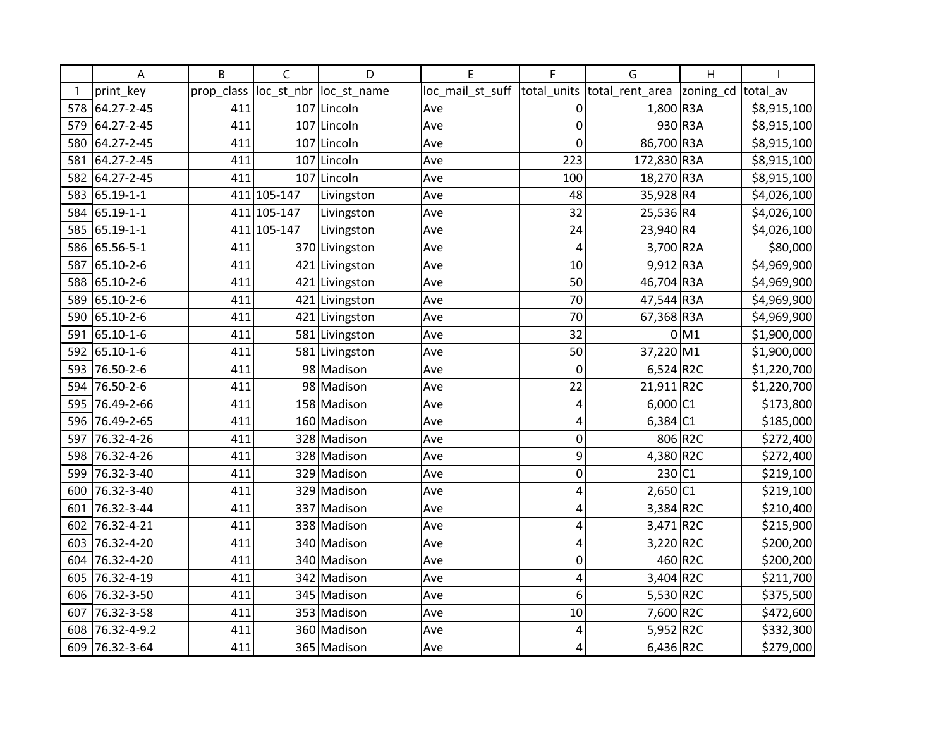|     | А             | B          | $\mathsf{C}$ | D              | E                | F           | G               | H         |             |
|-----|---------------|------------|--------------|----------------|------------------|-------------|-----------------|-----------|-------------|
|     | print_key     | prop_class | loc_st_nbr   | loc_st_name    | loc_mail_st_suff | total_units | total_rent_area | zoning_cd | total av    |
| 578 | 64.27-2-45    | 411        |              | 107 Lincoln    | Ave              | 0           | 1,800 R3A       |           | \$8,915,100 |
| 579 | 64.27-2-45    | 411        | 107          | Lincoln        | Ave              | $\mathbf 0$ |                 | 930 R3A   | \$8,915,100 |
| 580 | 64.27-2-45    | 411        |              | 107 Lincoln    | Ave              | $\mathbf 0$ | 86,700 R3A      |           | \$8,915,100 |
| 581 | 64.27-2-45    | 411        |              | 107 Lincoln    | Ave              | 223         | 172,830 R3A     |           | \$8,915,100 |
| 582 | 64.27-2-45    | 411        |              | 107 Lincoln    | Ave              | 100         | 18,270 R3A      |           | \$8,915,100 |
| 583 | 65.19-1-1     |            | 411 105-147  | Livingston     | Ave              | 48          | 35,928 R4       |           | \$4,026,100 |
| 584 | 65.19-1-1     |            | 411 105-147  | Livingston     | Ave              | 32          | 25,536 R4       |           | \$4,026,100 |
|     | 585 65.19-1-1 |            | 411 105-147  | Livingston     | Ave              | 24          | 23,940 R4       |           | \$4,026,100 |
|     | 586 65.56-5-1 | 411        |              | 370 Livingston | Ave              | 4           | 3,700 R2A       |           | \$80,000    |
|     | 587 65.10-2-6 | 411        |              | 421 Livingston | Ave              | 10          | $9,912$ R3A     |           | \$4,969,900 |
| 588 | 65.10-2-6     | 411        |              | 421 Livingston | Ave              | 50          | 46,704 R3A      |           | \$4,969,900 |
| 589 | 65.10-2-6     | 411        |              | 421 Livingston | Ave              | 70          | 47,544 R3A      |           | \$4,969,900 |
|     | 590 65.10-2-6 | 411        |              | 421 Livingston | Ave              | 70          | 67,368 R3A      |           | \$4,969,900 |
| 591 | 65.10-1-6     | 411        |              | 581 Livingston | Ave              | 32          |                 | $0$ M1    | \$1,900,000 |
|     | 592 65.10-1-6 | 411        |              | 581 Livingston | Ave              | 50          | 37,220 M1       |           | \$1,900,000 |
| 593 | 76.50-2-6     | 411        |              | 98 Madison     | Ave              | $\mathbf 0$ | $6,524$ R2C     |           | \$1,220,700 |
| 594 | 76.50-2-6     | 411        |              | 98 Madison     | Ave              | 22          | $21,911$ R2C    |           | \$1,220,700 |
| 595 | 76.49-2-66    | 411        |              | 158 Madison    | Ave              | 4           | $6,000$ C1      |           | \$173,800   |
| 596 | 76.49-2-65    | 411        |              | 160 Madison    | Ave              | 4           | 6,384 C1        |           | \$185,000   |
| 597 | 76.32-4-26    | 411        |              | 328 Madison    | Ave              | 0           |                 | 806 R2C   | \$272,400   |
| 598 | 76.32-4-26    | 411        |              | 328 Madison    | Ave              | 9           | 4,380 R2C       |           | \$272,400   |
| 599 | 76.32-3-40    | 411        |              | 329 Madison    | Ave              | $\mathbf 0$ | 230 C1          |           | \$219,100   |
| 600 | 76.32-3-40    | 411        |              | 329 Madison    | Ave              | 4           | $2,650$ C1      |           | \$219,100   |
| 601 | 76.32-3-44    | 411        |              | 337 Madison    | Ave              | 4           | $3,384$ R2C     |           | \$210,400   |
| 602 | 76.32-4-21    | 411        |              | 338 Madison    | Ave              | 4           | $3,471$ R2C     |           | \$215,900   |
| 603 | 76.32-4-20    | 411        |              | 340 Madison    | Ave              | 4           | 3,220 R2C       |           | \$200,200   |
| 604 | 76.32-4-20    | 411        |              | 340 Madison    | Ave              | $\mathbf 0$ |                 | 460 R2C   | \$200,200   |
| 605 | 76.32-4-19    | 411        |              | 342 Madison    | Ave              | 4           | $3,404$ R2C     |           | \$211,700   |
| 606 | 76.32-3-50    | 411        |              | 345 Madison    | Ave              | 6           | 5,530 R2C       |           | \$375,500   |
| 607 | 76.32-3-58    | 411        |              | 353 Madison    | Ave              | 10          | 7,600 R2C       |           | \$472,600   |
| 608 | 76.32-4-9.2   | 411        |              | 360 Madison    | Ave              | 4           | 5,952 R2C       |           | \$332,300   |
| 609 | 76.32-3-64    | 411        |              | 365 Madison    | Ave              | 4           | $6,436$ R2C     |           | \$279,000   |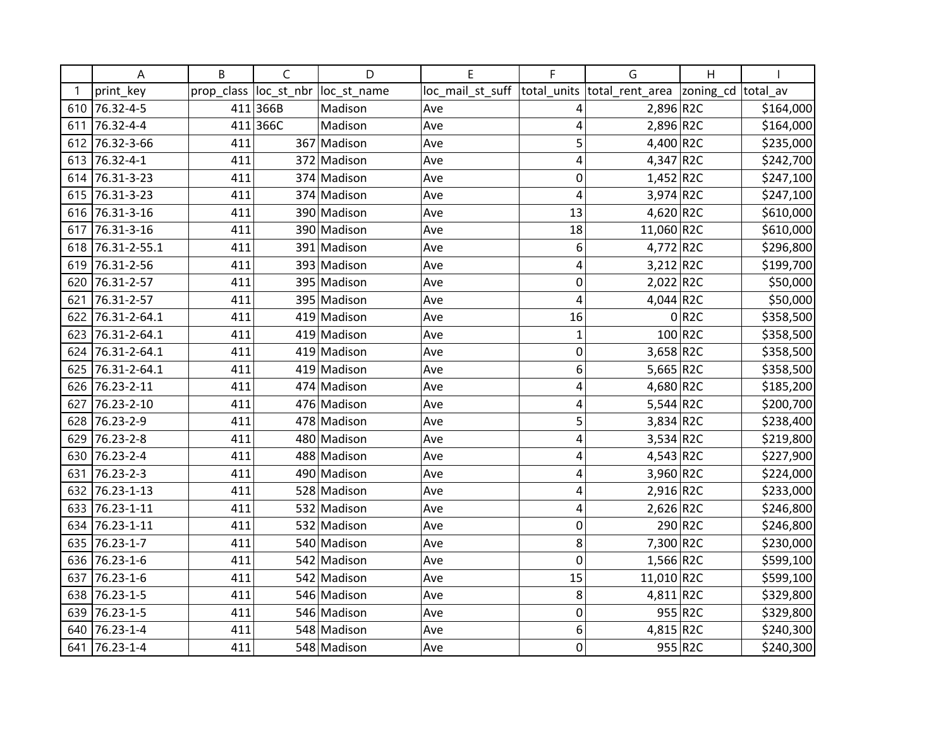|     | Α                | B          | $\mathsf{C}$ | D           | E                | F           | G                          | $\mathsf{H}$ |           |
|-----|------------------|------------|--------------|-------------|------------------|-------------|----------------------------|--------------|-----------|
|     | print key        | prop_class | loc_st_nbr   | loc st name | loc_mail_st_suff | total units | total_rent_area  zoning_cd |              | total av  |
|     | 610 76.32-4-5    |            | 411 366B     | Madison     | Ave              | 4           | 2,896 R2C                  |              | \$164,000 |
| 611 | 76.32-4-4        |            | 411 366C     | Madison     | Ave              | 4           | $2,896$ R2C                |              | \$164,000 |
| 612 | 76.32-3-66       | 411        |              | 367 Madison | Ave              | 5           | 4,400 R2C                  |              | \$235,000 |
| 613 | 76.32-4-1        | 411        |              | 372 Madison | Ave              | 4           | 4,347 R2C                  |              | \$242,700 |
| 614 | 76.31-3-23       | 411        |              | 374 Madison | Ave              | 0           | $1,452$ R2C                |              | \$247,100 |
| 615 | 76.31-3-23       | 411        |              | 374 Madison | Ave              | 4           | $3,974$ R2C                |              | \$247,100 |
| 616 | 76.31-3-16       | 411        |              | 390 Madison | Ave              | 13          | 4,620 R2C                  |              | \$610,000 |
| 617 | 76.31-3-16       | 411        |              | 390 Madison | Ave              | 18          | 11,060 R2C                 |              | \$610,000 |
|     | 618 76.31-2-55.1 | 411        |              | 391 Madison | Ave              | 6           | 4,772 R2C                  |              | \$296,800 |
| 619 | 76.31-2-56       | 411        |              | 393 Madison | Ave              | 4           | $3,212$ R2C                |              | \$199,700 |
| 620 | 76.31-2-57       | 411        |              | 395 Madison | Ave              | 0           | $2,022$ <sub>R2C</sub>     |              | \$50,000  |
| 621 | 76.31-2-57       | 411        |              | 395 Madison | Ave              | 4           | 4,044 R2C                  |              | \$50,000  |
| 622 | 76.31-2-64.1     | 411        |              | 419 Madison | Ave              | 16          |                            | 0 R2C        | \$358,500 |
|     | 623 76.31-2-64.1 | 411        |              | 419 Madison | Ave              | $\mathbf 1$ |                            | 100 R2C      | \$358,500 |
| 624 | 76.31-2-64.1     | 411        |              | 419 Madison | Ave              | 0           | 3,658 R2C                  |              | \$358,500 |
| 625 | 76.31-2-64.1     | 411        |              | 419 Madison | Ave              | 6           | 5,665 $R2C$                |              | \$358,500 |
| 626 | 76.23-2-11       | 411        |              | 474 Madison | Ave              | 4           | 4,680 R2C                  |              | \$185,200 |
| 627 | 76.23-2-10       | 411        |              | 476 Madison | Ave              | 4           | 5,544 R2C                  |              | \$200,700 |
| 628 | 76.23-2-9        | 411        |              | 478 Madison | Ave              | 5           | 3,834 R2C                  |              | \$238,400 |
| 629 | 76.23-2-8        | 411        |              | 480 Madison | Ave              | 4           | $3,534$ R2C                |              | \$219,800 |
| 630 | 76.23-2-4        | 411        |              | 488 Madison | Ave              | 4           | $4,543$ R2C                |              | \$227,900 |
| 631 | 76.23-2-3        | 411        |              | 490 Madison | Ave              | 4           | 3,960 R2C                  |              | \$224,000 |
| 632 | 76.23-1-13       | 411        |              | 528 Madison | Ave              | 4           | $2,916$ R2C                |              | \$233,000 |
| 633 | 76.23-1-11       | 411        |              | 532 Madison | Ave              | 4           | $2,626$ R2C                |              | \$246,800 |
| 634 | 76.23-1-11       | 411        |              | 532 Madison | Ave              | $\mathbf 0$ |                            | 290 R2C      | \$246,800 |
|     | 635 76.23-1-7    | 411        |              | 540 Madison | Ave              | 8           | 7,300 R2C                  |              | \$230,000 |
| 636 | 76.23-1-6        | 411        |              | 542 Madison | Ave              | $\mathbf 0$ | $1,566$ R2C                |              | \$599,100 |
| 637 | 76.23-1-6        | 411        |              | 542 Madison | Ave              | 15          | 11,010 R2C                 |              | \$599,100 |
| 638 | 76.23-1-5        | 411        |              | 546 Madison | Ave              | 8           | 4,811 R2C                  |              | \$329,800 |
| 639 | 76.23-1-5        | 411        |              | 546 Madison | Ave              | $\mathbf 0$ |                            | 955 R2C      | \$329,800 |
| 640 | 76.23-1-4        | 411        |              | 548 Madison | Ave              | 6           | $4,815$ R2C                |              | \$240,300 |
| 641 | 76.23-1-4        | 411        |              | 548 Madison | Ave              | $\mathbf 0$ |                            | 955 R2C      | \$240,300 |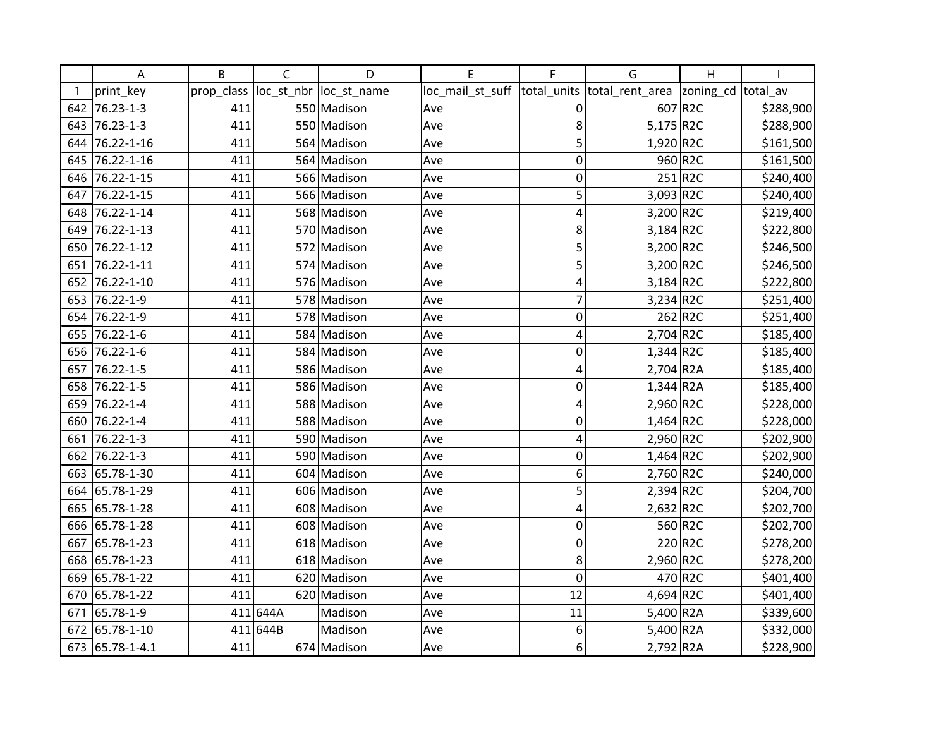|     | Α               | B          | $\mathsf{C}$ | D           | E                | F              | G                        | $\mathsf{H}$ |           |
|-----|-----------------|------------|--------------|-------------|------------------|----------------|--------------------------|--------------|-----------|
|     | print key       | prop_class | loc_st_nbr   | loc_st_name | loc_mail_st_suff | total units    | total_rent_area          | zoning_cd    | total av  |
| 642 | 76.23-1-3       | 411        |              | 550 Madison | Ave              | 0              |                          | 607 R2C      | \$288,900 |
| 643 | 76.23-1-3       | 411        |              | 550 Madison | Ave              | 8              | $5,175$ <sub>R2C</sub>   |              | \$288,900 |
| 644 | 76.22-1-16      | 411        |              | 564 Madison | Ave              | 5              | $1,920$ R2C              |              | \$161,500 |
| 645 | 76.22-1-16      | 411        |              | 564 Madison | Ave              | 0              |                          | 960 R2C      | \$161,500 |
| 646 | 76.22-1-15      | 411        |              | 566 Madison | Ave              | 0              |                          | $251$ R2C    | \$240,400 |
| 647 | 76.22-1-15      | 411        |              | 566 Madison | Ave              | 5              | $3,093$ R2C              |              | \$240,400 |
| 648 | 76.22-1-14      | 411        |              | 568 Madison | Ave              | 4              | 3,200 R2C                |              | \$219,400 |
| 649 | 76.22-1-13      | 411        |              | 570 Madison | Ave              | 8              | $3,184$ R2C              |              | \$222,800 |
| 650 | 76.22-1-12      | 411        |              | 572 Madison | Ave              | 5              | 3,200 R2C                |              | \$246,500 |
| 651 | 76.22-1-11      | 411        |              | 574 Madison | Ave              | 5              | 3,200 R2C                |              | \$246,500 |
| 652 | 76.22-1-10      | 411        |              | 576 Madison | Ave              | 4              | $3,184$ R2C              |              | \$222,800 |
| 653 | 76.22-1-9       | 411        |              | 578 Madison | Ave              | $\overline{7}$ | $3,234$ R2C              |              | \$251,400 |
|     | 654 76.22-1-9   | 411        |              | 578 Madison | Ave              | $\mathbf 0$    |                          | 262 R2C      | \$251,400 |
|     | 655 76.22-1-6   | 411        |              | 584 Madison | Ave              | 4              | $2,704$ R2C              |              | \$185,400 |
| 656 | 76.22-1-6       | 411        |              | 584 Madison | Ave              | 0              | $1,344$ R2C              |              | \$185,400 |
| 657 | 76.22-1-5       | 411        |              | 586 Madison | Ave              | 4              | $2,704$ R <sub>2</sub> A |              | \$185,400 |
| 658 | 76.22-1-5       | 411        |              | 586 Madison | Ave              | 0              | $1,344$ R <sub>2</sub> A |              | \$185,400 |
| 659 | 76.22-1-4       | 411        |              | 588 Madison | Ave              | 4              | $2,960$ R2C              |              | \$228,000 |
| 660 | 76.22-1-4       | 411        |              | 588 Madison | Ave              | $\mathbf 0$    | $1,464$ R2C              |              | \$228,000 |
| 661 | 76.22-1-3       | 411        |              | 590 Madison | Ave              | 4              | $2,960$ R2C              |              | \$202,900 |
| 662 | 76.22-1-3       | 411        |              | 590 Madison | Ave              | $\mathbf 0$    | $1,464$ R2C              |              | \$202,900 |
| 663 | 65.78-1-30      | 411        |              | 604 Madison | Ave              | 6              | $2,760$ R2C              |              | \$240,000 |
| 664 | 65.78-1-29      | 411        |              | 606 Madison | Ave              | 5              | $2,394$ R2C              |              | \$204,700 |
| 665 | 65.78-1-28      | 411        |              | 608 Madison | Ave              | 4              | $2,632$ R2C              |              | \$202,700 |
|     | 666 65.78-1-28  | 411        |              | 608 Madison | Ave              | $\mathbf 0$    |                          | 560 R2C      | \$202,700 |
| 667 | 65.78-1-23      | 411        |              | 618 Madison | Ave              | $\mathbf 0$    |                          | 220 R2C      | \$278,200 |
| 668 | 65.78-1-23      | 411        |              | 618 Madison | Ave              | 8              | $2,960$ R2C              |              | \$278,200 |
| 669 | 65.78-1-22      | 411        |              | 620 Madison | Ave              | $\mathbf 0$    |                          | 470 R2C      | \$401,400 |
| 670 | 65.78-1-22      | 411        |              | 620 Madison | Ave              | 12             | 4,694 R2C                |              | \$401,400 |
| 671 | 65.78-1-9       |            | 411 644A     | Madison     | Ave              | 11             | 5,400 R2A                |              | \$339,600 |
|     | 672 65.78-1-10  |            | 411 644B     | Madison     | Ave              | 6              | 5,400 R2A                |              | \$332,000 |
|     | 673 65.78-1-4.1 | 411        |              | 674 Madison | Ave              | 6              | 2,792 R2A                |              | \$228,900 |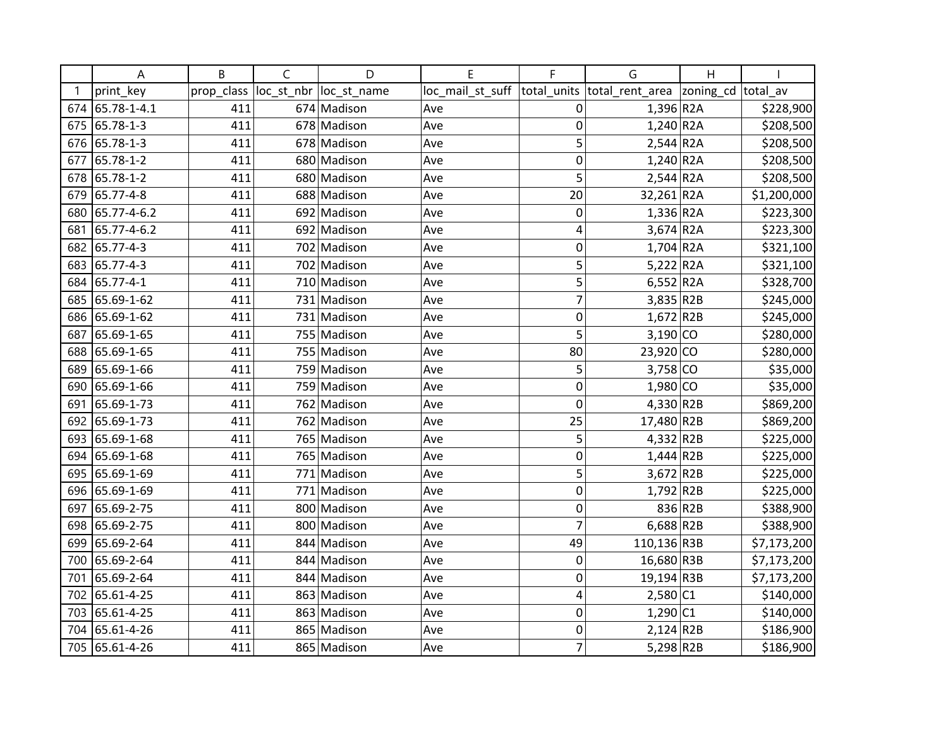|     | Α               | B          | C          | D           | E                | F              | G                          | $\mathsf{H}$ |             |
|-----|-----------------|------------|------------|-------------|------------------|----------------|----------------------------|--------------|-------------|
|     | print key       | prop_class | loc_st_nbr | loc_st_name | loc_mail_st_suff | total units    | total_rent_area  zoning_cd |              | total av    |
|     | 674 65.78-1-4.1 | 411        |            | 674 Madison | Ave              | 0              | $1,396$ R <sub>2</sub> A   |              | \$228,900   |
|     | 675 65.78-1-3   | 411        |            | 678 Madison | Ave              | $\mathbf 0$    | $1,240$ R2A                |              | \$208,500   |
|     | 676 65.78-1-3   | 411        |            | 678 Madison | Ave              | 5              | $2,544$ R <sub>2</sub> A   |              | \$208,500   |
|     | 677 65.78-1-2   | 411        |            | 680 Madison | Ave              | 0              | $1,240$ R <sub>2</sub> A   |              | \$208,500   |
| 678 | 65.78-1-2       | 411        |            | 680 Madison | Ave              | 5              | $2,544$ R <sub>2</sub> A   |              | \$208,500   |
| 679 | 65.77-4-8       | 411        |            | 688 Madison | Ave              | 20             | 32,261 R2A                 |              | \$1,200,000 |
| 680 | 65.77-4-6.2     | 411        |            | 692 Madison | Ave              | $\mathbf 0$    | $1,336$ R <sub>2</sub> A   |              | \$223,300   |
| 681 | 65.77-4-6.2     | 411        |            | 692 Madison | Ave              | 4              | $3,674$ R <sub>2</sub> A   |              | \$223,300   |
|     | 682 65.77-4-3   | 411        |            | 702 Madison | Ave              | $\mathbf 0$    | $1,704$ R <sub>2</sub> A   |              | \$321,100   |
|     | 683 65.77-4-3   | 411        |            | 702 Madison | Ave              | 5              | $5,222$ R <sub>2</sub> A   |              | \$321,100   |
|     | 684 65.77-4-1   | 411        |            | 710 Madison | Ave              | 5              | 6,552 R2A                  |              | \$328,700   |
| 685 | 65.69-1-62      | 411        |            | 731 Madison | Ave              | $\overline{7}$ | $3,835$ R2B                |              | \$245,000   |
|     | 686 65.69-1-62  | 411        |            | 731 Madison | Ave              | $\mathbf 0$    | $1,672$ R2B                |              | \$245,000   |
|     | 687 65.69-1-65  | 411        |            | 755 Madison | Ave              | 5              | $3,190$ CO                 |              | \$280,000   |
|     | 688 65.69-1-65  | 411        |            | 755 Madison | Ave              | 80             | $23,920$ CO                |              | \$280,000   |
| 689 | 65.69-1-66      | 411        |            | 759 Madison | Ave              | 5              | $3,758$ CO                 |              | \$35,000    |
| 690 | 65.69-1-66      | 411        |            | 759 Madison | Ave              | $\mathbf 0$    | $1,980$ CO                 |              | \$35,000    |
| 691 | 65.69-1-73      | 411        |            | 762 Madison | Ave              | 0              | 4,330 R2B                  |              | \$869,200   |
|     | 692 65.69-1-73  | 411        |            | 762 Madison | Ave              | 25             | 17,480 R2B                 |              | \$869,200   |
|     | 693 65.69-1-68  | 411        |            | 765 Madison | Ave              | 5              | $4,332$ R2B                |              | \$225,000   |
|     | 694 65.69-1-68  | 411        |            | 765 Madison | Ave              | $\mathbf 0$    | $1,444$ R2B                |              | \$225,000   |
|     | 695 65.69-1-69  | 411        |            | 771 Madison | Ave              | 5              | $3,672$ R2B                |              | \$225,000   |
|     | 696 65.69-1-69  | 411        |            | 771 Madison | Ave              | $\mathbf 0$    | $1,792$ R2B                |              | \$225,000   |
| 697 | 65.69-2-75      | 411        |            | 800 Madison | Ave              | $\mathbf 0$    |                            | 836 R2B      | \$388,900   |
|     | 698 65.69-2-75  | 411        |            | 800 Madison | Ave              | $\overline{7}$ | $6,688$ R2B                |              | \$388,900   |
|     | 699 65.69-2-64  | 411        |            | 844 Madison | Ave              | 49             | 110,136 R3B                |              | \$7,173,200 |
|     | 700 65.69-2-64  | 411        |            | 844 Madison | Ave              | 0              | 16,680 R3B                 |              | \$7,173,200 |
| 701 | 65.69-2-64      | 411        |            | 844 Madison | Ave              | 0              | 19,194 R3B                 |              | \$7,173,200 |
| 702 | 65.61-4-25      | 411        |            | 863 Madison | Ave              | 4              | $2,580$ C1                 |              | \$140,000   |
|     | 703 65.61-4-25  | 411        |            | 863 Madison | Ave              | $\mathbf 0$    | $1,290$ C1                 |              | \$140,000   |
|     | 704 65.61-4-26  | 411        |            | 865 Madison | Ave              | $\mathbf 0$    | $2,124$ R2B                |              | \$186,900   |
|     | 705 65.61-4-26  | 411        |            | 865 Madison | Ave              | $\overline{7}$ | $5,298$ R2B                |              | \$186,900   |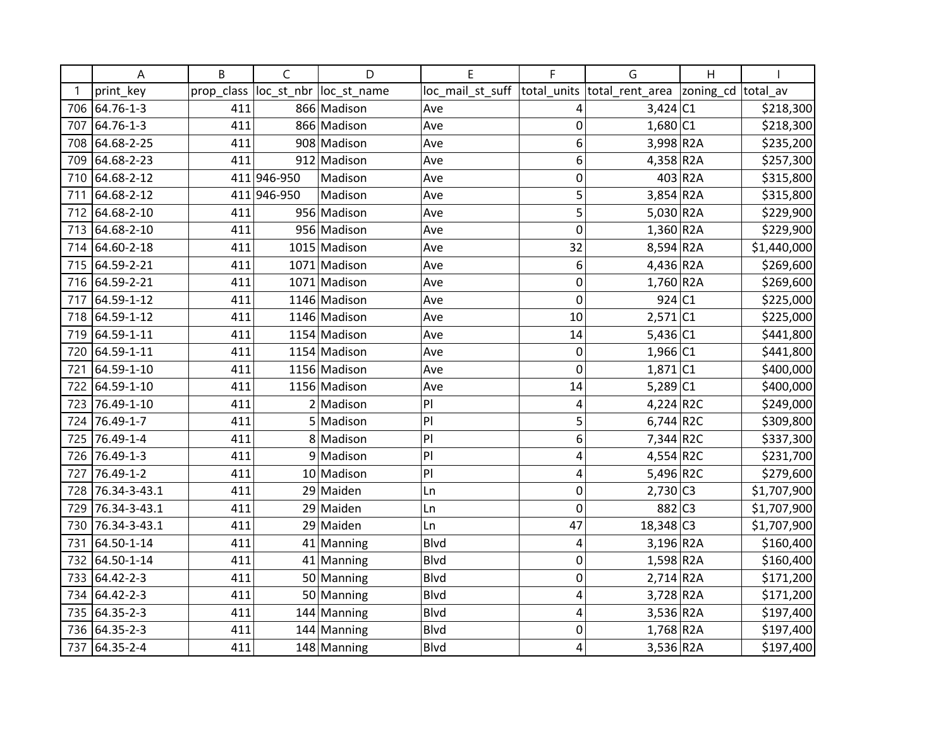|     | A              | B          | $\mathsf{C}$ | D            | E                | F              | G                          | $\overline{H}$ |             |
|-----|----------------|------------|--------------|--------------|------------------|----------------|----------------------------|----------------|-------------|
|     | print_key      | prop_class | loc_st_nbr   | loc_st_name  | loc_mail_st_suff | total_units    | total_rent_area  zoning_cd |                | total av    |
|     | 706 64.76-1-3  | 411        |              | 866 Madison  | Ave              | 4              | $3,424$ C1                 |                | \$218,300   |
| 707 | 64.76-1-3      | 411        |              | 866 Madison  | Ave              | $\mathbf 0$    | $1,680$ C1                 |                | \$218,300   |
| 708 | 64.68-2-25     | 411        |              | 908 Madison  | Ave              | 6              | 3,998 R2A                  |                | \$235,200   |
| 709 | 64.68-2-23     | 411        |              | 912 Madison  | Ave              | 6              | $4,358$ R2A                |                | \$257,300   |
| 710 | 64.68-2-12     |            | 411 946-950  | Madison      | Ave              | 0              |                            | 403 R2A        | \$315,800   |
| 711 | 64.68-2-12     |            | 411 946-950  | Madison      | Ave              | 5              | $3,854$ R <sub>2</sub> A   |                | \$315,800   |
|     | 712 64.68-2-10 | 411        |              | 956 Madison  | Ave              | 5              | $5,030$ R <sub>2</sub> A   |                | \$229,900   |
|     | 713 64.68-2-10 | 411        |              | 956 Madison  | Ave              | $\mathbf 0$    | $1,360$ R2A                |                | \$229,900   |
|     | 714 64.60-2-18 | 411        |              | 1015 Madison | Ave              | 32             | $8,594$ R <sub>2</sub> A   |                | \$1,440,000 |
|     | 715 64.59-2-21 | 411        |              | 1071 Madison | Ave              | 6              | 4,436 R2A                  |                | \$269,600   |
|     | 716 64.59-2-21 | 411        |              | 1071 Madison | Ave              | $\mathbf 0$    | $1,760$ R2A                |                | \$269,600   |
| 717 | 64.59-1-12     | 411        |              | 1146 Madison | Ave              | $\mathbf 0$    | 924 C1                     |                | \$225,000   |
|     | 718 64.59-1-12 | 411        |              | 1146 Madison | Ave              | 10             | $2,571$ C1                 |                | \$225,000   |
|     | 719 64.59-1-11 | 411        |              | 1154 Madison | Ave              | 14             | 5,436 C1                   |                | \$441,800   |
| 720 | 64.59-1-11     | 411        |              | 1154 Madison | Ave              | $\mathbf 0$    | $1,966$ C1                 |                | \$441,800   |
| 721 | 64.59-1-10     | 411        |              | 1156 Madison | Ave              | $\overline{0}$ | $1,871$ C1                 |                | \$400,000   |
| 722 | 64.59-1-10     | 411        |              | 1156 Madison | Ave              | 14             | $5,289$ C1                 |                | \$400,000   |
| 723 | 76.49-1-10     | 411        |              | $2$ Madison  | PI               | 4              | $4,224$ R2C                |                | \$249,000   |
| 724 | 76.49-1-7      | 411        |              | 5 Madison    | PI               | 5              | 6,744 R2C                  |                | \$309,800   |
| 725 | 76.49-1-4      | 411        |              | 8 Madison    | PI               | 6              | $7,344$ R2C                |                | \$337,300   |
| 726 | 76.49-1-3      | 411        |              | 9 Madison    | PI               | 4              | $4,554$ R2C                |                | \$231,700   |
| 727 | 76.49-1-2      | 411        |              | 10 Madison   | PI               | 4              | 5,496 R2C                  |                | \$279,600   |
| 728 | 76.34-3-43.1   | 411        |              | 29 Maiden    | Ln               | $\mathbf 0$    | $2,730$ C3                 |                | \$1,707,900 |
| 729 | 76.34-3-43.1   | 411        |              | 29 Maiden    | Ln               | 0              | 882 C3                     |                | \$1,707,900 |
| 730 | 76.34-3-43.1   | 411        |              | 29 Maiden    | Ln               | 47             | $18,348$ C <sub>3</sub>    |                | \$1,707,900 |
| 731 | 64.50-1-14     | 411        |              | 41 Manning   | <b>Blvd</b>      | 4              | $3,196$ R <sub>2</sub> A   |                | \$160,400   |
| 732 | 64.50-1-14     | 411        |              | 41 Manning   | Blvd             | $\mathbf 0$    | $1,598$ R2A                |                | \$160,400   |
|     | 733 64.42-2-3  | 411        |              | 50 Manning   | <b>Blvd</b>      | $\mathbf 0$    | $2,714$ R2A                |                | \$171,200   |
| 734 | 64.42-2-3      | 411        |              | 50 Manning   | <b>Blvd</b>      | $\overline{4}$ | $3,728$ R <sub>2</sub> A   |                | \$171,200   |
|     | 735 64.35-2-3  | 411        |              | 144 Manning  | <b>Blvd</b>      | 4              | 3,536 R2A                  |                | \$197,400   |
|     | 736 64.35-2-3  | 411        |              | 144 Manning  | Blvd             | 0              | $1,768$ R <sub>2</sub> A   |                | \$197,400   |
|     | 737 64.35-2-4  | 411        |              | 148 Manning  | Blvd             | 4              | 3,536 R2A                  |                | \$197,400   |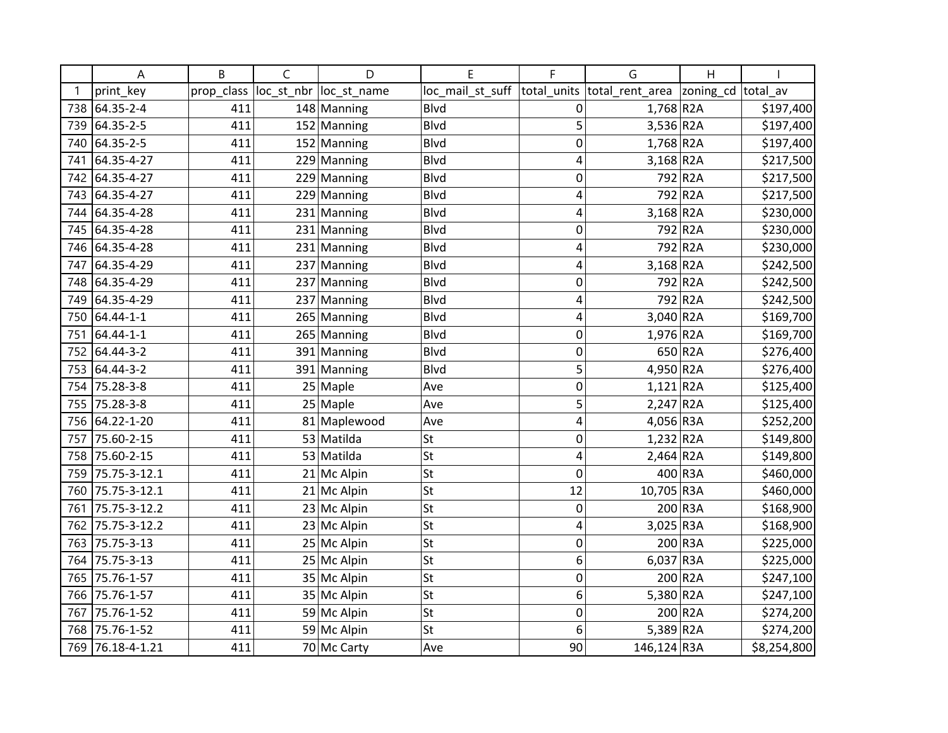|     | Α                | B          | C          | D             | E                | F              | G                          | $\mathsf{H}$ |             |
|-----|------------------|------------|------------|---------------|------------------|----------------|----------------------------|--------------|-------------|
|     | print key        | prop_class | loc_st_nbr | loc st name   | loc_mail_st_suff | total units    | total_rent_area  zoning_cd |              | total av    |
|     | 738 64.35-2-4    | 411        |            | 148 Manning   | Blvd             | 0              | $1,768$ R <sub>2</sub> A   |              | \$197,400   |
| 739 | 64.35-2-5        | 411        |            | 152 Manning   | <b>Blvd</b>      | 5              | $3,536$ R <sub>2</sub> A   |              | \$197,400   |
| 740 | 64.35-2-5        | 411        |            | 152 Manning   | <b>Blvd</b>      | 0              | $1,768$ R <sub>2</sub> A   |              | \$197,400   |
|     | 741 64.35-4-27   | 411        |            | 229 Manning   | <b>Blvd</b>      | 4              | $3,168$ R <sub>2</sub> A   |              | \$217,500   |
|     | 742 64.35-4-27   | 411        |            | 229 Manning   | Blvd             | 0              |                            | 792 R2A      | \$217,500   |
| 743 | 64.35-4-27       | 411        |            | 229 Manning   | Blvd             | 4              |                            | 792 R2A      | \$217,500   |
| 744 | 64.35-4-28       | 411        |            | 231 Manning   | <b>Blvd</b>      | 4              | $3,168$ R <sub>2</sub> A   |              | \$230,000   |
|     | 745 64.35-4-28   | 411        |            | $231$ Manning | Blvd             | 0              |                            | 792 R2A      | \$230,000   |
|     | 746 64.35-4-28   | 411        |            | 231 Manning   | Blvd             | 4              |                            | 792 R2A      | \$230,000   |
|     | 747 64.35-4-29   | 411        |            | 237 Manning   | Blvd             | 4              | $3,168$ R <sub>2</sub> A   |              | \$242,500   |
|     | 748 64.35-4-29   | 411        |            | 237 Manning   | Blvd             | 0              |                            | 792 R2A      | \$242,500   |
| 749 | 64.35-4-29       | 411        |            | 237 Manning   | Blvd             | 4              |                            | 792 R2A      | \$242,500   |
| 750 | $64.44 - 1 - 1$  | 411        |            | 265 Manning   | Blvd             | 4              | $3,040$ R2A                |              | \$169,700   |
| 751 | 64.44-1-1        | 411        |            | 265 Manning   | <b>Blvd</b>      | 0              | $1,976$ R <sub>2</sub> A   |              | \$169,700   |
|     | 752 64.44-3-2    | 411        |            | 391 Manning   | Blvd             | $\mathbf 0$    |                            | 650 R2A      | \$276,400   |
|     | 753 64.44-3-2    | 411        |            | 391 Manning   | Blvd             | 5              | 4,950 R2A                  |              | \$276,400   |
| 754 | 75.28-3-8        | 411        |            | 25 Maple      | Ave              | $\mathbf 0$    | $1,121$ R2A                |              | \$125,400   |
| 755 | 75.28-3-8        | 411        |            | $25$ Maple    | Ave              | 5              | $2,247$ R2A                |              | \$125,400   |
| 756 | 64.22-1-20       | 411        |            | 81 Maplewood  | Ave              | 4              | 4,056 R3A                  |              | \$252,200   |
| 757 | 75.60-2-15       | 411        |            | 53 Matilda    | <b>St</b>        | 0              | $1,232$ R <sub>2</sub> A   |              | \$149,800   |
| 758 | 75.60-2-15       | 411        |            | 53 Matilda    | <b>St</b>        | 4              | $2,464$ R <sub>2</sub> A   |              | \$149,800   |
| 759 | 75.75-3-12.1     | 411        |            | $21$ Mc Alpin | St               | 0              |                            | 400 R3A      | \$460,000   |
| 760 | 75.75-3-12.1     | 411        |            | $21$ Mc Alpin | <b>St</b>        | 12             | 10,705 R3A                 |              | \$460,000   |
| 761 | 75.75-3-12.2     | 411        |            | $23$ Mc Alpin | <b>St</b>        | $\mathbf 0$    |                            | 200 R3A      | \$168,900   |
| 762 | 75.75-3-12.2     | 411        |            | $23$ Mc Alpin | St               | $\overline{4}$ | $3,025$ R3A                |              | \$168,900   |
| 763 | 75.75-3-13       | 411        |            | 25 Mc Alpin   | <b>St</b>        | $\mathbf 0$    |                            | 200 R3A      | \$225,000   |
| 764 | 75.75-3-13       | 411        |            | 25 Mc Alpin   | St               | 6              | $6,037$ R3A                |              | \$225,000   |
| 765 | 75.76-1-57       | 411        |            | 35 Mc Alpin   | St               | $\mathbf 0$    |                            | 200 R2A      | \$247,100   |
| 766 | 75.76-1-57       | 411        |            | 35 Mc Alpin   | <b>St</b>        | 6              | 5,380 R2A                  |              | \$247,100   |
| 767 | 75.76-1-52       | 411        |            | 59 Mc Alpin   | <b>St</b>        | $\mathbf 0$    |                            | 200 R2A      | \$274,200   |
| 768 | 75.76-1-52       | 411        |            | 59 Mc Alpin   | St               | 6              | $5,389$ R <sub>2</sub> A   |              | \$274,200   |
|     | 769 76.18-4-1.21 | 411        |            | 70 Mc Carty   | Ave              | 90             | 146,124 R3A                |              | \$8,254,800 |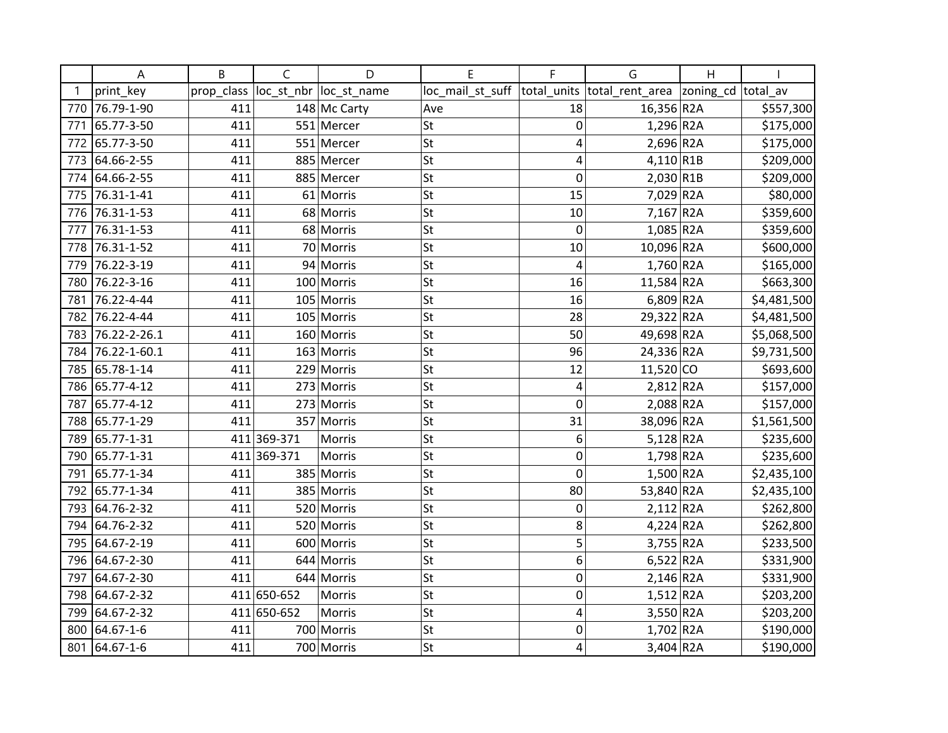|     | Α              | B          | C           | D            | E                | F           | G                          | $\mathsf{H}$ |             |
|-----|----------------|------------|-------------|--------------|------------------|-------------|----------------------------|--------------|-------------|
|     | print key      | prop_class | loc_st_nbr  | loc_st_name  | loc_mail_st_suff | total_units | total_rent_area  zoning_cd |              | total av    |
| 770 | 76.79-1-90     | 411        |             | 148 Mc Carty | Ave              | 18          | 16,356 R2A                 |              | \$557,300   |
| 771 | 65.77-3-50     | 411        |             | 551 Mercer   | <b>St</b>        | $\mathbf 0$ | $1,296$ R <sub>2</sub> A   |              | \$175,000   |
|     | 772 65.77-3-50 | 411        |             | 551 Mercer   | <b>St</b>        | 4           | $2,696$ R <sub>2</sub> A   |              | \$175,000   |
|     | 773 64.66-2-55 | 411        |             | 885 Mercer   | <b>St</b>        | 4           | $4,110$ R1B                |              | \$209,000   |
|     | 774 64.66-2-55 | 411        |             | 885 Mercer   | St               | 0           | $2,030$ R1B                |              | \$209,000   |
| 775 | 76.31-1-41     | 411        |             | 61 Morris    | <b>St</b>        | 15          | 7,029 R2A                  |              | \$80,000    |
| 776 | 76.31-1-53     | 411        |             | 68 Morris    | <b>St</b>        | 10          | 7,167 R2A                  |              | \$359,600   |
| 777 | 76.31-1-53     | 411        |             | 68 Morris    | St               | 0           | $1,085$ R <sub>2</sub> A   |              | \$359,600   |
|     | 778 76.31-1-52 | 411        |             | 70 Morris    | <b>St</b>        | 10          | 10,096 R2A                 |              | \$600,000   |
| 779 | 76.22-3-19     | 411        |             | 94 Morris    | <b>St</b>        | 4           | $1,760$ R <sub>2</sub> A   |              | \$165,000   |
| 780 | 76.22-3-16     | 411        |             | 100 Morris   | St               | 16          | 11,584 R2A                 |              | \$663,300   |
| 781 | 76.22-4-44     | 411        |             | 105 Morris   | <b>St</b>        | 16          | $6,809$ R <sub>2</sub> A   |              | \$4,481,500 |
| 782 | 76.22-4-44     | 411        |             | 105 Morris   | <b>St</b>        | 28          | 29,322 R2A                 |              | \$4,481,500 |
| 783 | 76.22-2-26.1   | 411        |             | 160 Morris   | <b>St</b>        | 50          | 49,698 R2A                 |              | \$5,068,500 |
| 784 | 76.22-1-60.1   | 411        |             | 163 Morris   | <b>St</b>        | 96          | 24,336 R2A                 |              | \$9,731,500 |
|     | 785 65.78-1-14 | 411        |             | 229 Morris   | <b>St</b>        | 12          | $11,520$ CO                |              | \$693,600   |
| 786 | 65.77-4-12     | 411        |             | 273 Morris   | <b>St</b>        | 4           | $2,812$ R <sub>2</sub> A   |              | \$157,000   |
| 787 | 65.77-4-12     | 411        |             | 273 Morris   | <b>St</b>        | 0           | 2,088 R2A                  |              | \$157,000   |
| 788 | 65.77-1-29     | 411        |             | 357 Morris   | <b>St</b>        | 31          | 38,096 R2A                 |              | \$1,561,500 |
| 789 | 65.77-1-31     |            | 411 369-371 | Morris       | <b>St</b>        | 6           | $5,128$ R <sub>2</sub> A   |              | \$235,600   |
| 790 | 65.77-1-31     |            | 411 369-371 | Morris       | <b>St</b>        | 0           | $1,798$ R <sub>2</sub> A   |              | \$235,600   |
| 791 | 65.77-1-34     | 411        |             | 385 Morris   | <b>St</b>        | $\mathbf 0$ | $1,500$ R2A                |              | \$2,435,100 |
| 792 | 65.77-1-34     | 411        |             | 385 Morris   | <b>St</b>        | 80          | 53,840 R2A                 |              | \$2,435,100 |
| 793 | 64.76-2-32     | 411        |             | 520 Morris   | <b>St</b>        | $\mathbf 0$ | $2,112$ R <sub>2</sub> A   |              | \$262,800   |
|     | 794 64.76-2-32 | 411        |             | 520 Morris   | St               | 8           | $4,224$ R <sub>2</sub> A   |              | \$262,800   |
|     | 795 64.67-2-19 | 411        |             | 600 Morris   | <b>St</b>        | 5           | $3,755$ R2A                |              | \$233,500   |
| 796 | 64.67-2-30     | 411        |             | 644 Morris   | <b>St</b>        | 6           | $6,522$ R2A                |              | \$331,900   |
| 797 | 64.67-2-30     | 411        |             | 644 Morris   | St               | 0           | $2,146$ R <sub>2</sub> A   |              | \$331,900   |
| 798 | 64.67-2-32     |            | 411 650-652 | Morris       | <b>St</b>        | $\mathbf 0$ | $1,512$ R2A                |              | \$203,200   |
| 799 | 64.67-2-32     |            | 411 650-652 | Morris       | <b>St</b>        | 4           | $3,550$ R2A                |              | \$203,200   |
|     | 800 64.67-1-6  | 411        |             | 700 Morris   | <b>St</b>        | 0           | $1,702$ R2A                |              | \$190,000   |
|     | 801 64.67-1-6  | 411        |             | 700 Morris   | <b>St</b>        | 4           | $3,404$ R <sub>2</sub> A   |              | \$190,000   |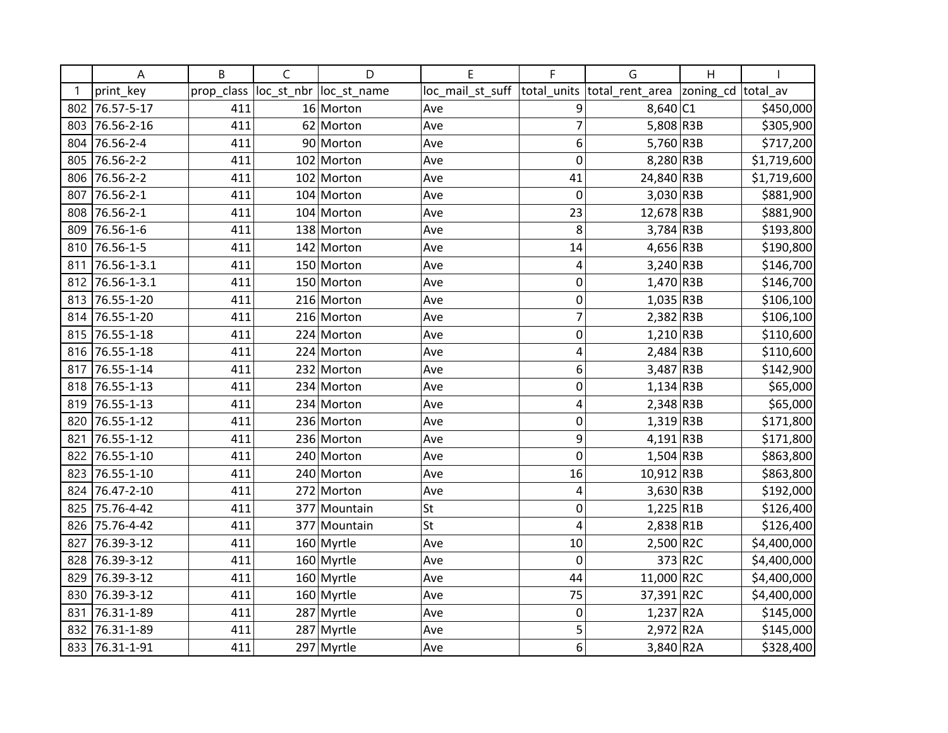|     | А              | B          | $\mathsf{C}$ | D            | E                | F              | G               | $\overline{H}$ |             |
|-----|----------------|------------|--------------|--------------|------------------|----------------|-----------------|----------------|-------------|
|     | print_key      | prop_class | loc_st_nbr   | loc_st_name  | loc_mail_st_suff | total_units    | total_rent_area | zoning_cd      | total av    |
| 802 | 76.57-5-17     | 411        |              | 16 Morton    | Ave              | 9              | 8,640 C1        |                | \$450,000   |
| 803 | 76.56-2-16     | 411        |              | 62 Morton    | Ave              | $\overline{7}$ | 5,808 R3B       |                | \$305,900   |
| 804 | 76.56-2-4      | 411        |              | 90 Morton    | Ave              | 6              | 5,760 R3B       |                | \$717,200   |
| 805 | 76.56-2-2      | 411        |              | 102 Morton   | Ave              | 0              | 8,280 R3B       |                | \$1,719,600 |
| 806 | 76.56-2-2      | 411        |              | 102 Morton   | Ave              | 41             | 24,840 R3B      |                | \$1,719,600 |
| 807 | 76.56-2-1      | 411        |              | 104 Morton   | Ave              | $\mathbf 0$    | 3,030 R3B       |                | \$881,900   |
| 808 | 76.56-2-1      | 411        |              | 104 Morton   | Ave              | 23             | 12,678 R3B      |                | \$881,900   |
| 809 | 76.56-1-6      | 411        |              | 138 Morton   | Ave              | 8              | $3,784$ R3B     |                | \$193,800   |
|     | 810 76.56-1-5  | 411        |              | 142 Morton   | Ave              | 14             | 4,656 R3B       |                | \$190,800   |
| 811 | 76.56-1-3.1    | 411        |              | 150 Morton   | Ave              | 4              | $3,240$ R3B     |                | \$146,700   |
| 812 | 76.56-1-3.1    | 411        |              | 150 Morton   | Ave              | 0              | $1,470$ R3B     |                | \$146,700   |
| 813 | 76.55-1-20     | 411        |              | 216 Morton   | Ave              | $\mathbf 0$    | $1,035$ R3B     |                | \$106,100   |
|     | 814 76.55-1-20 | 411        |              | 216 Morton   | Ave              | $\overline{7}$ | $2,382$ R3B     |                | \$106,100   |
|     | 815 76.55-1-18 | 411        |              | 224 Morton   | Ave              | $\mathbf 0$    | $1,210$ R3B     |                | \$110,600   |
|     | 816 76.55-1-18 | 411        |              | 224 Morton   | Ave              | 4              | $2,484$ R3B     |                | \$110,600   |
| 817 | 76.55-1-14     | 411        |              | 232 Morton   | Ave              | 6              | 3,487 R3B       |                | \$142,900   |
| 818 | 76.55-1-13     | 411        |              | 234 Morton   | Ave              | 0              | $1,134$ R3B     |                | \$65,000    |
| 819 | 76.55-1-13     | 411        |              | 234 Morton   | Ave              | 4              | $2,348$ R3B     |                | \$65,000    |
| 820 | 76.55-1-12     | 411        |              | 236 Morton   | Ave              | $\mathbf 0$    | $1,319$ R3B     |                | \$171,800   |
| 821 | 76.55-1-12     | 411        |              | 236 Morton   | Ave              | 9              | $4,191$ R3B     |                | \$171,800   |
| 822 | 76.55-1-10     | 411        |              | 240 Morton   | Ave              | $\mathbf 0$    | $1,504$ R3B     |                | \$863,800   |
| 823 | 76.55-1-10     | 411        |              | 240 Morton   | Ave              | 16             | 10,912 R3B      |                | \$863,800   |
| 824 | 76.47-2-10     | 411        |              | 272 Morton   | Ave              | 4              | $3,630$ R3B     |                | \$192,000   |
| 825 | 75.76-4-42     | 411        |              | 377 Mountain | St               | 0              | $1,225$ R1B     |                | \$126,400   |
| 826 | 75.76-4-42     | 411        |              | 377 Mountain | St               | 4              | $2,838$ R1B     |                | \$126,400   |
| 827 | 76.39-3-12     | 411        |              | 160 Myrtle   | Ave              | 10             | $2,500$ R2C     |                | \$4,400,000 |
| 828 | 76.39-3-12     | 411        |              | 160 Myrtle   | Ave              | $\mathbf 0$    |                 | 373 R2C        | \$4,400,000 |
| 829 | 76.39-3-12     | 411        |              | 160 Myrtle   | Ave              | 44             | 11,000 R2C      |                | \$4,400,000 |
| 830 | 76.39-3-12     | 411        |              | 160 Myrtle   | Ave              | 75             | 37,391 R2C      |                | \$4,400,000 |
| 831 | 76.31-1-89     | 411        |              | 287 Myrtle   | Ave              | $\mathbf 0$    | $1,237$ R2A     |                | \$145,000   |
| 832 | 76.31-1-89     | 411        |              | 287 Myrtle   | Ave              | 5              | 2,972 R2A       |                | \$145,000   |
|     | 833 76.31-1-91 | 411        |              | 297 Myrtle   | Ave              | 6              | 3,840 R2A       |                | \$328,400   |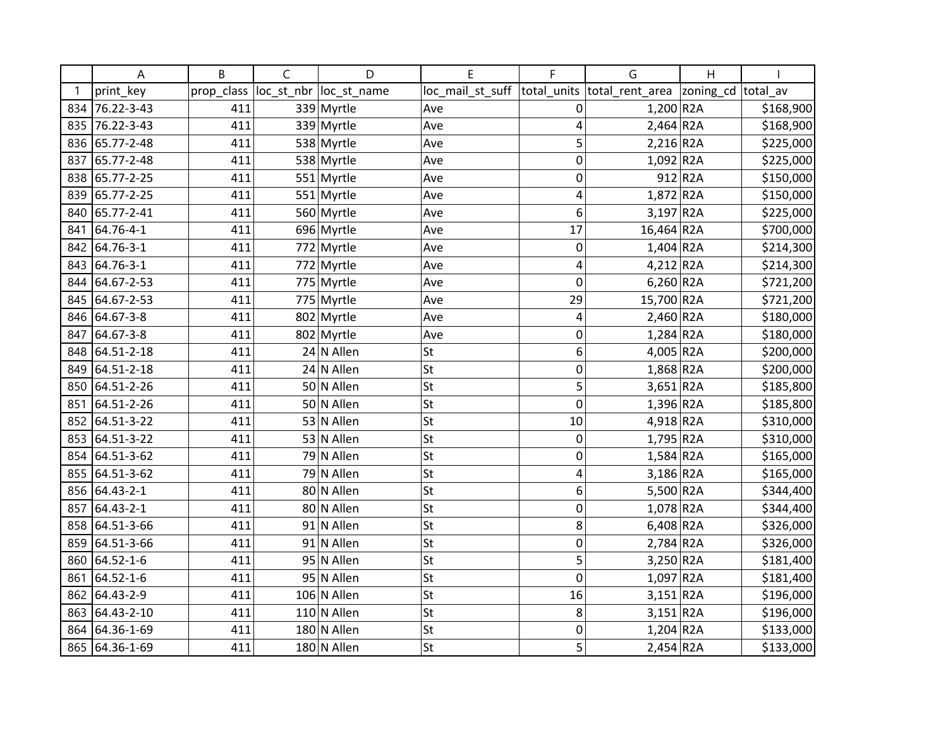|     | Α               | B          | C | D                      | E                | F            | G                           | Η                  |           |
|-----|-----------------|------------|---|------------------------|------------------|--------------|-----------------------------|--------------------|-----------|
|     | print_key       | prop_class |   | loc_st_nbr loc_st_name | loc_mail_st_suff |              | total_units total_rent_area | zoning_cd total_av |           |
| 834 | 76.22-3-43      | 411        |   | 339 Myrtle             | Ave              | 0            | 1,200 R2A                   |                    | \$168,900 |
| 835 | 76.22-3-43      | 411        |   | 339 Myrtle             | Ave              | 4            | $2,464$ R <sub>2</sub> A    |                    | \$168,900 |
| 836 | 65.77-2-48      | 411        |   | 538 Myrtle             | Ave              | 5            | $2,216$ R <sub>2</sub> A    |                    | \$225,000 |
| 837 | 65.77-2-48      | 411        |   | 538 Myrtle             | Ave              | 0            | $1,092$ R2A                 |                    | \$225,000 |
| 838 | 65.77-2-25      | 411        |   | 551 Myrtle             | Ave              | 0            |                             | 912 R2A            | \$150,000 |
| 839 | 65.77-2-25      | 411        |   | 551 Myrtle             | Ave              | 4            | 1,872 R2A                   |                    | \$150,000 |
| 840 | 65.77-2-41      | 411        |   | 560 Myrtle             | Ave              | 6            | $3,197$ R2A                 |                    | \$225,000 |
| 841 | 64.76-4-1       | 411        |   | 696 Myrtle             | Ave              | 17           | 16,464 R2A                  |                    | \$700,000 |
| 842 | 64.76-3-1       | 411        |   | 772 Myrtle             | Ave              | $\mathbf 0$  | $1,404$ R2A                 |                    | \$214,300 |
| 843 | 64.76-3-1       | 411        |   | 772 Myrtle             | Ave              | 4            | 4,212 R2A                   |                    | \$214,300 |
| 844 | 64.67-2-53      | 411        |   | 775 Myrtle             | Ave              | 0            | $6,260$ R2A                 |                    | \$721,200 |
| 845 | 64.67-2-53      | 411        |   | 775 Myrtle             | Ave              | 29           | 15,700 R2A                  |                    | \$721,200 |
| 846 | 64.67-3-8       | 411        |   | 802 Myrtle             | Ave              | 4            | 2,460 R2A                   |                    | \$180,000 |
| 847 | 64.67-3-8       | 411        |   | 802 Myrtle             | Ave              | 0            | $1,284$ R2A                 |                    | \$180,000 |
| 848 | 64.51-2-18      | 411        |   | $24$ N Allen           | <b>St</b>        | 6            | 4,005 R2A                   |                    | \$200,000 |
| 849 | 64.51-2-18      | 411        |   | 24 N Allen             | <b>St</b>        | 0            | 1,868 R2A                   |                    | \$200,000 |
| 850 | 64.51-2-26      | 411        |   | 50 N Allen             | St               | 5            | $3,651$ R2A                 |                    | \$185,800 |
| 851 | 64.51-2-26      | 411        |   | 50 N Allen             | St               | $\mathbf 0$  | $1,396$ R <sub>2</sub> A    |                    | \$185,800 |
| 852 | 64.51-3-22      | 411        |   | 53 N Allen             | St               | 10           | 4,918 R2A                   |                    | \$310,000 |
| 853 | 64.51-3-22      | 411        |   | 53 N Allen             | St               | 0            | 1,795 R2A                   |                    | \$310,000 |
| 854 | 64.51-3-62      | 411        |   | 79 N Allen             | <b>St</b>        | $\mathbf{0}$ | $1,584$ R <sub>2</sub> A    |                    | \$165,000 |
| 855 | 64.51-3-62      | 411        |   | 79 N Allen             | <b>St</b>        | 4            | 3,186 R2A                   |                    | \$165,000 |
| 856 | $64.43 - 2 - 1$ | 411        |   | 80 N Allen             | St               | 6            | 5,500 R2A                   |                    | \$344,400 |
| 857 | $64.43 - 2 - 1$ | 411        |   | 80 N Allen             | St               | 0            | 1,078 R2A                   |                    | \$344,400 |
| 858 | 64.51-3-66      | 411        |   | 91 N Allen             | <b>St</b>        | 8            | 6,408 R2A                   |                    | \$326,000 |
| 859 | 64.51-3-66      | 411        |   | 91 N Allen             | <b>St</b>        | $\mathbf{0}$ | $2,784$ R2A                 |                    | \$326,000 |
| 860 | 64.52-1-6       | 411        |   | 95 N Allen             | St               | 5            | 3,250 R2A                   |                    | \$181,400 |
| 861 | 64.52-1-6       | 411        |   | 95 N Allen             | St               | 0            | 1,097 R2A                   |                    | \$181,400 |
| 862 | 64.43-2-9       | 411        |   | $106$ N Allen          | St               | 16           | $3,151$ R2A                 |                    | \$196,000 |
| 863 | 64.43-2-10      | 411        |   | $110$ N Allen          | <b>St</b>        | 8            | 3,151 R2A                   |                    | \$196,000 |
| 864 | 64.36-1-69      | 411        |   | 180 N Allen            | <b>St</b>        | 0            | $1,204$ R2A                 |                    | \$133,000 |
| 865 | 64.36-1-69      | 411        |   | 180 N Allen            | <b>St</b>        | 5            | 2,454 R2A                   |                    | \$133,000 |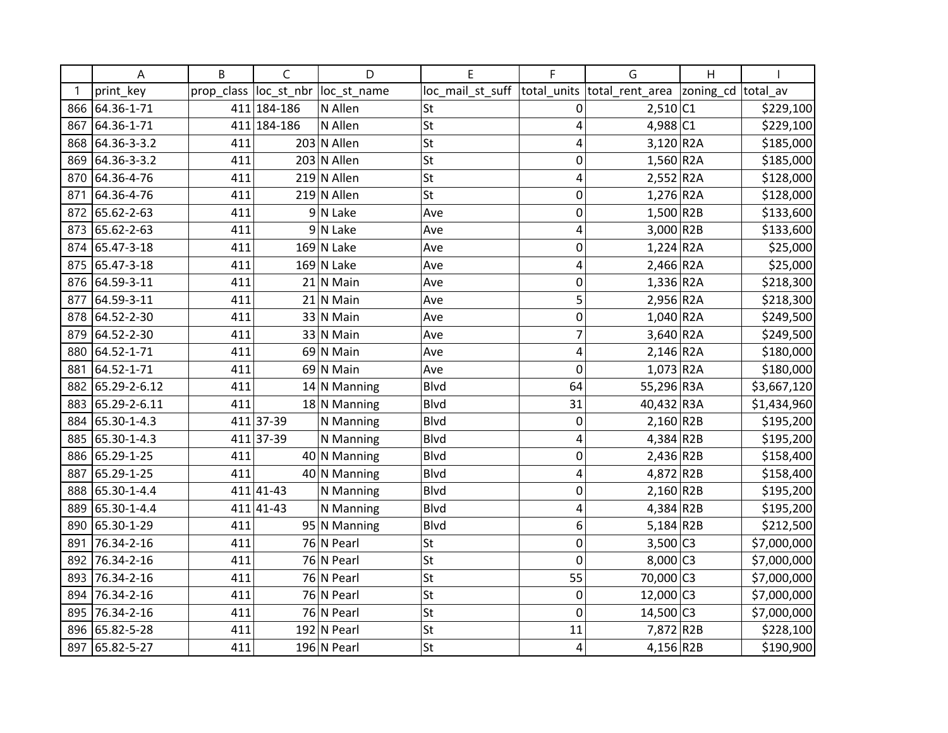|     | Α            | B          | C           | D              | E                | F           | G                           | Η                  |             |
|-----|--------------|------------|-------------|----------------|------------------|-------------|-----------------------------|--------------------|-------------|
|     | print_key    | prop_class | loc_st_nbr  | loc_st_name    | loc_mail_st_suff |             | total_units total_rent_area | zoning_cd total_av |             |
| 866 | 64.36-1-71   |            | 411 184-186 | N Allen        | St               | 0           | 2,510 C1                    |                    | \$229,100   |
| 867 | 64.36-1-71   |            | 411 184-186 | N Allen        | St               | 4           | $4,988$ C1                  |                    | \$229,100   |
| 868 | 64.36-3-3.2  | 411        |             | $203$ N Allen  | <b>St</b>        | 4           | 3,120 R2A                   |                    | \$185,000   |
| 869 | 64.36-3-3.2  | 411        |             | 203 N Allen    | <b>St</b>        | 0           | $1,560$ R2A                 |                    | \$185,000   |
| 870 | 64.36-4-76   | 411        |             | $219$ N Allen  | <b>St</b>        | 4           | $2,552$ R2A                 |                    | \$128,000   |
| 871 | 64.36-4-76   | 411        |             | $219$ N Allen  | St               | 0           | 1,276 R2A                   |                    | \$128,000   |
| 872 | 65.62-2-63   | 411        |             | $9 N$ Lake     | Ave              | 0           | $1,500$ R2B                 |                    | \$133,600   |
| 873 | 65.62-2-63   | 411        |             | $9 N$ Lake     | Ave              | 4           | $3,000$ R <sub>2B</sub>     |                    | \$133,600   |
| 874 | 65.47-3-18   | 411        |             | $169$ N Lake   | Ave              | 0           | $1,224$ R2A                 |                    | \$25,000    |
| 875 | 65.47-3-18   | 411        |             | $169$ N Lake   | Ave              | 4           | 2,466 R2A                   |                    | \$25,000    |
| 876 | 64.59-3-11   | 411        |             | $21$ N Main    | Ave              | 0           | $1,336$ R <sub>2</sub> A    |                    | \$218,300   |
| 877 | 64.59-3-11   | 411        |             | $21$ N Main    | Ave              | 5           | $2,956$ R <sub>2</sub> A    |                    | \$218,300   |
| 878 | 64.52-2-30   | 411        |             | 33 N Main      | Ave              | 0           | 1,040 R2A                   |                    | \$249,500   |
| 879 | 64.52-2-30   | 411        |             | 33 N Main      | Ave              | 7           | $3,640$ R <sub>2</sub> A    |                    | \$249,500   |
| 880 | 64.52-1-71   | 411        | 69          | N Main         | Ave              | 4           | 2,146 R2A                   |                    | \$180,000   |
| 881 | 64.52-1-71   | 411        |             | 69 N Main      | Ave              | 0           | 1,073 R2A                   |                    | \$180,000   |
| 882 | 65.29-2-6.12 | 411        |             | $14$ N Manning | Blvd             | 64          | 55,296 R3A                  |                    | \$3,667,120 |
| 883 | 65.29-2-6.11 | 411        |             | 18 N Manning   | <b>Blvd</b>      | 31          | 40,432 R3A                  |                    | \$1,434,960 |
| 884 | 65.30-1-4.3  |            | 411 37-39   | N Manning      | Blvd             | $\mathbf 0$ | $2,160$ R2B                 |                    | \$195,200   |
| 885 | 65.30-1-4.3  |            | 411 37-39   | N Manning      | Blvd             | 4           | $4,384$ R2B                 |                    | \$195,200   |
| 886 | 65.29-1-25   | 411        |             | $40$ N Manning | Blvd             | 0           | $2,436$ R2B                 |                    | \$158,400   |
| 887 | 65.29-1-25   | 411        |             | 40 N Manning   | Blvd             | 4           | 4,872 R2B                   |                    | \$158,400   |
| 888 | 65.30-1-4.4  |            | $411 41-43$ | N Manning      | Blvd             | $\mathbf 0$ | $2,160$ R2B                 |                    | \$195,200   |
| 889 | 65.30-1-4.4  |            | 411 41 - 43 | N Manning      | <b>Blvd</b>      | 4           | 4,384 R2B                   |                    | \$195,200   |
| 890 | 65.30-1-29   | 411        |             | 95 N Manning   | Blvd             | 6           | $5,184$ R2B                 |                    | \$212,500   |
| 891 | 76.34-2-16   | 411        |             | 76 N Pearl     | <b>St</b>        | 0           | $3,500$ C <sub>3</sub>      |                    | \$7,000,000 |
| 892 | 76.34-2-16   | 411        |             | 76 N Pearl     | St               | $\mathbf 0$ | $8,000$ C3                  |                    | \$7,000,000 |
| 893 | 76.34-2-16   | 411        |             | 76 N Pearl     | <b>St</b>        | 55          | 70,000 C3                   |                    | \$7,000,000 |
| 894 | 76.34-2-16   | 411        |             | 76 N Pearl     | <b>St</b>        | $\mathbf 0$ | 12,000 C3                   |                    | \$7,000,000 |
| 895 | 76.34-2-16   | 411        |             | 76 N Pearl     | <b>St</b>        | 0           | 14,500 C3                   |                    | \$7,000,000 |
| 896 | 65.82-5-28   | 411        |             | 192 N Pearl    | St               | 11          | 7,872 R2B                   |                    | \$228,100   |
| 897 | 65.82-5-27   | 411        |             | $196$ N Pearl  | <b>St</b>        | 4           | 4,156 R2B                   |                    | \$190,900   |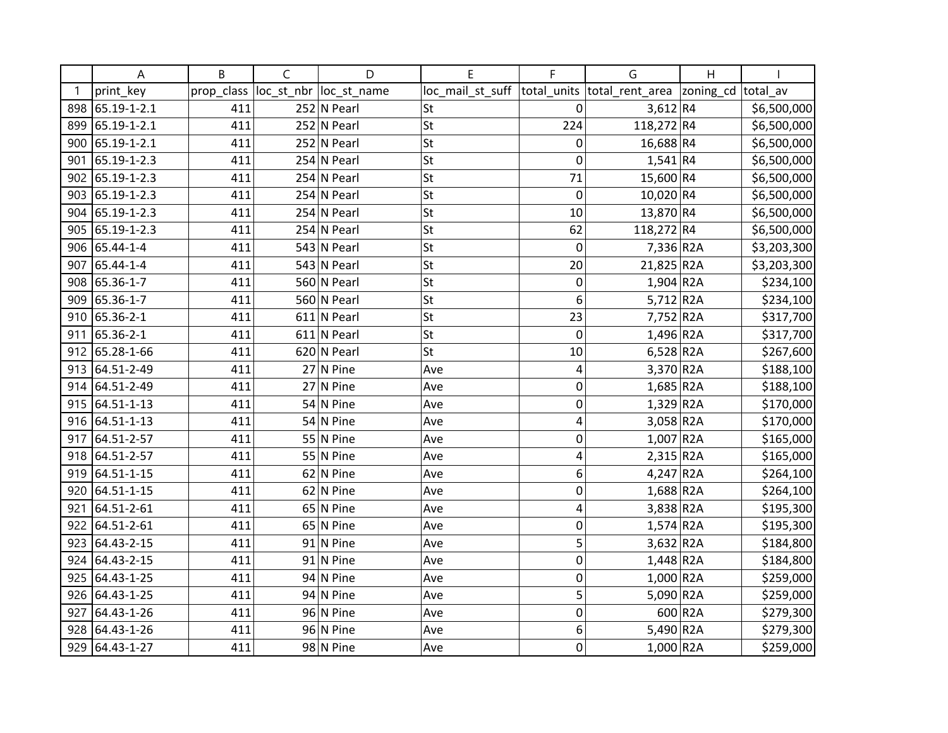|     | А           | B          | C          | D             | E                | F           | G                           | Η         |             |
|-----|-------------|------------|------------|---------------|------------------|-------------|-----------------------------|-----------|-------------|
|     | print_key   | prop_class | loc_st_nbr | loc_st_name   | loc_mail_st_suff |             | total_units total_rent_area | zoning_cd | total av    |
| 898 | 65.19-1-2.1 | 411        |            | $252$ N Pearl | St               | 0           | 3,612 R4                    |           | \$6,500,000 |
| 899 | 65.19-1-2.1 | 411        |            | 252 N Pearl   | St               | 224         | 118,272 R4                  |           | \$6,500,000 |
| 900 | 65.19-1-2.1 | 411        |            | 252 N Pearl   | <b>St</b>        | 0           | 16,688 R4                   |           | \$6,500,000 |
| 901 | 65.19-1-2.3 | 411        |            | 254 N Pearl   | <b>St</b>        | 0           | $1,541$ R4                  |           | \$6,500,000 |
| 902 | 65.19-1-2.3 | 411        |            | $254$ N Pearl | <b>St</b>        | 71          | 15,600 R4                   |           | \$6,500,000 |
| 903 | 65.19-1-2.3 | 411        |            | 254 N Pearl   | <b>St</b>        | $\mathbf 0$ | 10,020 R4                   |           | \$6,500,000 |
| 904 | 65.19-1-2.3 | 411        |            | $254$ N Pearl | St               | 10          | 13,870 R4                   |           | \$6,500,000 |
| 905 | 65.19-1-2.3 | 411        |            | 254 N Pearl   | <b>St</b>        | 62          | 118,272 R4                  |           | \$6,500,000 |
| 906 | 65.44-1-4   | 411        |            | 543 N Pearl   | <b>St</b>        | 0           | 7,336 R2A                   |           | \$3,203,300 |
| 907 | 65.44-1-4   | 411        |            | 543 N Pearl   | St               | 20          | 21,825 R2A                  |           | \$3,203,300 |
| 908 | 65.36-1-7   | 411        |            | 560 N Pearl   | <b>St</b>        | 0           | 1,904 R2A                   |           | \$234,100   |
| 909 | 65.36-1-7   | 411        |            | 560 N Pearl   | St               | 6           | $5,712$ R2A                 |           | \$234,100   |
| 910 | 65.36-2-1   | 411        |            | $611$ N Pearl | St               | 23          | 7,752 R2A                   |           | \$317,700   |
| 911 | 65.36-2-1   | 411        |            | $611$ N Pearl | St               | $\mathbf 0$ | 1,496 R2A                   |           | \$317,700   |
| 912 | 65.28-1-66  | 411        |            | $620$ N Pearl | <b>St</b>        | 10          | $6,528$ R2A                 |           | \$267,600   |
| 913 | 64.51-2-49  | 411        |            | $27$ N Pine   | Ave              | 4           | 3,370 R2A                   |           | \$188,100   |
| 914 | 64.51-2-49  | 411        |            | $27$ N Pine   | Ave              | 0           | 1,685 R2A                   |           | \$188,100   |
| 915 | 64.51-1-13  | 411        |            | $54$ N Pine   | Ave              | 0           | $1,329$ R2A                 |           | \$170,000   |
| 916 | 64.51-1-13  | 411        |            | $54$ N Pine   | Ave              | 4           | 3,058 R2A                   |           | \$170,000   |
| 917 | 64.51-2-57  | 411        |            | $55$ N Pine   | Ave              | 0           | $1,007$ R2A                 |           | \$165,000   |
| 918 | 64.51-2-57  | 411        |            | $55$ N Pine   | Ave              | 4           | $2,315$ R2A                 |           | \$165,000   |
| 919 | 64.51-1-15  | 411        |            | $62$ N Pine   | Ave              | 6           | $4,247$ R2A                 |           | \$264,100   |
| 920 | 64.51-1-15  | 411        |            | $62$ N Pine   | Ave              | 0           | 1,688 R2A                   |           | \$264,100   |
| 921 | 64.51-2-61  | 411        |            | $65$ N Pine   | Ave              | 4           | 3,838 R2A                   |           | \$195,300   |
| 922 | 64.51-2-61  | 411        |            | $65$ N Pine   | Ave              | 0           | $1,574$ R2A                 |           | \$195,300   |
| 923 | 64.43-2-15  | 411        |            | $91$ N Pine   | Ave              | 5           | 3,632 R2A                   |           | \$184,800   |
| 924 | 64.43-2-15  | 411        |            | $91$ N Pine   | Ave              | 0           | $1,448$ R <sub>2</sub> A    |           | \$184,800   |
| 925 | 64.43-1-25  | 411        |            | $94$ N Pine   | Ave              | 0           | 1,000 R2A                   |           | \$259,000   |
| 926 | 64.43-1-25  | 411        |            | $94$ N Pine   | Ave              | 5           | 5,090 R2A                   |           | \$259,000   |
| 927 | 64.43-1-26  | 411        |            | $96$ N Pine   | Ave              | 0           |                             | 600 R2A   | \$279,300   |
| 928 | 64.43-1-26  | 411        |            | $96$ N Pine   | Ave              | 6           | 5,490 R2A                   |           | \$279,300   |
| 929 | 64.43-1-27  | 411        |            | $98$ N Pine   | Ave              | 0           | $1,000$ R <sub>2</sub> A    |           | \$259,000   |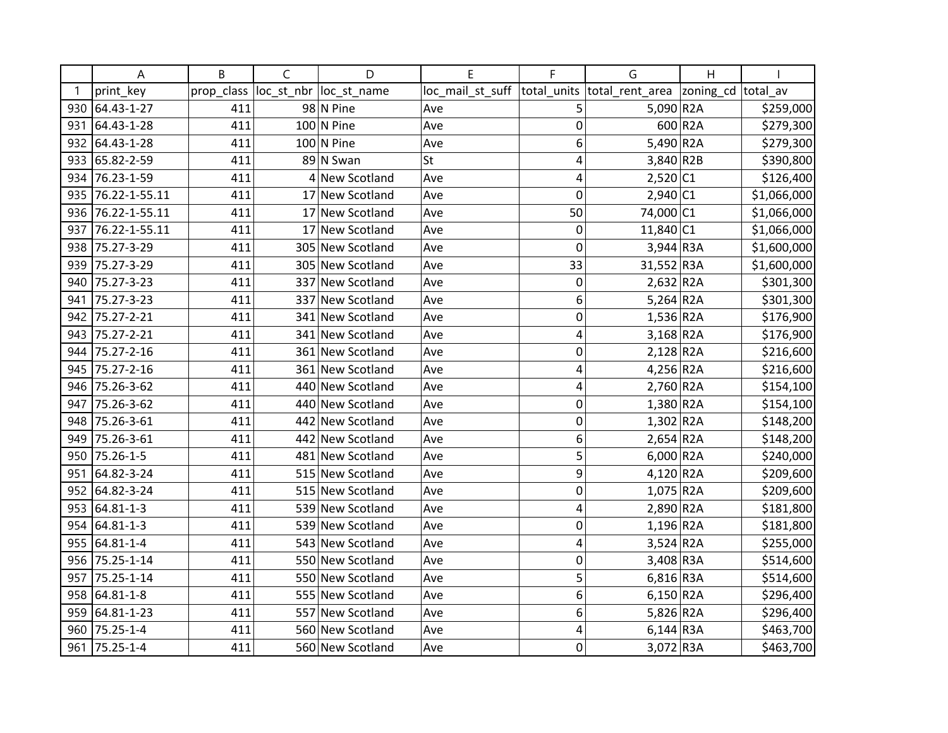|     | Α             | B          | C          | D                | E                | F              | G                        | H         |             |
|-----|---------------|------------|------------|------------------|------------------|----------------|--------------------------|-----------|-------------|
|     | print key     | prop_class | loc_st_nbr | loc st name      | loc_mail_st_suff | total units    | total rent area          | zoning_cd | total av    |
| 930 | 64.43-1-27    | 411        |            | $98$ N Pine      | Ave              | 5              | 5,090 R2A                |           | \$259,000   |
| 931 | 64.43-1-28    | 411        |            | $100$ N Pine     | Ave              | $\mathbf 0$    |                          | 600 R2A   | \$279,300   |
| 932 | 64.43-1-28    | 411        |            | $100$ N Pine     | Ave              | 6              | 5,490 R2A                |           | \$279,300   |
| 933 | 65.82-2-59    | 411        |            | 89 N Swan        | St               | 4              | 3,840 R2B                |           | \$390,800   |
| 934 | 76.23-1-59    | 411        |            | 4 New Scotland   | Ave              | 4              | 2,520 C1                 |           | \$126,400   |
| 935 | 76.22-1-55.11 | 411        |            | 17 New Scotland  | Ave              | 0              | 2,940 C1                 |           | \$1,066,000 |
| 936 | 76.22-1-55.11 | 411        | 17         | New Scotland     | Ave              | 50             | 74,000 C1                |           | \$1,066,000 |
| 937 | 76.22-1-55.11 | 411        | 17         | New Scotland     | Ave              | 0              | 11,840 C1                |           | \$1,066,000 |
| 938 | 75.27-3-29    | 411        |            | 305 New Scotland | Ave              | 0              | $3,944$ R3A              |           | \$1,600,000 |
| 939 | 75.27-3-29    | 411        |            | 305 New Scotland | Ave              | 33             | 31,552 R3A               |           | \$1,600,000 |
| 940 | 75.27-3-23    | 411        |            | 337 New Scotland | Ave              | 0              | $2,632$ R <sub>2</sub> A |           | \$301,300   |
| 941 | 75.27-3-23    | 411        | 337        | New Scotland     | Ave              | 6              | $5,264$ R <sub>2</sub> A |           | \$301,300   |
| 942 | 75.27-2-21    | 411        |            | 341 New Scotland | Ave              | $\mathbf 0$    | $1,536$ R <sub>2</sub> A |           | \$176,900   |
| 943 | 75.27-2-21    | 411        |            | 341 New Scotland | Ave              | 4              | $3,168$ R <sub>2</sub> A |           | \$176,900   |
| 944 | 75.27-2-16    | 411        |            | 361 New Scotland | Ave              | $\mathbf 0$    | $2,128$ R <sub>2</sub> A |           | \$216,600   |
| 945 | 75.27-2-16    | 411        |            | 361 New Scotland | Ave              | 4              | 4,256 R2A                |           | \$216,600   |
| 946 | 75.26-3-62    | 411        |            | 440 New Scotland | Ave              | 4              | $2,760$ R <sub>2</sub> A |           | \$154,100   |
| 947 | 75.26-3-62    | 411        |            | 440 New Scotland | Ave              | $\mathbf 0$    | $1,380$ R <sub>2</sub> A |           | \$154,100   |
| 948 | 75.26-3-61    | 411        |            | 442 New Scotland | Ave              | $\mathbf 0$    | $1,302$ R2A              |           | \$148,200   |
| 949 | 75.26-3-61    | 411        |            | 442 New Scotland | Ave              | 6              | $2,654$ R <sub>2</sub> A |           | \$148,200   |
| 950 | 75.26-1-5     | 411        |            | 481 New Scotland | Ave              | 5              | 6,000 R2A                |           | \$240,000   |
| 951 | 64.82-3-24    | 411        |            | 515 New Scotland | Ave              | 9              | $4,120$ R2A              |           | \$209,600   |
| 952 | 64.82-3-24    | 411        |            | 515 New Scotland | Ave              | $\overline{0}$ | $1,075$ R2A              |           | \$209,600   |
| 953 | 64.81-1-3     | 411        |            | 539 New Scotland | Ave              | 4              | 2,890 R2A                |           | \$181,800   |
|     | 954 64.81-1-3 | 411        |            | 539 New Scotland | Ave              | $\mathbf 0$    | $1,196$ R <sub>2</sub> A |           | \$181,800   |
|     | 955 64.81-1-4 | 411        |            | 543 New Scotland | Ave              | 4              | $3,524$ R <sub>2</sub> A |           | \$255,000   |
| 956 | 75.25-1-14    | 411        |            | 550 New Scotland | Ave              | $\mathbf 0$    | 3,408 R3A                |           | \$514,600   |
| 957 | 75.25-1-14    | 411        |            | 550 New Scotland | Ave              | 5              | $6,816$ R3A              |           | \$514,600   |
| 958 | 64.81-1-8     | 411        |            | 555 New Scotland | Ave              | 6              | $6,150$ R2A              |           | \$296,400   |
| 959 | 64.81-1-23    | 411        | 557        | New Scotland     | Ave              | 6              | $5,826$ R <sub>2</sub> A |           | \$296,400   |
| 960 | 75.25-1-4     | 411        |            | 560 New Scotland | Ave              | 4              | $6,144$ R3A              |           | \$463,700   |
| 961 | 75.25-1-4     | 411        |            | 560 New Scotland | Ave              | $\mathbf 0$    | 3,072 R3A                |           | \$463,700   |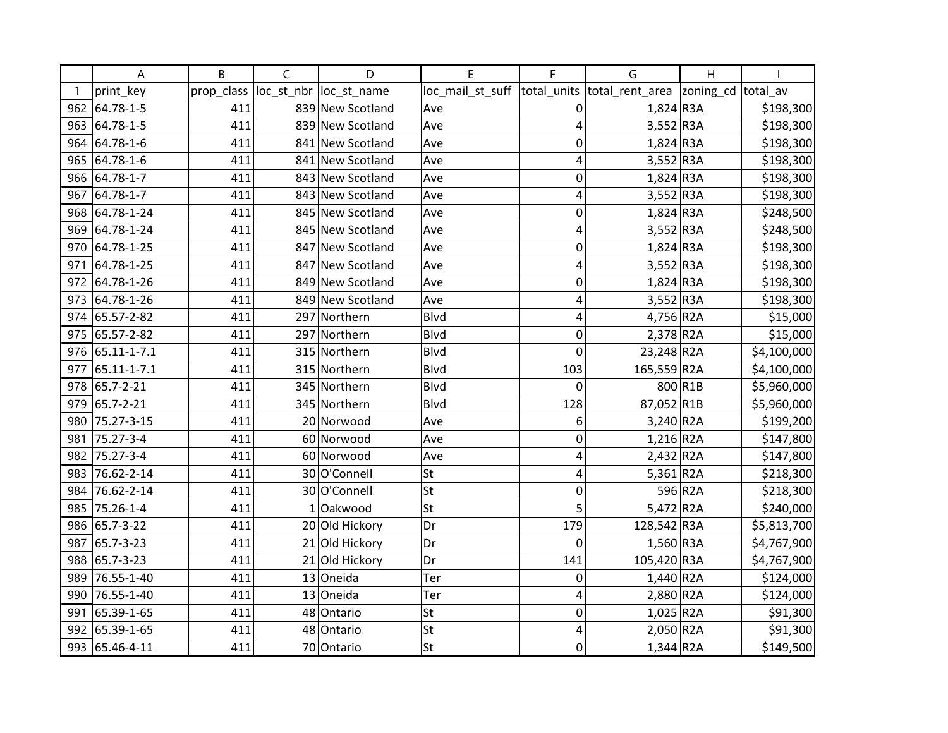|     | A               | B          | $\mathsf{C}$ | D                | E                | F              | G                        | $\mathsf{H}$ |             |
|-----|-----------------|------------|--------------|------------------|------------------|----------------|--------------------------|--------------|-------------|
|     | print key       | prop_class | loc_st_nbr   | loc st name      | loc_mail_st_suff | total units    | total rent area          | zoning_cd    | total av    |
| 962 | 64.78-1-5       | 411        |              | 839 New Scotland | Ave              | 0              | $1,824$ R3A              |              | \$198,300   |
| 963 | 64.78-1-5       | 411        |              | 839 New Scotland | Ave              | $\overline{4}$ | $3,552$ R3A              |              | \$198,300   |
| 964 | 64.78-1-6       | 411        |              | 841 New Scotland | Ave              | $\mathbf 0$    | $1,824$ R3A              |              | \$198,300   |
| 965 | 64.78-1-6       | 411        |              | 841 New Scotland | Ave              | 4              | $3,552$ R3A              |              | \$198,300   |
| 966 | 64.78-1-7       | 411        |              | 843 New Scotland | Ave              | 0              | $1,824$ R3A              |              | \$198,300   |
| 967 | 64.78-1-7       | 411        |              | 843 New Scotland | Ave              | 4              | $3,552$ R3A              |              | \$198,300   |
| 968 | 64.78-1-24      | 411        |              | 845 New Scotland | Ave              | 0              | $1,824$ R3A              |              | \$248,500   |
| 969 | 64.78-1-24      | 411        |              | 845 New Scotland | Ave              | 4              | $3,552$ R3A              |              | \$248,500   |
| 970 | 64.78-1-25      | 411        |              | 847 New Scotland | Ave              | $\mathbf 0$    | $1,824$ R3A              |              | \$198,300   |
| 971 | 64.78-1-25      | 411        |              | 847 New Scotland | Ave              | 4              | $3,552$ R3A              |              | \$198,300   |
| 972 | 64.78-1-26      | 411        |              | 849 New Scotland | Ave              | $\mathbf 0$    | $1,824$ R3A              |              | \$198,300   |
| 973 | 64.78-1-26      | 411        |              | 849 New Scotland | Ave              | 4              | $3,552$ R3A              |              | \$198,300   |
|     | 974 65.57-2-82  | 411        |              | 297 Northern     | <b>Blvd</b>      | 4              | 4,756 R2A                |              | \$15,000    |
|     | 975 65.57-2-82  | 411        |              | 297 Northern     | <b>Blvd</b>      | 0              | $2,378$ R <sub>2</sub> A |              | \$15,000    |
|     | 976 65.11-1-7.1 | 411        |              | 315 Northern     | <b>Blvd</b>      | $\mathbf 0$    | 23,248 R2A               |              | \$4,100,000 |
| 977 | 65.11-1-7.1     | 411        |              | 315 Northern     | <b>Blvd</b>      | 103            | 165,559 R2A              |              | \$4,100,000 |
| 978 | 65.7-2-21       | 411        |              | 345 Northern     | Blvd             | 0              |                          | 800 R1B      | \$5,960,000 |
| 979 | 65.7-2-21       | 411        |              | 345 Northern     | <b>Blvd</b>      | 128            | 87,052 R1B               |              | \$5,960,000 |
| 980 | 75.27-3-15      | 411        |              | 20 Norwood       | Ave              | 6              | $3,240$ R2A              |              | \$199,200   |
| 981 | 75.27-3-4       | 411        |              | 60 Norwood       | Ave              | 0              | $1,216$ R <sub>2</sub> A |              | \$147,800   |
| 982 | 75.27-3-4       | 411        |              | 60 Norwood       | Ave              | 4              | $2,432$ R <sub>2</sub> A |              | \$147,800   |
| 983 | 76.62-2-14      | 411        |              | 30 O'Connell     | St               | 4              | 5,361 $R2A$              |              | \$218,300   |
| 984 | 76.62-2-14      | 411        |              | 30 O'Connell     | <b>St</b>        | $\mathbf 0$    |                          | 596 R2A      | \$218,300   |
| 985 | 75.26-1-4       | 411        |              | $1$ Oakwood      | <b>St</b>        | 5              | $5,472$ R2A              |              | \$240,000   |
|     | 986 65.7-3-22   | 411        |              | 20 Old Hickory   | Dr               | 179            | 128,542 R3A              |              | \$5,813,700 |
| 987 | 65.7-3-23       | 411        |              | 21 Old Hickory   | Dr               | $\mathbf 0$    | $1,560$ R3A              |              | \$4,767,900 |
| 988 | 65.7-3-23       | 411        |              | 21 Old Hickory   | Dr               | 141            | 105,420 R3A              |              | \$4,767,900 |
| 989 | 76.55-1-40      | 411        | 13           | Oneida           | Ter              | 0              | $1,440$ R <sub>2</sub> A |              | \$124,000   |
| 990 | 76.55-1-40      | 411        |              | 13 Oneida        | Ter              | 4              | 2,880 R2A                |              | \$124,000   |
| 991 | 65.39-1-65      | 411        |              | 48 Ontario       | <b>St</b>        | $\mathbf 0$    | $1,025$ R2A              |              | \$91,300    |
| 992 | 65.39-1-65      | 411        |              | 48 Ontario       | <b>St</b>        | 4              | 2,050 R2A                |              | \$91,300    |
|     | 993 65.46-4-11  | 411        |              | 70 Ontario       | <b>St</b>        | $\mathbf 0$    | $1,344$ R2A              |              | \$149,500   |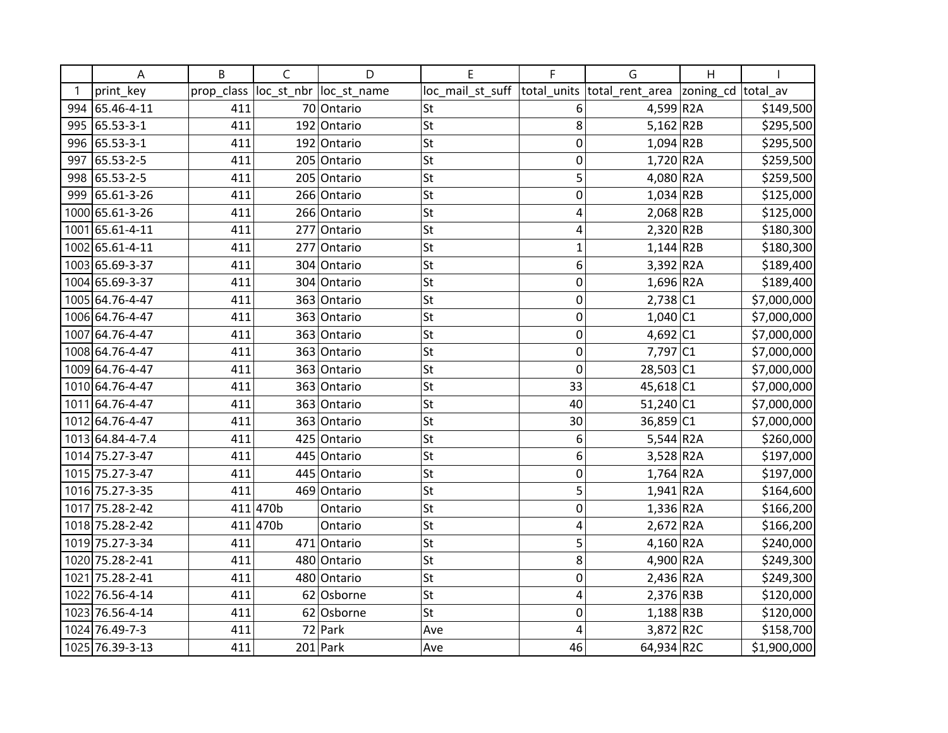|     | А                | B          | $\mathsf{C}$ | D           | E                | F              | G                        | $\overline{H}$ |             |
|-----|------------------|------------|--------------|-------------|------------------|----------------|--------------------------|----------------|-------------|
|     | print_key        | prop_class | loc_st_nbr   | loc_st_name | loc_mail_st_suff | total_units    | total_rent_area          | zoning_cd      | total av    |
| 994 | 65.46-4-11       | 411        |              | 70 Ontario  | St               | 6              | 4,599 R2A                |                | \$149,500   |
|     | 995 65.53-3-1    | 411        |              | 192 Ontario | <b>St</b>        | 8              | $5,162$ R2B              |                | \$295,500   |
|     | 996 65.53-3-1    | 411        |              | 192 Ontario | St               | $\mathbf 0$    | $1,094$ R2B              |                | \$295,500   |
| 997 | 65.53-2-5        | 411        |              | 205 Ontario | <b>St</b>        | $\mathbf 0$    | $1,720$ R2A              |                | \$259,500   |
| 998 | 65.53-2-5        | 411        |              | 205 Ontario | St               | 5              | 4,080 R2A                |                | \$259,500   |
| 999 | 65.61-3-26       | 411        |              | 266 Ontario | <b>St</b>        | $\mathbf 0$    | $1,034$ R2B              |                | \$125,000   |
|     | 1000 65.61-3-26  | 411        |              | 266 Ontario | <b>St</b>        | 4              | $2,068$ R2B              |                | \$125,000   |
|     | 1001 65.61-4-11  | 411        | 277          | Ontario     | St               | 4              | $2,320$ R2B              |                | \$180,300   |
|     | 1002 65.61-4-11  | 411        | 277          | Ontario     | <b>St</b>        | $\overline{1}$ | $1,144$ R2B              |                | \$180,300   |
|     | 1003 65.69-3-37  | 411        |              | 304 Ontario | <b>St</b>        | 6              | $3,392$ R2A              |                | \$189,400   |
|     | 1004 65.69-3-37  | 411        |              | 304 Ontario | St               | $\mathbf 0$    | $1,696$ R <sub>2</sub> A |                | \$189,400   |
|     | 1005 64.76-4-47  | 411        |              | 363 Ontario | <b>St</b>        | $\mathbf 0$    | 2,738 C1                 |                | \$7,000,000 |
|     | 1006 64.76-4-47  | 411        |              | 363 Ontario | <b>St</b>        | $\mathbf 0$    | $1,040$ C1               |                | \$7,000,000 |
|     | 1007 64.76-4-47  | 411        |              | 363 Ontario | St               | $\mathbf 0$    | 4,692 $ C1$              |                | \$7,000,000 |
|     | 1008 64.76-4-47  | 411        |              | 363 Ontario | <b>St</b>        | $\overline{0}$ | 7,797 C1                 |                | \$7,000,000 |
|     | 1009 64.76-4-47  | 411        |              | 363 Ontario | <b>St</b>        | $\mathbf 0$    | 28,503 C1                |                | \$7,000,000 |
|     | 1010 64.76-4-47  | 411        |              | 363 Ontario | St               | 33             | 45,618 C1                |                | \$7,000,000 |
|     | 1011 64.76-4-47  | 411        |              | 363 Ontario | <b>St</b>        | 40             | $51,240$ C1              |                | \$7,000,000 |
|     | 1012 64.76-4-47  | 411        |              | 363 Ontario | <b>St</b>        | 30             | 36,859 C1                |                | \$7,000,000 |
|     | 1013 64.84-4-7.4 | 411        |              | 425 Ontario | St               | 6              | 5,544 R2A                |                | \$260,000   |
|     | 1014 75.27-3-47  | 411        |              | 445 Ontario | <b>St</b>        | 6              | $3,528$ R2A              |                | \$197,000   |
|     | 1015 75.27-3-47  | 411        |              | 445 Ontario | St               | $\mathbf 0$    | $1,764$ R <sub>2</sub> A |                | \$197,000   |
|     | 1016 75.27-3-35  | 411        |              | 469 Ontario | <b>St</b>        | 5              | $1,941$ R2A              |                | \$164,600   |
|     | 1017 75.28-2-42  |            | 411 470b     | Ontario     | <b>St</b>        | 0              | $1,336$ R2A              |                | \$166,200   |
|     | 1018 75.28-2-42  |            | 411 470b     | Ontario     | St               | 4              | $2,672$ R <sub>2</sub> A |                | \$166,200   |
|     | 1019 75.27-3-34  | 411        |              | 471 Ontario | <b>St</b>        | 5              | 4,160 R2A                |                | \$240,000   |
|     | 1020 75.28-2-41  | 411        |              | 480 Ontario | <b>St</b>        | 8              | 4,900 R2A                |                | \$249,300   |
|     | 1021 75.28-2-41  | 411        |              | 480 Ontario | St               | $\mathbf 0$    | $2,436$ R <sub>2</sub> A |                | \$249,300   |
|     | 1022 76.56-4-14  | 411        |              | 62 Osborne  | <b>St</b>        | 4              | 2,376 R3B                |                | \$120,000   |
|     | 1023 76.56-4-14  | 411        |              | 62 Osborne  | <b>St</b>        | $\mathbf 0$    | $1,188$ R3B              |                | \$120,000   |
|     | 1024 76.49-7-3   | 411        |              | $72$ Park   | Ave              | 4              | 3,872 R2C                |                | \$158,700   |
|     | 1025 76.39-3-13  | 411        |              | $201$ Park  | Ave              | 46             | 64,934 R2C               |                | \$1,900,000 |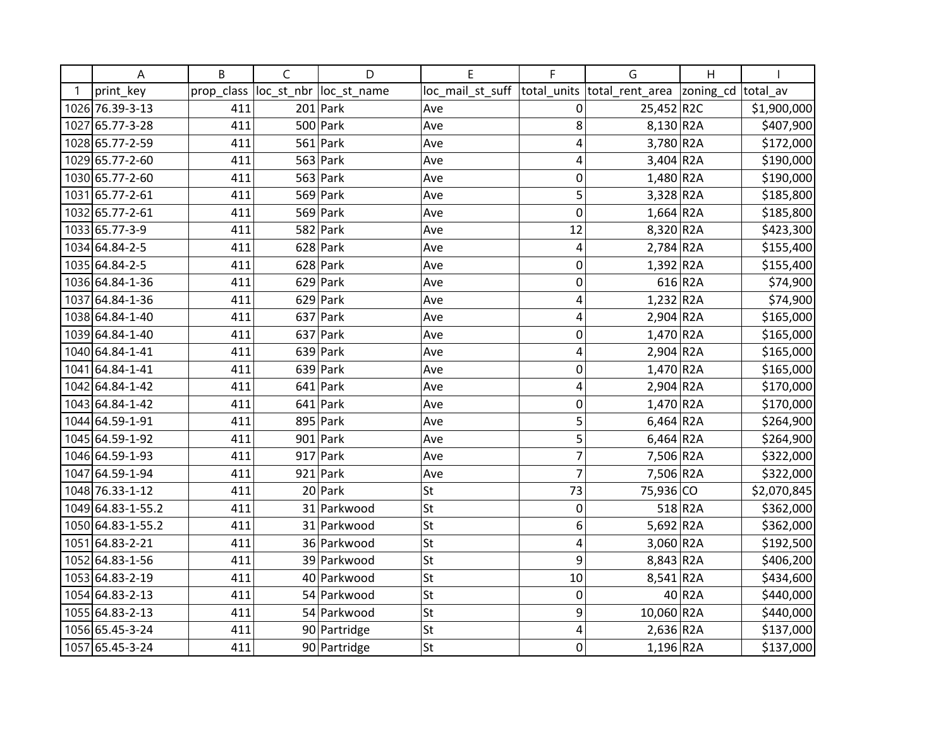| Α                 | B          | C          | D            | E                | F              | G                           | Η         |             |
|-------------------|------------|------------|--------------|------------------|----------------|-----------------------------|-----------|-------------|
| print_key         | prop_class | loc_st_nbr | loc_st_name  | loc_mail_st_suff |                | total_units total_rent_area | zoning_cd | total av    |
| 1026 76.39-3-13   | 411        |            | $201$ Park   | Ave              | 0              | 25,452 R2C                  |           | \$1,900,000 |
| 1027 65.77-3-28   | 411        |            | $500$ Park   | Ave              | 8              | 8,130 R2A                   |           | \$407,900   |
| 1028 65.77-2-59   | 411        |            | $561$ Park   | Ave              | 4              | 3,780 R2A                   |           | \$172,000   |
| 1029 65.77-2-60   | 411        |            | $563$ Park   | Ave              | 4              | $3,404$ R2A                 |           | \$190,000   |
| 1030 65.77-2-60   | 411        |            | $563$ Park   | Ave              | 0              | 1,480 R2A                   |           | \$190,000   |
| 1031 65.77-2-61   | 411        |            | $569$ Park   | Ave              | 5              | 3,328 R2A                   |           | \$185,800   |
| 1032 65.77-2-61   | 411        |            | $569$ Park   | Ave              | 0              | $1,664$ R2A                 |           | \$185,800   |
| 1033 65.77-3-9    | 411        |            | $582$ Park   | Ave              | 12             | 8,320 R2A                   |           | \$423,300   |
| 1034 64.84-2-5    | 411        |            | $628$ Park   | Ave              | 4              | $2,784$ R <sub>2</sub> A    |           | \$155,400   |
| 1035 64.84-2-5    | 411        |            | $628$ Park   | Ave              | 0              | $1,392$ R2A                 |           | \$155,400   |
| 1036 64.84-1-36   | 411        | 629        | Park         | Ave              | 0              |                             | 616 R2A   | \$74,900    |
| 1037 64.84-1-36   | 411        |            | $629$ Park   | Ave              | 4              | $1,232$ R <sub>2</sub> A    |           | \$74,900    |
| 1038 64.84-1-40   | 411        |            | $637$ Park   | Ave              | 4              | 2,904 R2A                   |           | \$165,000   |
| 1039 64.84-1-40   | 411        |            | $637$ Park   | Ave              | 0              | 1,470 R2A                   |           | \$165,000   |
| 1040 64.84-1-41   | 411        |            | $639$ Park   | Ave              | 4              | 2,904 R2A                   |           | \$165,000   |
| 1041 64.84-1-41   | 411        | 639        | Park         | Ave              | 0              | 1,470 R2A                   |           | \$165,000   |
| 1042 64.84-1-42   | 411        |            | $641$ Park   | Ave              | 4              | 2,904 R2A                   |           | \$170,000   |
| 1043 64.84-1-42   | 411        |            | $641$ Park   | Ave              | 0              | 1,470 R2A                   |           | \$170,000   |
| 1044 64.59-1-91   | 411        |            | $895$ Park   | Ave              | 5              | $6,464$ R2A                 |           | \$264,900   |
| 1045 64.59-1-92   | 411        |            | $901$ Park   | Ave              | 5              | $6,464$ R <sub>2</sub> A    |           | \$264,900   |
| 1046 64.59-1-93   | 411        |            | $917$ Park   | Ave              | 7              | 7,506 R2A                   |           | \$322,000   |
| 1047 64.59-1-94   | 411        |            | $921$ Park   | Ave              | $\overline{7}$ | 7,506 R2A                   |           | \$322,000   |
| 1048 76.33-1-12   | 411        |            | $20$ Park    | <b>St</b>        | 73             | 75,936 CO                   |           | \$2,070,845 |
| 1049 64.83-1-55.2 | 411        |            | 31 Parkwood  | <b>St</b>        | 0              |                             | 518 R2A   | \$362,000   |
| 1050 64.83-1-55.2 | 411        |            | 31 Parkwood  | <b>St</b>        | 6              | 5,692 R2A                   |           | \$362,000   |
| 1051 64.83-2-21   | 411        |            | 36 Parkwood  | St               | 4              | 3,060 R2A                   |           | \$192,500   |
| 1052 64.83-1-56   | 411        |            | 39 Parkwood  | St               | 9              | 8,843 R2A                   |           | \$406,200   |
| 1053 64.83-2-19   | 411        |            | 40 Parkwood  | <b>St</b>        | 10             | 8,541 R2A                   |           | \$434,600   |
| 1054 64.83-2-13   | 411        |            | 54 Parkwood  | <b>St</b>        | $\mathbf 0$    |                             | 40 R2A    | \$440,000   |
| 1055 64.83-2-13   | 411        |            | 54 Parkwood  | <b>St</b>        | 9              | 10,060 R2A                  |           | \$440,000   |
| 1056 65.45-3-24   | 411        |            | 90 Partridge | <b>St</b>        | 4              | 2,636 R2A                   |           | \$137,000   |
| 1057 65.45-3-24   | 411        |            | 90 Partridge | St               | 0              | $1,196$ R <sub>2</sub> A    |           | \$137,000   |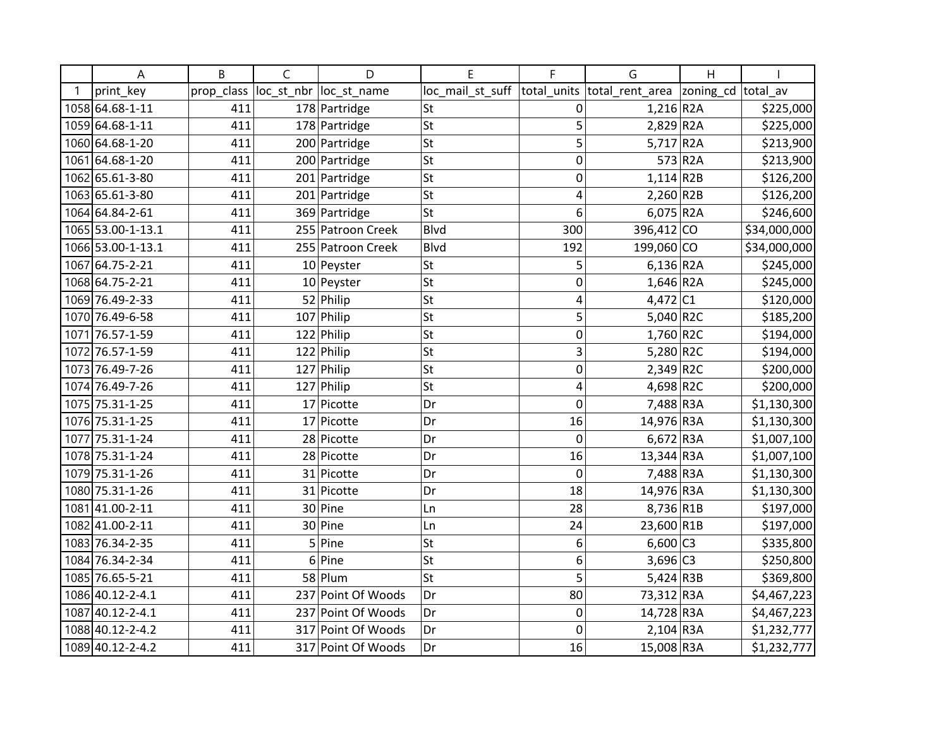| Α                 | B          | C          | D                  | E                | F                | G                        | H                  |              |
|-------------------|------------|------------|--------------------|------------------|------------------|--------------------------|--------------------|--------------|
| print key         | prop_class | loc_st_nbr | loc st name        | loc_mail_st_suff | total units      | total_rent_area          | zoning_cd total_av |              |
| 1058 64.68-1-11   | 411        |            | 178 Partridge      | St               | $\pmb{0}$        | $1,216$ R <sub>2</sub> A |                    | \$225,000    |
| 1059 64.68-1-11   | 411        |            | 178 Partridge      | St               | 5                | $2,829$ R <sub>2</sub> A |                    | \$225,000    |
| 1060 64.68-1-20   | 411        |            | 200 Partridge      | St               | 5                | 5,717 $R2A$              |                    | \$213,900    |
| 1061 64.68-1-20   | 411        |            | 200 Partridge      | St               | 0                |                          | 573 R2A            | \$213,900    |
| 1062 65.61-3-80   | 411        |            | 201 Partridge      | St               | $\boldsymbol{0}$ | $1,114$ R2B              |                    | \$126,200    |
| 1063 65.61-3-80   | 411        |            | 201 Partridge      | St               | 4                | $2,260$ R2B              |                    | \$126,200    |
| 1064 64.84-2-61   | 411        |            | 369 Partridge      | St               | 6                | $6,075$ R2A              |                    | \$246,600    |
| 1065 53.00-1-13.1 | 411        |            | 255 Patroon Creek  | Blvd             | 300              | 396,412 CO               |                    | \$34,000,000 |
| 1066 53.00-1-13.1 | 411        |            | 255 Patroon Creek  | Blvd             | 192              | 199,060 CO               |                    | \$34,000,000 |
| 1067 64.75-2-21   | 411        |            | 10 Peyster         | St               | 5                | $6,136$ R <sub>2</sub> A |                    | \$245,000    |
| 1068 64.75-2-21   | 411        |            | $10$ Peyster       | St               | $\boldsymbol{0}$ | $1,646$ R <sub>2</sub> A |                    | \$245,000    |
| 1069 76.49-2-33   | 411        |            | 52 Philip          | St               | 4                | 4,472 C1                 |                    | \$120,000    |
| 1070 76.49-6-58   | 411        |            | $107$ Philip       | St               | 5                | 5,040 R2C                |                    | \$185,200    |
| 1071 76.57-1-59   | 411        |            | $122$ Philip       | St               | $\mathbf 0$      | $1,760$ R2C              |                    | \$194,000    |
| 1072 76.57-1-59   | 411        |            | $122$ Philip       | St               | 3                | 5,280 R2C                |                    | \$194,000    |
| 1073 76.49-7-26   | 411        |            | $127$ Philip       | St               | $\boldsymbol{0}$ | $2,349$ R2C              |                    | \$200,000    |
| 1074 76.49-7-26   | 411        |            | 127 Philip         | St               | 4                | 4,698 R2C                |                    | \$200,000    |
| 1075 75.31-1-25   | 411        |            | $17$ Picotte       | Dr               | $\mathbf 0$      | 7,488 R3A                |                    | \$1,130,300  |
| 1076 75.31-1-25   | 411        |            | 17 Picotte         | Dr               | 16               | 14,976 R3A               |                    | \$1,130,300  |
| 1077 75.31-1-24   | 411        |            | 28 Picotte         | Dr               | $\mathbf 0$      | $6,672$ R3A              |                    | \$1,007,100  |
| 1078 75.31-1-24   | 411        |            | 28 Picotte         | Dr               | 16               | 13,344 R3A               |                    | \$1,007,100  |
| 1079 75.31-1-26   | 411        |            | 31 Picotte         | Dr               | $\mathbf 0$      | 7,488 R3A                |                    | \$1,130,300  |
| 1080 75.31-1-26   | 411        |            | 31 Picotte         | Dr               | 18               | 14,976 R3A               |                    | \$1,130,300  |
| 108141.00-2-11    | 411        |            | 30 Pine            | Ln               | 28               | 8,736 R1B                |                    | \$197,000    |
| 1082 41.00-2-11   | 411        |            | 30 Pine            | Ln               | 24               | 23,600 R1B               |                    | \$197,000    |
| 1083 76.34-2-35   | 411        |            | 5 Pine             | St               | 6                | $6,600$ C3               |                    | \$335,800    |
| 1084 76.34-2-34   | 411        |            | 6 Pine             | St               | 6                | $3,696$ C <sub>3</sub>   |                    | \$250,800    |
| 1085 76.65-5-21   | 411        |            | 58 Plum            | St               | 5                | $5,424$ R3B              |                    | \$369,800    |
| 1086 40.12-2-4.1  | 411        |            | 237 Point Of Woods | Dr               | 80               | 73,312 R3A               |                    | \$4,467,223  |
| 1087 40.12-2-4.1  | 411        |            | 237 Point Of Woods | Dr               | $\boldsymbol{0}$ | 14,728 R3A               |                    | \$4,467,223  |
| 1088 40.12-2-4.2  | 411        |            | 317 Point Of Woods | Dr               | $\mathbf 0$      | $2,104$ R3A              |                    | \$1,232,777  |
| 1089 40.12-2-4.2  | 411        |            | 317 Point Of Woods | Dr               | 16               | 15,008 R3A               |                    | \$1,232,777  |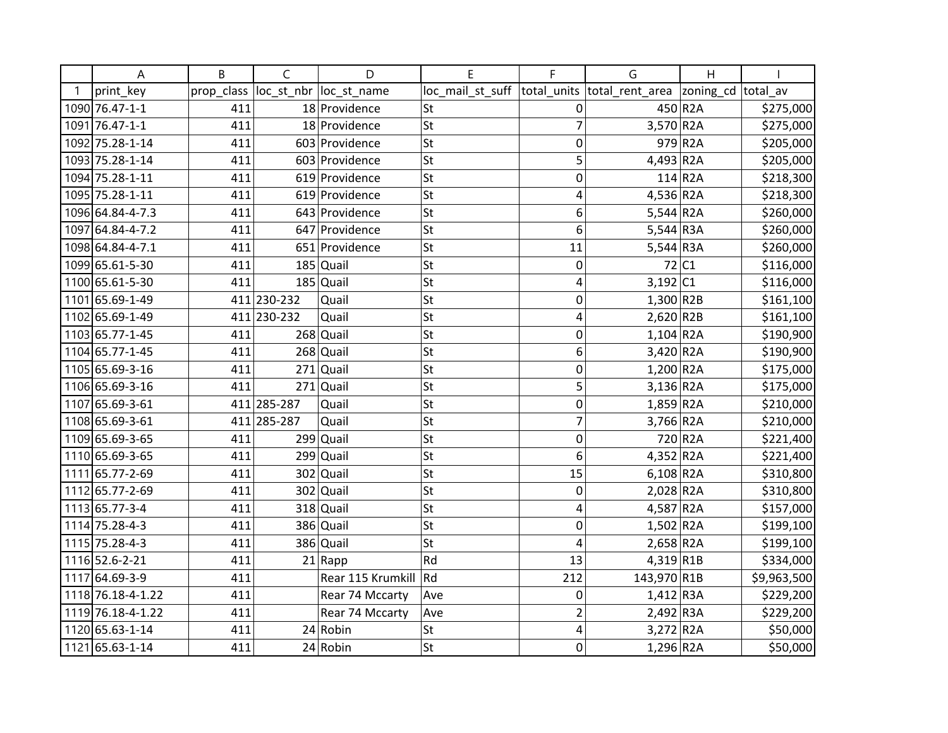| A                 | B          | $\mathsf{C}$ | D                       | E                | F              | G                           | $\overline{H}$         |             |
|-------------------|------------|--------------|-------------------------|------------------|----------------|-----------------------------|------------------------|-------------|
| print_key         | prop_class |              | loc_st_nbr  loc_st_name | loc_mail_st_suff |                | total units total rent area | zoning_cd total_av     |             |
| 1090 76.47-1-1    | 411        |              | 18 Providence           | lSt              | 0              |                             | 450 R2A                | \$275,000   |
| 1091 76.47-1-1    | 411        |              | 18 Providence           | St               | 7              | 3,570 R2A                   |                        | \$275,000   |
| 1092 75.28-1-14   | 411        |              | 603 Providence          | St               | 0              |                             | 979 R2A                | \$205,000   |
| 1093 75.28-1-14   | 411        |              | 603 Providence          | St               | 5              | $4,493$ R <sub>2</sub> A    |                        | \$205,000   |
| 1094 75.28-1-11   | 411        |              | 619 Providence          | St               | 0              |                             | $114$ R <sub>2</sub> A | \$218,300   |
| 1095 75.28-1-11   | 411        |              | 619 Providence          | lst              | 4              | 4,536 R2A                   |                        | \$218,300   |
| 1096 64.84-4-7.3  | 411        |              | 643 Providence          | St               | 6              | $5,544$ R <sub>2</sub> A    |                        | \$260,000   |
| 1097 64.84-4-7.2  | 411        |              | 647 Providence          | St               | 6              | $5,544$ R3A                 |                        | \$260,000   |
| 1098 64.84-4-7.1  | 411        |              | 651 Providence          | St               | 11             | $5,544$ R3A                 |                        | \$260,000   |
| 1099 65.61-5-30   | 411        |              | $185$ Quail             | St               | 0              |                             | 72 C1                  | \$116,000   |
| 1100 65.61-5-30   | 411        |              | $185$ Quail             | lst              | 4              | $3,192$ C1                  |                        | \$116,000   |
| 1101 65.69-1-49   |            | 411 230-232  | Quail                   | lst              | 0              | $1,300$ R2B                 |                        | \$161,100   |
| 1102 65.69-1-49   |            | 411 230-232  | Quail                   | St               | 4              | $2,620$ R2B                 |                        | \$161,100   |
| 1103 65.77-1-45   | 411        |              | $268$ Quail             | St               | 0              | $1,104$ R2A                 |                        | \$190,900   |
| 1104 65.77-1-45   | 411        |              | $268$ Quail             | St               | 6              | 3,420 R2A                   |                        | \$190,900   |
| 1105 65.69-3-16   | 411        |              | $271$ Quail             | St               | 0              | 1,200 R2A                   |                        | \$175,000   |
| 1106 65.69-3-16   | 411        |              | $271$ Quail             | lst              | 5              | $3,136$ R <sub>2</sub> A    |                        | \$175,000   |
| 1107 65.69-3-61   |            | 411 285-287  | Quail                   | St               | 0              | $1,859$ R <sub>2</sub> A    |                        | \$210,000   |
| 1108 65.69-3-61   |            | 411 285-287  | Quail                   | St               | $\overline{7}$ | 3,766 R2A                   |                        | \$210,000   |
| 1109 65.69-3-65   | 411        |              | $299$ Quail             | St               | 0              |                             | 720 R2A                | \$221,400   |
| 1110 65.69-3-65   | 411        |              | $299$ Quail             | lst              | 6              | $4,352$ R <sub>2</sub> A    |                        | \$221,400   |
| 1111 65.77-2-69   | 411        | 302          | Quail                   | St               | 15             | $6,108$ R <sub>2</sub> A    |                        | \$310,800   |
| 1112 65.77-2-69   | 411        |              | 302 Quail               | St               | 0              | $2,028$ R <sub>2</sub> A    |                        | \$310,800   |
| 1113 65.77-3-4    | 411        |              | 318 Quail               | St               | 4              | 4,587 R2A                   |                        | \$157,000   |
| 1114 75.28-4-3    | 411        |              | 386 Quail               | St               | 0              | $1,502$ R2A                 |                        | \$199,100   |
| 1115 75.28-4-3    | 411        |              | 386 Quail               | St               | 4              | 2,658 R2A                   |                        | \$199,100   |
| 1116 52.6-2-21    | 411        |              | $21$ Rapp               | Rd               | 13             | $4,319$ R1B                 |                        | \$334,000   |
| 1117 64.69-3-9    | 411        |              | Rear 115 Krumkill       | Rd               | 212            | 143,970 R1B                 |                        | \$9,963,500 |
| 1118 76.18-4-1.22 | 411        |              | Rear 74 Mccarty         | Ave              | 0              | $1,412$ R3A                 |                        | \$229,200   |
| 1119 76.18-4-1.22 | 411        |              | Rear 74 Mccarty         | Ave              | 2              | $2,492$ R3A                 |                        | \$229,200   |
| 1120 65.63-1-14   | 411        |              | $24$ Robin              | St               | 4              | $3,272$ R <sub>2</sub> A    |                        | \$50,000    |
| 1121 65.63-1-14   | 411        |              | $24$ Robin              | lst              | 0              | $1,296$ R <sub>2</sub> A    |                        | \$50,000    |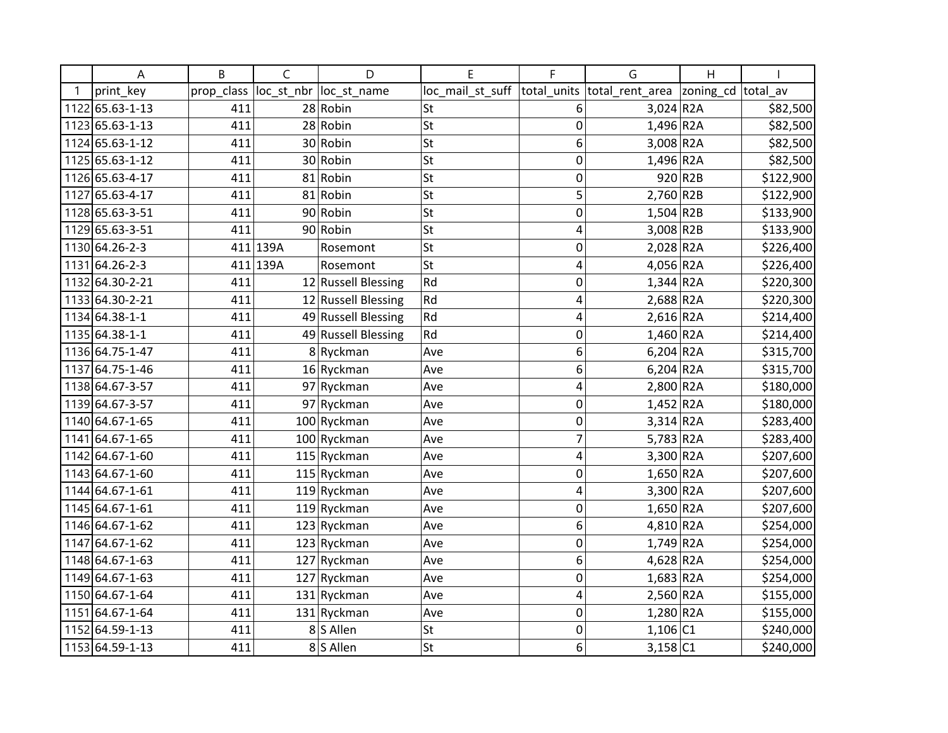| Α               | B          | C        | D                      | E                | F                | G                           | Η         |           |
|-----------------|------------|----------|------------------------|------------------|------------------|-----------------------------|-----------|-----------|
| print key       | prop class |          | loc st nbr loc st name | loc_mail_st_suff |                  | total units total rent area | zoning_cd | total av  |
| 1122 65.63-1-13 | 411        |          | 28 Robin               | lSt              | 6                | $3,024$ R <sub>2</sub> A    |           | \$82,500  |
| 1123 65.63-1-13 | 411        |          | 28 Robin               | St               | 0                | 1,496 R2A                   |           | \$82,500  |
| 1124 65.63-1-12 | 411        |          | 30 Robin               | St               | 6                | 3,008 R2A                   |           | \$82,500  |
| 1125 65.63-1-12 | 411        |          | 30 Robin               | St               | 0                | 1,496 R2A                   |           | \$82,500  |
| 1126 65.63-4-17 | 411        |          | 81 Robin               | St               | 0                |                             | 920 R2B   | \$122,900 |
| 1127 65.63-4-17 | 411        |          | 81 Robin               | lst              | 5                | $2,760$ R2B                 |           | \$122,900 |
| 1128 65.63-3-51 | 411        |          | 90 Robin               | St               | 0                | $1,504$ R2B                 |           | \$133,900 |
| 1129 65.63-3-51 | 411        |          | 90 Robin               | St               | 4                | $3,008$ R <sub>2</sub> B    |           | \$133,900 |
| 1130 64.26-2-3  |            | 411 139A | Rosemont               | St               | 0                | 2,028 R2A                   |           | \$226,400 |
| 1131 64.26-2-3  |            | 411 139A | Rosemont               | St               | 4                | 4,056 R2A                   |           | \$226,400 |
| 1132 64.30-2-21 | 411        |          | 12 Russell Blessing    | Rd               | 0                | $1,344$ R <sub>2</sub> A    |           | \$220,300 |
| 1133 64.30-2-21 | 411        |          | 12 Russell Blessing    | Rd               | 4                | 2,688 R2A                   |           | \$220,300 |
| 1134 64.38-1-1  | 411        |          | 49 Russell Blessing    | Rd               | 4                | $2,616$ R <sub>2</sub> A    |           | \$214,400 |
| 1135 64.38-1-1  | 411        |          | 49 Russell Blessing    | Rd               | 0                | $1,460$ R2A                 |           | \$214,400 |
| 1136 64.75-1-47 | 411        |          | 8Ryckman               | Ave              | 6                | $6,204$ R <sub>2</sub> A    |           | \$315,700 |
| 1137 64.75-1-46 | 411        |          | 16 Ryckman             | Ave              | 6                | $6,204$ R2A                 |           | \$315,700 |
| 1138 64.67-3-57 | 411        |          | 97 Ryckman             | Ave              | 4                | 2,800 R2A                   |           | \$180,000 |
| 1139 64.67-3-57 | 411        |          | 97 Ryckman             | Ave              | $\mathbf 0$      | $1,452$ R2A                 |           | \$180,000 |
| 1140 64.67-1-65 | 411        |          | 100 Ryckman            | Ave              | $\boldsymbol{0}$ | $3,314$ R2A                 |           | \$283,400 |
| 1141 64.67-1-65 | 411        |          | 100 Ryckman            | Ave              | 7                | $5,783$ R2A                 |           | \$283,400 |
| 1142 64.67-1-60 | 411        |          | 115 Ryckman            | Ave              | 4                | 3,300 R2A                   |           | \$207,600 |
| 1143 64.67-1-60 | 411        |          | 115 Ryckman            | Ave              | 0                | $1,650$ R2A                 |           | \$207,600 |
| 1144 64.67-1-61 | 411        |          | 119 Ryckman            | Ave              | 4                | 3,300 R2A                   |           | \$207,600 |
| 1145 64.67-1-61 | 411        |          | 119 Ryckman            | Ave              | 0                | 1,650 R2A                   |           | \$207,600 |
| 1146 64.67-1-62 | 411        |          | 123 Ryckman            | Ave              | 6                | 4,810 R2A                   |           | \$254,000 |
| 1147 64.67-1-62 | 411        |          | 123 Ryckman            | Ave              | 0                | 1,749 R2A                   |           | \$254,000 |
| 1148 64.67-1-63 | 411        |          | 127 Ryckman            | Ave              | 6                | 4,628 R2A                   |           | \$254,000 |
| 1149 64.67-1-63 | 411        |          | 127 Ryckman            | Ave              | 0                | $1,683$ R <sub>2</sub> A    |           | \$254,000 |
| 1150 64.67-1-64 | 411        |          | 131 Ryckman            | Ave              | 4                | 2,560 R2A                   |           | \$155,000 |
| 1151 64.67-1-64 | 411        |          | $131$ Ryckman          | Ave              | 0                | 1,280 R2A                   |           | \$155,000 |
| 1152 64.59-1-13 | 411        |          | 8 S Allen              | St               | 0                | $1,106$ C1                  |           | \$240,000 |
| 1153 64.59-1-13 | 411        |          | 8S Allen               | St               | 6                | $3,158$ C1                  |           | \$240,000 |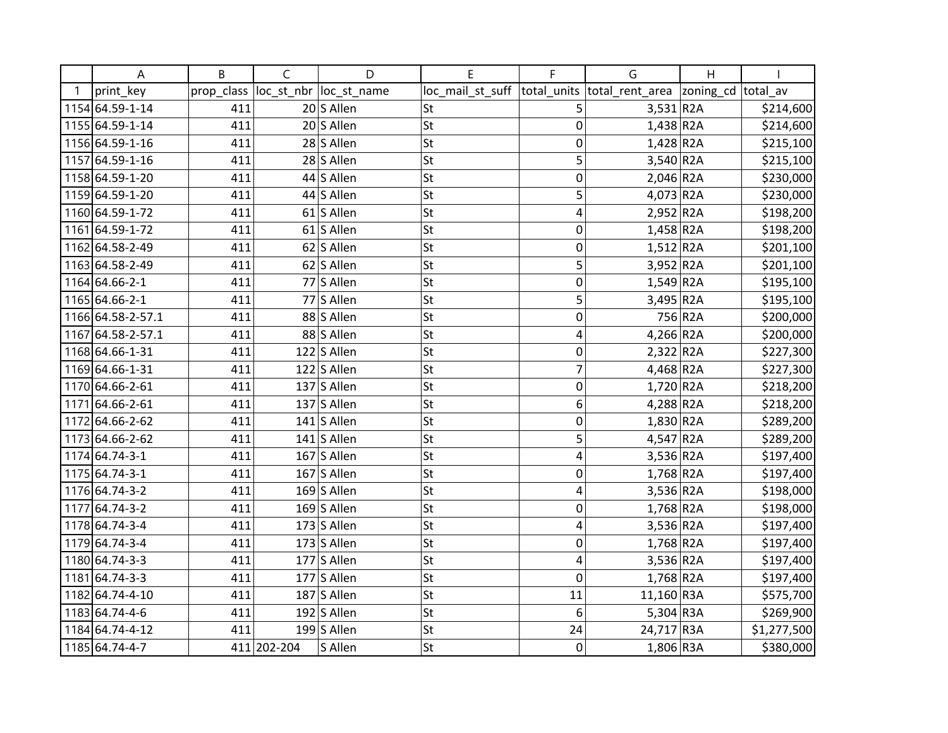| А                 | B          | $\mathsf{C}$ | D              | E                | F              | G                          | $\overline{H}$ |             |
|-------------------|------------|--------------|----------------|------------------|----------------|----------------------------|----------------|-------------|
| print_key         | prop_class | loc_st_nbr   | loc_st_name    | loc_mail_st_suff | total_units    | total_rent_area  zoning_cd |                | total av    |
| 1154 64.59-1-14   | 411        |              | 20 S Allen     | St               | 5              | $3,531$ R <sub>2</sub> A   |                | \$214,600   |
| 1155 64.59-1-14   | 411        |              | 20 S Allen     | <b>St</b>        | $\mathbf 0$    | $1,438$ R2A                |                | \$214,600   |
| 1156 64.59-1-16   | 411        |              | 28 S Allen     | St               | 0              | $1,428$ R2A                |                | \$215,100   |
| 1157 64.59-1-16   | 411        |              | 28 S Allen     | <b>St</b>        | 5              | $3,540$ R <sub>2</sub> A   |                | \$215,100   |
| 1158 64.59-1-20   | 411        |              | 44 S Allen     | St               | 0              | $2,046$ R <sub>2</sub> A   |                | \$230,000   |
| 1159 64.59-1-20   | 411        |              | 44 S Allen     | <b>St</b>        | 5              | $4,073$ R <sub>2</sub> A   |                | \$230,000   |
| 1160 64.59-1-72   | 411        |              | 61 S Allen     | <b>St</b>        | 4              | $2,952$ R <sub>2</sub> A   |                | \$198,200   |
| 1161 64.59-1-72   | 411        |              | 61 S Allen     | St               | $\mathbf 0$    | $1,458$ R2A                |                | \$198,200   |
| 1162 64.58-2-49   | 411        |              | 62 S Allen     | <b>St</b>        | $\mathbf 0$    | $1,512$ R <sub>2</sub> A   |                | \$201,100   |
| 1163 64.58-2-49   | 411        |              | 62 S Allen     | <b>St</b>        | 5              | $3,952$ R2A                |                | \$201,100   |
| 1164 64.66-2-1    | 411        |              | 77 S Allen     | St               | $\mathbf 0$    | $1,549$ R2A                |                | \$195,100   |
| 1165 64.66-2-1    | 411        |              | 77 S Allen     | <b>St</b>        | 5              | 3,495 R2A                  |                | \$195,100   |
| 1166 64.58-2-57.1 | 411        |              | 88 S Allen     | <b>St</b>        | $\mathbf 0$    |                            | 756 R2A        | \$200,000   |
| 1167 64.58-2-57.1 | 411        |              | 88 S Allen     | St               | 4              | $4,266$ R <sub>2</sub> A   |                | \$200,000   |
| 1168 64.66-1-31   | 411        |              | $122$ S Allen  | <b>St</b>        | $\mathbf 0$    | $2,322$ R <sub>2</sub> A   |                | \$227,300   |
| 1169 64.66-1-31   | 411        |              | $122$ S Allen  | <b>St</b>        | $\overline{7}$ | 4,468 R2A                  |                | \$227,300   |
| 1170 64.66-2-61   | 411        |              | $137$ S Allen  | St               | $\mathbf 0$    | $1,720$ R2A                |                | \$218,200   |
| 1171 64.66-2-61   | 411        |              | $137$ S Allen  | <b>St</b>        | 6              | 4,288 R2A                  |                | \$218,200   |
| 1172 64.66-2-62   | 411        |              | $141$ S Allen  | <b>St</b>        | $\mathbf 0$    | 1,830 R2A                  |                | \$289,200   |
| 1173 64.66-2-62   | 411        |              | $141$ S Allen  | St               | 5              | $4,547$ R2A                |                | \$289,200   |
| 1174 64.74-3-1    | 411        |              | $167$ S Allen  | <b>St</b>        | 4              | 3,536 R2A                  |                | \$197,400   |
| 1175 64.74-3-1    | 411        |              | $167$ S Allen  | St               | $\mathbf 0$    | $1,768$ R2A                |                | \$197,400   |
| 1176 64.74-3-2    | 411        |              | $169$ S Allen  | St               | 4              | 3,536 R2A                  |                | \$198,000   |
| 1177 64.74-3-2    | 411        |              | $169$ S Allen  | St               | 0              | $1,768$ R2A                |                | \$198,000   |
| 1178 64.74-3-4    | 411        |              | $173$ S Allen  | St               | 4              | $3,536$ R2A                |                | \$197,400   |
| 1179 64.74-3-4    | 411        |              | $173$ S Allen  | <b>St</b>        | $\mathbf 0$    | 1,768 R2A                  |                | \$197,400   |
| 1180 64.74-3-3    | 411        |              | $177$ S Allen  | St               | 4              | $3,536$ R2A                |                | \$197,400   |
| 1181 64.74-3-3    | 411        |              | $177$ S Allen  | St               | 0              | $1,768$ R <sub>2</sub> A   |                | \$197,400   |
| 1182 64.74-4-10   | 411        |              | 187 S Allen    | <b>St</b>        | 11             | 11,160 R3A                 |                | \$575,700   |
| 1183 64.74-4-6    | 411        |              | 192 $ S$ Allen | <b>St</b>        | 6              | $5,304$ R3A                |                | \$269,900   |
| 1184 64.74-4-12   | 411        |              | $199$ S Allen  | <b>St</b>        | 24             | 24,717 R3A                 |                | \$1,277,500 |
| 1185 64.74-4-7    |            | 411 202-204  | S Allen        | <b>St</b>        | 0              | 1,806 R3A                  |                | \$380,000   |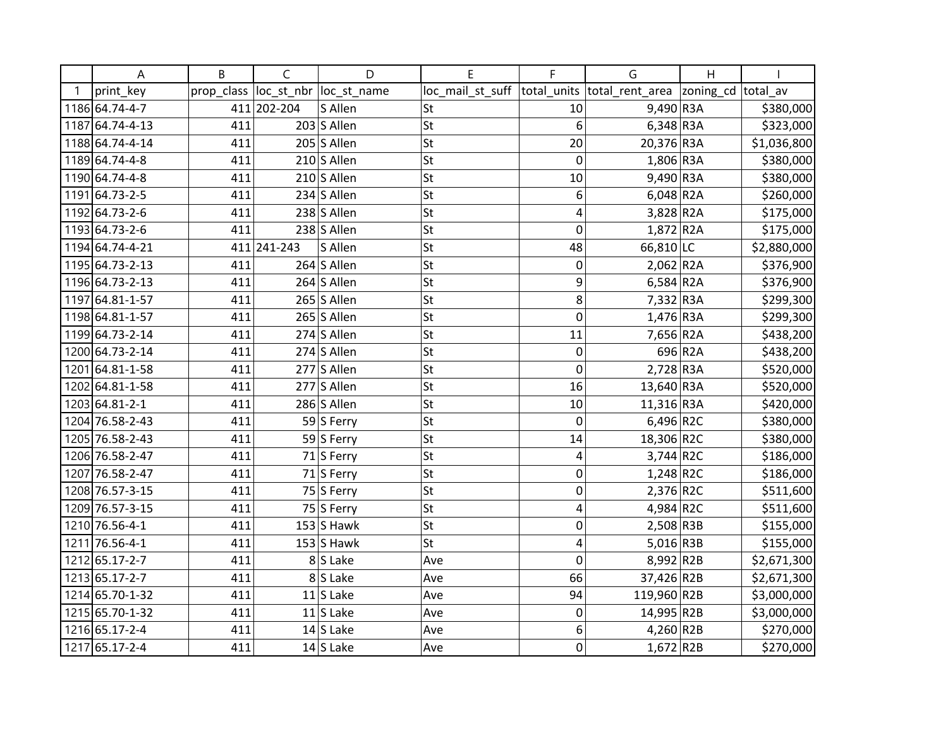| Α               | B          | $\mathsf{C}$  | D                      | E                | F           | G                                                 | H       |             |
|-----------------|------------|---------------|------------------------|------------------|-------------|---------------------------------------------------|---------|-------------|
| print_key       | prop_class |               | loc_st_nbr loc_st_name | loc_mail_st_suff |             | total_units  total_rent_area  zoning_cd  total_av |         |             |
| 1186 64.74-4-7  |            | 411 202-204   | S Allen                | St               | 10          | $9,490$ R3A                                       |         | \$380,000   |
| 1187 64.74-4-13 | 411        |               | $203$ S Allen          | St               | 6           | $6,348$ R3A                                       |         | \$323,000   |
| 1188 64.74-4-14 | 411        |               | $205$ S Allen          | <b>St</b>        | 20          | 20,376 R3A                                        |         | \$1,036,800 |
| 1189 64.74-4-8  | 411        |               | $210$ S Allen          | <b>St</b>        | $\mathbf 0$ | 1,806 R3A                                         |         | \$380,000   |
| 1190 64.74-4-8  | 411        |               | $210$ S Allen          | <b>St</b>        | 10          | 9,490 R3A                                         |         | \$380,000   |
| 1191 64.73-2-5  | 411        |               | $234$ S Allen          | St               | 6           | $6,048$ R2A                                       |         | \$260,000   |
| 1192 64.73-2-6  | 411        |               | $238$ S Allen          | St               | 4           | 3,828 R2A                                         |         | \$175,000   |
| 1193 64.73-2-6  | 411        |               | $238$ S Allen          | <b>St</b>        | 0           | 1,872 R2A                                         |         | \$175,000   |
| 1194 64.74-4-21 |            | 411 241 - 243 | S Allen                | <b>St</b>        | 48          | 66,810 LC                                         |         | \$2,880,000 |
| 1195 64.73-2-13 | 411        |               | 264 $\vert$ S Allen    | <b>St</b>        | 0           | $2,062$ R <sub>2</sub> A                          |         | \$376,900   |
| 1196 64.73-2-13 | 411        |               | $264$ S Allen          | <b>St</b>        | 9           | $6,584$ R <sub>2</sub> A                          |         | \$376,900   |
| 1197 64.81-1-57 | 411        |               | $265$ S Allen          | St               | 8           | $7,332$ R3A                                       |         | \$299,300   |
| 1198 64.81-1-57 | 411        |               | $265$ S Allen          | <b>St</b>        | 0           | 1,476 R3A                                         |         | \$299,300   |
| 1199 64.73-2-14 | 411        |               | $274$ S Allen          | <b>St</b>        | 11          | 7,656 R2A                                         |         | \$438,200   |
| 1200 64.73-2-14 | 411        |               | $274$ S Allen          | <b>St</b>        | 0           |                                                   | 696 R2A | \$438,200   |
| 1201 64.81-1-58 | 411        |               | $277$ S Allen          | St               | 0           | $2,728$ R3A                                       |         | \$520,000   |
| 1202 64.81-1-58 | 411        |               | $277$ S Allen          | St               | 16          | 13,640 R3A                                        |         | \$520,000   |
| 1203 64.81-2-1  | 411        |               | 286 S Allen            | <b>St</b>        | 10          | $11,316$ R3A                                      |         | \$420,000   |
| 1204 76.58-2-43 | 411        |               | 59 S Ferry             | <b>St</b>        | $\mathbf 0$ | 6,496 R2C                                         |         | \$380,000   |
| 1205 76.58-2-43 | 411        |               | 59 S Ferry             | <b>St</b>        | 14          | 18,306 R2C                                        |         | \$380,000   |
| 1206 76.58-2-47 | 411        |               | 71 S Ferry             | St               | 4           | $3,744$ R2C                                       |         | \$186,000   |
| 1207 76.58-2-47 | 411        |               | $71$ S Ferry           | St               | $\mathbf 0$ | $1,248$ R2C                                       |         | \$186,000   |
| 1208 76.57-3-15 | 411        |               | 75 S Ferry             | <b>St</b>        | $\mathbf 0$ | $2,376$ R2C                                       |         | \$511,600   |
| 1209 76.57-3-15 | 411        |               | 75 S Ferry             | <b>St</b>        | 4           | 4,984 R2C                                         |         | \$511,600   |
| 1210 76.56-4-1  | 411        |               | $153$ S Hawk           | <b>St</b>        | 0           | 2,508 R3B                                         |         | \$155,000   |
| 1211 76.56-4-1  | 411        |               | $153$ S Hawk           | St               | 4           | $5,016$ R3B                                       |         | \$155,000   |
| 1212 65.17-2-7  | 411        |               | 8S Lake                | Ave              | $\Omega$    | 8,992 R2B                                         |         | \$2,671,300 |
| 1213 65.17-2-7  | 411        |               | 8S Lake                | Ave              | 66          | 37,426 R2B                                        |         | \$2,671,300 |
| 1214 65.70-1-32 | 411        |               | $11$ S Lake            | Ave              | 94          | 119,960 R2B                                       |         | \$3,000,000 |
| 1215 65.70-1-32 | 411        |               | $11$ S Lake            | Ave              | 0           | 14,995 R2B                                        |         | \$3,000,000 |
| 1216 65.17-2-4  | 411        |               | $14$ S Lake            | Ave              | 6           | 4,260 R2B                                         |         | \$270,000   |
| 1217 65.17-2-4  | 411        |               | $14$ S Lake            | Ave              | 0           | $1,672$ R2B                                       |         | \$270,000   |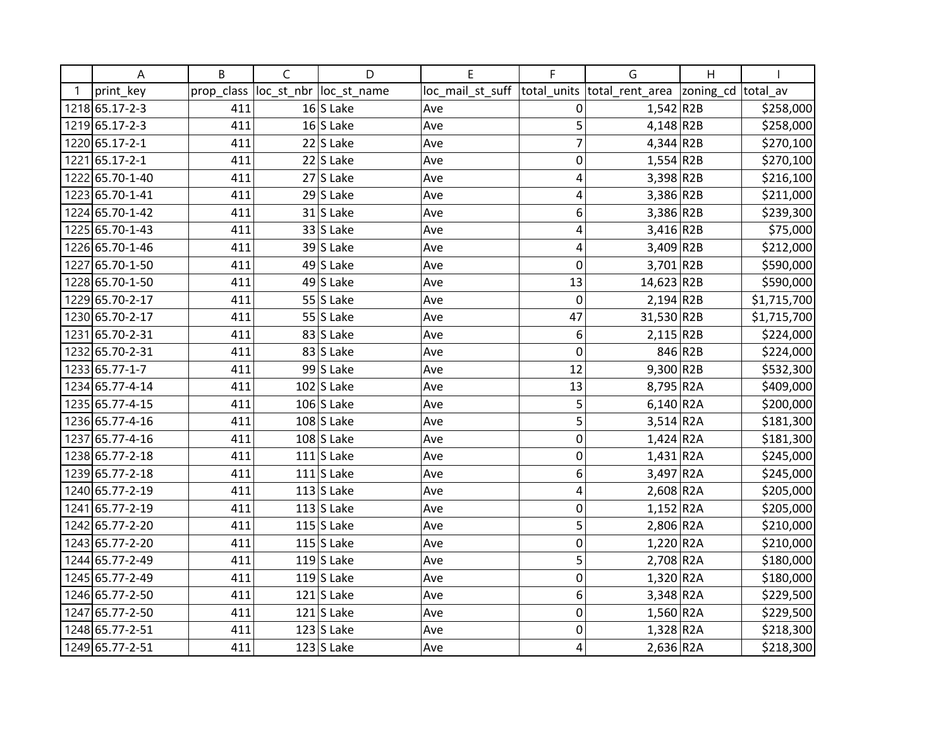| Α               | B          | C | D                       | E                | F              | G                          | H       |             |
|-----------------|------------|---|-------------------------|------------------|----------------|----------------------------|---------|-------------|
| print_key       | prop_class |   | loc_st_nbr  loc_st_name | loc_mail_st_suff | total units    | total_rent_area  zoning_cd |         | total av    |
| 1218 65.17-2-3  | 411        |   | $16$ S Lake             | Ave              | 0              | $1,542$ R2B                |         | \$258,000   |
| 1219 65.17-2-3  | 411        |   | $16$ S Lake             | Ave              | 5              | $4,148$ R2B                |         | \$258,000   |
| 1220 65.17-2-1  | 411        |   | $22$ S Lake             | Ave              | $\overline{7}$ | $4,344$ R2B                |         | \$270,100   |
| 1221 65.17-2-1  | 411        |   | $22$ S Lake             | Ave              | 0              | $1,554$ R2B                |         | \$270,100   |
| 1222 65.70-1-40 | 411        |   | $27$ S Lake             | Ave              | 4              | 3,398 R2B                  |         | \$216,100   |
| 1223 65.70-1-41 | 411        |   | $29$ S Lake             | Ave              | 4              | 3,386 R2B                  |         | \$211,000   |
| 1224 65.70-1-42 | 411        |   | $31$ S Lake             | Ave              | 6              | 3,386 R2B                  |         | \$239,300   |
| 1225 65.70-1-43 | 411        |   | $33$ S Lake             | Ave              | 4              | $3,416$ R2B                |         | \$75,000    |
| 1226 65.70-1-46 | 411        |   | $39$ S Lake             | Ave              | 4              | $3,409$ R2B                |         | \$212,000   |
| 1227 65.70-1-50 | 411        |   | 49 $ S $ Lake           | Ave              | $\mathbf 0$    | $3,701$ R2B                |         | \$590,000   |
| 1228 65.70-1-50 | 411        |   | 49 S Lake               | Ave              | 13             | 14,623 R2B                 |         | \$590,000   |
| 1229 65.70-2-17 | 411        |   | $55$ S Lake             | Ave              | $\mathbf 0$    | $2,194$ R2B                |         | \$1,715,700 |
| 1230 65.70-2-17 | 411        |   | $55$ S Lake             | Ave              | 47             | 31,530 R2B                 |         | \$1,715,700 |
| 1231 65.70-2-31 | 411        |   | $83$ S Lake             | Ave              | 6              | $2,115$ R2B                |         | \$224,000   |
| 1232 65.70-2-31 | 411        |   | 83 S Lake               | Ave              | 0              |                            | 846 R2B | \$224,000   |
| 1233 65.77-1-7  | 411        |   | $99$ S Lake             | Ave              | 12             | 9,300 R2B                  |         | \$532,300   |
| 1234 65.77-4-14 | 411        |   | $102$ S Lake            | Ave              | 13             | 8,795 R2A                  |         | \$409,000   |
| 1235 65.77-4-15 | 411        |   | $106$ S Lake            | Ave              | 5              | $6,140$ R2A                |         | \$200,000   |
| 1236 65.77-4-16 | 411        |   | $108$ S Lake            | Ave              | 5              | $3,514$ R <sub>2</sub> A   |         | \$181,300   |
| 1237 65.77-4-16 | 411        |   | $108$ S Lake            | Ave              | $\mathbf 0$    | $1,424$ R <sub>2</sub> A   |         | \$181,300   |
| 1238 65.77-2-18 | 411        |   | $111$ S Lake            | Ave              | 0              | $1,431$ R2A                |         | \$245,000   |
| 1239 65.77-2-18 | 411        |   | $111$ S Lake            | Ave              | 6              | $3,497$ R2A                |         | \$245,000   |
| 1240 65.77-2-19 | 411        |   | $113$ S Lake            | Ave              | 4              | 2,608 R2A                  |         | \$205,000   |
| 1241 65.77-2-19 | 411        |   | $113$ S Lake            | Ave              | $\mathbf 0$    | $1,152$ R2A                |         | \$205,000   |
| 1242 65.77-2-20 | 411        |   | 115 $S$ Lake            | Ave              | 5              | $2,806$ R <sub>2</sub> A   |         | \$210,000   |
| 1243 65.77-2-20 | 411        |   | 115 $S$ Lake            | Ave              | $\mathbf 0$    | $1,220$ R2A                |         | \$210,000   |
| 1244 65.77-2-49 | 411        |   | 119 $S$ Lake            | Ave              | 5              | $2,708$ R <sub>2</sub> A   |         | \$180,000   |
| 1245 65.77-2-49 | 411        |   | 119 $S$ Lake            | Ave              | $\mathbf 0$    | $1,320$ R2A                |         | \$180,000   |
| 1246 65.77-2-50 | 411        |   | $121$ S Lake            | Ave              | 6              | $3,348$ R <sub>2</sub> A   |         | \$229,500   |
| 1247 65.77-2-50 | 411        |   | $121$ S Lake            | Ave              | $\mathbf 0$    | $1,560$ R2A                |         | \$229,500   |
| 1248 65.77-2-51 | 411        |   | $123$ S Lake            | Ave              | 0              | $1,328$ R <sub>2</sub> A   |         | \$218,300   |
| 1249 65.77-2-51 | 411        |   | $123$ S Lake            | Ave              | $\overline{4}$ | $2,636$ R2A                |         | \$218,300   |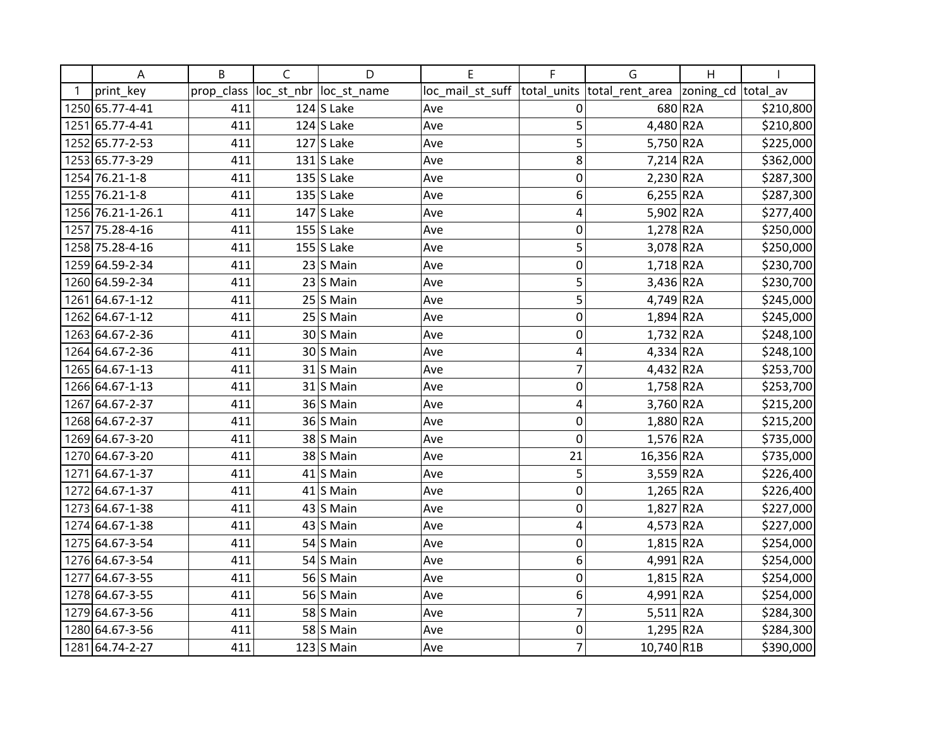| Α                 | B          | C          | D            | E                | F              | G                        | H         |           |
|-------------------|------------|------------|--------------|------------------|----------------|--------------------------|-----------|-----------|
| print key         | prop_class | loc_st_nbr | loc_st_name  | loc_mail_st_suff | total units    | total_rent_area          | zoning_cd | total_av  |
| 1250 65.77-4-41   | 411        |            | $124$ S Lake | Ave              | 0              |                          | 680 R2A   | \$210,800 |
| 1251 65.77-4-41   | 411        |            | $124$ S Lake | Ave              | 5              | 4,480 R2A                |           | \$210,800 |
| 1252 65.77-2-53   | 411        |            | $127$ S Lake | Ave              | 5              | 5,750 R2A                |           | \$225,000 |
| 1253 65.77-3-29   | 411        |            | $131$ S Lake | Ave              | 8              | $7,214$ R2A              |           | \$362,000 |
| 1254 76.21-1-8    | 411        |            | $135$ S Lake | Ave              | $\mathbf 0$    | $2,230$ R <sub>2</sub> A |           | \$287,300 |
| 1255 76.21-1-8    | 411        |            | $135$ S Lake | Ave              | 6              | $6,255$ R2A              |           | \$287,300 |
| 1256 76.21-1-26.1 | 411        |            | $147$ S Lake | Ave              | 4              | 5,902 R2A                |           | \$277,400 |
| 1257 75.28-4-16   | 411        |            | $155$ S Lake | Ave              | 0              | $1,278$ R <sub>2</sub> A |           | \$250,000 |
| 1258 75.28-4-16   | 411        |            | $155$ S Lake | Ave              | 5              | 3,078 R2A                |           | \$250,000 |
| 1259 64.59-2-34   | 411        |            | $23$ S Main  | Ave              | $\mathbf 0$    | $1,718$ R2A              |           | \$230,700 |
| 1260 64.59-2-34   | 411        |            | $23$ S Main  | Ave              | 5              | $3,436$ R <sub>2</sub> A |           | \$230,700 |
| 1261 64.67-1-12   | 411        |            | $25$ S Main  | Ave              | 5              | 4,749 R2A                |           | \$245,000 |
| 1262 64.67-1-12   | 411        |            | $25$ S Main  | Ave              | $\mathbf 0$    | $1,894$ R <sub>2</sub> A |           | \$245,000 |
| 1263 64.67-2-36   | 411        |            | 30S Main     | Ave              | 0              | $1,732$ R2A              |           | \$248,100 |
| 1264 64.67-2-36   | 411        |            | 30 S Main    | Ave              | $\overline{4}$ | $4,334$ R <sub>2</sub> A |           | \$248,100 |
| 1265 64.67-1-13   | 411        |            | $31$ S Main  | Ave              | $\overline{7}$ | 4,432 R2A                |           | \$253,700 |
| 1266 64.67-1-13   | 411        |            | $31$ S Main  | Ave              | 0              | $1,758$ R2A              |           | \$253,700 |
| 1267 64.67-2-37   | 411        |            | 36 S Main    | Ave              | 4              | 3,760 R2A                |           | \$215,200 |
| 1268 64.67-2-37   | 411        |            | 36 S Main    | Ave              | $\mathbf 0$    | 1,880 R2A                |           | \$215,200 |
| 1269 64.67-3-20   | 411        |            | 38 S Main    | Ave              | $\mathbf 0$    | $1,576$ R <sub>2</sub> A |           | \$735,000 |
| 1270 64.67-3-20   | 411        |            | 38 S Main    | Ave              | 21             | 16,356 R2A               |           | \$735,000 |
| 1271 64.67-1-37   | 411        |            | $41$ S Main  | Ave              | 5              | $3,559$ R <sub>2</sub> A |           | \$226,400 |
| 1272 64.67-1-37   | 411        |            | $41$ S Main  | Ave              | $\mathbf 0$    | $1,265$ R2A              |           | \$226,400 |
| 1273 64.67-1-38   | 411        |            | $43$ S Main  | Ave              | $\mathbf 0$    | $1,827$ R <sub>2</sub> A |           | \$227,000 |
| 1274 64.67-1-38   | 411        |            | 43 S Main    | Ave              | $\overline{4}$ | $4,573$ R2A              |           | \$227,000 |
| 1275 64.67-3-54   | 411        |            | 54 S Main    | Ave              | $\mathbf 0$    | $1,815$ R <sub>2</sub> A |           | \$254,000 |
| 1276 64.67-3-54   | 411        |            | $54$ S Main  | Ave              | 6              | $4,991$ R2A              |           | \$254,000 |
| 1277 64.67-3-55   | 411        |            | 56 S Main    | Ave              | 0              | $1,815$ R2A              |           | \$254,000 |
| 1278 64.67-3-55   | 411        |            | 56 S Main    | Ave              | 6              | 4,991 R2A                |           | \$254,000 |
| 1279 64.67-3-56   | 411        |            | 58 S Main    | Ave              | $\overline{7}$ | $5,511$ R2A              |           | \$284,300 |
| 1280 64.67-3-56   | 411        |            | 58 S Main    | Ave              | 0              | $1,295$ R2A              |           | \$284,300 |
| 1281 64.74-2-27   | 411        |            | $123$ S Main | Ave              | $\overline{7}$ | 10,740 R1B               |           | \$390,000 |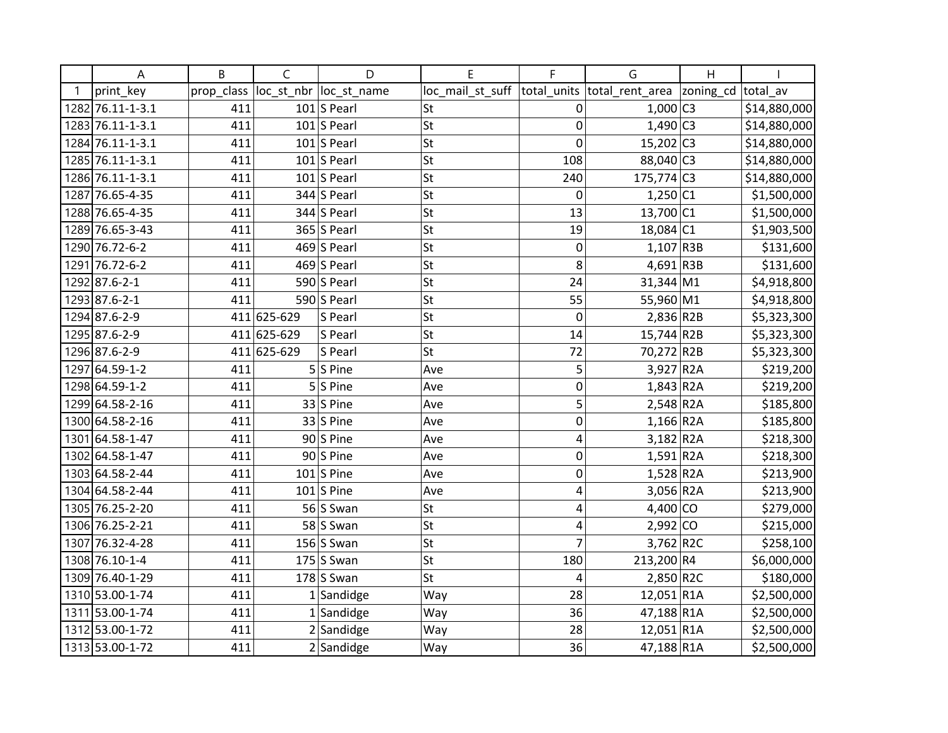| А                | B          | $\mathsf{C}$ | D                       | E                | F              | G                            | $\overline{H}$      |              |
|------------------|------------|--------------|-------------------------|------------------|----------------|------------------------------|---------------------|--------------|
| print_key        | prop_class |              | loc_st_nbr  loc_st_name | loc_mail_st_suff |                | total_units  total_rent_area | zoning_cd  total_av |              |
| 1282 76.11-1-3.1 | 411        |              | $101$ S Pearl           | lSt              | 0              | $1,000$ C3                   |                     | \$14,880,000 |
| 1283 76.11-1-3.1 | 411        |              | $101$ S Pearl           | St               | 0              | $1,490$ C3                   |                     | \$14,880,000 |
| 1284 76.11-1-3.1 | 411        |              | $101$ S Pearl           | St               | 0              | $15,202$ C <sub>3</sub>      |                     | \$14,880,000 |
| 1285 76.11-1-3.1 | 411        |              | $101$ S Pearl           | St               | 108            | 88,040 C3                    |                     | \$14,880,000 |
| 1286 76.11-1-3.1 | 411        |              | $101$ S Pearl           | St               | 240            | $175,774$ C3                 |                     | \$14,880,000 |
| 1287 76.65-4-35  | 411        |              | $344$ S Pearl           | lst              | 0              | $1,250$ C1                   |                     | \$1,500,000  |
| 1288 76.65-4-35  | 411        |              | $344$ S Pearl           | St               | 13             | 13,700 C1                    |                     | \$1,500,000  |
| 1289 76.65-3-43  | 411        |              | $365$ S Pearl           | St               | 19             | 18,084 C1                    |                     | \$1,903,500  |
| 1290 76.72-6-2   | 411        |              | 469 S Pearl             | St               | 0              | $1,107$ R3B                  |                     | \$131,600    |
| 1291 76.72-6-2   | 411        |              | 469 S Pearl             | St               | 8              | $4,691$ R3B                  |                     | \$131,600    |
| 1292 87.6-2-1    | 411        |              | 590 S Pearl             | St               | 24             | $31,344 \, \text{M1}$        |                     | \$4,918,800  |
| 1293 87.6-2-1    | 411        |              | 590 S Pearl             | St               | 55             | 55,960 M1                    |                     | \$4,918,800  |
| 1294 87.6-2-9    |            | 411 625-629  | S Pearl                 | St               | 0              | $2,836$ R2B                  |                     | \$5,323,300  |
| 1295 87.6-2-9    |            | 411 625-629  | S Pearl                 | St               | 14             | 15,744 R2B                   |                     | \$5,323,300  |
| 1296 87.6-2-9    |            | 411 625-629  | S Pearl                 | St               | 72             | 70,272 R2B                   |                     | \$5,323,300  |
| 1297 64.59-1-2   | 411        |              | $5 S $ Pine             | Ave              | 5              | 3,927 R2A                    |                     | \$219,200    |
| 1298 64.59-1-2   | 411        |              | $5 S $ Pine             | Ave              | 0              | $1,843$ R <sub>2</sub> A     |                     | \$219,200    |
| 1299 64.58-2-16  | 411        |              | $33$ S Pine             | Ave              | 5              | $2,548$ R <sub>2</sub> A     |                     | \$185,800    |
| 1300 64.58-2-16  | 411        |              | $33$ S Pine             | Ave              | 0              | $1,166$ R <sub>2</sub> A     |                     | \$185,800    |
| 1301 64.58-1-47  | 411        |              | $90$ S Pine             | Ave              | 4              | $3,182$ R <sub>2</sub> A     |                     | \$218,300    |
| 1302 64.58-1-47  | 411        |              | $90$ S Pine             | Ave              | 0              | $1,591$ R2A                  |                     | \$218,300    |
| 1303 64.58-2-44  | 411        |              | $101$ S Pine            | Ave              | 0              | $1,528$ R <sub>2</sub> A     |                     | \$213,900    |
| 1304 64.58-2-44  | 411        |              | $101$ S Pine            | Ave              | 4              | $3,056$ R <sub>2</sub> A     |                     | \$213,900    |
| 1305 76.25-2-20  | 411        |              | 56 Swan                 | St               | 4              | $4,400$ CO                   |                     | \$279,000    |
| 1306 76.25-2-21  | 411        |              | 58 Swan                 | St               | 4              | $2,992$ CO                   |                     | \$215,000    |
| 1307 76.32-4-28  | 411        |              | 156 $S$ Swan            | St               | $\overline{7}$ | $3,762$ R2C                  |                     | \$258,100    |
| 1308 76.10-1-4   | 411        |              | $175$ S Swan            | St               | 180            | 213,200 R4                   |                     | \$6,000,000  |
| 1309 76.40-1-29  | 411        |              | $178$ S Swan            | St               | 4              | 2,850 R2C                    |                     | \$180,000    |
| 1310 53.00-1-74  | 411        |              | $1$ Sandidge            | Way              | 28             | $12,051$ R1A                 |                     | \$2,500,000  |
| 1311 53.00-1-74  | 411        |              | $1$ Sandidge            | Way              | 36             | 47,188 R1A                   |                     | \$2,500,000  |
| 1312 53.00-1-72  | 411        |              | $2$ Sandidge            | Way              | 28             | $12,051$ R1A                 |                     | \$2,500,000  |
| 1313 53.00-1-72  | 411        |              | $2$ Sandidge            | Way              | 36             | 47,188 R1A                   |                     | \$2,500,000  |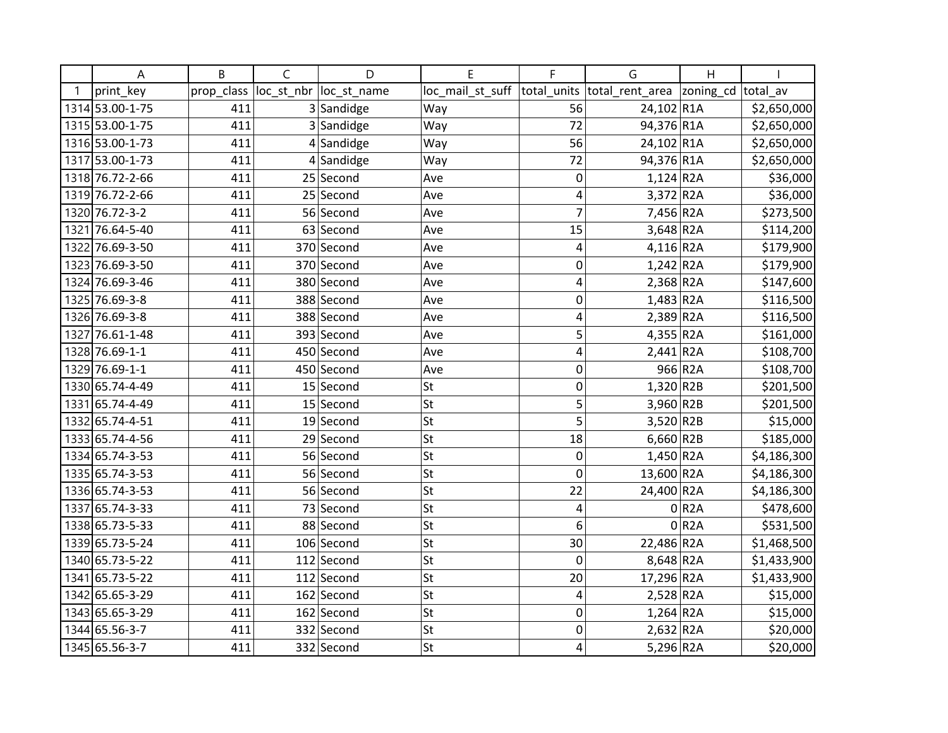| Α               | B          | C          | D            | E                | F              | G                        | H         |             |
|-----------------|------------|------------|--------------|------------------|----------------|--------------------------|-----------|-------------|
| print key       | prop_class | loc_st_nbr | loc_st_name  | loc_mail_st_suff | total units    | total_rent_area          | zoning_cd | total av    |
| 1314 53.00-1-75 | 411        |            | 3 Sandidge   | Way              | 56             | 24,102 R1A               |           | \$2,650,000 |
| 1315 53.00-1-75 | 411        |            | 3 Sandidge   | Way              | 72             | 94,376 R1A               |           | \$2,650,000 |
| 1316 53.00-1-73 | 411        |            | $4$ Sandidge | Way              | 56             | 24,102 R1A               |           | \$2,650,000 |
| 1317 53.00-1-73 | 411        |            | $4$ Sandidge | Way              | 72             | 94,376 R1A               |           | \$2,650,000 |
| 1318 76.72-2-66 | 411        |            | $25$ Second  | Ave              | 0              | $1,124$ R <sub>2</sub> A |           | \$36,000    |
| 1319 76.72-2-66 | 411        |            | 25 Second    | Ave              | 4              | 3,372 R2A                |           | \$36,000    |
| 1320 76.72-3-2  | 411        |            | 56 Second    | Ave              | $\overline{7}$ | 7,456 R2A                |           | \$273,500   |
| 1321 76.64-5-40 | 411        |            | 63 Second    | Ave              | 15             | $3,648$ R <sub>2</sub> A |           | \$114,200   |
| 1322 76.69-3-50 | 411        |            | 370 Second   | Ave              | 4              | $4,116$ R <sub>2</sub> A |           | \$179,900   |
| 1323 76.69-3-50 | 411        |            | 370 Second   | Ave              | 0              | $1,242$ R2A              |           | \$179,900   |
| 1324 76.69-3-46 | 411        |            | 380 Second   | Ave              | 4              | $2,368$ R <sub>2</sub> A |           | \$147,600   |
| 1325 76.69-3-8  | 411        |            | 388 Second   | Ave              | $\mathbf 0$    | $1,483$ R <sub>2</sub> A |           | \$116,500   |
| 1326 76.69-3-8  | 411        |            | 388 Second   | Ave              | $\overline{4}$ | $2,389$ R <sub>2</sub> A |           | \$116,500   |
| 1327 76.61-1-48 | 411        |            | 393 Second   | Ave              | 5              | 4,355 R2A                |           | \$161,000   |
| 1328 76.69-1-1  | 411        |            | 450 Second   | Ave              | $\overline{4}$ | $2,441$ R <sub>2</sub> A |           | \$108,700   |
| 1329 76.69-1-1  | 411        |            | 450 Second   | Ave              | $\mathbf 0$    |                          | 966 R2A   | \$108,700   |
| 1330 65.74-4-49 | 411        |            | $15$ Second  | St               | $\mathbf 0$    | $1,320$ R2B              |           | \$201,500   |
| 1331 65.74-4-49 | 411        |            | $15$ Second  | <b>St</b>        | 5              | 3,960 R2B                |           | \$201,500   |
| 1332 65.74-4-51 | 411        |            | 19 Second    | St               | 5              | 3,520 R2B                |           | \$15,000    |
| 1333 65.74-4-56 | 411        |            | 29 Second    | <b>St</b>        | 18             | $6,660$ R2B              |           | \$185,000   |
| 1334 65.74-3-53 | 411        |            | 56 Second    | <b>St</b>        | 0              | $1,450$ R2A              |           | \$4,186,300 |
| 1335 65.74-3-53 | 411        |            | 56 Second    | St               | $\mathbf 0$    | 13,600 R2A               |           | \$4,186,300 |
| 1336 65.74-3-53 | 411        |            | 56 Second    | St               | 22             | 24,400 R2A               |           | \$4,186,300 |
| 1337 65.74-3-33 | 411        |            | 73 Second    | St               | 4              |                          | 0 R2A     | \$478,600   |
| 1338 65.73-5-33 | 411        |            | 88 Second    | St               | 6              |                          | 0 R2A     | \$531,500   |
| 1339 65.73-5-24 | 411        |            | 106 Second   | <b>St</b>        | 30             | 22,486 R2A               |           | \$1,468,500 |
| 1340 65.73-5-22 | 411        |            | 112 Second   | St               | $\mathbf 0$    | 8,648 R2A                |           | \$1,433,900 |
| 1341 65.73-5-22 | 411        |            | $112$ Second | St               | 20             | 17,296 R2A               |           | \$1,433,900 |
| 1342 65.65-3-29 | 411        |            | 162 Second   | <b>St</b>        | 4              | 2,528 R2A                |           | \$15,000    |
| 1343 65.65-3-29 | 411        |            | 162 Second   | <b>St</b>        | $\mathbf 0$    | $1,264$ R <sub>2</sub> A |           | \$15,000    |
| 1344 65.56-3-7  | 411        |            | 332 Second   | <b>St</b>        | 0              | $2,632$ R <sub>2</sub> A |           | \$20,000    |
| 1345 65.56-3-7  | 411        |            | 332 Second   | <b>St</b>        | $\overline{4}$ | 5,296 R2A                |           | \$20,000    |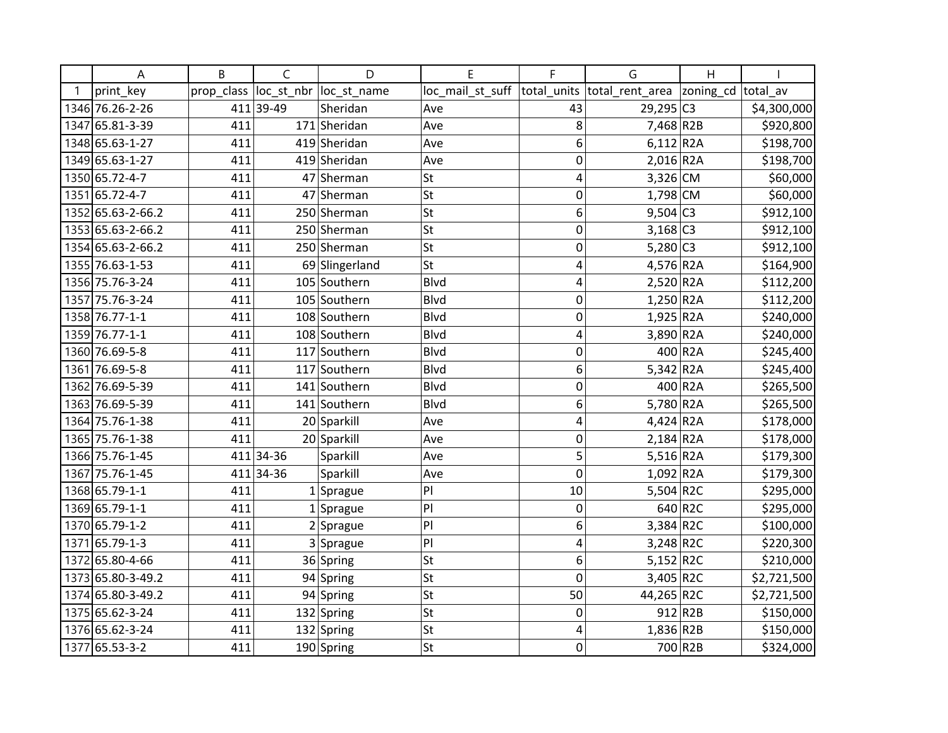|    | Α                 | B          | C          | D              | E                | F            | G                           | Η                  |             |
|----|-------------------|------------|------------|----------------|------------------|--------------|-----------------------------|--------------------|-------------|
| -1 | print key         | prop class | loc st nbr | loc st name    | loc_mail_st_suff |              | total units total rent area | zoning_cd total_av |             |
|    | 1346 76.26-2-26   |            | 411 39-49  | Sheridan       | Ave              | 43           | $29,295$ C <sub>3</sub>     |                    | \$4,300,000 |
|    | 1347 65.81-3-39   | 411        |            | 171 Sheridan   | Ave              | 8            | 7,468 R2B                   |                    | \$920,800   |
|    | 1348 65.63-1-27   | 411        |            | 419 Sheridan   | Ave              | 6            | $6,112$ R <sub>2</sub> A    |                    | \$198,700   |
|    | 1349 65.63-1-27   | 411        |            | 419 Sheridan   | Ave              | $\mathbf 0$  | 2,016 R2A                   |                    | \$198,700   |
|    | 1350 65.72-4-7    | 411        |            | 47 Sherman     | <b>St</b>        | 4            | 3,326 CM                    |                    | \$60,000    |
|    | 1351 65.72-4-7    | 411        |            | 47 Sherman     | <b>St</b>        | 0            | 1,798 CM                    |                    | \$60,000    |
|    | 1352 65.63-2-66.2 | 411        |            | 250 Sherman    | St               | 6            | $9,504$ C <sub>3</sub>      |                    | \$912,100   |
|    | 1353 65.63-2-66.2 | 411        |            | 250 Sherman    | <b>St</b>        | $\mathbf{0}$ | $3,168$ C <sub>3</sub>      |                    | \$912,100   |
|    | 1354 65.63-2-66.2 | 411        |            | 250 Sherman    | St               | 0            | $5,280$ C3                  |                    | \$912,100   |
|    | 1355 76.63-1-53   | 411        |            | 69 Slingerland | <b>St</b>        | 4            | 4,576 R2A                   |                    | \$164,900   |
|    | 1356 75.76-3-24   | 411        |            | 105 Southern   | Blvd             | 4            | $2,520$ R2A                 |                    | \$112,200   |
|    | 1357 75.76-3-24   | 411        |            | 105 Southern   | <b>Blvd</b>      | 0            | $1,250$ R2A                 |                    | \$112,200   |
|    | 1358 76.77-1-1    | 411        |            | 108 Southern   | Blvd             | $\mathbf 0$  | $1,925$ R2A                 |                    | \$240,000   |
|    | 1359 76.77-1-1    | 411        |            | 108 Southern   | Blvd             | 4            | 3,890 R2A                   |                    | \$240,000   |
|    | 1360 76.69-5-8    | 411        |            | 117 Southern   | <b>Blvd</b>      | $\mathbf{0}$ |                             | 400 R2A            | \$245,400   |
|    | 1361 76.69-5-8    | 411        |            | 117 Southern   | Blvd             | 6            | $5,342$ R <sub>2</sub> A    |                    | \$245,400   |
|    | 1362 76.69-5-39   | 411        |            | 141 Southern   | <b>Blvd</b>      | 0            |                             | 400 R2A            | \$265,500   |
|    | 1363 76.69-5-39   | 411        |            | 141 Southern   | Blvd             | 6            | 5,780 R2A                   |                    | \$265,500   |
|    | 1364 75.76-1-38   | 411        |            | 20 Sparkill    | Ave              | 4            | $4,424$ R2A                 |                    | \$178,000   |
|    | 1365 75.76-1-38   | 411        |            | 20 Sparkill    | Ave              | 0            | $2,184$ R2A                 |                    | \$178,000   |
|    | 1366 75.76-1-45   |            | 411 34-36  | Sparkill       | Ave              | 5            | $5,516$ R2A                 |                    | \$179,300   |
|    | 1367 75.76-1-45   |            | 411 34-36  | Sparkill       | Ave              | $\Omega$     | $1,092$ R <sub>2</sub> A    |                    | \$179,300   |
|    | 1368 65.79-1-1    | 411        |            | $1$ Sprague    | P                | 10           | 5,504 R2C                   |                    | \$295,000   |
|    | 1369 65.79-1-1    | 411        |            | $1$ Sprague    | P                | 0            |                             | 640 R2C            | \$295,000   |
|    | 1370 65.79-1-2    | 411        |            | $2$ Sprague    | P                | 6            | 3,384 R2C                   |                    | \$100,000   |
|    | 1371 65.79-1-3    | 411        |            | 3 Sprague      | P                | 4            | 3,248 R2C                   |                    | \$220,300   |
|    | 1372 65.80-4-66   | 411        |            | 36 Spring      | St               | 6            | $5,152$ R2C                 |                    | \$210,000   |
|    | 1373 65.80-3-49.2 | 411        |            | 94 Spring      | <b>St</b>        | 0            | 3,405 R2C                   |                    | \$2,721,500 |
|    | 1374 65.80-3-49.2 | 411        |            | 94 Spring      | <b>St</b>        | 50           | 44,265 R2C                  |                    | \$2,721,500 |
|    | 1375 65.62-3-24   | 411        |            | 132 Spring     | <b>St</b>        | 0            |                             | 912 R2B            | \$150,000   |
|    | 1376 65.62-3-24   | 411        |            | 132 Spring     | <b>St</b>        | 4            | $1,836$ R2B                 |                    | \$150,000   |
|    | 1377 65.53-3-2    | 411        |            | 190 Spring     | St               | $\mathbf 0$  |                             | 700 R2B            | \$324,000   |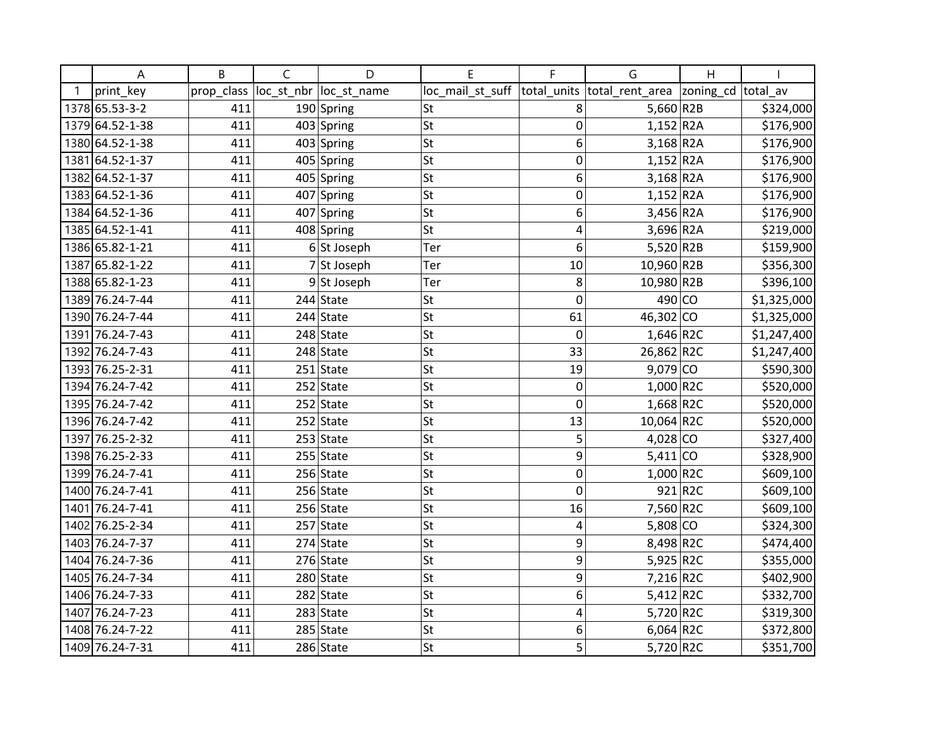| А               | B          | $\mathsf{C}$ | D             | E                | F           | G                          | $\overline{H}$ |             |
|-----------------|------------|--------------|---------------|------------------|-------------|----------------------------|----------------|-------------|
| print_key       | prop_class | loc_st_nbr   | loc_st_name   | loc_mail_st_suff | total_units | total_rent_area  zoning_cd |                | total av    |
| 1378 65.53-3-2  | 411        |              | 190 Spring    | St               | 8           | $5,660$ R2B                |                | \$324,000   |
| 1379 64.52-1-38 | 411        |              | 403 Spring    | <b>St</b>        | $\mathbf 0$ | $1,152$ R2A                |                | \$176,900   |
| 1380 64.52-1-38 | 411        |              | 403 Spring    | St               | 6           | $3,168$ R <sub>2</sub> A   |                | \$176,900   |
| 1381 64.52-1-37 | 411        |              | 405 Spring    | <b>St</b>        | 0           | $1,152$ R2A                |                | \$176,900   |
| 1382 64.52-1-37 | 411        |              | 405 Spring    | St               | 6           | $3,168$ R <sub>2</sub> A   |                | \$176,900   |
| 1383 64.52-1-36 | 411        | 407          | Spring        | St               | 0           | $1,152$ R2A                |                | \$176,900   |
| 1384 64.52-1-36 | 411        |              | 407 Spring    | <b>St</b>        | 6           | 3,456 R2A                  |                | \$176,900   |
| 1385 64.52-1-41 | 411        |              | 408 Spring    | St               | 4           | 3,696 R2A                  |                | \$219,000   |
| 1386 65.82-1-21 | 411        |              | $6$ St Joseph | Ter              | 6           | $5,520$ R2B                |                | \$159,900   |
| 1387 65.82-1-22 | 411        |              | 7 St Joseph   | Ter              | 10          | 10,960 R2B                 |                | \$356,300   |
| 1388 65.82-1-23 | 411        |              | 9St Joseph    | Ter              | 8           | 10,980 R2B                 |                | \$396,100   |
| 1389 76.24-7-44 | 411        |              | $244$ State   | <b>St</b>        | $\mathbf 0$ | $490$ CO                   |                | \$1,325,000 |
| 1390 76.24-7-44 | 411        |              | $244$ State   | <b>St</b>        | 61          | 46,302 CO                  |                | \$1,325,000 |
| 1391 76.24-7-43 | 411        |              | 248 State     | St               | $\mathbf 0$ | $1,646$ R2C                |                | \$1,247,400 |
| 1392 76.24-7-43 | 411        |              | $248$ State   | <b>St</b>        | 33          | 26,862 R2C                 |                | \$1,247,400 |
| 1393 76.25-2-31 | 411        |              | $251$ State   | <b>St</b>        | 19          | $9,079$ CO                 |                | \$590,300   |
| 1394 76.24-7-42 | 411        |              | $252$ State   | St               | 0           | $1,000$ R2C                |                | \$520,000   |
| 1395 76.24-7-42 | 411        |              | $252$ State   | <b>St</b>        | $\mathbf 0$ | $1,668$ R2C                |                | \$520,000   |
| 1396 76.24-7-42 | 411        |              | $252$ State   | <b>St</b>        | 13          | 10,064 R2C                 |                | \$520,000   |
| 1397 76.25-2-32 | 411        |              | $253$ State   | St               | 5           | $4,028$ CO                 |                | \$327,400   |
| 1398 76.25-2-33 | 411        |              | $255$ State   | <b>St</b>        | 9           | $5,411$ CO                 |                | \$328,900   |
| 1399 76.24-7-41 | 411        |              | $256$ State   | St               | $\mathbf 0$ | 1,000 R2C                  |                | \$609,100   |
| 1400 76.24-7-41 | 411        |              | $256$ State   | St               | $\mathbf 0$ |                            | 921 R2C        | \$609,100   |
| 1401 76.24-7-41 | 411        |              | 256 State     | St               | 16          | 7,560 R2C                  |                | \$609,100   |
| 1402 76.25-2-34 | 411        |              | $257$ State   | St               | 4           | $5,808$ CO                 |                | \$324,300   |
| 1403 76.24-7-37 | 411        |              | $274$ State   | <b>St</b>        | 9           | 8,498 R2C                  |                | \$474,400   |
| 1404 76.24-7-36 | 411        |              | $276$ State   | St               | 9           | 5,925 R2C                  |                | \$355,000   |
| 1405 76.24-7-34 | 411        |              | $280$ State   | St               | 9           | 7,216 R2C                  |                | \$402,900   |
| 1406 76.24-7-33 | 411        |              | $282$ State   | <b>St</b>        | 6           | $5,412$ R2C                |                | \$332,700   |
| 1407 76.24-7-23 | 411        |              | $283$ State   | <b>St</b>        | 4           | 5,720 R2C                  |                | \$319,300   |
| 1408 76.24-7-22 | 411        |              | $285$ State   | <b>St</b>        | 6           | $6,064$ R2C                |                | \$372,800   |
| 1409 76.24-7-31 | 411        |              | 286 State     | <b>St</b>        | 5           | 5,720 R2C                  |                | \$351,700   |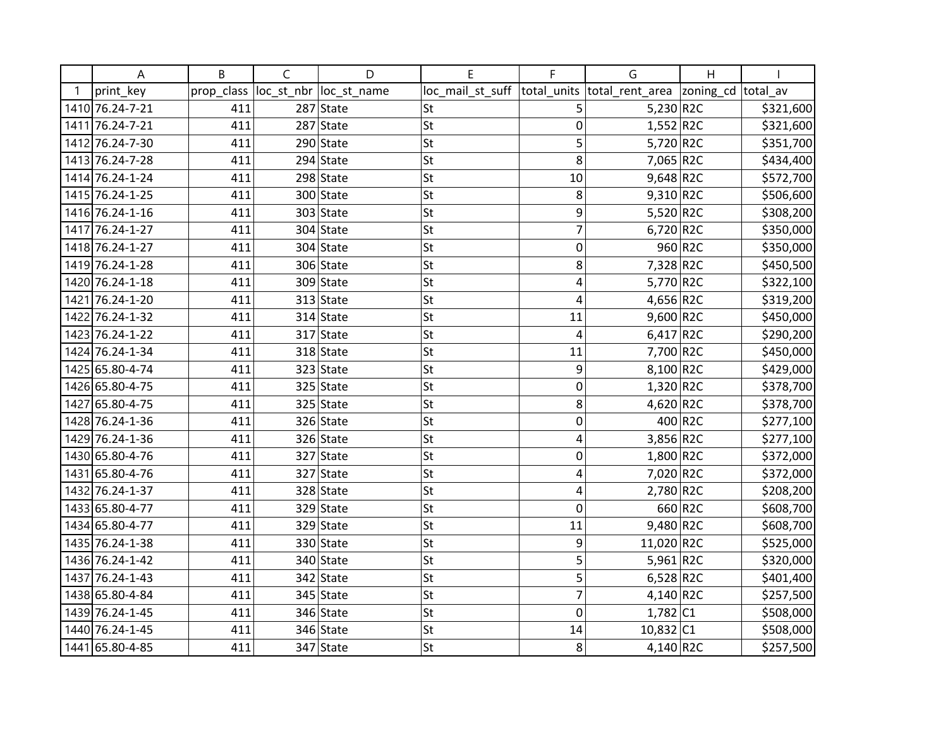| Α               | B          | C | D                       | E                | F           | G                           | Η                  |           |
|-----------------|------------|---|-------------------------|------------------|-------------|-----------------------------|--------------------|-----------|
| print_key       | prop_class |   | loc_st_nbr  loc_st_name | loc_mail_st_suff |             | total_units total_rent_area | zoning_cd total_av |           |
| 1410 76.24-7-21 | 411        |   | $287$ State             | St               | 5           | $5,230$ R2C                 |                    | \$321,600 |
| 1411 76.24-7-21 | 411        |   | $287$ State             | St               | 0           | $1,552$ R2C                 |                    | \$321,600 |
| 1412 76.24-7-30 | 411        |   | $290$ State             | <b>St</b>        | 5           | 5,720 R2C                   |                    | \$351,700 |
| 1413 76.24-7-28 | 411        |   | $294$ State             | <b>St</b>        | 8           | 7,065 R2C                   |                    | \$434,400 |
| 1414 76.24-1-24 | 411        |   | $298$ State             | <b>St</b>        | 10          | $9,648$ R2C                 |                    | \$572,700 |
| 1415 76.24-1-25 | 411        |   | 300 State               | <b>St</b>        | 8           | $9,310$ R2C                 |                    | \$506,600 |
| 1416 76.24-1-16 | 411        |   | $303$ State             | St               | 9           | 5,520 R2C                   |                    | \$308,200 |
| 1417 76.24-1-27 | 411        |   | $304$ State             | <b>St</b>        | 7           | $6,720$ R2C                 |                    | \$350,000 |
| 1418 76.24-1-27 | 411        |   | $304$ State             | <b>St</b>        | 0           |                             | 960 R2C            | \$350,000 |
| 1419 76.24-1-28 | 411        |   | 306 State               | <b>St</b>        | 8           | 7,328 R2C                   |                    | \$450,500 |
| 1420 76.24-1-18 | 411        |   | $309$ State             | <b>St</b>        | 4           | 5,770 R2C                   |                    | \$322,100 |
| 1421 76.24-1-20 | 411        |   | $313$ State             | St               | 4           | 4,656 R2C                   |                    | \$319,200 |
| 1422 76.24-1-32 | 411        |   | $314$ State             | St               | 11          | 9,600 R2C                   |                    | \$450,000 |
| 1423 76.24-1-22 | 411        |   | $317$ State             | <b>St</b>        | 4           | $6,417$ R2C                 |                    | \$290,200 |
| 1424 76.24-1-34 | 411        |   | $318$ State             | St               | 11          | 7,700 R2C                   |                    | \$450,000 |
| 1425 65.80-4-74 | 411        |   | $323$ State             | <b>St</b>        | 9           | 8,100 R2C                   |                    | \$429,000 |
| 1426 65.80-4-75 | 411        |   | $325$ State             | St               | 0           | $1,320$ R2C                 |                    | \$378,700 |
| 1427 65.80-4-75 | 411        |   | $325$ State             | <b>St</b>        | 8           | 4,620 $R2C$                 |                    | \$378,700 |
| 1428 76.24-1-36 | 411        |   | $326$ State             | <b>St</b>        | 0           |                             | 400 R2C            | \$277,100 |
| 1429 76.24-1-36 | 411        |   | 326 State               | <b>St</b>        | 4           | 3,856 R2C                   |                    | \$277,100 |
| 1430 65.80-4-76 | 411        |   | $327$ State             | <b>St</b>        | 0           | $1,800$ R2C                 |                    | \$372,000 |
| 1431 65.80-4-76 | 411        |   | 327 State               | St               | 4           | 7,020 R2C                   |                    | \$372,000 |
| 1432 76.24-1-37 | 411        |   | $328$ State             | St               | 4           | $2,780$ R2C                 |                    | \$208,200 |
| 1433 65.80-4-77 | 411        |   | $329$ State             | <b>St</b>        | $\mathbf 0$ |                             | 660 R2C            | \$608,700 |
| 1434 65.80-4-77 | 411        |   | $329$ State             | <b>St</b>        | 11          | 9,480 R2C                   |                    | \$608,700 |
| 1435 76.24-1-38 | 411        |   | $330$ State             | <b>St</b>        | 9           | 11,020 R2C                  |                    | \$525,000 |
| 1436 76.24-1-42 | 411        |   | 340 State               | St               | 5           | 5,961 R2C                   |                    | \$320,000 |
| 1437 76.24-1-43 | 411        |   | $342$ State             | <b>St</b>        | 5           | $6,528$ R2C                 |                    | \$401,400 |
| 1438 65.80-4-84 | 411        |   | $345$ State             | St               | 7           | 4,140 R2C                   |                    | \$257,500 |
| 1439 76.24-1-45 | 411        |   | $346$ State             | <b>St</b>        | 0           | 1,782 C1                    |                    | \$508,000 |
| 1440 76.24-1-45 | 411        |   | $346$ State             | <b>St</b>        | 14          | $10,832$ C1                 |                    | \$508,000 |
| 1441 65.80-4-85 | 411        |   | $347$ State             | St               | 8           | 4,140 R2C                   |                    | \$257,500 |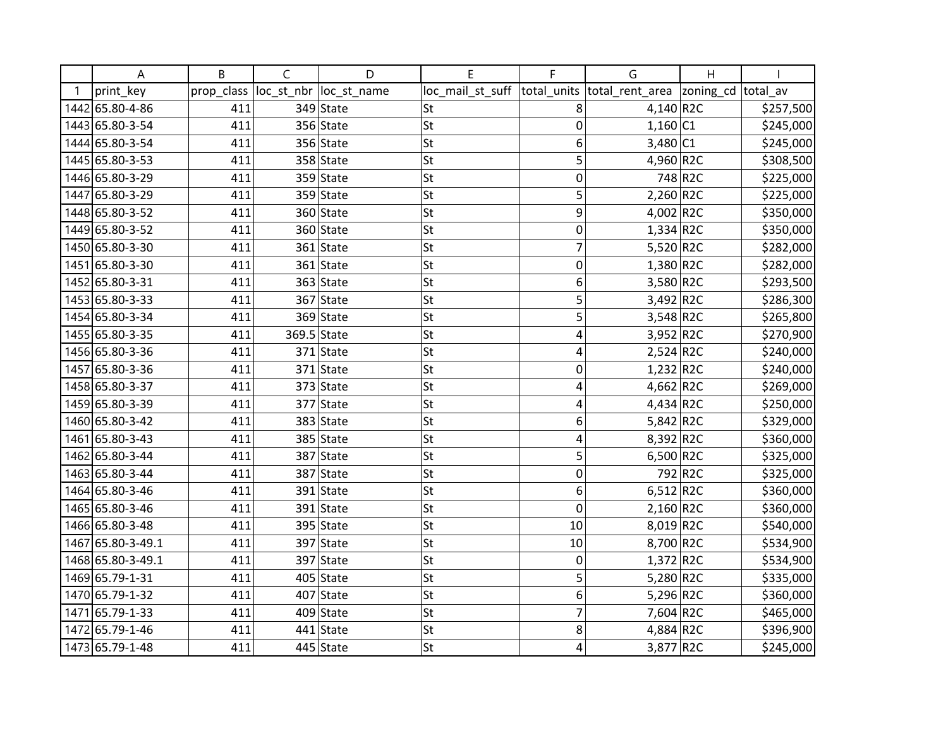| А                 | B          | $\mathsf{C}$ | D           | F                | F              | G                           | H                  |           |
|-------------------|------------|--------------|-------------|------------------|----------------|-----------------------------|--------------------|-----------|
| print_key         | prop_class | loc_st_nbr   | loc_st_name | loc_mail_st_suff |                | total_units total_rent_area | zoning_cd total_av |           |
| 1442 65.80-4-86   | 411        |              | 349 State   | <b>St</b>        | 8              | $4,140$ R2C                 |                    | \$257,500 |
| 1443 65.80-3-54   | 411        |              | 356 State   | <b>St</b>        | 0              | $1,160$ C1                  |                    | \$245,000 |
| 1444 65.80-3-54   | 411        |              | $356$ State | <b>St</b>        | 6              | 3,480 C1                    |                    | \$245,000 |
| 1445 65.80-3-53   | 411        |              | 358 State   | <b>St</b>        | 5              | 4,960 R2C                   |                    | \$308,500 |
| 1446 65.80-3-29   | 411        |              | $359$ State | <b>St</b>        | 0              |                             | 748 R2C            | \$225,000 |
| 1447 65.80-3-29   | 411        |              | 359 State   | <b>St</b>        | 5              | $2,260$ R2C                 |                    | \$225,000 |
| 1448 65.80-3-52   | 411        |              | 360 State   | <b>St</b>        | 9              | 4,002 R2C                   |                    | \$350,000 |
| 1449 65.80-3-52   | 411        |              | 360 State   | <b>St</b>        | 0              | $1,334$ R2C                 |                    | \$350,000 |
| 1450 65.80-3-30   | 411        |              | $361$ State | <b>St</b>        | 7              | 5,520 R2C                   |                    | \$282,000 |
| 1451 65.80-3-30   | 411        |              | 361 State   | <b>St</b>        | 0              | $1,380$ R2C                 |                    | \$282,000 |
| 1452 65.80-3-31   | 411        |              | $363$ State | <b>St</b>        | 6              | 3,580 R2C                   |                    | \$293,500 |
| 1453 65.80-3-33   | 411        |              | 367 State   | <b>St</b>        | 5              | 3,492 R2C                   |                    | \$286,300 |
| 1454 65.80-3-34   | 411        |              | 369 State   | <b>St</b>        | 5              | $3,548$ R2C                 |                    | \$265,800 |
| 1455 65.80-3-35   | 411        |              | 369.5 State | <b>St</b>        | 4              | 3,952 R2C                   |                    | \$270,900 |
| 1456 65.80-3-36   | 411        |              | $371$ State | <b>St</b>        | 4              | $2,524$ R2C                 |                    | \$240,000 |
| 1457 65.80-3-36   | 411        |              | $371$ State | <b>St</b>        | 0              | 1,232 R2C                   |                    | \$240,000 |
| 1458 65.80-3-37   | 411        |              | 373 State   | St               | 4              | 4,662 R2C                   |                    | \$269,000 |
| 1459 65.80-3-39   | 411        |              | 377 State   | <b>St</b>        | 4              | $4,434$ R2C                 |                    | \$250,000 |
| 1460 65.80-3-42   | 411        |              | 383 State   | <b>St</b>        | 6              | 5,842 R2C                   |                    | \$329,000 |
| 1461 65.80-3-43   | 411        |              | 385 State   | <b>St</b>        | 4              | 8,392 R2C                   |                    | \$360,000 |
| 1462 65.80-3-44   | 411        |              | 387 State   | <b>St</b>        | 5              | 6,500 R2C                   |                    | \$325,000 |
| 1463 65.80-3-44   | 411        |              | 387 State   | <b>St</b>        | 0              |                             | 792 R2C            | \$325,000 |
| 1464 65.80-3-46   | 411        |              | $391$ State | <b>St</b>        | 6              | $6,512$ R2C                 |                    | \$360,000 |
| 1465 65.80-3-46   | 411        |              | $391$ State | <b>St</b>        | $\mathbf 0$    | $2,160$ R2C                 |                    | \$360,000 |
| 1466 65.80-3-48   | 411        |              | $395$ State | <b>St</b>        | 10             | 8,019 R2C                   |                    | \$540,000 |
| 1467 65.80-3-49.1 | 411        |              | 397 State   | <b>St</b>        | 10             | 8,700 R2C                   |                    | \$534,900 |
| 1468 65.80-3-49.1 | 411        |              | 397 State   | St               | 0              | $1,372$ R2C                 |                    | \$534,900 |
| 1469 65.79-1-31   | 411        |              | $405$ State | <b>St</b>        | 5              | 5,280 $R2C$                 |                    | \$335,000 |
| 1470 65.79-1-32   | 411        |              | $407$ State | <b>St</b>        | 6              | 5,296 R2C                   |                    | \$360,000 |
| 1471 65.79-1-33   | 411        |              | $409$ State | <b>St</b>        | $\overline{7}$ | 7,604 R2C                   |                    | \$465,000 |
| 1472 65.79-1-46   | 411        |              | $441$ State | <b>St</b>        | 8              | 4,884 R2C                   |                    | \$396,900 |
| 1473 65.79-1-48   | 411        |              | 445 State   | <b>St</b>        | 4              | 3,877 R2C                   |                    | \$245,000 |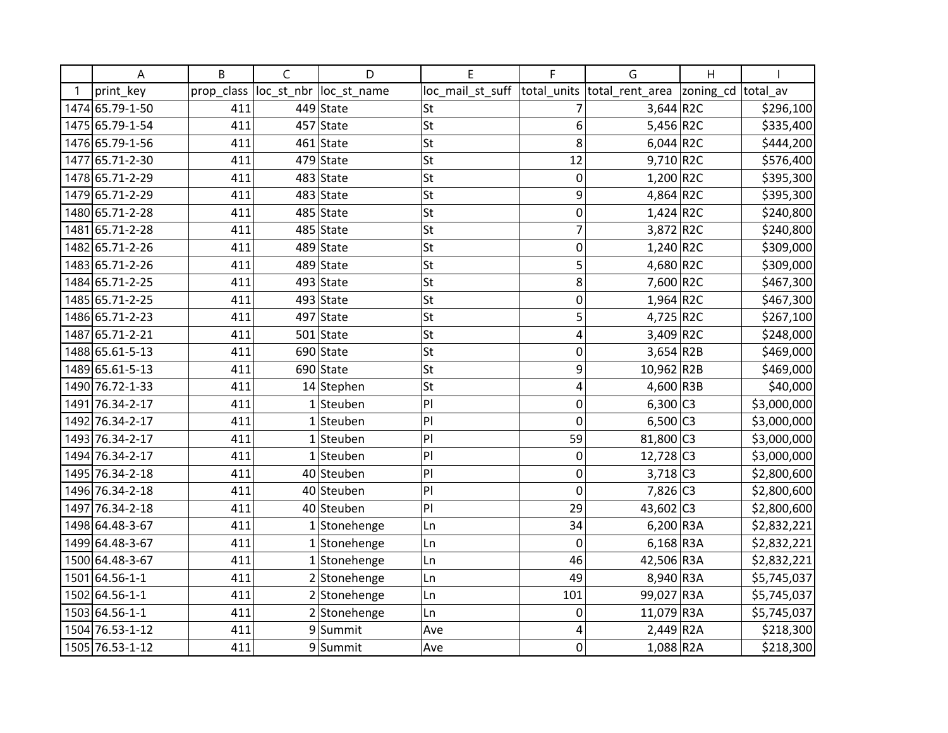| A               | B          | C          | D            | E                | F           | G                           | Η                  |             |
|-----------------|------------|------------|--------------|------------------|-------------|-----------------------------|--------------------|-------------|
| print key       | prop_class | loc_st_nbr | loc_st_name  | loc_mail_st_suff |             | total_units total_rent_area | zoning_cd total_av |             |
| 1474 65.79-1-50 | 411        |            | $449$ State  | St               | 7           | $3,644$ R2C                 |                    | \$296,100   |
| 1475 65.79-1-54 | 411        |            | $457$ State  | St               | 6           | 5,456 R2C                   |                    | \$335,400   |
| 1476 65.79-1-56 | 411        |            | $461$ State  | <b>St</b>        | 8           | $6,044$ R2C                 |                    | \$444,200   |
| 1477 65.71-2-30 | 411        |            | $479$ State  | <b>St</b>        | 12          | $9,710$ R2C                 |                    | \$576,400   |
| 1478 65.71-2-29 | 411        |            | $483$ State  | <b>St</b>        | 0           | 1,200 R2C                   |                    | \$395,300   |
| 1479 65.71-2-29 | 411        |            | $483$ State  | <b>St</b>        | 9           | 4,864 R2C                   |                    | \$395,300   |
| 1480 65.71-2-28 | 411        |            | $485$ State  | St               | 0           | $1,424$ R2C                 |                    | \$240,800   |
| 1481 65.71-2-28 | 411        |            | $485$ State  | <b>St</b>        | 7           | 3,872 R2C                   |                    | \$240,800   |
| 1482 65.71-2-26 | 411        |            | $489$ State  | <b>St</b>        | 0           | 1,240 R2C                   |                    | \$309,000   |
| 1483 65.71-2-26 | 411        |            | 489 State    | St               | 5           | 4,680 R2C                   |                    | \$309,000   |
| 1484 65.71-2-25 | 411        |            | $493$ State  | <b>St</b>        | 8           | 7,600 R2C                   |                    | \$467,300   |
| 1485 65.71-2-25 | 411        |            | $493$ State  | St               | $\mathbf 0$ | $1,964$ R2C                 |                    | \$467,300   |
| 1486 65.71-2-23 | 411        |            | $497$ State  | St               | 5           | 4,725 R2C                   |                    | \$267,100   |
| 1487 65.71-2-21 | 411        |            | $501$ State  | St               | 4           | 3,409 R2C                   |                    | \$248,000   |
| 1488 65.61-5-13 | 411        |            | $690$ State  | St               | 0           | $3,654$ R2B                 |                    | \$469,000   |
| 1489 65.61-5-13 | 411        |            | 690 State    | <b>St</b>        | 9           | 10,962 R2B                  |                    | \$469,000   |
| 1490 76.72-1-33 | 411        |            | $14$ Stephen | St               | 4           | 4,600 R3B                   |                    | \$40,000    |
| 1491 76.34-2-17 | 411        |            | $1$ Steuben  | P                | 0           | $6,300$ C <sub>3</sub>      |                    | \$3,000,000 |
| 1492 76.34-2-17 | 411        |            | $1$ Steuben  | P                | $\mathbf 0$ | $6,500$ C3                  |                    | \$3,000,000 |
| 1493 76.34-2-17 | 411        |            | $1$ Steuben  | P                | 59          | 81,800 C3                   |                    | \$3,000,000 |
| 1494 76.34-2-17 | 411        |            | $1$ Steuben  | P                | 0           | $12,728$ C <sub>3</sub>     |                    | \$3,000,000 |
| 1495 76.34-2-18 | 411        |            | 40 Steuben   | P                | 0           | $3,718$ C <sub>3</sub>      |                    | \$2,800,600 |
| 1496 76.34-2-18 | 411        |            | 40 Steuben   | P                | 0           | 7,826 C3                    |                    | \$2,800,600 |
| 1497 76.34-2-18 | 411        |            | 40 Steuben   | P                | 29          | 43,602 C3                   |                    | \$2,800,600 |
| 1498 64.48-3-67 | 411        |            | 1 Stonehenge | Ln               | 34          | $6,200$ R3A                 |                    | \$2,832,221 |
| 1499 64.48-3-67 | 411        |            | 1 Stonehenge | Ln               | 0           | $6,168$ R3A                 |                    | \$2,832,221 |
| 1500 64.48-3-67 | 411        |            | 1 Stonehenge | Ln               | 46          | 42,506 R3A                  |                    | \$2,832,221 |
| 1501 64.56-1-1  | 411        |            | 2 Stonehenge | Ln               | 49          | 8,940 R3A                   |                    | \$5,745,037 |
| 1502 64.56-1-1  | 411        |            | 2 Stonehenge | Ln               | 101         | 99,027 R3A                  |                    | \$5,745,037 |
| 1503 64.56-1-1  | 411        |            | 2 Stonehenge | Ln               | 0           | 11,079 R3A                  |                    | \$5,745,037 |
| 1504 76.53-1-12 | 411        |            | 9Summit      | Ave              | 4           | $2,449$ R <sub>2</sub> A    |                    | \$218,300   |
| 1505 76.53-1-12 | 411        |            | 9Summit      | Ave              | 0           | $1,088$ R <sub>2</sub> A    |                    | \$218,300   |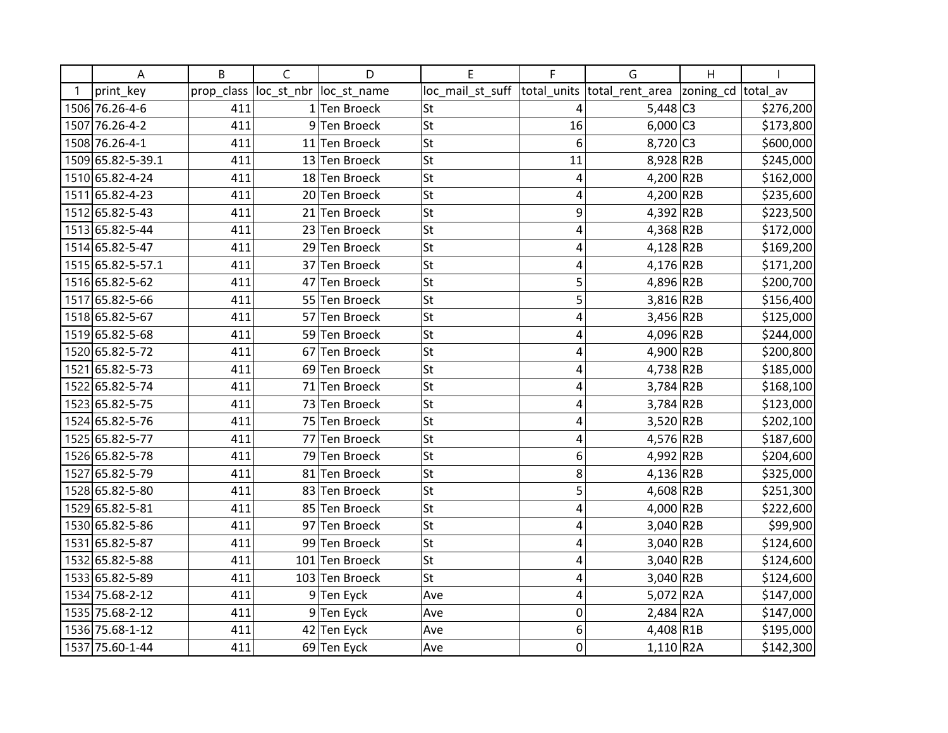| Α                 | B          | $\mathsf{C}$ | D                 | E                | F              | G                        | H         |           |
|-------------------|------------|--------------|-------------------|------------------|----------------|--------------------------|-----------|-----------|
| print_key         | prop_class | loc_st_nbr   | loc_st_name       | loc_mail_st_suff | total_units    | total_rent_area          | zoning_cd | total av  |
| 1506 76.26-4-6    | 411        |              | $1$ Ten Broeck    | St               | $\overline{4}$ | $5,448$ C <sub>3</sub>   |           | \$276,200 |
| 1507 76.26-4-2    | 411        |              | 9Ten Broeck       | <b>St</b>        | 16             | $6,000$ C3               |           | \$173,800 |
| 1508 76.26-4-1    | 411        |              | 11 Ten Broeck     | St               | 6              | 8,720 C3                 |           | \$600,000 |
| 1509 65.82-5-39.1 | 411        |              | 13 Ten Broeck     | <b>St</b>        | 11             | 8,928 R2B                |           | \$245,000 |
| 1510 65.82-4-24   | 411        | 18           | <b>Ten Broeck</b> | St               | 4              | 4,200 R2B                |           | \$162,000 |
| 1511 65.82-4-23   | 411        |              | 20 Ten Broeck     | <b>St</b>        | 4              | 4,200 R2B                |           | \$235,600 |
| 1512 65.82-5-43   | 411        |              | 21 Ten Broeck     | <b>St</b>        | 9              | 4,392 R2B                |           | \$223,500 |
| 1513 65.82-5-44   | 411        | 23           | Ten Broeck        | <b>St</b>        | 4              | 4,368 R2B                |           | \$172,000 |
| 1514 65.82-5-47   | 411        | 29           | Ten Broeck        | <b>St</b>        | 4              | $4,128$ R2B              |           | \$169,200 |
| 1515 65.82-5-57.1 | 411        | 37           | <b>Ten Broeck</b> | <b>St</b>        | 4              | 4,176 R2B                |           | \$171,200 |
| 1516 65.82-5-62   | 411        | 47           | <b>Ten Broeck</b> | St               | 5              | 4,896 R2B                |           | \$200,700 |
| 1517 65.82-5-66   | 411        |              | 55 Ten Broeck     | <b>St</b>        | 5              | $3,816$ R2B              |           | \$156,400 |
| 1518 65.82-5-67   | 411        | 57           | <b>Ten Broeck</b> | <b>St</b>        | 4              | 3,456 R2B                |           | \$125,000 |
| 1519 65.82-5-68   | 411        |              | 59 Ten Broeck     | St               | 4              | 4,096 R2B                |           | \$244,000 |
| 1520 65.82-5-72   | 411        | 67           | <b>Ten Broeck</b> | <b>St</b>        | 4              | 4,900 R2B                |           | \$200,800 |
| 1521 65.82-5-73   | 411        | 69           | <b>Ten Broeck</b> | <b>St</b>        | 4              | 4,738 R2B                |           | \$185,000 |
| 1522 65.82-5-74   | 411        | 71           | <b>Ten Broeck</b> | St               | 4              | $3,784$ R2B              |           | \$168,100 |
| 1523 65.82-5-75   | 411        |              | 73 Ten Broeck     | <b>St</b>        | 4              | $3,784$ R <sub>2</sub> B |           | \$123,000 |
| 1524 65.82-5-76   | 411        | 75           | Ten Broeck        | <b>St</b>        | 4              | 3,520 R2B                |           | \$202,100 |
| 1525 65.82-5-77   | 411        | 77           | <b>Ten Broeck</b> | <b>St</b>        | 4              | 4,576 R2B                |           | \$187,600 |
| 1526 65.82-5-78   | 411        | 79           | Ten Broeck        | <b>St</b>        | 6              | 4,992 R2B                |           | \$204,600 |
| 1527 65.82-5-79   | 411        | 81           | Ten Broeck        | St               | 8              | 4,136 R2B                |           | \$325,000 |
| 1528 65.82-5-80   | 411        | 83           | Ten Broeck        | <b>St</b>        | 5              | 4,608 R2B                |           | \$251,300 |
| 1529 65.82-5-81   | 411        |              | 85 Ten Broeck     | <b>St</b>        | 4              | 4,000 R2B                |           | \$222,600 |
| 1530 65.82-5-86   | 411        | 97           | <b>Ten Broeck</b> | St               | 4              | $3,040$ R2B              |           | \$99,900  |
| 1531 65.82-5-87   | 411        |              | 99 Ten Broeck     | <b>St</b>        | 4              | $3,040$ R <sub>2</sub> B |           | \$124,600 |
| 1532 65.82-5-88   | 411        |              | 101 Ten Broeck    | St               | 4              | $3,040$ R <sub>2</sub> B |           | \$124,600 |
| 1533 65.82-5-89   | 411        |              | 103 Ten Broeck    | St               | 4              | $3,040$ R <sub>2</sub> B |           | \$124,600 |
| 1534 75.68-2-12   | 411        |              | 9Ten Eyck         | Ave              | 4              | 5,072 R2A                |           | \$147,000 |
| 1535 75.68-2-12   | 411        |              | 9Ten Eyck         | Ave              | $\mathbf 0$    | $2,484$ R <sub>2</sub> A |           | \$147,000 |
| 1536 75.68-1-12   | 411        |              | 42 Ten Eyck       | Ave              | 6              | 4,408 R1B                |           | \$195,000 |
| 1537 75.60-1-44   | 411        |              | 69 Ten Eyck       | Ave              | $\mathbf 0$    | $1,110$ R2A              |           | \$142,300 |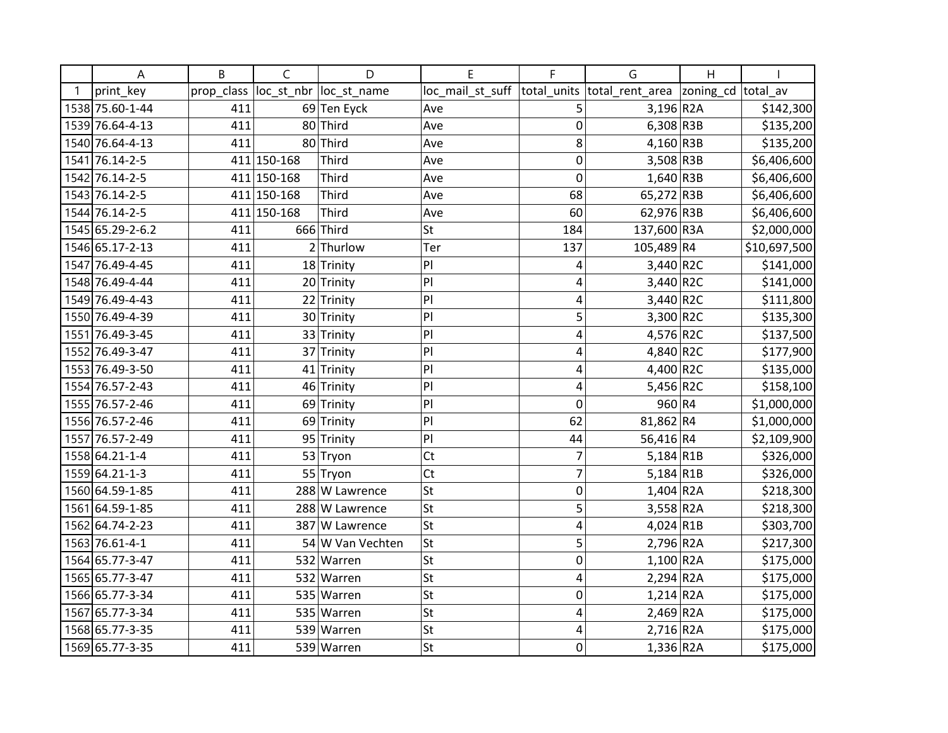| Α                | B          | C           | D                | E                | F           | G                           | Η                  |              |
|------------------|------------|-------------|------------------|------------------|-------------|-----------------------------|--------------------|--------------|
| print key        | prop_class | loc_st_nbr  | loc_st_name      | loc_mail_st_suff |             | total_units total_rent_area | zoning_cd total_av |              |
| 1538 75.60-1-44  | 411        |             | 69 Ten Eyck      | Ave              | 5           | $3,196$ R <sub>2</sub> A    |                    | \$142,300    |
| 1539 76.64-4-13  | 411        |             | 80 Third         | Ave              | 0           | $6,308$ R3B                 |                    | \$135,200    |
| 1540 76.64-4-13  | 411        |             | 80 Third         | Ave              | 8           | $4,160$ R3B                 |                    | \$135,200    |
| 1541 76.14-2-5   |            | 411 150-168 | <b>Third</b>     | Ave              | 0           | $3,508$ R3B                 |                    | \$6,406,600  |
| 1542 76.14-2-5   |            | 411 150-168 | Third            | Ave              | 0           | $1,640$ R3B                 |                    | \$6,406,600  |
| 1543 76.14-2-5   |            | 411 150-168 | <b>Third</b>     | Ave              | 68          | 65,272 R3B                  |                    | \$6,406,600  |
| 1544 76.14-2-5   |            | 411 150-168 | <b>Third</b>     | Ave              | 60          | 62,976 R3B                  |                    | \$6,406,600  |
| 1545 65.29-2-6.2 | 411        |             | 666 Third        | <b>St</b>        | 184         | 137,600 R3A                 |                    | \$2,000,000  |
| 1546 65.17-2-13  | 411        |             | $2$ Thurlow      | Ter              | 137         | 105,489 R4                  |                    | \$10,697,500 |
| 1547 76.49-4-45  | 411        |             | 18 Trinity       | P                | 4           | 3,440 R2C                   |                    | \$141,000    |
| 1548 76.49-4-44  | 411        |             | 20 Trinity       | P                | 4           | $3,440$ R2C                 |                    | \$141,000    |
| 1549 76.49-4-43  | 411        |             | 22 Trinity       | P                | 4           | 3,440 R2C                   |                    | \$111,800    |
| 1550 76.49-4-39  | 411        |             | 30 Trinity       | P                | 5           | 3,300 R2C                   |                    | \$135,300    |
| 1551 76.49-3-45  | 411        |             | 33 Trinity       | P                | 4           | 4,576 R2C                   |                    | \$137,500    |
| 1552 76.49-3-47  | 411        |             | 37 Trinity       | P                | 4           | 4,840 R2C                   |                    | \$177,900    |
| 1553 76.49-3-50  | 411        |             | 41 Trinity       | P                | 4           | 4,400 R2C                   |                    | \$135,000    |
| 1554 76.57-2-43  | 411        |             | 46 Trinity       | P                | 4           | 5,456 R2C                   |                    | \$158,100    |
| 1555 76.57-2-46  | 411        |             | 69 Trinity       | P                | $\mathbf 0$ | 960 R4                      |                    | \$1,000,000  |
| 1556 76.57-2-46  | 411        | 69          | Trinity          | P                | 62          | 81,862 R4                   |                    | \$1,000,000  |
| 1557 76.57-2-49  | 411        |             | 95 Trinity       | P                | 44          | 56,416 R4                   |                    | \$2,109,900  |
| 1558 64.21-1-4   | 411        |             | 53 Tryon         | Ct               | 7           | $5,184$ R1B                 |                    | \$326,000    |
| 1559 64.21-1-3   | 411        |             | 55 Tryon         | Ct               | 7           | $5,184$ R1B                 |                    | \$326,000    |
| 1560 64.59-1-85  | 411        |             | 288 W Lawrence   | <b>St</b>        | 0           | $1,404$ R2A                 |                    | \$218,300    |
| 1561 64.59-1-85  | 411        |             | 288 W Lawrence   | <b>St</b>        | 5           | 3,558 R2A                   |                    | \$218,300    |
| 1562 64.74-2-23  | 411        |             | 387 W Lawrence   | <b>St</b>        | 4           | 4,024 R1B                   |                    | \$303,700    |
| 1563 76.61-4-1   | 411        |             | 54 W Van Vechten | <b>St</b>        | 5           | 2,796 R2A                   |                    | \$217,300    |
| 1564 65.77-3-47  | 411        |             | 532 Warren       | St               | 0           | $1,100$ R2A                 |                    | \$175,000    |
| 1565 65.77-3-47  | 411        |             | 532 Warren       | <b>St</b>        | 4           | $2,294$ R2A                 |                    | \$175,000    |
| 1566 65.77-3-34  | 411        |             | 535 Warren       | St               | 0           | $1,214$ R2A                 |                    | \$175,000    |
| 1567 65.77-3-34  | 411        |             | 535 Warren       | <b>St</b>        | 4           | $2,469$ R2A                 |                    | \$175,000    |
| 1568 65.77-3-35  | 411        |             | 539 Warren       | <b>St</b>        | 4           | $2,716$ R2A                 |                    | \$175,000    |
| 1569 65.77-3-35  | 411        |             | 539 Warren       | St               | 0           | $1,336$ R2A                 |                    | \$175,000    |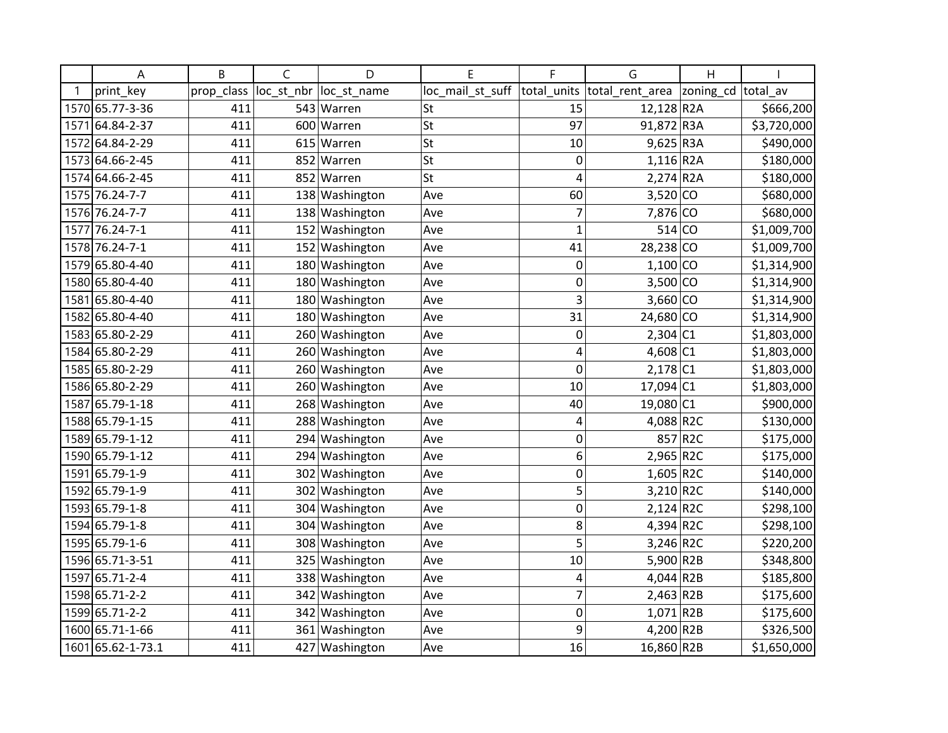| Α                 | B          | C          | D              | E                | F              | G                        | Η         |             |
|-------------------|------------|------------|----------------|------------------|----------------|--------------------------|-----------|-------------|
| print key         | prop_class | loc_st_nbr | loc st name    | loc_mail_st_suff | total units    | total rent area          | zoning_cd | total av    |
| 1570 65.77-3-36   | 411        |            | 543 Warren     | St               | 15             | 12,128 R2A               |           | \$666,200   |
| 1571 64.84-2-37   | 411        |            | 600 Warren     | St               | 97             | 91,872 R3A               |           | \$3,720,000 |
| 1572 64.84-2-29   | 411        |            | 615 Warren     | <b>St</b>        | 10             | $9,625$ R3A              |           | \$490,000   |
| 1573 64.66-2-45   | 411        |            | 852 Warren     | St               | 0              | $1,116$ R2A              |           | \$180,000   |
| 1574 64.66-2-45   | 411        |            | 852 Warren     | St               | 4              | $2,274$ R <sub>2</sub> A |           | \$180,000   |
| 1575 76.24-7-7    | 411        | 138        | Washington     | Ave              | 60             | $3,520$ CO               |           | \$680,000   |
| 1576 76.24-7-7    | 411        |            | 138 Washington | Ave              | $\overline{7}$ | 7,876 CO                 |           | \$680,000   |
| 1577 76.24-7-1    | 411        | 152        | Washington     | Ave              | $\mathbf{1}$   | $514$ CO                 |           | \$1,009,700 |
| 1578 76.24-7-1    | 411        |            | 152 Washington | Ave              | 41             | 28,238 CO                |           | \$1,009,700 |
| 1579 65.80-4-40   | 411        |            | 180 Washington | Ave              | 0              | $1,100$ CO               |           | \$1,314,900 |
| 1580 65.80-4-40   | 411        | 180        | Washington     | Ave              | 0              | $3,500$ CO               |           | \$1,314,900 |
| 1581 65.80-4-40   | 411        | 180        | Washington     | Ave              | 3              | $3,660$ CO               |           | \$1,314,900 |
| 1582 65.80-4-40   | 411        |            | 180 Washington | Ave              | 31             | 24,680 CO                |           | \$1,314,900 |
| 1583 65.80-2-29   | 411        |            | 260 Washington | Ave              | 0              | $2,304$ C1               |           | \$1,803,000 |
| 1584 65.80-2-29   | 411        |            | 260 Washington | Ave              | 4              | 4,608 C1                 |           | \$1,803,000 |
| 1585 65.80-2-29   | 411        |            | 260 Washington | Ave              | $\mathbf 0$    | $2,178$ C1               |           | \$1,803,000 |
| 1586 65.80-2-29   | 411        | 260        | Washington     | Ave              | 10             | 17,094 C1                |           | \$1,803,000 |
| 1587 65.79-1-18   | 411        | 268        | Washington     | Ave              | 40             | 19,080 C1                |           | \$900,000   |
| 1588 65.79-1-15   | 411        | 288        | Washington     | Ave              | 4              | 4,088 R2C                |           | \$130,000   |
| 1589 65.79-1-12   | 411        |            | 294 Washington | Ave              | 0              |                          | 857 R2C   | \$175,000   |
| 1590 65.79-1-12   | 411        |            | 294 Washington | Ave              | 6              | 2,965 R2C                |           | \$175,000   |
| 1591 65.79-1-9    | 411        | 302        | Washington     | Ave              | 0              | $1,605$ R2C              |           | \$140,000   |
| 1592 65.79-1-9    | 411        | 302        | Washington     | Ave              | 5              | 3,210 R2C                |           | \$140,000   |
| 1593 65.79-1-8    | 411        | 304        | Washington     | Ave              | $\mathbf 0$    | $2,124$ R2C              |           | \$298,100   |
| 1594 65.79-1-8    | 411        |            | 304 Washington | Ave              | 8              | 4,394 R2C                |           | \$298,100   |
| 1595 65.79-1-6    | 411        |            | 308 Washington | Ave              | 5              | 3,246 R2C                |           | \$220,200   |
| 1596 65.71-3-51   | 411        | 325        | Washington     | Ave              | 10             | 5,900 R2B                |           | \$348,800   |
| 1597 65.71-2-4    | 411        | 338        | Washington     | Ave              | 4              | 4,044 R2B                |           | \$185,800   |
| 1598 65.71-2-2    | 411        | 342        | Washington     | Ave              | $\overline{7}$ | 2,463 R2B                |           | \$175,600   |
| 1599 65.71-2-2    | 411        | 342        | Washington     | Ave              | $\mathbf 0$    | $1,071$ R2B              |           | \$175,600   |
| 1600 65.71-1-66   | 411        |            | 361 Washington | Ave              | 9              | 4,200 R2B                |           | \$326,500   |
| 1601 65.62-1-73.1 | 411        |            | 427 Washington | Ave              | 16             | 16,860 R2B               |           | \$1,650,000 |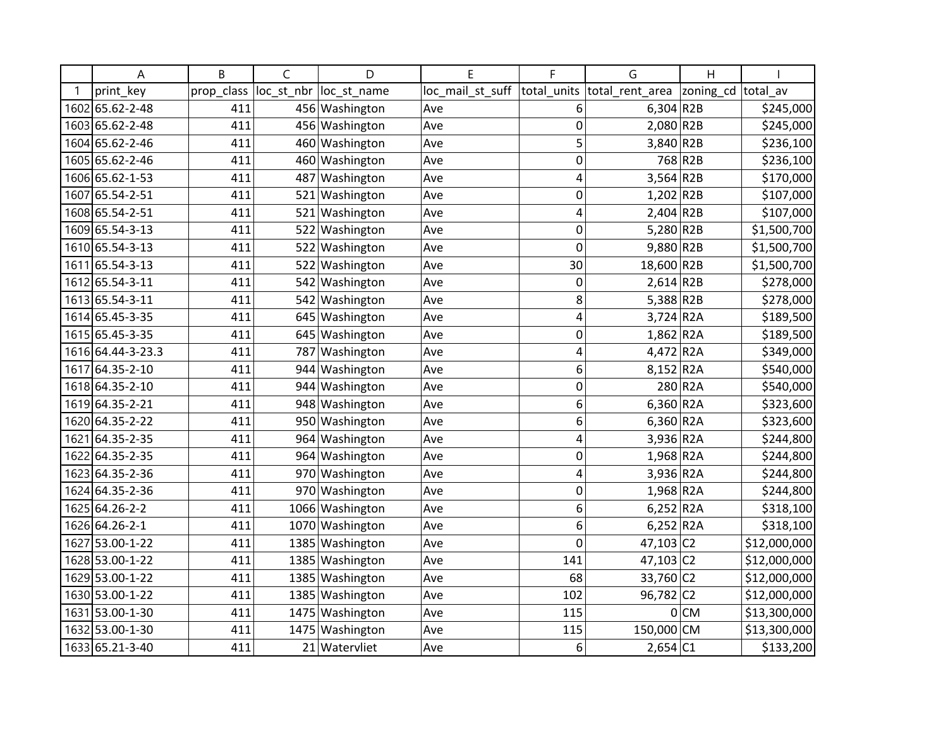| Α                   | B          | C          | D               | F                | F           | G                        | Η         |              |
|---------------------|------------|------------|-----------------|------------------|-------------|--------------------------|-----------|--------------|
| print key           | prop class | loc st nbr | loc_st_name     | loc mail st suff | total_units | total rent area          | zoning_cd | total av     |
| 1602 65.62-2-48     | 411        |            | 456 Washington  | Ave              | 6           | $6,304$ R <sub>2</sub> B |           | \$245,000    |
| 1603 65.62-2-48     | 411        |            | 456 Washington  | Ave              | 0           | 2,080 R2B                |           | \$245,000    |
| 1604 65.62-2-46     | 411        |            | 460 Washington  | Ave              | 5           | 3,840 R2B                |           | \$236,100    |
| 1605 65.62-2-46     | 411        | 460        | Washington      | Ave              | 0           |                          | 768 R2B   | \$236,100    |
| 1606 65.62-1-53     | 411        | 487        | Washington      | Ave              | 4           | $3,564$ R2B              |           | \$170,000    |
| 1607 65.54 - 2 - 51 | 411        | 521        | Washington      | Ave              | 0           | $1,202$ R2B              |           | \$107,000    |
| 1608 65.54-2-51     | 411        | 521        | Washington      | Ave              | 4           | $2,404$ R <sub>2</sub> B |           | \$107,000    |
| 1609 65.54-3-13     | 411        | 522        | Washington      | Ave              | 0           | 5,280 R2B                |           | \$1,500,700  |
| 1610 65.54-3-13     | 411        | 522        | Washington      | Ave              | $\mathbf 0$ | 9,880 R2B                |           | \$1,500,700  |
| 1611 65.54-3-13     | 411        | 522        | Washington      | Ave              | 30          | 18,600 R2B               |           | \$1,500,700  |
| 1612 65.54-3-11     | 411        | 542        | Washington      | Ave              | 0           | $2,614$ R <sub>2</sub> B |           | \$278,000    |
| 1613 65.54-3-11     | 411        | 542        | Washington      | Ave              | 8           | 5,388 R2B                |           | \$278,000    |
| 1614 65.45-3-35     | 411        | 645        | Washington      | Ave              | 4           | 3,724 R2A                |           | \$189,500    |
| 1615 65.45-3-35     | 411        | 645        | Washington      | Ave              | 0           | $1,862$ R2A              |           | \$189,500    |
| 1616 64.44-3-23.3   | 411        | 787        | Washington      | Ave              | 4           | 4,472 R2A                |           | \$349,000    |
| 1617 64.35-2-10     | 411        | 944        | Washington      | Ave              | 6           | 8,152 R2A                |           | \$540,000    |
| 1618 64.35-2-10     | 411        | 944        | Washington      | Ave              | 0           |                          | 280 R2A   | \$540,000    |
| 1619 64.35 - 2-21   | 411        |            | 948 Washington  | Ave              | 6           | $6,360$ R2A              |           | \$323,600    |
| 1620 64.35-2-22     | 411        | 950        | Washington      | Ave              | 6           | $6,360$ R <sub>2</sub> A |           | \$323,600    |
| 1621 64.35-2-35     | 411        | 964        | Washington      | Ave              | 4           | 3,936 R2A                |           | \$244,800    |
| 1622 64.35-2-35     | 411        |            | 964 Washington  | Ave              | 0           | 1,968 R2A                |           | \$244,800    |
| 1623 64.35-2-36     | 411        | 970        | Washington      | Ave              | 4           | 3,936 R2A                |           | \$244,800    |
| 1624 64.35-2-36     | 411        |            | 970 Washington  | Ave              | 0           | 1,968 R2A                |           | \$244,800    |
| 1625 64.26-2-2      | 411        |            | 1066 Washington | Ave              | 6           | $6,252$ R2A              |           | \$318,100    |
| 1626 64.26-2-1      | 411        | 1070       | Washington      | Ave              | 6           | $6,252$ R2A              |           | \$318,100    |
| 1627 53.00-1-22     | 411        | 1385       | Washington      | Ave              | 0           | 47,103 C2                |           | \$12,000,000 |
| 1628 53.00-1-22     | 411        | 1385       | Washington      | Ave              | 141         | $47,103$ C <sub>2</sub>  |           | \$12,000,000 |
| 1629 53.00-1-22     | 411        |            | 1385 Washington | Ave              | 68          | 33,760                   | c2        | \$12,000,000 |
| 1630 53.00-1-22     | 411        |            | 1385 Washington | Ave              | 102         | 96,782 C2                |           | \$12,000,000 |
| 1631 53.00-1-30     | 411        |            | 1475 Washington | Ave              | 115         | 0                        | <b>CM</b> | \$13,300,000 |
| 1632 53.00-1-30     | 411        |            | 1475 Washington | Ave              | 115         | 150,000                  | <b>CM</b> | \$13,300,000 |
| 1633 65.21-3-40     | 411        |            | 21 Watervliet   | Ave              | 6           | $2,654$ C1               |           | \$133,200    |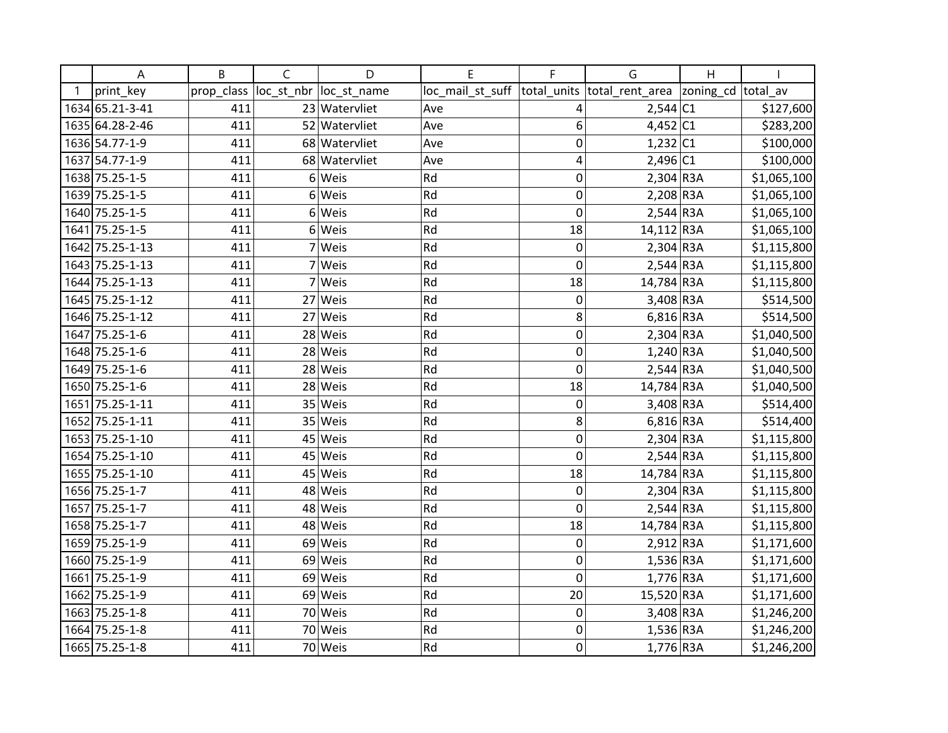| А               | B          | $\mathsf{C}$ | D             | E                | F              | G               | H         |             |
|-----------------|------------|--------------|---------------|------------------|----------------|-----------------|-----------|-------------|
| print_key       | prop_class | loc_st_nbr   | loc_st_name   | loc_mail_st_suff | total_units    | total_rent_area | zoning_cd | total av    |
| 1634 65.21-3-41 | 411        |              | 23 Watervliet | Ave              | 4              | $2,544$ C1      |           | \$127,600   |
| 1635 64.28-2-46 | 411        |              | 52 Watervliet | Ave              | 6              | $4,452$ C1      |           | \$283,200   |
| 1636 54.77-1-9  | 411        |              | 68 Watervliet | Ave              | $\mathbf 0$    | $1,232$ C1      |           | \$100,000   |
| 1637 54.77-1-9  | 411        |              | 68 Watervliet | Ave              | 4              | 2,496 C1        |           | \$100,000   |
| 1638 75.25-1-5  | 411        | 6            | Weis          | Rd               | 0              | $2,304$ R3A     |           | \$1,065,100 |
| 1639 75.25-1-5  | 411        | 6            | Weis          | Rd               | $\mathbf 0$    | $2,208$ R3A     |           | \$1,065,100 |
| 1640 75.25-1-5  | 411        |              | 6 Weis        | Rd               | $\mathbf 0$    | $2,544$ R3A     |           | \$1,065,100 |
| 1641 75.25-1-5  | 411        |              | 6 Weis        | Rd               | 18             | 14,112 R3A      |           | \$1,065,100 |
| 1642 75.25-1-13 | 411        |              | Weis          | Rd               | $\mathbf 0$    | $2,304$ R3A     |           | \$1,115,800 |
| 1643 75.25-1-13 | 411        |              | Weis          | Rd               | $\mathbf 0$    | $2,544$ R3A     |           | \$1,115,800 |
| 1644 75.25-1-13 | 411        |              | Weis          | Rd               | 18             | 14,784 R3A      |           | \$1,115,800 |
| 1645 75.25-1-12 | 411        | 27           | Weis          | Rd               | 0              | 3,408 R3A       |           | \$514,500   |
| 1646 75.25-1-12 | 411        | 27           | Weis          | Rd               | 8              | $6,816$ R3A     |           | \$514,500   |
| 1647 75.25-1-6  | 411        |              | 28 Weis       | Rd               | 0              | $2,304$ R3A     |           | \$1,040,500 |
| 1648 75.25-1-6  | 411        |              | 28 Weis       | Rd               | $\overline{0}$ | $1,240$ R3A     |           | \$1,040,500 |
| 1649 75.25-1-6  | 411        | 28           | Weis          | Rd               | $\overline{0}$ | $2,544$ R3A     |           | \$1,040,500 |
| 1650 75.25-1-6  | 411        | 28           | Weis          | Rd               | 18             | 14,784 R3A      |           | \$1,040,500 |
| 1651 75.25-1-11 | 411        |              | 35 Weis       | Rd               | $\mathbf 0$    | 3,408 R3A       |           | \$514,400   |
| 1652 75.25-1-11 | 411        | 35           | Weis          | Rd               | 8              | $6,816$ R3A     |           | \$514,400   |
| 1653 75.25-1-10 | 411        | 45           | Weis          | Rd               | $\mathbf 0$    | $2,304$ R3A     |           | \$1,115,800 |
| 1654 75.25-1-10 | 411        | 45           | Weis          | Rd               | $\mathbf 0$    | $2,544$ R3A     |           | \$1,115,800 |
| 1655 75.25-1-10 | 411        | 45           | Weis          | Rd               | 18             | 14,784 R3A      |           | \$1,115,800 |
| 1656 75.25-1-7  | 411        | 48           | Weis          | Rd               | 0              | $2,304$ R3A     |           | \$1,115,800 |
| 1657 75.25-1-7  | 411        |              | 48 Weis       | Rd               | 0              | $2,544$ R3A     |           | \$1,115,800 |
| 1658 75.25-1-7  | 411        |              | 48 Weis       | Rd               | 18             | 14,784 R3A      |           | \$1,115,800 |
| 1659 75.25-1-9  | 411        | 69           | Weis          | Rd               | $\mathbf 0$    | 2,912 R3A       |           | \$1,171,600 |
| 1660 75.25-1-9  | 411        | 69           | Weis          | Rd               | $\mathbf 0$    | $1,536$ R3A     |           | \$1,171,600 |
| 1661 75.25-1-9  | 411        | 69           | Weis          | Rd               | $\mathbf 0$    | $1,776$ R3A     |           | \$1,171,600 |
| 1662 75.25-1-9  | 411        |              | 69 Weis       | Rd               | 20             | 15,520 R3A      |           | \$1,171,600 |
| 1663 75.25-1-8  | 411        |              | 70 Weis       | Rd               | $\mathbf 0$    | 3,408 R3A       |           | \$1,246,200 |
| 1664 75.25-1-8  | 411        | 70           | Weis          | Rd               | $\mathbf 0$    | $1,536$ R3A     |           | \$1,246,200 |
| 1665 75.25-1-8  | 411        |              | 70 Weis       | Rd               | $\mathbf 0$    | $1,776$ R3A     |           | \$1,246,200 |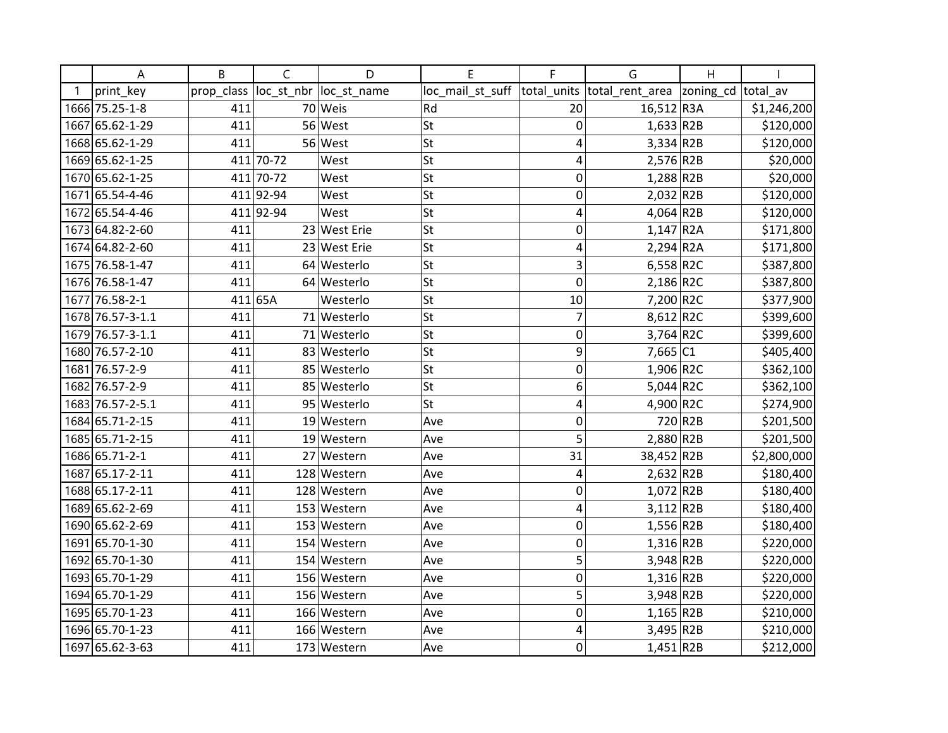| А                | B          | $\mathsf{C}$ | D            | E                | F              | G                          | H       |             |
|------------------|------------|--------------|--------------|------------------|----------------|----------------------------|---------|-------------|
| print_key        | prop_class | loc_st_nbr   | loc_st_name  | loc_mail_st_suff | total_units    | total_rent_area  zoning_cd |         | total av    |
| 1666 75.25-1-8   | 411        |              | 70 Weis      | Rd               | 20             | 16,512 R3A                 |         | \$1,246,200 |
| 1667 65.62-1-29  | 411        |              | 56 West      | <b>St</b>        | $\mathbf 0$    | $1,633$ R2B                |         | \$120,000   |
| 1668 65.62-1-29  | 411        |              | 56 West      | St               | 4              | $3,334$ R2B                |         | \$120,000   |
| 1669 65.62-1-25  |            | 411 70-72    | West         | <b>St</b>        | 4              | $2,576$ R2B                |         | \$20,000    |
| 1670 65.62-1-25  | 411        | 70-72        | West         | St               | 0              | $1,288$ R2B                |         | \$20,000    |
| 1671 65.54-4-46  |            | 411 92-94    | West         | St               | $\mathbf 0$    | 2,032 R2B                  |         | \$120,000   |
| 1672 65.54-4-46  |            | 411 92-94    | West         | <b>St</b>        | 4              | 4,064 R2B                  |         | \$120,000   |
| 1673 64.82-2-60  | 411        |              | 23 West Erie | St               | $\mathbf 0$    | $1,147$ R2A                |         | \$171,800   |
| 1674 64.82-2-60  | 411        |              | 23 West Erie | <b>St</b>        | 4              | $2,294$ R <sub>2</sub> A   |         | \$171,800   |
| 1675 76.58-1-47  | 411        |              | 64 Westerlo  | St               | 3              | 6,558 R2C                  |         | \$387,800   |
| 1676 76.58-1-47  | 411        |              | 64 Westerlo  | St               | $\mathbf 0$    | 2,186 R2C                  |         | \$387,800   |
| 1677 76.58-2-1   |            | 411 65A      | Westerlo     | <b>St</b>        | 10             | 7,200 R2C                  |         | \$377,900   |
| 1678 76.57-3-1.1 | 411        |              | 71 Westerlo  | <b>St</b>        | $\overline{7}$ | 8,612 R2C                  |         | \$399,600   |
| 1679 76.57-3-1.1 | 411        |              | 71 Westerlo  | St               | 0              | $3,764$ R2C                |         | \$399,600   |
| 1680 76.57-2-10  | 411        |              | 83 Westerlo  | <b>St</b>        | 9              | 7,665 C1                   |         | \$405,400   |
| 1681 76.57-2-9   | 411        |              | 85 Westerlo  | <b>St</b>        | $\mathbf 0$    | 1,906 R2C                  |         | \$362,100   |
| 1682 76.57-2-9   | 411        |              | 85 Westerlo  | St               | 6              | 5,044 R2C                  |         | \$362,100   |
| 1683 76.57-2-5.1 | 411        |              | 95 Westerlo  | <b>St</b>        | 4              | 4,900 R2C                  |         | \$274,900   |
| 1684 65.71-2-15  | 411        |              | 19 Western   | Ave              | $\mathbf 0$    |                            | 720 R2B | \$201,500   |
| 1685 65.71-2-15  | 411        | 19           | Western      | Ave              | 5              | 2,880 R2B                  |         | \$201,500   |
| 1686 65.71-2-1   | 411        | 27           | Western      | Ave              | 31             | 38,452 R2B                 |         | \$2,800,000 |
| 1687 65.17-2-11  | 411        |              | 128 Western  | Ave              | 4              | $2,632$ R2B                |         | \$180,400   |
| 1688 65.17-2-11  | 411        |              | 128 Western  | Ave              | 0              | $1,072$ R2B                |         | \$180,400   |
| 1689 65.62-2-69  | 411        |              | 153 Western  | Ave              | 4              | $3,112$ R2B                |         | \$180,400   |
| 1690 65.62-2-69  | 411        |              | 153 Western  | Ave              | 0              | $1,556$ R2B                |         | \$180,400   |
| 1691 65.70-1-30  | 411        |              | 154 Western  | Ave              | $\mathbf 0$    | $1,316$ R2B                |         | \$220,000   |
| 1692 65.70-1-30  | 411        |              | 154 Western  | Ave              | 5              | 3,948 R2B                  |         | \$220,000   |
| 1693 65.70-1-29  | 411        |              | 156 Western  | Ave              | $\mathbf 0$    | $1,316$ R2B                |         | \$220,000   |
| 1694 65.70-1-29  | 411        |              | 156 Western  | Ave              | 5              | 3,948 R2B                  |         | \$220,000   |
| 1695 65.70-1-23  | 411        |              | 166 Western  | Ave              | $\mathbf 0$    | $1,165$ R2B                |         | \$210,000   |
| 1696 65.70-1-23  | 411        |              | 166 Western  | Ave              | 4              | 3,495 R2B                  |         | \$210,000   |
| 1697 65.62-3-63  | 411        |              | 173 Western  | Ave              | $\mathbf 0$    | $1,451$ R2B                |         | \$212,000   |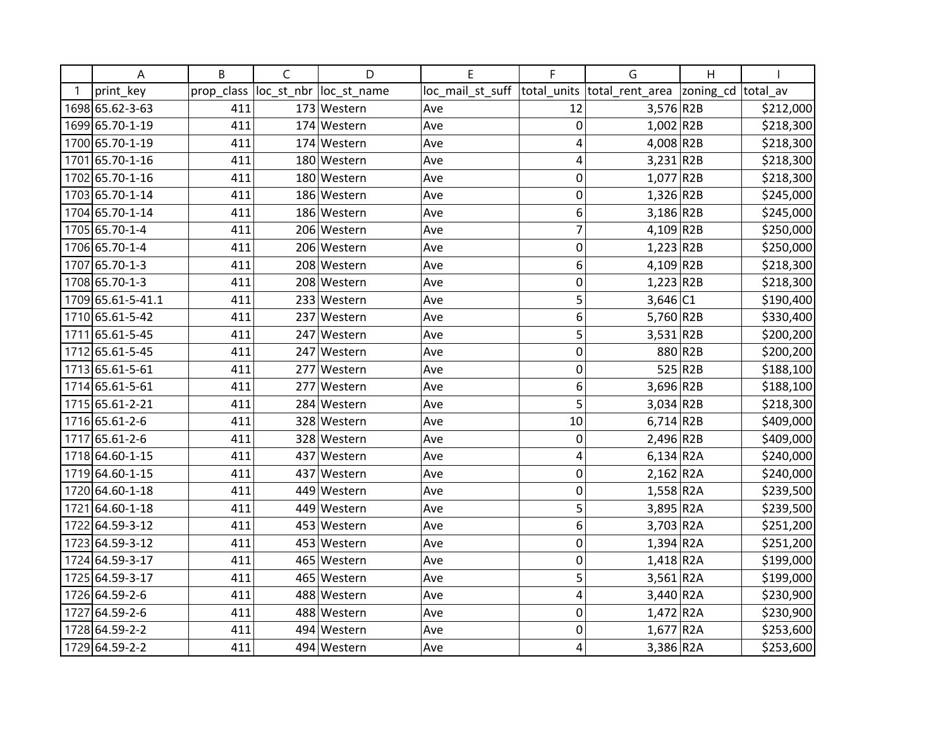| Α                 | B          | C          | D           | E                | F              | G                        | H         |           |
|-------------------|------------|------------|-------------|------------------|----------------|--------------------------|-----------|-----------|
| print key         | prop_class | loc_st_nbr | loc_st_name | loc_mail_st_suff | total units    | total_rent_area          | zoning_cd | total av  |
| 1698 65.62-3-63   | 411        |            | 173 Western | Ave              | 12             | 3,576 R2B                |           | \$212,000 |
| 1699 65.70-1-19   | 411        |            | 174 Western | Ave              | $\mathbf 0$    | $1,002$ R2B              |           | \$218,300 |
| 1700 65.70-1-19   | 411        |            | 174 Western | Ave              | 4              | $4,008$ R2B              |           | \$218,300 |
| 1701 65.70-1-16   | 411        |            | 180 Western | Ave              | 4              | $3,231$ R2B              |           | \$218,300 |
| 1702 65.70-1-16   | 411        |            | 180 Western | Ave              | 0              | 1,077 R2B                |           | \$218,300 |
| 1703 65.70-1-14   | 411        |            | 186 Western | Ave              | $\mathbf 0$    | $1,326$ R2B              |           | \$245,000 |
| 1704 65.70-1-14   | 411        |            | 186 Western | Ave              | 6              | $3,186$ R <sub>2</sub> B |           | \$245,000 |
| 1705 65.70-1-4    | 411        |            | 206 Western | Ave              | $\overline{7}$ | $4,109$ R2B              |           | \$250,000 |
| 1706 65.70-1-4    | 411        |            | 206 Western | Ave              | 0              | $1,223$ R2B              |           | \$250,000 |
| 1707 65.70-1-3    | 411        |            | 208 Western | Ave              | 6              | $4,109$ R2B              |           | \$218,300 |
| 1708 65.70-1-3    | 411        |            | 208 Western | Ave              | 0              | $1,223$ R2B              |           | \$218,300 |
| 1709 65.61-5-41.1 | 411        |            | 233 Western | Ave              | 5              | $3,646$ C1               |           | \$190,400 |
| 1710 65.61-5-42   | 411        | 237        | Western     | Ave              | 6              | 5,760 R2B                |           | \$330,400 |
| 1711 65.61-5-45   | 411        |            | 247 Western | Ave              | 5              | $3,531$ R2B              |           | \$200,200 |
| 1712 65.61-5-45   | 411        |            | 247 Western | Ave              | $\mathbf 0$    |                          | 880 R2B   | \$200,200 |
| 1713 65.61-5-61   | 411        | 277        | Western     | Ave              | $\mathbf 0$    |                          | 525 R2B   | \$188,100 |
| 1714 65.61-5-61   | 411        | 277        | Western     | Ave              | 6              | 3,696 R2B                |           | \$188,100 |
| 1715 65.61-2-21   | 411        | 284        | Western     | Ave              | 5              | $3,034$ R <sub>2B</sub>  |           | \$218,300 |
| 1716 65.61-2-6    | 411        |            | 328 Western | Ave              | 10             | $6,714$ R2B              |           | \$409,000 |
| 1717 65.61-2-6    | 411        |            | 328 Western | Ave              | 0              | 2,496 R2B                |           | \$409,000 |
| 1718 64.60-1-15   | 411        |            | 437 Western | Ave              | 4              | $6,134$ R <sub>2</sub> A |           | \$240,000 |
| 1719 64.60-1-15   | 411        | 437        | Western     | Ave              | 0              | $2,162$ R <sub>2</sub> A |           | \$240,000 |
| 1720 64.60-1-18   | 411        | 4491       | Western     | Ave              | $\mathbf 0$    | $1,558$ R2A              |           | \$239,500 |
| 1721 64.60-1-18   | 411        |            | 449 Western | Ave              | 5              | 3,895 R2A                |           | \$239,500 |
| 1722 64.59-3-12   | 411        |            | 453 Western | Ave              | 6              | $3,703$ R2A              |           | \$251,200 |
| 1723 64.59-3-12   | 411        |            | 453 Western | Ave              | $\mathbf 0$    | $1,394$ R <sub>2</sub> A |           | \$251,200 |
| 1724 64.59-3-17   | 411        |            | 465 Western | Ave              | $\mathbf 0$    | $1,418$ R <sub>2</sub> A |           | \$199,000 |
| 1725 64.59-3-17   | 411        | 465        | Western     | Ave              | 5              | $3,561$ R2A              |           | \$199,000 |
| 1726 64.59-2-6    | 411        |            | 488 Western | Ave              | 4              | 3,440 R2A                |           | \$230,900 |
| 1727 64.59-2-6    | 411        |            | 488 Western | Ave              | $\mathbf 0$    | $1,472$ R2A              |           | \$230,900 |
| 1728 64.59-2-2    | 411        |            | 494 Western | Ave              | 0              | $1,677$ R2A              |           | \$253,600 |
| 1729 64.59-2-2    | 411        |            | 494 Western | Ave              | 4              | 3,386 R2A                |           | \$253,600 |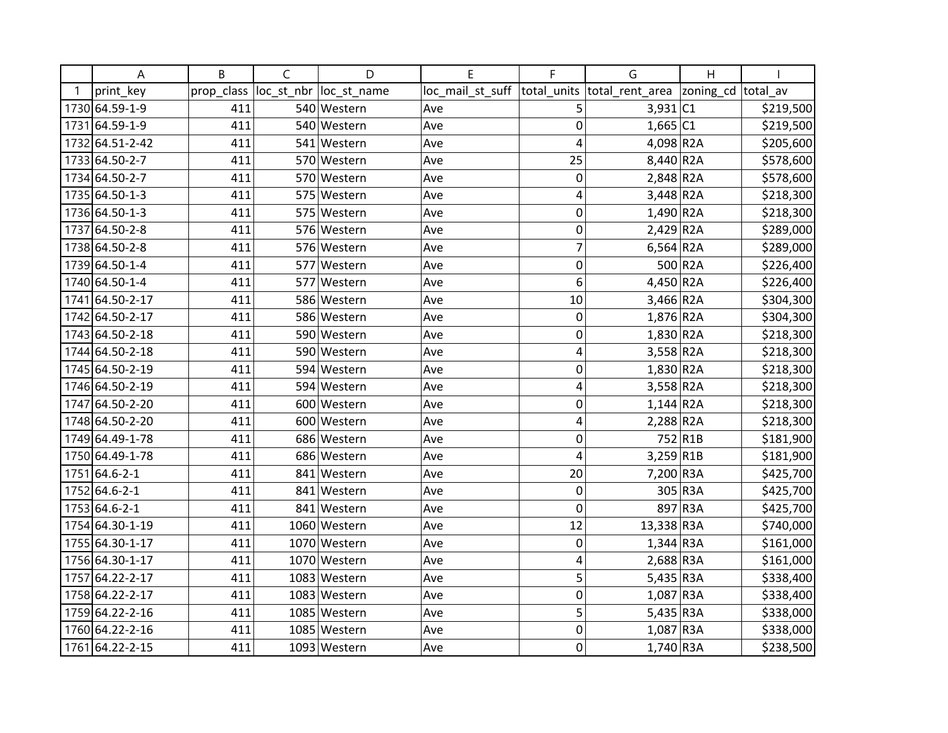| Α               | B          | C          | D            | E                | F              | G                        | H         |           |
|-----------------|------------|------------|--------------|------------------|----------------|--------------------------|-----------|-----------|
| print key       | prop_class | loc_st_nbr | loc_st_name  | loc_mail_st_suff | total units    | total_rent_area          | zoning_cd | total av  |
| 1730 64.59-1-9  | 411        |            | 540 Western  | Ave              | 5              | $3,931$ C1               |           | \$219,500 |
| 1731 64.59-1-9  | 411        |            | 540 Western  | Ave              | $\mathbf 0$    | $1,665$ C1               |           | \$219,500 |
| 1732 64.51-2-42 | 411        |            | 541 Western  | Ave              | $\overline{4}$ | 4,098 R2A                |           | \$205,600 |
| 1733 64.50-2-7  | 411        |            | 570 Western  | Ave              | 25             | 8,440 R2A                |           | \$578,600 |
| 1734 64.50-2-7  | 411        |            | 570 Western  | Ave              | 0              | $2,848$ R <sub>2</sub> A |           | \$578,600 |
| 1735 64.50-1-3  | 411        | 575        | Western      | Ave              | 4              | 3,448 R2A                |           | \$218,300 |
| 1736 64.50-1-3  | 411        | 575        | Western      | Ave              | 0              | $1,490$ R2A              |           | \$218,300 |
| 1737 64.50-2-8  | 411        |            | 576 Western  | Ave              | $\mathbf 0$    | $2,429$ R <sub>2</sub> A |           | \$289,000 |
| 1738 64.50-2-8  | 411        |            | 576 Western  | Ave              | $\overline{7}$ | $6,564$ R2A              |           | \$289,000 |
| 1739 64.50-1-4  | 411        | 577        | Western      | Ave              | $\mathbf 0$    |                          | 500 R2A   | \$226,400 |
| 1740 64.50-1-4  | 411        | 577        | Western      | Ave              | 6              | 4,450 R2A                |           | \$226,400 |
| 1741 64.50-2-17 | 411        |            | 586 Western  | Ave              | 10             | 3,466 R2A                |           | \$304,300 |
| 1742 64.50-2-17 | 411        |            | 586 Western  | Ave              | $\mathbf 0$    | 1,876 R2A                |           | \$304,300 |
| 1743 64.50-2-18 | 411        |            | 590 Western  | Ave              | 0              | $1,830$ R <sub>2</sub> A |           | \$218,300 |
| 1744 64.50-2-18 | 411        |            | 590 Western  | Ave              | $\overline{4}$ | 3,558 R2A                |           | \$218,300 |
| 1745 64.50-2-19 | 411        |            | 594 Western  | Ave              | $\mathbf 0$    | $1,830$ R2A              |           | \$218,300 |
| 1746 64.50-2-19 | 411        |            | 594 Western  | Ave              | 4              | $3,558$ R2A              |           | \$218,300 |
| 1747 64.50-2-20 | 411        |            | 600 Western  | Ave              | $\mathbf 0$    | $1,144$ R2A              |           | \$218,300 |
| 1748 64.50-2-20 | 411        |            | 600 Western  | Ave              | 4              | $2,288$ R <sub>2</sub> A |           | \$218,300 |
| 1749 64.49-1-78 | 411        |            | 686 Western  | Ave              | 0              |                          | 752 R1B   | \$181,900 |
| 1750 64.49-1-78 | 411        |            | 686 Western  | Ave              | 4              | 3,259 R1B                |           | \$181,900 |
| 1751 64.6-2-1   | 411        |            | 841 Western  | Ave              | 20             | 7,200 R3A                |           | \$425,700 |
| 1752 64.6-2-1   | 411        |            | 841 Western  | Ave              | $\mathbf 0$    |                          | 305 R3A   | \$425,700 |
| 1753 64.6-2-1   | 411        |            | 841 Western  | Ave              | $\mathbf 0$    |                          | 897 R3A   | \$425,700 |
| 1754 64.30-1-19 | 411        |            | 1060 Western | Ave              | 12             | 13,338 R3A               |           | \$740,000 |
| 1755 64.30-1-17 | 411        |            | 1070 Western | Ave              | $\mathbf 0$    | $1,344$ R3A              |           | \$161,000 |
| 1756 64.30-1-17 | 411        |            | 1070 Western | Ave              | 4              | $2,688$ R3A              |           | \$161,000 |
| 1757 64.22-2-17 | 411        |            | 1083 Western | Ave              | 5              | $5,435$ R3A              |           | \$338,400 |
| 1758 64.22-2-17 | 411        |            | 1083 Western | Ave              | $\mathbf 0$    | $1,087$ R3A              |           | \$338,400 |
| 1759 64.22-2-16 | 411        |            | 1085 Western | Ave              | 5              | $5,435$ R3A              |           | \$338,000 |
| 1760 64.22-2-16 | 411        |            | 1085 Western | Ave              | 0              | $1,087$ R3A              |           | \$338,000 |
| 1761 64.22-2-15 | 411        |            | 1093 Western | Ave              | $\mathbf 0$    | $1,740$ R3A              |           | \$238,500 |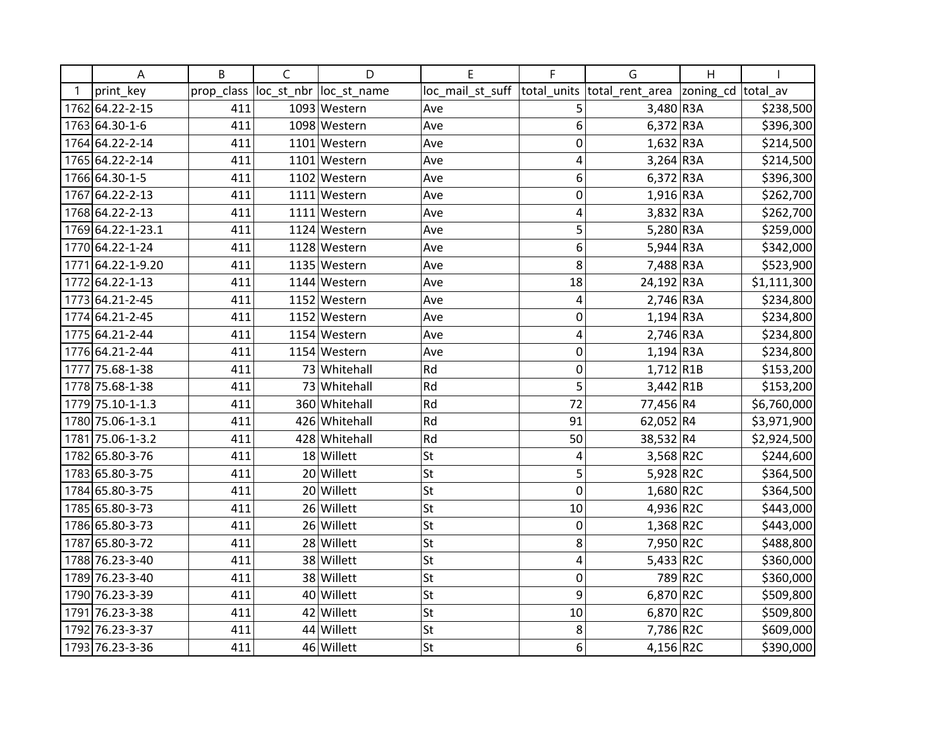| Α                 | B          | C          | D             | E                | F           | G               | H         |             |
|-------------------|------------|------------|---------------|------------------|-------------|-----------------|-----------|-------------|
| print key         | prop_class | loc_st_nbr | loc_st_name   | loc_mail_st_suff | total units | total_rent_area | zoning_cd | total av    |
| 1762 64.22-2-15   | 411        |            | 1093 Western  | Ave              | 5           | 3,480 R3A       |           | \$238,500   |
| 1763 64.30-1-6    | 411        |            | 1098 Western  | Ave              | 6           | $6,372$ R3A     |           | \$396,300   |
| 1764 64.22-2-14   | 411        |            | 1101 Western  | Ave              | $\mathbf 0$ | $1,632$ R3A     |           | \$214,500   |
| 1765 64.22-2-14   | 411        |            | 1101 Western  | Ave              | 4           | $3,264$ R3A     |           | \$214,500   |
| 1766 64.30-1-5    | 411        |            | 1102 Western  | Ave              | 6           | $6,372$ R3A     |           | \$396,300   |
| 1767 64.22-2-13   | 411        |            | 1111 Western  | Ave              | $\mathbf 0$ | $1,916$ R3A     |           | \$262,700   |
| 1768 64.22-2-13   | 411        |            | 1111 Western  | Ave              | 4           | 3,832 R3A       |           | \$262,700   |
| 1769 64.22-1-23.1 | 411        |            | 1124 Western  | Ave              | 5           | $5,280$ R3A     |           | \$259,000   |
| 1770 64.22-1-24   | 411        |            | 1128 Western  | Ave              | 6           | $5,944$ R3A     |           | \$342,000   |
| 1771 64.22-1-9.20 | 411        |            | 1135 Western  | Ave              | 8           | 7,488 R3A       |           | \$523,900   |
| 1772 64.22-1-13   | 411        |            | 1144 Western  | Ave              | 18          | 24,192 R3A      |           | \$1,111,300 |
| 1773 64.21-2-45   | 411        |            | 1152 Western  | Ave              | 4           | $2,746$ R3A     |           | \$234,800   |
| 1774 64.21-2-45   | 411        |            | 1152 Western  | Ave              | $\mathbf 0$ | $1,194$ R3A     |           | \$234,800   |
| 1775 64.21-2-44   | 411        |            | 1154 Western  | Ave              | 4           | $2,746$ R3A     |           | \$234,800   |
| 1776 64.21-2-44   | 411        |            | 1154 Western  | Ave              | $\mathbf 0$ | $1,194$ R3A     |           | \$234,800   |
| 1777 75.68-1-38   | 411        |            | 73 Whitehall  | Rd               | $\mathbf 0$ | $1,712$ R1B     |           | \$153,200   |
| 1778 75.68-1-38   | 411        |            | 73 Whitehall  | Rd               | 5           | $3,442$ R1B     |           | \$153,200   |
| 1779 75.10-1-1.3  | 411        |            | 360 Whitehall | Rd               | 72          | 77,456 R4       |           | \$6,760,000 |
| 1780 75.06-1-3.1  | 411        |            | 426 Whitehall | Rd               | 91          | 62,052 R4       |           | \$3,971,900 |
| 1781 75.06-1-3.2  | 411        |            | 428 Whitehall | Rd               | 50          | 38,532 R4       |           | \$2,924,500 |
| 1782 65.80-3-76   | 411        |            | 18 Willett    | <b>St</b>        | 4           | 3,568 R2C       |           | \$244,600   |
| 1783 65.80-3-75   | 411        |            | 20 Willett    | St               | 5           | 5,928 R2C       |           | \$364,500   |
| 1784 65.80-3-75   | 411        |            | 20 Willett    | St               | $\mathbf 0$ | 1,680 R2C       |           | \$364,500   |
| 1785 65.80-3-73   | 411        |            | 26 Willett    | St               | 10          | 4,936 R2C       |           | \$443,000   |
| 1786 65.80-3-73   | 411        |            | 26 Willett    | St               | $\mathbf 0$ | $1,368$ R2C     |           | \$443,000   |
| 1787 65.80-3-72   | 411        |            | 28 Willett    | <b>St</b>        | 8           | 7,950 R2C       |           | \$488,800   |
| 1788 76.23-3-40   | 411        |            | 38 Willett    | <b>St</b>        | 4           | $5,433$ R2C     |           | \$360,000   |
| 1789 76.23-3-40   | 411        |            | 38 Willett    | St               | 0           |                 | 789 R2C   | \$360,000   |
| 1790 76.23-3-39   | 411        |            | 40 Willett    | <b>St</b>        | 9           | 6,870 R2C       |           | \$509,800   |
| 1791 76.23-3-38   | 411        |            | 42 Willett    | <b>St</b>        | 10          | 6,870 R2C       |           | \$509,800   |
| 1792 76.23-3-37   | 411        |            | 44 Willett    | <b>St</b>        | 8           | 7,786 R2C       |           | \$609,000   |
| 1793 76.23-3-36   | 411        |            | 46 Willett    | <b>St</b>        | 6           | 4,156 R2C       |           | \$390,000   |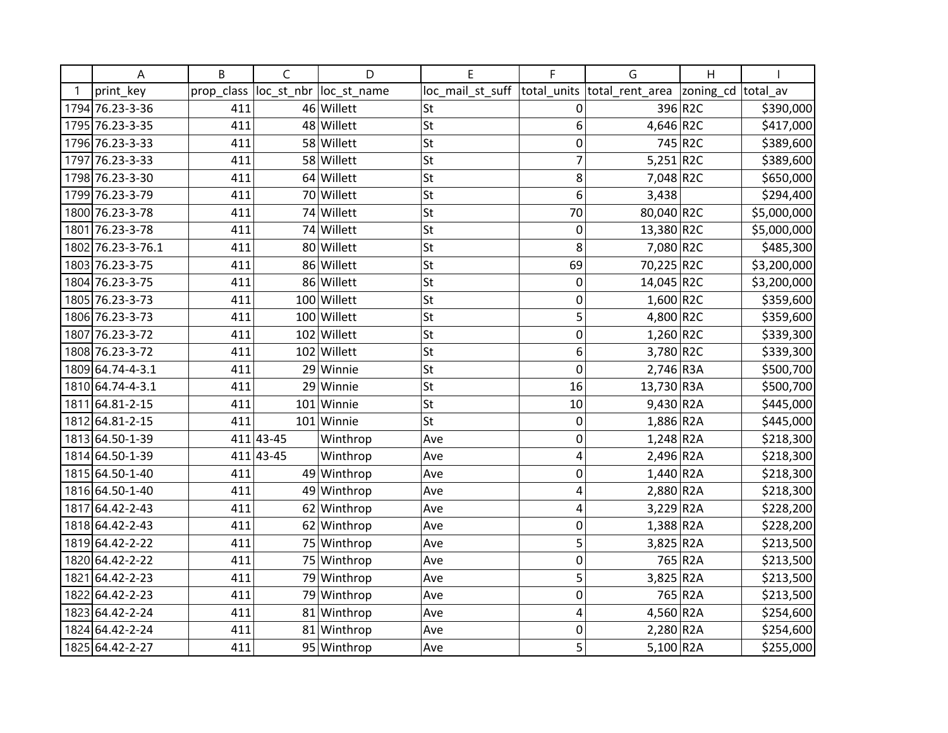| Α                 | B          | C          | D            | E                | F            | G                           | Η                  |             |
|-------------------|------------|------------|--------------|------------------|--------------|-----------------------------|--------------------|-------------|
| print_key         | prop_class | loc_st_nbr | loc_st_name  | loc_mail_st_suff |              | total_units total_rent_area | zoning_cd total_av |             |
| 1794 76.23-3-36   | 411        |            | 46 Willett   | St               | 0            |                             | 396 R2C            | \$390,000   |
| 1795 76.23-3-35   | 411        |            | 48 Willett   | St               | 6            | 4,646 R2C                   |                    | \$417,000   |
| 1796 76.23-3-33   | 411        |            | 58 Willett   | <b>St</b>        | 0            |                             | 745 R2C            | \$389,600   |
| 1797 76.23-3-33   | 411        |            | 58 Willett   | <b>St</b>        | 7            | $5,251$ R2C                 |                    | \$389,600   |
| 1798 76.23-3-30   | 411        |            | 64 Willett   | <b>St</b>        | 8            | 7,048 R2C                   |                    | \$650,000   |
| 1799 76.23-3-79   | 411        |            | 70 Willett   | <b>St</b>        | 6            | 3,438                       |                    | \$294,400   |
| 1800 76.23-3-78   | 411        |            | 74 Willett   | St               | 70           | 80,040 R2C                  |                    | \$5,000,000 |
| 1801 76.23-3-78   | 411        |            | 74 Willett   | <b>St</b>        | 0            | 13,380 R2C                  |                    | \$5,000,000 |
| 1802 76.23-3-76.1 | 411        | 80         | Willett      | <b>St</b>        | 8            | 7,080 R2C                   |                    | \$485,300   |
| 1803 76.23-3-75   | 411        |            | 86 Willett   | <b>St</b>        | 69           | 70,225 R2C                  |                    | \$3,200,000 |
| 1804 76.23-3-75   | 411        |            | 86 Willett   | <b>St</b>        | 0            | 14,045 R2C                  |                    | \$3,200,000 |
| 1805 76.23-3-73   | 411        |            | 100 Willett  | St               | 0            | 1,600 R2C                   |                    | \$359,600   |
| 1806 76.23-3-73   | 411        |            | 100 Willett  | St               | 5            | 4,800 R2C                   |                    | \$359,600   |
| 1807 76.23-3-72   | 411        | 102        | Willett      | St               | 0            | $1,260$ R2C                 |                    | \$339,300   |
| 1808 76.23-3-72   | 411        | 102        | Willett      | St               | 6            | 3,780 R2C                   |                    | \$339,300   |
| 1809 64.74-4-3.1  | 411        | 29         | Winnie       | St               | $\mathbf{0}$ | 2,746 R3A                   |                    | \$500,700   |
| 1810 64.74-4-3.1  | 411        | 29         | Winnie       | St               | 16           | 13,730 R3A                  |                    | \$500,700   |
| 1811 64.81-2-15   | 411        |            | $101$ Winnie | St               | 10           | 9,430 R2A                   |                    | \$445,000   |
| 1812 64.81-2-15   | 411        |            | 101 Winnie   | St               | 0            | 1,886 R2A                   |                    | \$445,000   |
| 1813 64.50-1-39   |            | 411 43-45  | Winthrop     | Ave              | 0            | $1,248$ R2A                 |                    | \$218,300   |
| 1814 64.50-1-39   |            | 411 43-45  | Winthrop     | Ave              | 4            | 2,496 R2A                   |                    | \$218,300   |
| 1815 64.50-1-40   | 411        |            | 49 Winthrop  | Ave              | 0            | $1,440$ R <sub>2</sub> A    |                    | \$218,300   |
| 1816 64.50-1-40   | 411        |            | 49 Winthrop  | Ave              | 4            | 2,880 R2A                   |                    | \$218,300   |
| 1817 64.42-2-43   | 411        | 62         | Winthrop     | Ave              | 4            | $3,229$ R2A                 |                    | \$228,200   |
| 1818 64.42-2-43   | 411        |            | 62 Winthrop  | Ave              | 0            | 1,388 R2A                   |                    | \$228,200   |
| 1819 64.42-2-22   | 411        |            | 75 Winthrop  | Ave              | 5            | 3,825 R2A                   |                    | \$213,500   |
| 1820 64.42-2-22   | 411        | 75         | Winthrop     | Ave              | 0            |                             | 765 R2A            | \$213,500   |
| 1821 64.42-2-23   | 411        | 79         | Winthrop     | Ave              | 5            | 3,825 R2A                   |                    | \$213,500   |
| 1822 64.42-2-23   | 411        | 79         | Winthrop     | Ave              | $\mathbf 0$  |                             | 765 R2A            | \$213,500   |
| 1823 64.42-2-24   | 411        |            | 81 Winthrop  | Ave              | 4            | 4,560 R2A                   |                    | \$254,600   |
| 1824 64.42-2-24   | 411        |            | 81 Winthrop  | Ave              | 0            | 2,280 R2A                   |                    | \$254,600   |
| 1825 64.42-2-27   | 411        |            | 95 Winthrop  | Ave              | 5            | $5,100$ R <sub>2</sub> A    |                    | \$255,000   |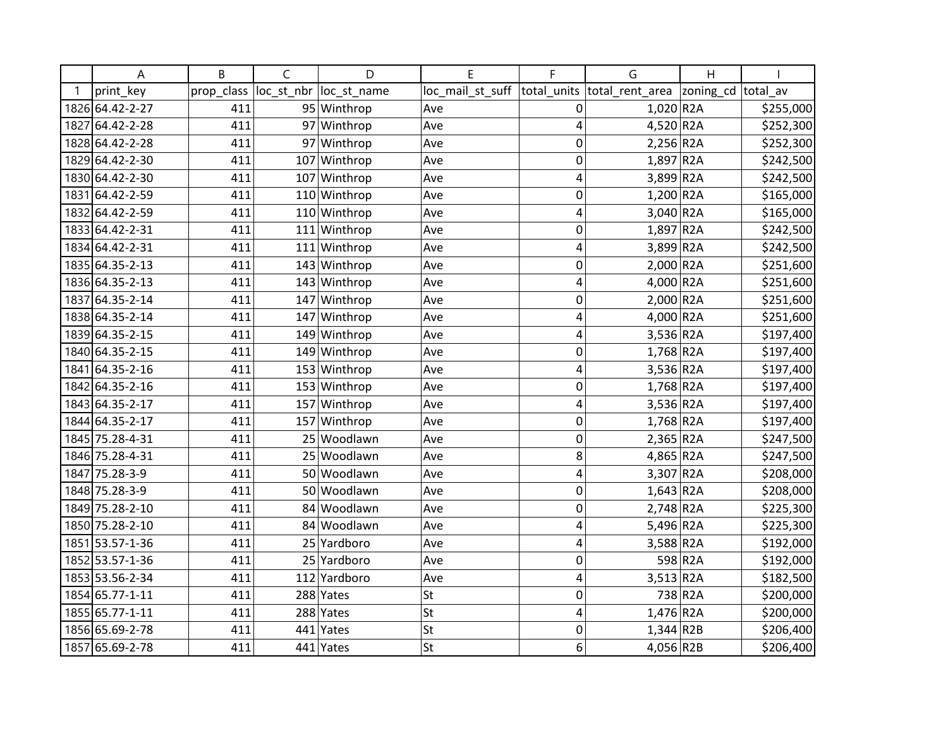| Α               | B          | C          | D            | E                | F              | G                        | H         |                       |
|-----------------|------------|------------|--------------|------------------|----------------|--------------------------|-----------|-----------------------|
| print key       | prop_class | loc_st_nbr | loc st name  | loc_mail_st_suff | total units    | total rent area          | zoning_cd | total av              |
| 1826 64.42-2-27 | 411        |            | 95 Winthrop  | Ave              | 0              | $1,020$ R2A              |           | \$255,000             |
| 1827 64.42-2-28 | 411        |            | 97 Winthrop  | Ave              | $\overline{4}$ | 4,520 R2A                |           | 5252,300              |
| 1828 64.42-2-28 | 411        |            | 97 Winthrop  | Ave              | $\mathbf 0$    | $2,256$ R <sub>2</sub> A |           | \$252,300             |
| 1829 64.42-2-30 | 411        |            | 107 Winthrop | Ave              | 0              | $1,897$ R <sub>2</sub> A |           | \$242,500             |
| 1830 64.42-2-30 | 411        | 107        | Winthrop     | Ave              | 4              | 3,899 R2A                |           | \$242,500             |
| 1831 64.42-2-59 | 411        | 110        | Winthrop     | Ave              | $\mathbf 0$    | 1,200 R2A                |           | \$165,000             |
| 1832 64.42-2-59 | 411        | 110        | Winthrop     | Ave              | 4              | 3,040 R2A                |           | $\overline{$}165,000$ |
| 1833 64.42-2-31 | 411        | 111        | Winthrop     | Ave              | 0              | $1,897$ R2A              |           | \$242,500             |
| 1834 64.42-2-31 | 411        |            | 111 Winthrop | Ave              | 4              | 3,899 R2A                |           | \$242,500             |
| 1835 64.35-2-13 | 411        |            | 143 Winthrop | Ave              | 0              | 2,000 R2A                |           | \$251,600             |
| 1836 64.35-2-13 | 411        |            | 143 Winthrop | Ave              | 4              | $4,000$ R2A              |           | \$251,600             |
| 1837 64.35-2-14 | 411        | 147        | Winthrop     | Ave              | $\mathbf 0$    | $2,000$ R <sub>2</sub> A |           | \$251,600             |
| 1838 64.35-2-14 | 411        | 147        | Winthrop     | Ave              | $\overline{4}$ | 4,000 R2A                |           | \$251,600             |
| 1839 64.35-2-15 | 411        |            | 149 Winthrop | Ave              | 4              | 3,536 R2A                |           | \$197,400             |
| 1840 64.35-2-15 | 411        |            | 149 Winthrop | Ave              | $\mathbf 0$    | $1,768$ R <sub>2</sub> A |           | \$197,400             |
| 1841 64.35-2-16 | 411        |            | 153 Winthrop | Ave              | 4              | 3,536 R2A                |           | \$197,400             |
| 1842 64.35-2-16 | 411        | 153        | Winthrop     | Ave              | 0              | 1,768 R2A                |           | \$197,400             |
| 1843 64.35-2-17 | 411        | 157        | Winthrop     | Ave              | 4              | 3,536 R2A                |           | \$197,400             |
| 1844 64.35-2-17 | 411        | 157        | Winthrop     | Ave              | $\mathbf 0$    | $1,768$ R <sub>2</sub> A |           | \$197,400             |
| 1845 75.28-4-31 | 411        |            | 25 Woodlawn  | Ave              | $\mathbf 0$    | $2,365$ R <sub>2</sub> A |           | \$247,500             |
| 1846 75.28-4-31 | 411        |            | 25 Woodlawn  | Ave              | 8              | 4,865 $R2A$              |           | \$247,500             |
| 1847 75.28-3-9  | 411        |            | 50 Woodlawn  | Ave              | 4              | 3,307 R2A                |           | \$208,000             |
| 1848 75.28-3-9  | 411        |            | 50 Woodlawn  | Ave              | $\mathbf 0$    | $1,643$ R <sub>2</sub> A |           | \$208,000             |
| 1849 75.28-2-10 | 411        |            | 84 Woodlawn  | Ave              | $\mathbf 0$    | $2,748$ R <sub>2</sub> A |           | \$225,300             |
| 1850 75.28-2-10 | 411        |            | 84 Woodlawn  | Ave              | $\overline{4}$ | 5,496 R2A                |           | \$225,300             |
| 1851 53.57-1-36 | 411        |            | 25 Yardboro  | Ave              | $\overline{4}$ | $3,588$ R <sub>2</sub> A |           | \$192,000             |
| 1852 53.57-1-36 | 411        |            | 25 Yardboro  | Ave              | $\mathbf 0$    |                          | 598 R2A   | \$192,000             |
| 1853 53.56-2-34 | 411        | 112        | Yardboro     | Ave              | 4              | $3,513$ R2A              |           | \$182,500             |
| 1854 65.77-1-11 | 411        |            | 288 Yates    | <b>St</b>        | $\mathbf 0$    |                          | 738 R2A   | \$200,000             |
| 1855 65.77-1-11 | 411        |            | 288 Yates    | <b>St</b>        | 4              | $1,476$ R2A              |           | \$200,000             |
| 1856 65.69-2-78 | 411        |            | 441 Yates    | St               | 0              | $1,344$ R2B              |           | \$206,400             |
| 1857 65.69-2-78 | 411        |            | 441 Yates    | <b>St</b>        | 6              | 4,056 R2B                |           | \$206,400             |